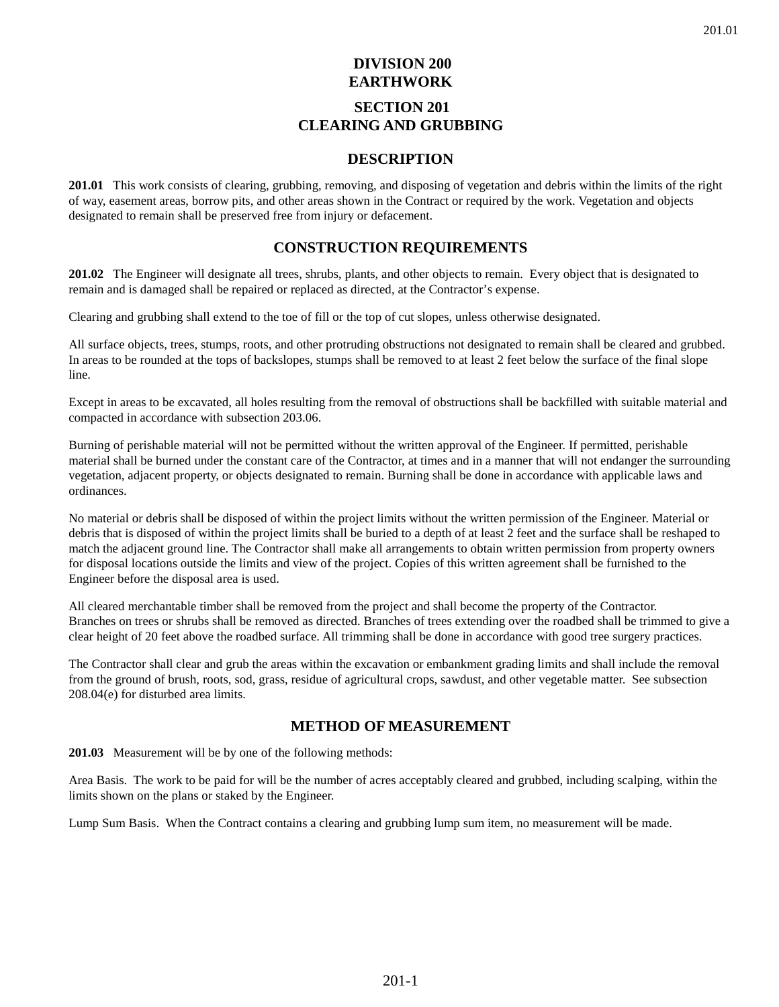# **DIVISION 200 EARTHWORK SECTION 201 CLEARING AND GRUBBING**

### **DESCRIPTION**

**201.01** This work consists of clearing, grubbing, removing, and disposing of vegetation and debris within the limits of the right of way, easement areas, borrow pits, and other areas shown in the Contract or required by the work. Vegetation and objects designated to remain shall be preserved free from injury or defacement.

# **CONSTRUCTION REQUIREMENTS**

**201.02** The Engineer will designate all trees, shrubs, plants, and other objects to remain. Every object that is designated to remain and is damaged shall be repaired or replaced as directed, at the Contractor's expense.

Clearing and grubbing shall extend to the toe of fill or the top of cut slopes, unless otherwise designated.

All surface objects, trees, stumps, roots, and other protruding obstructions not designated to remain shall be cleared and grubbed. In areas to be rounded at the tops of backslopes, stumps shall be removed to at least 2 feet below the surface of the final slope line.

Except in areas to be excavated, all holes resulting from the removal of obstructions shall be backfilled with suitable material and compacted in accordance with subsection 203.06.

Burning of perishable material will not be permitted without the written approval of the Engineer. If permitted, perishable material shall be burned under the constant care of the Contractor, at times and in a manner that will not endanger the surrounding vegetation, adjacent property, or objects designated to remain. Burning shall be done in accordance with applicable laws and ordinances.

No material or debris shall be disposed of within the project limits without the written permission of the Engineer. Material or debris that is disposed of within the project limits shall be buried to a depth of at least 2 feet and the surface shall be reshaped to match the adjacent ground line. The Contractor shall make all arrangements to obtain written permission from property owners for disposal locations outside the limits and view of the project. Copies of this written agreement shall be furnished to the Engineer before the disposal area is used.

All cleared merchantable timber shall be removed from the project and shall become the property of the Contractor. Branches on trees or shrubs shall be removed as directed. Branches of trees extending over the roadbed shall be trimmed to give a clear height of 20 feet above the roadbed surface. All trimming shall be done in accordance with good tree surgery practices.

The Contractor shall clear and grub the areas within the excavation or embankment grading limits and shall include the removal from the ground of brush, roots, sod, grass, residue of agricultural crops, sawdust, and other vegetable matter. See subsection 208.04(e) for disturbed area limits.

## **METHOD OF MEASUREMENT**

**201.03** Measurement will be by one of the following methods:

Area Basis. The work to be paid for will be the number of acres acceptably cleared and grubbed, including scalping, within the limits shown on the plans or staked by the Engineer.

Lump Sum Basis. When the Contract contains a clearing and grubbing lump sum item, no measurement will be made.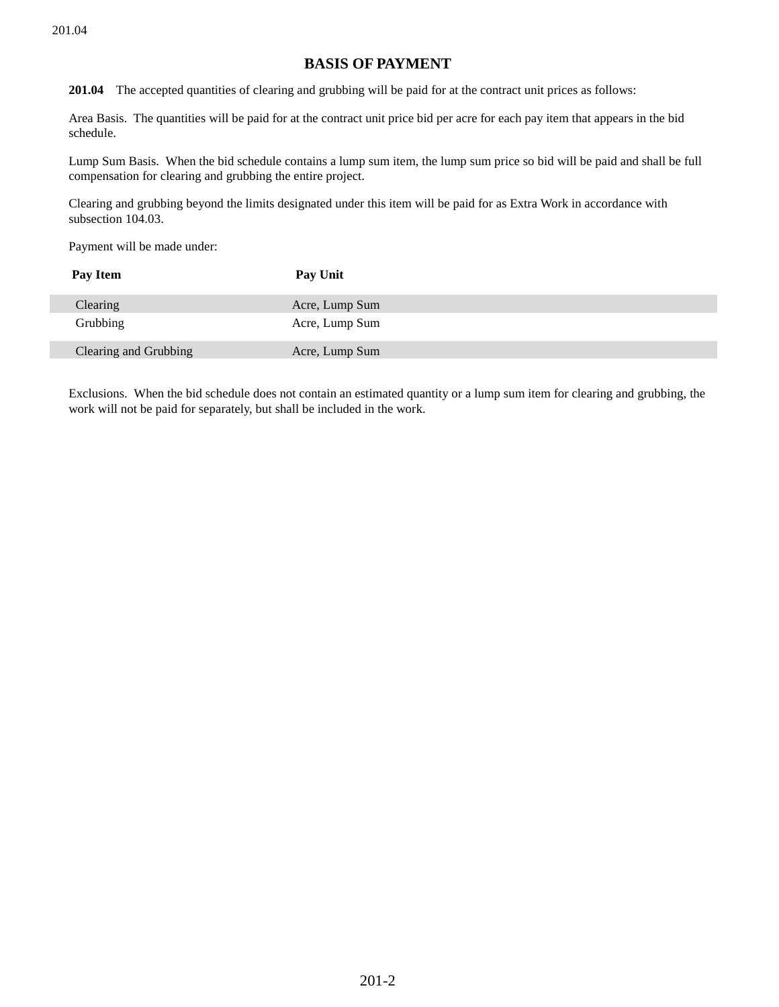#### 201.04

# **BASIS OF PAYMENT**

**201.04** The accepted quantities of clearing and grubbing will be paid for at the contract unit prices as follows:

Area Basis. The quantities will be paid for at the contract unit price bid per acre for each pay item that appears in the bid schedule.

Lump Sum Basis. When the bid schedule contains a lump sum item, the lump sum price so bid will be paid and shall be full compensation for clearing and grubbing the entire project.

Clearing and grubbing beyond the limits designated under this item will be paid for as Extra Work in accordance with subsection 104.03.

Payment will be made under:

| Pay Item              | Pay Unit       |
|-----------------------|----------------|
| Clearing              | Acre, Lump Sum |
| Grubbing              | Acre, Lump Sum |
| Clearing and Grubbing | Acre, Lump Sum |

Exclusions. When the bid schedule does not contain an estimated quantity or a lump sum item for clearing and grubbing, the work will not be paid for separately, but shall be included in the work.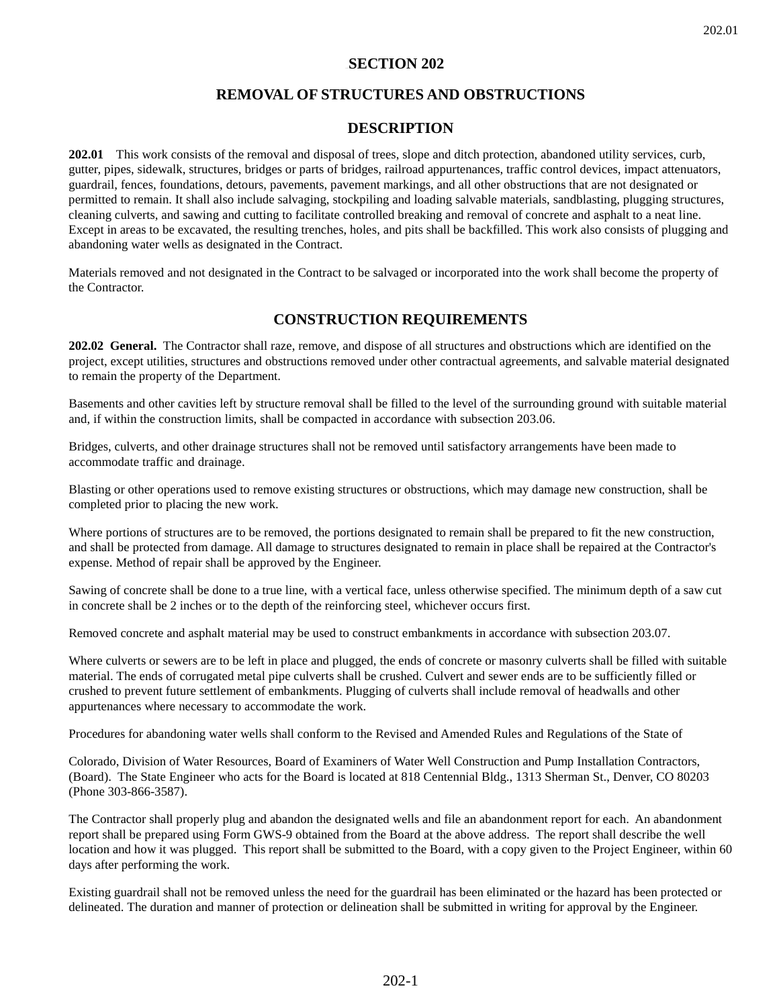## **SECTION 202**

# **REMOVAL OF STRUCTURES AND OBSTRUCTIONS**

## **DESCRIPTION**

**202.01** This work consists of the removal and disposal of trees, slope and ditch protection, abandoned utility services, curb, gutter, pipes, sidewalk, structures, bridges or parts of bridges, railroad appurtenances, traffic control devices, impact attenuators, guardrail, fences, foundations, detours, pavements, pavement markings, and all other obstructions that are not designated or permitted to remain. It shall also include salvaging, stockpiling and loading salvable materials, sandblasting, plugging structures, cleaning culverts, and sawing and cutting to facilitate controlled breaking and removal of concrete and asphalt to a neat line. Except in areas to be excavated, the resulting trenches, holes, and pits shall be backfilled. This work also consists of plugging and abandoning water wells as designated in the Contract.

Materials removed and not designated in the Contract to be salvaged or incorporated into the work shall become the property of the Contractor.

# **CONSTRUCTION REQUIREMENTS**

**202.02 General.** The Contractor shall raze, remove, and dispose of all structures and obstructions which are identified on the project, except utilities, structures and obstructions removed under other contractual agreements, and salvable material designated to remain the property of the Department.

Basements and other cavities left by structure removal shall be filled to the level of the surrounding ground with suitable material and, if within the construction limits, shall be compacted in accordance with subsection 203.06.

Bridges, culverts, and other drainage structures shall not be removed until satisfactory arrangements have been made to accommodate traffic and drainage.

Blasting or other operations used to remove existing structures or obstructions, which may damage new construction, shall be completed prior to placing the new work.

Where portions of structures are to be removed, the portions designated to remain shall be prepared to fit the new construction, and shall be protected from damage. All damage to structures designated to remain in place shall be repaired at the Contractor's expense. Method of repair shall be approved by the Engineer.

Sawing of concrete shall be done to a true line, with a vertical face, unless otherwise specified. The minimum depth of a saw cut in concrete shall be 2 inches or to the depth of the reinforcing steel, whichever occurs first.

Removed concrete and asphalt material may be used to construct embankments in accordance with subsection 203.07.

Where culverts or sewers are to be left in place and plugged, the ends of concrete or masonry culverts shall be filled with suitable material. The ends of corrugated metal pipe culverts shall be crushed. Culvert and sewer ends are to be sufficiently filled or crushed to prevent future settlement of embankments. Plugging of culverts shall include removal of headwalls and other appurtenances where necessary to accommodate the work.

Procedures for abandoning water wells shall conform to the Revised and Amended Rules and Regulations of the State of

Colorado, Division of Water Resources, Board of Examiners of Water Well Construction and Pump Installation Contractors, (Board). The State Engineer who acts for the Board is located at 818 Centennial Bldg., 1313 Sherman St., Denver, CO 80203 (Phone 303-866-3587).

The Contractor shall properly plug and abandon the designated wells and file an abandonment report for each. An abandonment report shall be prepared using Form GWS-9 obtained from the Board at the above address. The report shall describe the well location and how it was plugged. This report shall be submitted to the Board, with a copy given to the Project Engineer, within 60 days after performing the work.

Existing guardrail shall not be removed unless the need for the guardrail has been eliminated or the hazard has been protected or delineated. The duration and manner of protection or delineation shall be submitted in writing for approval by the Engineer.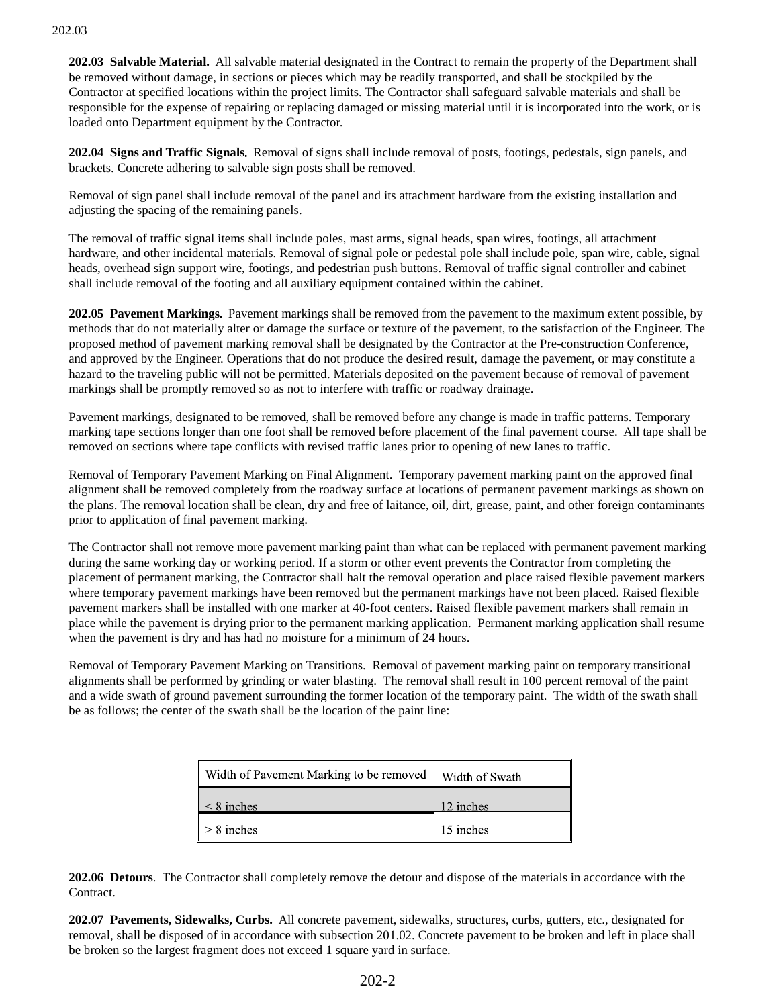**202.03 Salvable Material.** All salvable material designated in the Contract to remain the property of the Department shall be removed without damage, in sections or pieces which may be readily transported, and shall be stockpiled by the Contractor at specified locations within the project limits. The Contractor shall safeguard salvable materials and shall be responsible for the expense of repairing or replacing damaged or missing material until it is incorporated into the work, or is loaded onto Department equipment by the Contractor.

**202.04 Signs and Traffic Signals** Removal of signs shall include removal of posts, footings, pedestals, sign panels, and brackets. Concrete adhering to salvable sign posts shall be removed.

Removal of sign panel shall include removal of the panel and its attachment hardware from the existing installation and adjusting the spacing of the remaining panels.

The removal of traffic signal items shall include poles, mast arms, signal heads, span wires, footings, all attachment hardware, and other incidental materials. Removal of signal pole or pedestal pole shall include pole, span wire, cable, signal heads, overhead sign support wire, footings, and pedestrian push buttons. Removal of traffic signal controller and cabinet shall include removal of the footing and all auxiliary equipment contained within the cabinet.

**202.05** Pavement Markings. Pavement markings shall be removed from the pavement to the maximum extent possible, by methods that do not materially alter or damage the surface or texture of the pavement, to the satisfaction of the Engineer. The proposed method of pavement marking removal shall be designated by the Contractor at the Pre-construction Conference, and approved by the Engineer. Operations that do not produce the desired result, damage the pavement, or may constitute a hazard to the traveling public will not be permitted. Materials deposited on the pavement because of removal of pavement markings shall be promptly removed so as not to interfere with traffic or roadway drainage.

Pavement markings, designated to be removed, shall be removed before any change is made in traffic patterns. Temporary marking tape sections longer than one foot shall be removed before placement of the final pavement course. All tape shall be removed on sections where tape conflicts with revised traffic lanes prior to opening of new lanes to traffic.

Removal of Temporary Pavement Marking on Final Alignment. Temporary pavement marking paint on the approved final alignment shall be removed completely from the roadway surface at locations of permanent pavement markings as shown on the plans. The removal location shall be clean, dry and free of laitance, oil, dirt, grease, paint, and other foreign contaminants prior to application of final pavement marking.

The Contractor shall not remove more pavement marking paint than what can be replaced with permanent pavement marking during the same working day or working period. If a storm or other event prevents the Contractor from completing the placement of permanent marking, the Contractor shall halt the removal operation and place raised flexible pavement markers where temporary pavement markings have been removed but the permanent markings have not been placed. Raised flexible pavement markers shall be installed with one marker at 40-foot centers. Raised flexible pavement markers shall remain in place while the pavement is drying prior to the permanent marking application. Permanent marking application shall resume when the pavement is dry and has had no moisture for a minimum of 24 hours.

Removal of Temporary Pavement Marking on Transitions. Removal of pavement marking paint on temporary transitional alignments shall be performed by grinding or water blasting. The removal shall result in 100 percent removal of the paint and a wide swath of ground pavement surrounding the former location of the temporary paint. The width of the swath shall be as follows; the center of the swath shall be the location of the paint line:

| Width of Pavement Marking to be removed | Width of Swath |
|-----------------------------------------|----------------|
| $\leq$ 8 inches                         | 12 inches      |
| $\vert \vert > 8$ inches                | 15 inches      |

**202.06 Detours**. The Contractor shall completely remove the detour and dispose of the materials in accordance with the Contract.

**202.07 Pavements, Sidewalks, Curbs.** All concrete pavement, sidewalks, structures, curbs, gutters, etc., designated for removal, shall be disposed of in accordance with subsection 201.02. Concrete pavement to be broken and left in place shall be broken so the largest fragment does not exceed 1 square yard in surface.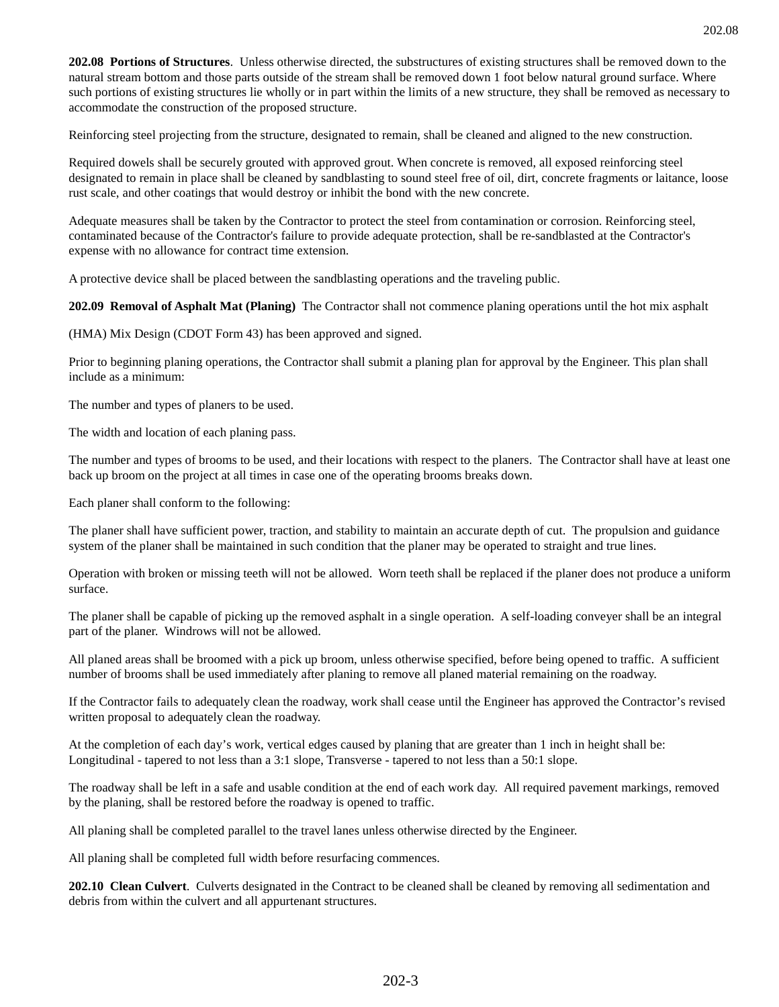**202.08 Portions of Structures**. Unless otherwise directed, the substructures of existing structures shall be removed down to the natural stream bottom and those parts outside of the stream shall be removed down 1 foot below natural ground surface. Where such portions of existing structures lie wholly or in part within the limits of a new structure, they shall be removed as necessary to accommodate the construction of the proposed structure.

Reinforcing steel projecting from the structure, designated to remain, shall be cleaned and aligned to the new construction.

Required dowels shall be securely grouted with approved grout. When concrete is removed, all exposed reinforcing steel designated to remain in place shall be cleaned by sandblasting to sound steel free of oil, dirt, concrete fragments or laitance, loose rust scale, and other coatings that would destroy or inhibit the bond with the new concrete.

Adequate measures shall be taken by the Contractor to protect the steel from contamination or corrosion. Reinforcing steel, contaminated because of the Contractor's failure to provide adequate protection, shall be re-sandblasted at the Contractor's expense with no allowance for contract time extension.

A protective device shall be placed between the sandblasting operations and the traveling public.

**202.09 Removal of Asphalt Mat (Planing)** The Contractor shall not commence planing operations until the hot mix asphalt

(HMA) Mix Design (CDOT Form 43) has been approved and signed.

Prior to beginning planing operations, the Contractor shall submit a planing plan for approval by the Engineer. This plan shall include as a minimum:

The number and types of planers to be used.

The width and location of each planing pass.

The number and types of brooms to be used, and their locations with respect to the planers. The Contractor shall have at least one back up broom on the project at all times in case one of the operating brooms breaks down.

Each planer shall conform to the following:

The planer shall have sufficient power, traction, and stability to maintain an accurate depth of cut. The propulsion and guidance system of the planer shall be maintained in such condition that the planer may be operated to straight and true lines.

Operation with broken or missing teeth will not be allowed. Worn teeth shall be replaced if the planer does not produce a uniform surface.

The planer shall be capable of picking up the removed asphalt in a single operation. A self-loading conveyer shall be an integral part of the planer. Windrows will not be allowed.

All planed areas shall be broomed with a pick up broom, unless otherwise specified, before being opened to traffic. A sufficient number of brooms shall be used immediately after planing to remove all planed material remaining on the roadway.

If the Contractor fails to adequately clean the roadway, work shall cease until the Engineer has approved the Contractor's revised written proposal to adequately clean the roadway.

At the completion of each day's work, vertical edges caused by planing that are greater than 1 inch in height shall be: Longitudinal - tapered to not less than a 3:1 slope, Transverse - tapered to not less than a 50:1 slope.

The roadway shall be left in a safe and usable condition at the end of each work day. All required pavement markings, removed by the planing, shall be restored before the roadway is opened to traffic.

All planing shall be completed parallel to the travel lanes unless otherwise directed by the Engineer.

All planing shall be completed full width before resurfacing commences.

**202.10 Clean Culvert**. Culverts designated in the Contract to be cleaned shall be cleaned by removing all sedimentation and debris from within the culvert and all appurtenant structures.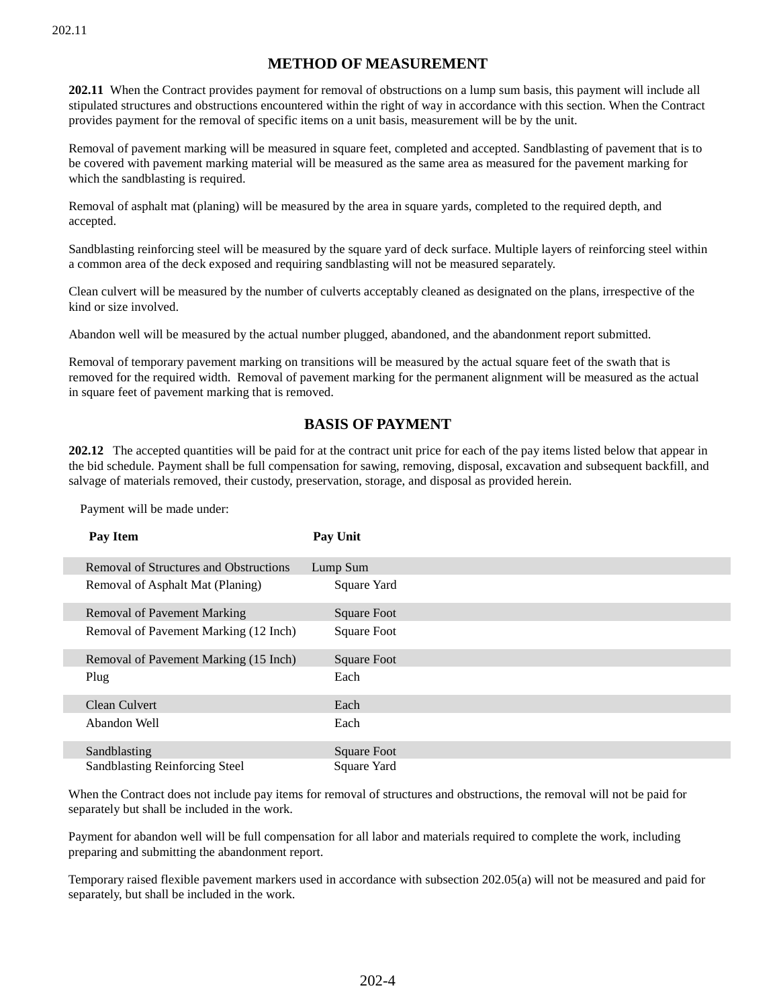# **METHOD OF MEASUREMENT**

**202.11** When the Contract provides payment for removal of obstructions on a lump sum basis, this payment will include all stipulated structures and obstructions encountered within the right of way in accordance with this section. When the Contract provides payment for the removal of specific items on a unit basis, measurement will be by the unit.

Removal of pavement marking will be measured in square feet, completed and accepted. Sandblasting of pavement that is to be covered with pavement marking material will be measured as the same area as measured for the pavement marking for which the sandblasting is required.

Removal of asphalt mat (planing) will be measured by the area in square yards, completed to the required depth, and accepted.

Sandblasting reinforcing steel will be measured by the square yard of deck surface. Multiple layers of reinforcing steel within a common area of the deck exposed and requiring sandblasting will not be measured separately.

Clean culvert will be measured by the number of culverts acceptably cleaned as designated on the plans, irrespective of the kind or size involved.

Abandon well will be measured by the actual number plugged, abandoned, and the abandonment report submitted.

Removal of temporary pavement marking on transitions will be measured by the actual square feet of the swath that is removed for the required width. Removal of pavement marking for the permanent alignment will be measured as the actual in square feet of pavement marking that is removed.

## **BASIS OF PAYMENT**

**202.12** The accepted quantities will be paid for at the contract unit price for each of the pay items listed below that appear in the bid schedule. Payment shall be full compensation for sawing, removing, disposal, excavation and subsequent backfill, and salvage of materials removed, their custody, preservation, storage, and disposal as provided herein.

Payment will be made under:

| Pay Item                               | Pay Unit           |
|----------------------------------------|--------------------|
| Removal of Structures and Obstructions | Lump Sum           |
| Removal of Asphalt Mat (Planing)       | Square Yard        |
| <b>Removal of Pavement Marking</b>     | <b>Square Foot</b> |
| Removal of Pavement Marking (12 Inch)  | Square Foot        |
| Removal of Pavement Marking (15 Inch)  | <b>Square Foot</b> |
| Plug                                   | Each               |
| Clean Culvert                          | Each               |
| Abandon Well                           | Each               |
| Sandblasting                           | <b>Square Foot</b> |
| Sandblasting Reinforcing Steel         | Square Yard        |

When the Contract does not include pay items for removal of structures and obstructions, the removal will not be paid for separately but shall be included in the work.

Payment for abandon well will be full compensation for all labor and materials required to complete the work, including preparing and submitting the abandonment report.

Temporary raised flexible pavement markers used in accordance with subsection 202.05(a) will not be measured and paid for separately, but shall be included in the work.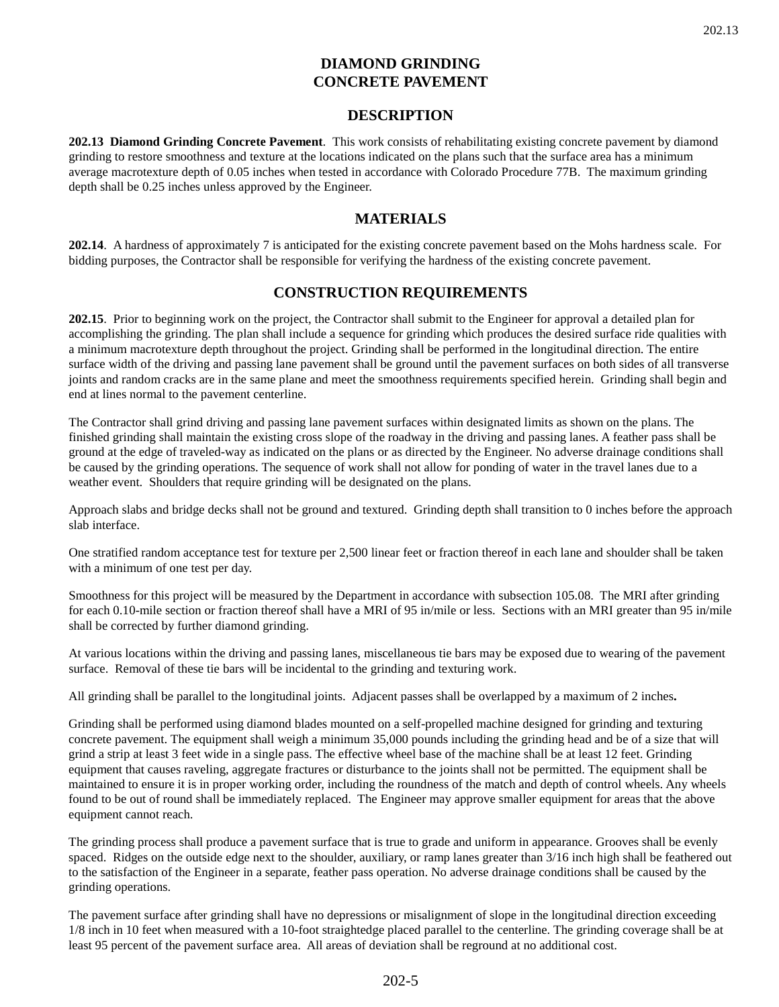# **DIAMOND GRINDING CONCRETE PAVEMENT**

#### **DESCRIPTION**

**202.13 Diamond Grinding Concrete Pavement**.This work consists of rehabilitating existing concrete pavement by diamond grinding to restore smoothness and texture at the locations indicated on the plans such that the surface area has a minimum average macrotexture depth of 0.05 inches when tested in accordance with Colorado Procedure 77B. The maximum grinding depth shall be 0.25 inches unless approved by the Engineer.

## **MATERIALS**

**202.14**.A hardness of approximately 7 is anticipated for the existing concrete pavement based on the Mohs hardness scale. For bidding purposes, the Contractor shall be responsible for verifying the hardness of the existing concrete pavement.

# **CONSTRUCTION REQUIREMENTS**

**202.15**.Prior to beginning work on the project, the Contractor shall submit to the Engineer for approval a detailed plan for accomplishing the grinding. The plan shall include a sequence for grinding which produces the desired surface ride qualities with a minimum macrotexture depth throughout the project. Grinding shall be performed in the longitudinal direction. The entire surface width of the driving and passing lane pavement shall be ground until the pavement surfaces on both sides of all transverse joints and random cracks are in the same plane and meet the smoothness requirements specified herein. Grinding shall begin and end at lines normal to the pavement centerline.

The Contractor shall grind driving and passing lane pavement surfaces within designated limits as shown on the plans. The finished grinding shall maintain the existing cross slope of the roadway in the driving and passing lanes. A feather pass shall be ground at the edge of traveled-way as indicated on the plans or as directed by the Engineer. No adverse drainage conditions shall be caused by the grinding operations. The sequence of work shall not allow for ponding of water in the travel lanes due to a weather event. Shoulders that require grinding will be designated on the plans.

Approach slabs and bridge decks shall not be ground and textured. Grinding depth shall transition to 0 inches before the approach slab interface.

One stratified random acceptance test for texture per 2,500 linear feet or fraction thereof in each lane and shoulder shall be taken with a minimum of one test per day.

Smoothness for this project will be measured by the Department in accordance with subsection 105.08. The MRI after grinding for each 0.10-mile section or fraction thereof shall have a MRI of 95 in/mile or less. Sections with an MRI greater than 95 in/mile shall be corrected by further diamond grinding.

At various locations within the driving and passing lanes, miscellaneous tie bars may be exposed due to wearing of the pavement surface. Removal of these tie bars will be incidental to the grinding and texturing work.

All grinding shall be parallel to the longitudinal joints. Adjacent passes shall be overlapped by a maximum of 2 inches**.**

Grinding shall be performed using diamond blades mounted on a self-propelled machine designed for grinding and texturing concrete pavement. The equipment shall weigh a minimum 35,000 pounds including the grinding head and be of a size that will grind a strip at least 3 feet wide in a single pass. The effective wheel base of the machine shall be at least 12 feet. Grinding equipment that causes raveling, aggregate fractures or disturbance to the joints shall not be permitted. The equipment shall be maintained to ensure it is in proper working order, including the roundness of the match and depth of control wheels. Any wheels found to be out of round shall be immediately replaced. The Engineer may approve smaller equipment for areas that the above equipment cannot reach.

The grinding process shall produce a pavement surface that is true to grade and uniform in appearance. Grooves shall be evenly spaced. Ridges on the outside edge next to the shoulder, auxiliary, or ramp lanes greater than 3/16 inch high shall be feathered out to the satisfaction of the Engineer in a separate, feather pass operation. No adverse drainage conditions shall be caused by the grinding operations.

The pavement surface after grinding shall have no depressions or misalignment of slope in the longitudinal direction exceeding 1/8 inch in 10 feet when measured with a 10-foot straightedge placed parallel to the centerline. The grinding coverage shall be at least 95 percent of the pavement surface area. All areas of deviation shall be reground at no additional cost.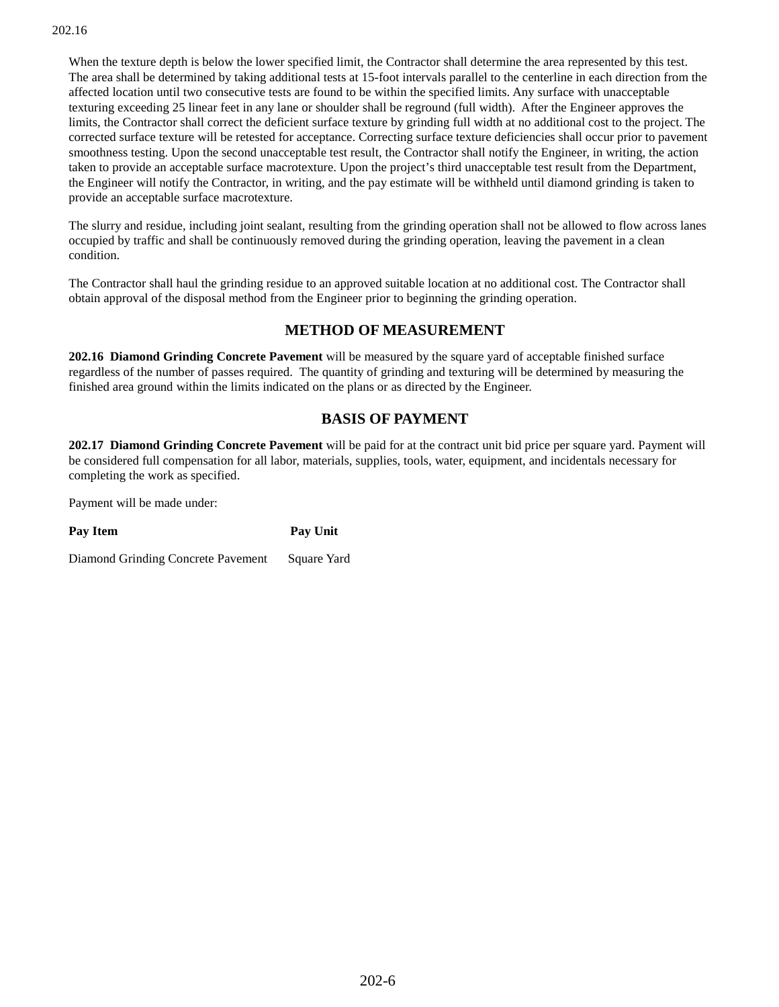When the texture depth is below the lower specified limit, the Contractor shall determine the area represented by this test. The area shall be determined by taking additional tests at 15-foot intervals parallel to the centerline in each direction from the affected location until two consecutive tests are found to be within the specified limits. Any surface with unacceptable texturing exceeding 25 linear feet in any lane or shoulder shall be reground (full width). After the Engineer approves the limits, the Contractor shall correct the deficient surface texture by grinding full width at no additional cost to the project. The corrected surface texture will be retested for acceptance. Correcting surface texture deficiencies shall occur prior to pavement smoothness testing. Upon the second unacceptable test result, the Contractor shall notify the Engineer, in writing, the action taken to provide an acceptable surface macrotexture. Upon the project's third unacceptable test result from the Department, the Engineer will notify the Contractor, in writing, and the pay estimate will be withheld until diamond grinding is taken to provide an acceptable surface macrotexture.

The slurry and residue, including joint sealant, resulting from the grinding operation shall not be allowed to flow across lanes occupied by traffic and shall be continuously removed during the grinding operation, leaving the pavement in a clean condition.

The Contractor shall haul the grinding residue to an approved suitable location at no additional cost. The Contractor shall obtain approval of the disposal method from the Engineer prior to beginning the grinding operation.

# **METHOD OF MEASUREMENT**

**202.16 Diamond Grinding Concrete Pavement** will be measured by the square yard of acceptable finished surface regardless of the number of passes required. The quantity of grinding and texturing will be determined by measuring the finished area ground within the limits indicated on the plans or as directed by the Engineer.

# **BASIS OF PAYMENT**

**202.17 Diamond Grinding Concrete Pavement** will be paid for at the contract unit bid price per square yard. Payment will be considered full compensation for all labor, materials, supplies, tools, water, equipment, and incidentals necessary for completing the work as specified.

Payment will be made under:

Pay Item Pay Unit

Diamond Grinding Concrete Pavement Square Yard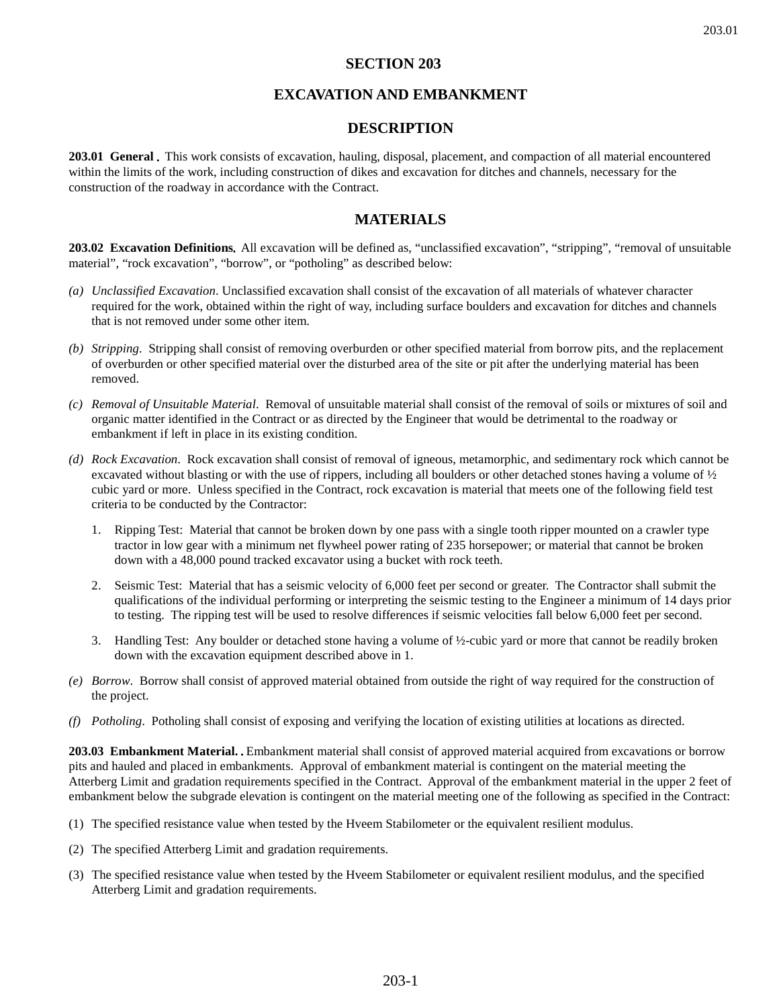## **SECTION 203**

### **EXCAVATION AND EMBANKMENT**

#### **DESCRIPTION**

**203.01 General**. This work consists of excavation, hauling, disposal, placement, and compaction of all material encountered within the limits of the work, including construction of dikes and excavation for ditches and channels, necessary for the construction of the roadway in accordance with the Contract.

## **MATERIALS**

**203.02 Excavation Definitions** All excavation will be defined as, "unclassified excavation", "stripping", "removal of unsuitable material", "rock excavation", "borrow", or "potholing" as described below:

- *(a) Unclassified Excavation*. Unclassified excavation shall consist of the excavation of all materials of whatever character required for the work, obtained within the right of way, including surface boulders and excavation for ditches and channels that is not removed under some other item.
- *(b) Stripping*. Stripping shall consist of removing overburden or other specified material from borrow pits, and the replacement of overburden or other specified material over the disturbed area of the site or pit after the underlying material has been removed.
- *(c) Removal of Unsuitable Material*. Removal of unsuitable material shall consist of the removal of soils or mixtures of soil and organic matter identified in the Contract or as directed by the Engineer that would be detrimental to the roadway or embankment if left in place in its existing condition.
- *(d) Rock Excavation*. Rock excavation shall consist of removal of igneous, metamorphic, and sedimentary rock which cannot be excavated without blasting or with the use of rippers, including all boulders or other detached stones having a volume of ½ cubic yard or more. Unless specified in the Contract, rock excavation is material that meets one of the following field test criteria to be conducted by the Contractor:
	- 1. Ripping Test: Material that cannot be broken down by one pass with a single tooth ripper mounted on a crawler type tractor in low gear with a minimum net flywheel power rating of 235 horsepower; or material that cannot be broken down with a 48,000 pound tracked excavator using a bucket with rock teeth.
	- 2. Seismic Test: Material that has a seismic velocity of 6,000 feet per second or greater. The Contractor shall submit the qualifications of the individual performing or interpreting the seismic testing to the Engineer a minimum of 14 days prior to testing. The ripping test will be used to resolve differences if seismic velocities fall below 6,000 feet per second.
	- 3. Handling Test: Any boulder or detached stone having a volume of ½-cubic yard or more that cannot be readily broken down with the excavation equipment described above in 1.
- *(e) Borrow*. Borrow shall consist of approved material obtained from outside the right of way required for the construction of the project.
- *(f) Potholing*. Potholing shall consist of exposing and verifying the location of existing utilities at locations as directed.

**203.03 Embankment Material.** Embankment material shall consist of approved material acquired from excavations or borrow pits and hauled and placed in embankments. Approval of embankment material is contingent on the material meeting the Atterberg Limit and gradation requirements specified in the Contract. Approval of the embankment material in the upper 2 feet of embankment below the subgrade elevation is contingent on the material meeting one of the following as specified in the Contract:

- (1) The specified resistance value when tested by the Hveem Stabilometer or the equivalent resilient modulus.
- (2) The specified Atterberg Limit and gradation requirements.
- (3) The specified resistance value when tested by the Hveem Stabilometer or equivalent resilient modulus, and the specified Atterberg Limit and gradation requirements.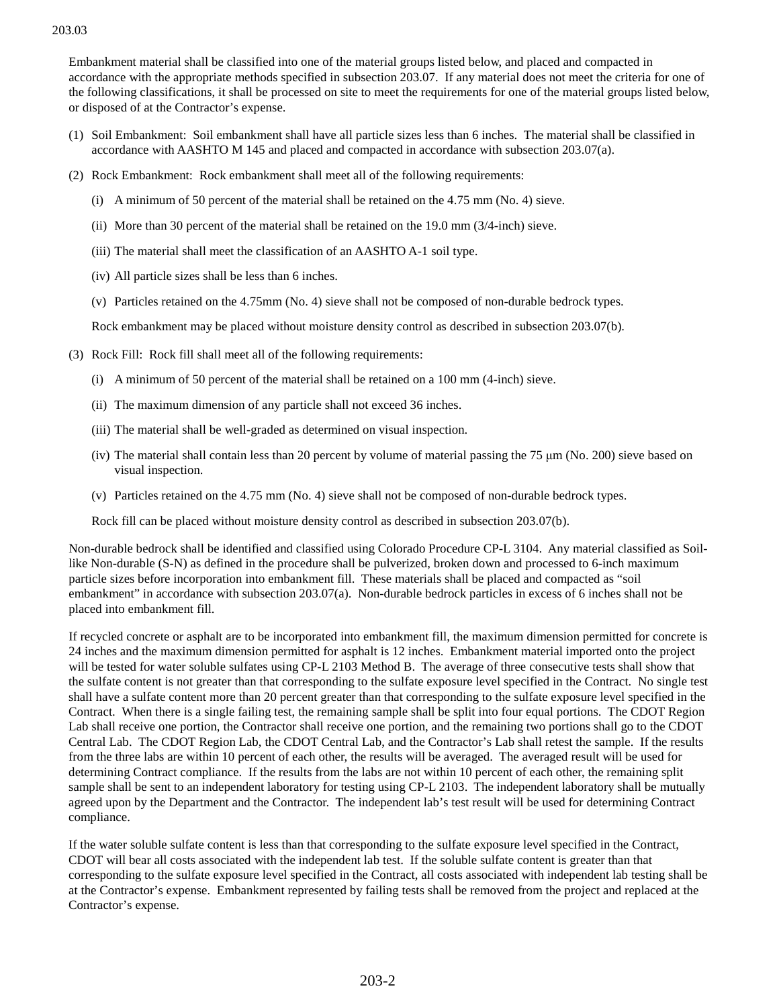Embankment material shall be classified into one of the material groups listed below, and placed and compacted in accordance with the appropriate methods specified in subsection 203.07. If any material does not meet the criteria for one of the following classifications, it shall be processed on site to meet the requirements for one of the material groups listed below, or disposed of at the Contractor's expense.

- (1) Soil Embankment: Soil embankment shall have all particle sizes less than 6 inches. The material shall be classified in accordance with AASHTO M 145 and placed and compacted in accordance with subsection 203.07(a).
- (2) Rock Embankment: Rock embankment shall meet all of the following requirements:
	- (i) A minimum of 50 percent of the material shall be retained on the 4.75 mm (No. 4) sieve.
	- (ii) More than 30 percent of the material shall be retained on the 19.0 mm (3/4-inch) sieve.
	- (iii) The material shall meet the classification of an AASHTO A-1 soil type.
	- (iv) All particle sizes shall be less than 6 inches.
	- (v) Particles retained on the 4.75mm (No. 4) sieve shall not be composed of non-durable bedrock types.

Rock embankment may be placed without moisture density control as described in subsection 203.07(b).

- (3) Rock Fill: Rock fill shall meet all of the following requirements:
	- (i) A minimum of 50 percent of the material shall be retained on a 100 mm (4-inch) sieve.
	- (ii) The maximum dimension of any particle shall not exceed 36 inches.
	- (iii) The material shall be well-graded as determined on visual inspection.
	- (iv) The material shall contain less than 20 percent by volume of material passing the 75 μm (No. 200) sieve based on visual inspection.
	- (v) Particles retained on the 4.75 mm (No. 4) sieve shall not be composed of non-durable bedrock types.

Rock fill can be placed without moisture density control as described in subsection 203.07(b).

Non-durable bedrock shall be identified and classified using Colorado Procedure CP-L 3104. Any material classified as Soillike Non-durable (S-N) as defined in the procedure shall be pulverized, broken down and processed to 6-inch maximum particle sizes before incorporation into embankment fill. These materials shall be placed and compacted as "soil embankment" in accordance with subsection 203.07(a). Non-durable bedrock particles in excess of 6 inches shall not be placed into embankment fill.

If recycled concrete or asphalt are to be incorporated into embankment fill, the maximum dimension permitted for concrete is 24 inches and the maximum dimension permitted for asphalt is 12 inches. Embankment material imported onto the project will be tested for water soluble sulfates using CP-L 2103 Method B. The average of three consecutive tests shall show that the sulfate content is not greater than that corresponding to the sulfate exposure level specified in the Contract. No single test shall have a sulfate content more than 20 percent greater than that corresponding to the sulfate exposure level specified in the Contract. When there is a single failing test, the remaining sample shall be split into four equal portions. The CDOT Region Lab shall receive one portion, the Contractor shall receive one portion, and the remaining two portions shall go to the CDOT Central Lab. The CDOT Region Lab, the CDOT Central Lab, and the Contractor's Lab shall retest the sample. If the results from the three labs are within 10 percent of each other, the results will be averaged. The averaged result will be used for determining Contract compliance. If the results from the labs are not within 10 percent of each other, the remaining split sample shall be sent to an independent laboratory for testing using CP-L 2103. The independent laboratory shall be mutually agreed upon by the Department and the Contractor. The independent lab's test result will be used for determining Contract compliance.

If the water soluble sulfate content is less than that corresponding to the sulfate exposure level specified in the Contract, CDOT will bear all costs associated with the independent lab test. If the soluble sulfate content is greater than that corresponding to the sulfate exposure level specified in the Contract, all costs associated with independent lab testing shall be at the Contractor's expense. Embankment represented by failing tests shall be removed from the project and replaced at the Contractor's expense.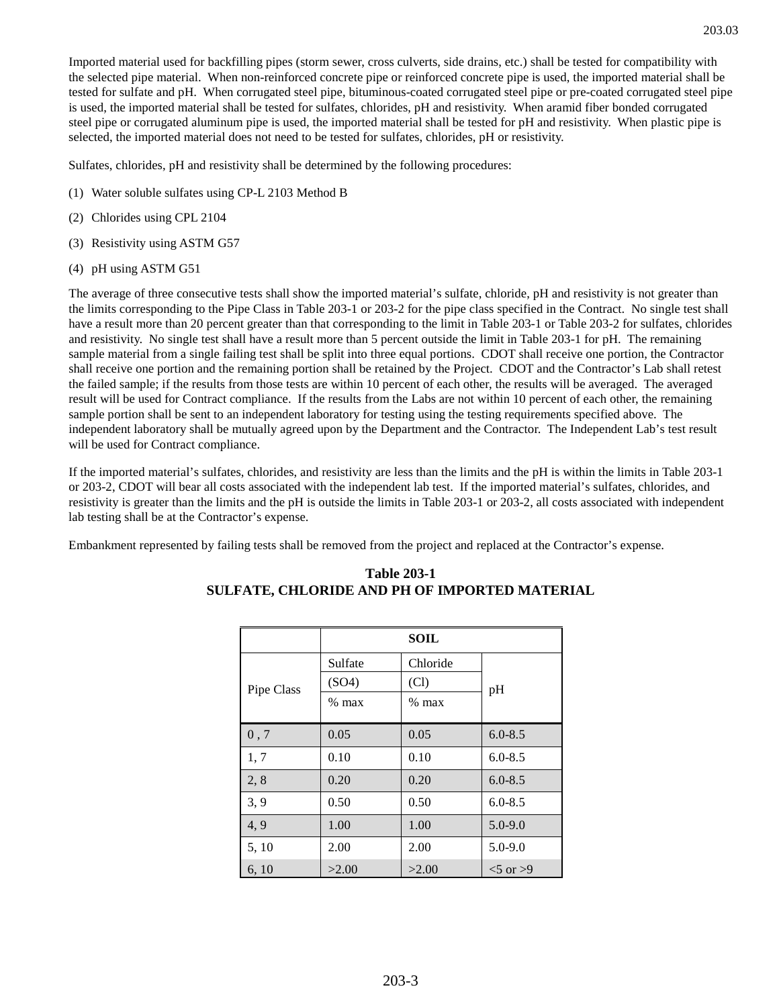Imported material used for backfilling pipes (storm sewer, cross culverts, side drains, etc.) shall be tested for compatibility with the selected pipe material. When non-reinforced concrete pipe or reinforced concrete pipe is used, the imported material shall be tested for sulfate and pH. When corrugated steel pipe, bituminous-coated corrugated steel pipe or pre-coated corrugated steel pipe is used, the imported material shall be tested for sulfates, chlorides, pH and resistivity. When aramid fiber bonded corrugated steel pipe or corrugated aluminum pipe is used, the imported material shall be tested for pH and resistivity. When plastic pipe is selected, the imported material does not need to be tested for sulfates, chlorides, pH or resistivity.

Sulfates, chlorides, pH and resistivity shall be determined by the following procedures:

- (1) Water soluble sulfates using CP-L 2103 Method B
- (2) Chlorides using CPL 2104
- (3) Resistivity using ASTM G57
- (4) pH using ASTM G51

The average of three consecutive tests shall show the imported material's sulfate, chloride, pH and resistivity is not greater than the limits corresponding to the Pipe Class in Table 203-1 or 203-2 for the pipe class specified in the Contract. No single test shall have a result more than 20 percent greater than that corresponding to the limit in Table 203-1 or Table 203-2 for sulfates, chlorides and resistivity. No single test shall have a result more than 5 percent outside the limit in Table 203-1 for pH. The remaining sample material from a single failing test shall be split into three equal portions. CDOT shall receive one portion, the Contractor shall receive one portion and the remaining portion shall be retained by the Project. CDOT and the Contractor's Lab shall retest the failed sample; if the results from those tests are within 10 percent of each other, the results will be averaged. The averaged result will be used for Contract compliance. If the results from the Labs are not within 10 percent of each other, the remaining sample portion shall be sent to an independent laboratory for testing using the testing requirements specified above. The independent laboratory shall be mutually agreed upon by the Department and the Contractor. The Independent Lab's test result will be used for Contract compliance.

If the imported material's sulfates, chlorides, and resistivity are less than the limits and the pH is within the limits in Table 203-1 or 203-2, CDOT will bear all costs associated with the independent lab test. If the imported material's sulfates, chlorides, and resistivity is greater than the limits and the pH is outside the limits in Table 203-1 or 203-2, all costs associated with independent lab testing shall be at the Contractor's expense.

Embankment represented by failing tests shall be removed from the project and replaced at the Contractor's expense.

|            |         | SOIL     |             |  |
|------------|---------|----------|-------------|--|
|            | Sulfate | Chloride |             |  |
| Pipe Class | (SO4)   | (Cl)     | pH          |  |
|            | % max   | $%$ max  |             |  |
| 0, 7       | 0.05    | 0.05     | $6.0 - 8.5$ |  |
| 1, 7       | 0.10    | 0.10     | $6.0 - 8.5$ |  |
| 2, 8       | 0.20    | 0.20     | $6.0 - 8.5$ |  |
| 3, 9       | 0.50    | 0.50     | $6.0 - 8.5$ |  |
| 4, 9       | 1.00    | 1.00     | $5.0 - 9.0$ |  |
| 5, 10      | 2.00    | 2.00     | $5.0 - 9.0$ |  |
| 6, 10      | >2.00   | >2.00    | $5$ or $>9$ |  |

## **Table 203-1 SULFATE, CHLORIDE AND PH OF IMPORTED MATERIAL**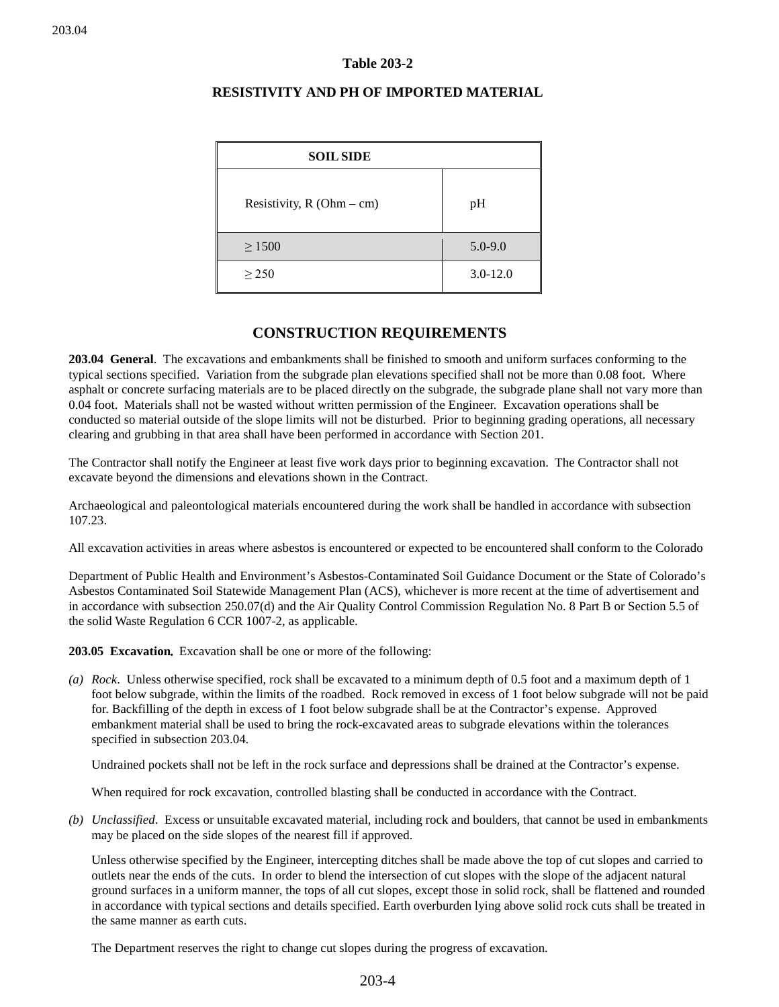## **Table 203-2**

## **RESISTIVITY AND PH OF IMPORTED MATERIAL**

| <b>SOIL SIDE</b>           |              |
|----------------------------|--------------|
| Resistivity, $R(Ohm - cm)$ | pH           |
| $\geq 1500$                | $5.0 - 9.0$  |
| $\geq$ 250                 | $3.0 - 12.0$ |

## **CONSTRUCTION REQUIREMENTS**

**203.04 General**. The excavations and embankments shall be finished to smooth and uniform surfaces conforming to the typical sections specified. Variation from the subgrade plan elevations specified shall not be more than 0.08 foot. Where asphalt or concrete surfacing materials are to be placed directly on the subgrade, the subgrade plane shall not vary more than 0.04 foot. Materials shall not be wasted without written permission of the Engineer. Excavation operations shall be conducted so material outside of the slope limits will not be disturbed. Prior to beginning grading operations, all necessary clearing and grubbing in that area shall have been performed in accordance with Section 201.

The Contractor shall notify the Engineer at least five work days prior to beginning excavation. The Contractor shall not excavate beyond the dimensions and elevations shown in the Contract.

Archaeological and paleontological materials encountered during the work shall be handled in accordance with subsection 107.23.

All excavation activities in areas where asbestos is encountered or expected to be encountered shall conform to the Colorado

Department of Public Health and Environment's Asbestos-Contaminated Soil Guidance Document or the State of Colorado's Asbestos Contaminated Soil Statewide Management Plan (ACS), whichever is more recent at the time of advertisement and in accordance with subsection 250.07(d) and the Air Quality Control Commission Regulation No. 8 Part B or Section 5.5 of the solid Waste Regulation 6 CCR 1007-2, as applicable.

203.05 Excavation. Excavation shall be one or more of the following:

*(a) Rock*. Unless otherwise specified, rock shall be excavated to a minimum depth of 0.5 foot and a maximum depth of 1 foot below subgrade, within the limits of the roadbed. Rock removed in excess of 1 foot below subgrade will not be paid for. Backfilling of the depth in excess of 1 foot below subgrade shall be at the Contractor's expense. Approved embankment material shall be used to bring the rock-excavated areas to subgrade elevations within the tolerances specified in subsection 203.04.

Undrained pockets shall not be left in the rock surface and depressions shall be drained at the Contractor's expense.

When required for rock excavation, controlled blasting shall be conducted in accordance with the Contract.

*(b) Unclassified*. Excess or unsuitable excavated material, including rock and boulders, that cannot be used in embankments may be placed on the side slopes of the nearest fill if approved.

Unless otherwise specified by the Engineer, intercepting ditches shall be made above the top of cut slopes and carried to outlets near the ends of the cuts. In order to blend the intersection of cut slopes with the slope of the adjacent natural ground surfaces in a uniform manner, the tops of all cut slopes, except those in solid rock, shall be flattened and rounded in accordance with typical sections and details specified. Earth overburden lying above solid rock cuts shall be treated in the same manner as earth cuts.

The Department reserves the right to change cut slopes during the progress of excavation.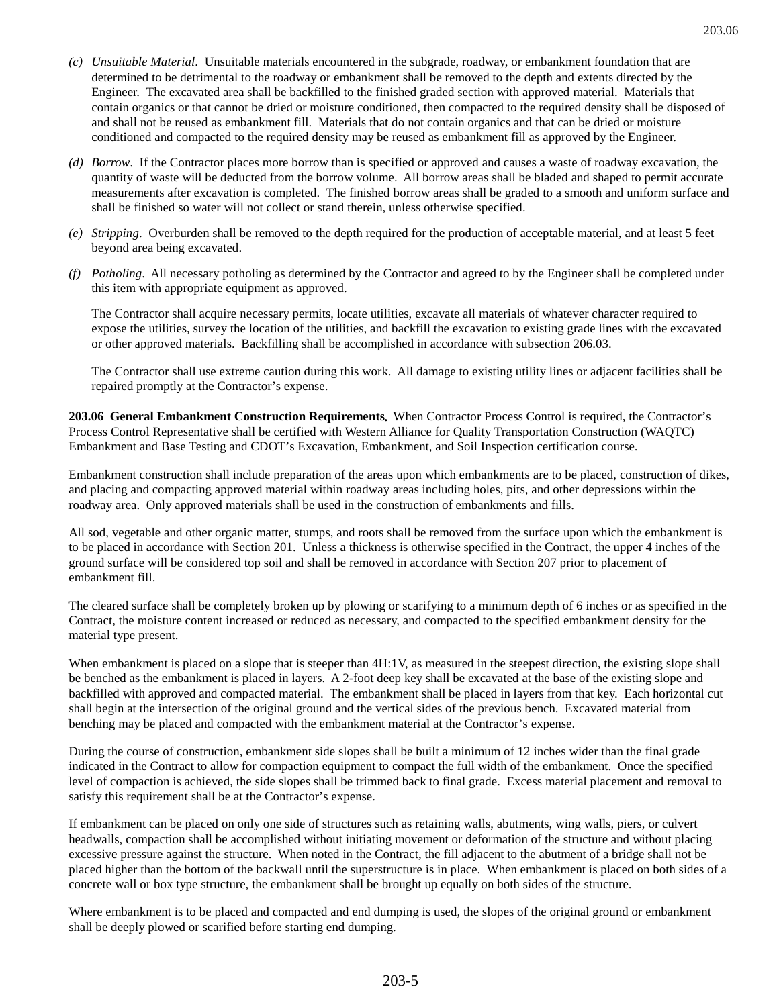- *(c) Unsuitable Material*. Unsuitable materials encountered in the subgrade, roadway, or embankment foundation that are determined to be detrimental to the roadway or embankment shall be removed to the depth and extents directed by the Engineer. The excavated area shall be backfilled to the finished graded section with approved material. Materials that contain organics or that cannot be dried or moisture conditioned, then compacted to the required density shall be disposed of and shall not be reused as embankment fill. Materials that do not contain organics and that can be dried or moisture conditioned and compacted to the required density may be reused as embankment fill as approved by the Engineer.
- *(d) Borrow*. If the Contractor places more borrow than is specified or approved and causes a waste of roadway excavation, the quantity of waste will be deducted from the borrow volume. All borrow areas shall be bladed and shaped to permit accurate measurements after excavation is completed. The finished borrow areas shall be graded to a smooth and uniform surface and shall be finished so water will not collect or stand therein, unless otherwise specified.
- *(e) Stripping*. Overburden shall be removed to the depth required for the production of acceptable material, and at least 5 feet beyond area being excavated.
- *(f) Potholing*. All necessary potholing as determined by the Contractor and agreed to by the Engineer shall be completed under this item with appropriate equipment as approved.

The Contractor shall acquire necessary permits, locate utilities, excavate all materials of whatever character required to expose the utilities, survey the location of the utilities, and backfill the excavation to existing grade lines with the excavated or other approved materials. Backfilling shall be accomplished in accordance with subsection 206.03.

The Contractor shall use extreme caution during this work. All damage to existing utility lines or adjacent facilities shall be repaired promptly at the Contractor's expense.

**203.06 General Embankment Construction Requirements** When Contractor Process Control is required, the Contractor's Process Control Representative shall be certified with Western Alliance for Quality Transportation Construction (WAQTC) Embankment and Base Testing and CDOT's Excavation, Embankment, and Soil Inspection certification course.

Embankment construction shall include preparation of the areas upon which embankments are to be placed, construction of dikes, and placing and compacting approved material within roadway areas including holes, pits, and other depressions within the roadway area. Only approved materials shall be used in the construction of embankments and fills.

All sod, vegetable and other organic matter, stumps, and roots shall be removed from the surface upon which the embankment is to be placed in accordance with Section 201. Unless a thickness is otherwise specified in the Contract, the upper 4 inches of the ground surface will be considered top soil and shall be removed in accordance with Section 207 prior to placement of embankment fill.

The cleared surface shall be completely broken up by plowing or scarifying to a minimum depth of 6 inches or as specified in the Contract, the moisture content increased or reduced as necessary, and compacted to the specified embankment density for the material type present.

When embankment is placed on a slope that is steeper than  $4H:1V$ , as measured in the steepest direction, the existing slope shall be benched as the embankment is placed in layers. A 2-foot deep key shall be excavated at the base of the existing slope and backfilled with approved and compacted material. The embankment shall be placed in layers from that key. Each horizontal cut shall begin at the intersection of the original ground and the vertical sides of the previous bench. Excavated material from benching may be placed and compacted with the embankment material at the Contractor's expense.

During the course of construction, embankment side slopes shall be built a minimum of 12 inches wider than the final grade indicated in the Contract to allow for compaction equipment to compact the full width of the embankment. Once the specified level of compaction is achieved, the side slopes shall be trimmed back to final grade. Excess material placement and removal to satisfy this requirement shall be at the Contractor's expense.

If embankment can be placed on only one side of structures such as retaining walls, abutments, wing walls, piers, or culvert headwalls, compaction shall be accomplished without initiating movement or deformation of the structure and without placing excessive pressure against the structure. When noted in the Contract, the fill adjacent to the abutment of a bridge shall not be placed higher than the bottom of the backwall until the superstructure is in place. When embankment is placed on both sides of a concrete wall or box type structure, the embankment shall be brought up equally on both sides of the structure.

Where embankment is to be placed and compacted and end dumping is used, the slopes of the original ground or embankment shall be deeply plowed or scarified before starting end dumping.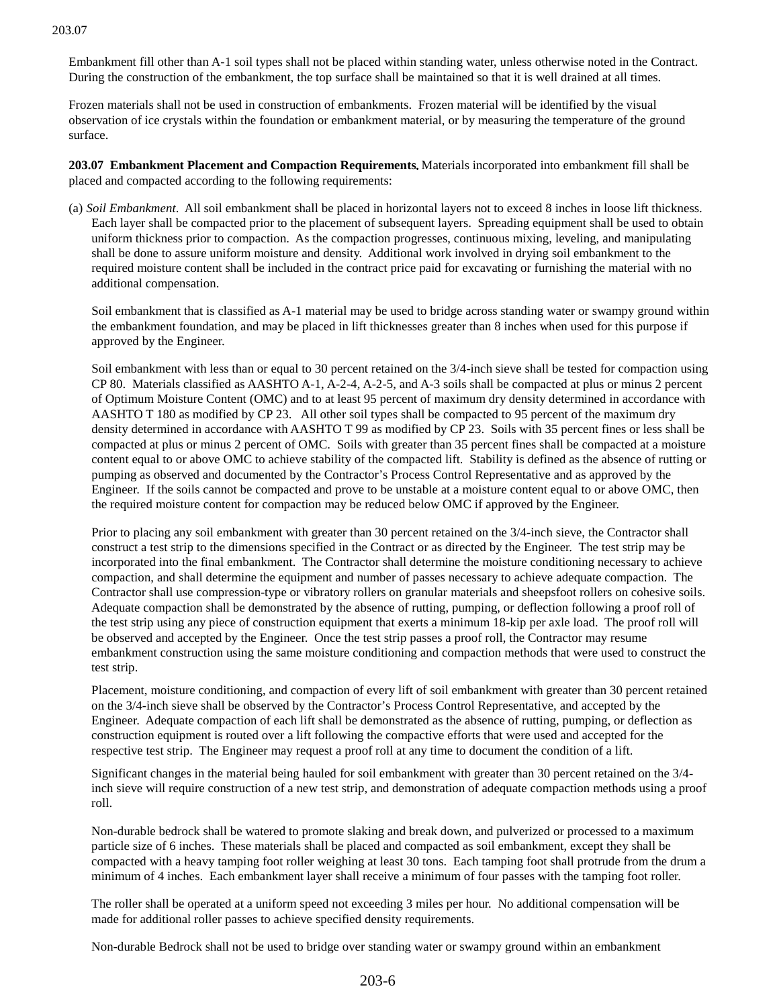Embankment fill other than A-1 soil types shall not be placed within standing water, unless otherwise noted in the Contract. During the construction of the embankment, the top surface shall be maintained so that it is well drained at all times.

Frozen materials shall not be used in construction of embankments. Frozen material will be identified by the visual observation of ice crystals within the foundation or embankment material, or by measuring the temperature of the ground surface.

**203.07 Embankment Placement and Compaction Requirements** Materials incorporated into embankment fill shall be placed and compacted according to the following requirements:

(a) *Soil Embankment*. All soil embankment shall be placed in horizontal layers not to exceed 8 inches in loose lift thickness. Each layer shall be compacted prior to the placement of subsequent layers. Spreading equipment shall be used to obtain uniform thickness prior to compaction. As the compaction progresses, continuous mixing, leveling, and manipulating shall be done to assure uniform moisture and density. Additional work involved in drying soil embankment to the required moisture content shall be included in the contract price paid for excavating or furnishing the material with no additional compensation.

Soil embankment that is classified as A-1 material may be used to bridge across standing water or swampy ground within the embankment foundation, and may be placed in lift thicknesses greater than 8 inches when used for this purpose if approved by the Engineer.

Soil embankment with less than or equal to 30 percent retained on the 3/4-inch sieve shall be tested for compaction using CP 80. Materials classified as AASHTO A-1, A-2-4, A-2-5, and A-3 soils shall be compacted at plus or minus 2 percent of Optimum Moisture Content (OMC) and to at least 95 percent of maximum dry density determined in accordance with AASHTO T 180 as modified by CP 23. All other soil types shall be compacted to 95 percent of the maximum dry density determined in accordance with AASHTO T 99 as modified by CP 23. Soils with 35 percent fines or less shall be compacted at plus or minus 2 percent of OMC. Soils with greater than 35 percent fines shall be compacted at a moisture content equal to or above OMC to achieve stability of the compacted lift. Stability is defined as the absence of rutting or pumping as observed and documented by the Contractor's Process Control Representative and as approved by the Engineer. If the soils cannot be compacted and prove to be unstable at a moisture content equal to or above OMC, then the required moisture content for compaction may be reduced below OMC if approved by the Engineer.

Prior to placing any soil embankment with greater than 30 percent retained on the 3/4-inch sieve, the Contractor shall construct a test strip to the dimensions specified in the Contract or as directed by the Engineer. The test strip may be incorporated into the final embankment. The Contractor shall determine the moisture conditioning necessary to achieve compaction, and shall determine the equipment and number of passes necessary to achieve adequate compaction. The Contractor shall use compression-type or vibratory rollers on granular materials and sheepsfoot rollers on cohesive soils. Adequate compaction shall be demonstrated by the absence of rutting, pumping, or deflection following a proof roll of the test strip using any piece of construction equipment that exerts a minimum 18-kip per axle load. The proof roll will be observed and accepted by the Engineer. Once the test strip passes a proof roll, the Contractor may resume embankment construction using the same moisture conditioning and compaction methods that were used to construct the test strip.

Placement, moisture conditioning, and compaction of every lift of soil embankment with greater than 30 percent retained on the 3/4-inch sieve shall be observed by the Contractor's Process Control Representative, and accepted by the Engineer. Adequate compaction of each lift shall be demonstrated as the absence of rutting, pumping, or deflection as construction equipment is routed over a lift following the compactive efforts that were used and accepted for the respective test strip. The Engineer may request a proof roll at any time to document the condition of a lift.

Significant changes in the material being hauled for soil embankment with greater than 30 percent retained on the 3/4 inch sieve will require construction of a new test strip, and demonstration of adequate compaction methods using a proof roll.

Non-durable bedrock shall be watered to promote slaking and break down, and pulverized or processed to a maximum particle size of 6 inches. These materials shall be placed and compacted as soil embankment, except they shall be compacted with a heavy tamping foot roller weighing at least 30 tons. Each tamping foot shall protrude from the drum a minimum of 4 inches. Each embankment layer shall receive a minimum of four passes with the tamping foot roller.

The roller shall be operated at a uniform speed not exceeding 3 miles per hour. No additional compensation will be made for additional roller passes to achieve specified density requirements.

Non-durable Bedrock shall not be used to bridge over standing water or swampy ground within an embankment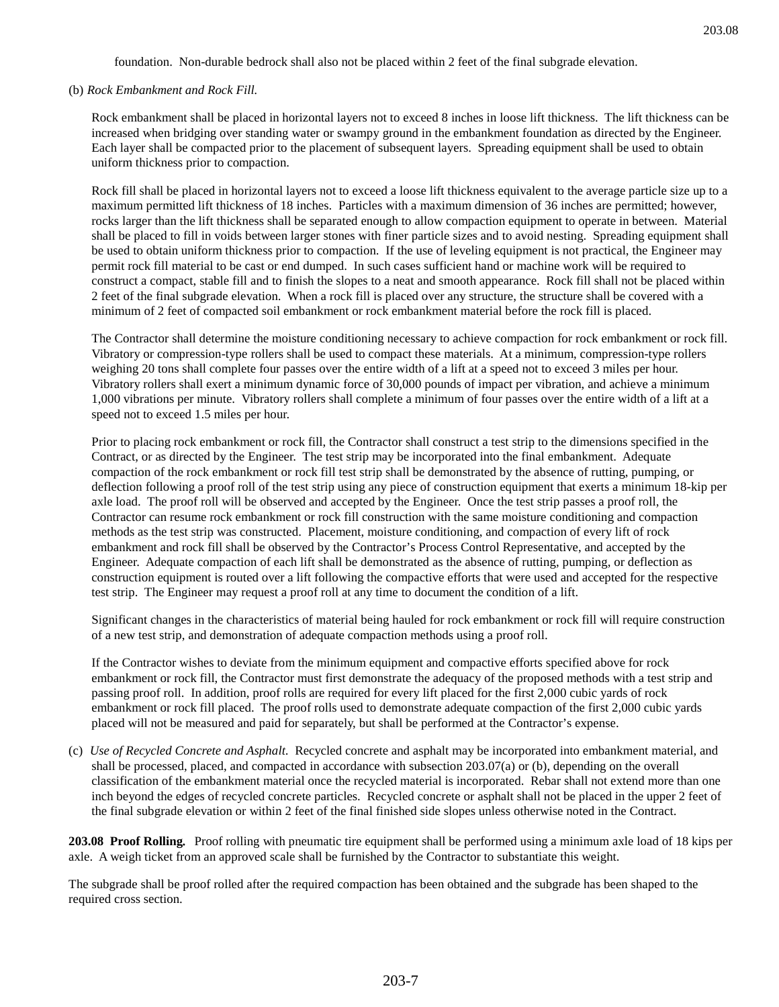foundation. Non-durable bedrock shall also not be placed within 2 feet of the final subgrade elevation.

#### (b) *Rock Embankment and Rock Fill.*

Rock embankment shall be placed in horizontal layers not to exceed 8 inches in loose lift thickness. The lift thickness can be increased when bridging over standing water or swampy ground in the embankment foundation as directed by the Engineer. Each layer shall be compacted prior to the placement of subsequent layers. Spreading equipment shall be used to obtain uniform thickness prior to compaction.

Rock fill shall be placed in horizontal layers not to exceed a loose lift thickness equivalent to the average particle size up to a maximum permitted lift thickness of 18 inches. Particles with a maximum dimension of 36 inches are permitted; however, rocks larger than the lift thickness shall be separated enough to allow compaction equipment to operate in between. Material shall be placed to fill in voids between larger stones with finer particle sizes and to avoid nesting. Spreading equipment shall be used to obtain uniform thickness prior to compaction. If the use of leveling equipment is not practical, the Engineer may permit rock fill material to be cast or end dumped. In such cases sufficient hand or machine work will be required to construct a compact, stable fill and to finish the slopes to a neat and smooth appearance. Rock fill shall not be placed within 2 feet of the final subgrade elevation. When a rock fill is placed over any structure, the structure shall be covered with a minimum of 2 feet of compacted soil embankment or rock embankment material before the rock fill is placed.

The Contractor shall determine the moisture conditioning necessary to achieve compaction for rock embankment or rock fill. Vibratory or compression-type rollers shall be used to compact these materials. At a minimum, compression-type rollers weighing 20 tons shall complete four passes over the entire width of a lift at a speed not to exceed 3 miles per hour. Vibratory rollers shall exert a minimum dynamic force of 30,000 pounds of impact per vibration, and achieve a minimum 1,000 vibrations per minute. Vibratory rollers shall complete a minimum of four passes over the entire width of a lift at a speed not to exceed 1.5 miles per hour.

Prior to placing rock embankment or rock fill, the Contractor shall construct a test strip to the dimensions specified in the Contract, or as directed by the Engineer. The test strip may be incorporated into the final embankment. Adequate compaction of the rock embankment or rock fill test strip shall be demonstrated by the absence of rutting, pumping, or deflection following a proof roll of the test strip using any piece of construction equipment that exerts a minimum 18-kip per axle load. The proof roll will be observed and accepted by the Engineer. Once the test strip passes a proof roll, the Contractor can resume rock embankment or rock fill construction with the same moisture conditioning and compaction methods as the test strip was constructed. Placement, moisture conditioning, and compaction of every lift of rock embankment and rock fill shall be observed by the Contractor's Process Control Representative, and accepted by the Engineer. Adequate compaction of each lift shall be demonstrated as the absence of rutting, pumping, or deflection as construction equipment is routed over a lift following the compactive efforts that were used and accepted for the respective test strip. The Engineer may request a proof roll at any time to document the condition of a lift.

Significant changes in the characteristics of material being hauled for rock embankment or rock fill will require construction of a new test strip, and demonstration of adequate compaction methods using a proof roll.

If the Contractor wishes to deviate from the minimum equipment and compactive efforts specified above for rock embankment or rock fill, the Contractor must first demonstrate the adequacy of the proposed methods with a test strip and passing proof roll. In addition, proof rolls are required for every lift placed for the first 2,000 cubic yards of rock embankment or rock fill placed. The proof rolls used to demonstrate adequate compaction of the first 2,000 cubic yards placed will not be measured and paid for separately, but shall be performed at the Contractor's expense.

(c) *Use of Recycled Concrete and Asphalt*. Recycled concrete and asphalt may be incorporated into embankment material, and shall be processed, placed, and compacted in accordance with subsection 203.07(a) or (b), depending on the overall classification of the embankment material once the recycled material is incorporated. Rebar shall not extend more than one inch beyond the edges of recycled concrete particles. Recycled concrete or asphalt shall not be placed in the upper 2 feet of the final subgrade elevation or within 2 feet of the final finished side slopes unless otherwise noted in the Contract.

**203.08 Proof Rolling.** Proof rolling with pneumatic tire equipment shall be performed using a minimum axle load of 18 kips per axle. A weigh ticket from an approved scale shall be furnished by the Contractor to substantiate this weight.

The subgrade shall be proof rolled after the required compaction has been obtained and the subgrade has been shaped to the required cross section.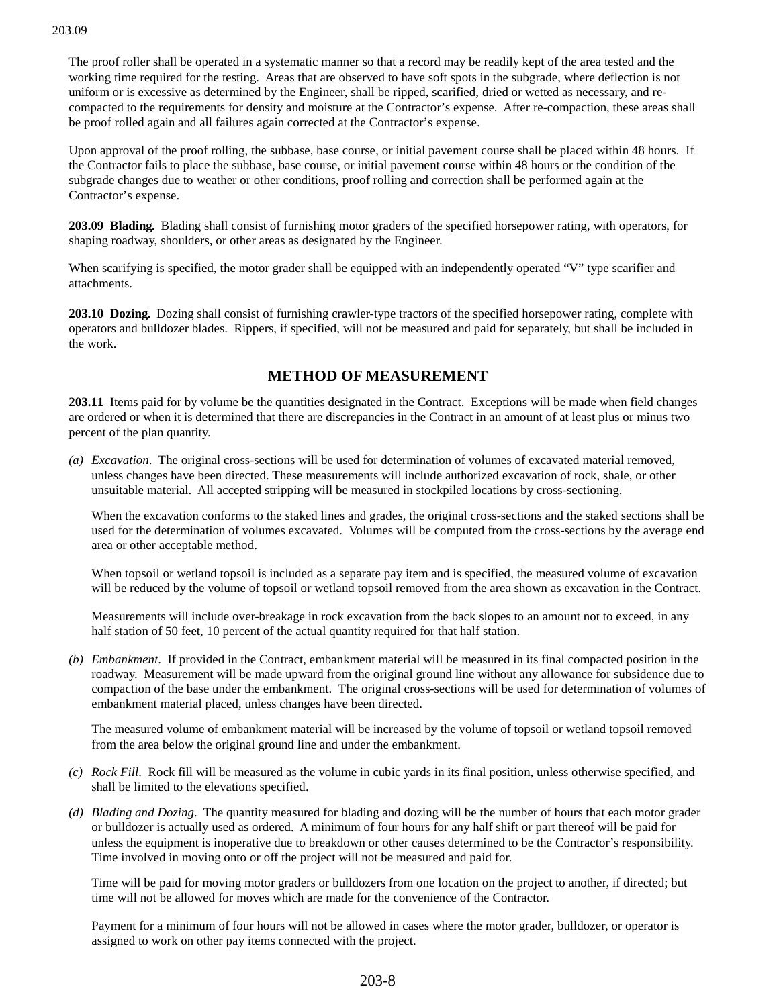The proof roller shall be operated in a systematic manner so that a record may be readily kept of the area tested and the working time required for the testing. Areas that are observed to have soft spots in the subgrade, where deflection is not uniform or is excessive as determined by the Engineer, shall be ripped, scarified, dried or wetted as necessary, and recompacted to the requirements for density and moisture at the Contractor's expense. After re-compaction, these areas shall be proof rolled again and all failures again corrected at the Contractor's expense.

Upon approval of the proof rolling, the subbase, base course, or initial pavement course shall be placed within 48 hours. If the Contractor fails to place the subbase, base course, or initial pavement course within 48 hours or the condition of the subgrade changes due to weather or other conditions, proof rolling and correction shall be performed again at the Contractor's expense.

**203.09 Blading** Blading shall consist of furnishing motor graders of the specified horsepower rating, with operators, for shaping roadway, shoulders, or other areas as designated by the Engineer.

When scarifying is specified, the motor grader shall be equipped with an independently operated "V" type scarifier and attachments.

**203.10 Dozing.** Dozing shall consist of furnishing crawler-type tractors of the specified horsepower rating, complete with operators and bulldozer blades. Rippers, if specified, will not be measured and paid for separately, but shall be included in the work.

## **METHOD OF MEASUREMENT**

**203.11** Items paid for by volume be the quantities designated in the Contract. Exceptions will be made when field changes are ordered or when it is determined that there are discrepancies in the Contract in an amount of at least plus or minus two percent of the plan quantity.

*(a) Excavation*. The original cross-sections will be used for determination of volumes of excavated material removed, unless changes have been directed. These measurements will include authorized excavation of rock, shale, or other unsuitable material. All accepted stripping will be measured in stockpiled locations by cross-sectioning.

When the excavation conforms to the staked lines and grades, the original cross-sections and the staked sections shall be used for the determination of volumes excavated. Volumes will be computed from the cross-sections by the average end area or other acceptable method.

When topsoil or wetland topsoil is included as a separate pay item and is specified, the measured volume of excavation will be reduced by the volume of topsoil or wetland topsoil removed from the area shown as excavation in the Contract.

Measurements will include over-breakage in rock excavation from the back slopes to an amount not to exceed, in any half station of 50 feet, 10 percent of the actual quantity required for that half station.

*(b) Embankment*. If provided in the Contract, embankment material will be measured in its final compacted position in the roadway. Measurement will be made upward from the original ground line without any allowance for subsidence due to compaction of the base under the embankment. The original cross-sections will be used for determination of volumes of embankment material placed, unless changes have been directed.

The measured volume of embankment material will be increased by the volume of topsoil or wetland topsoil removed from the area below the original ground line and under the embankment.

- *(c) Rock Fill*. Rock fill will be measured as the volume in cubic yards in its final position, unless otherwise specified, and shall be limited to the elevations specified.
- *(d) Blading and Dozing*. The quantity measured for blading and dozing will be the number of hours that each motor grader or bulldozer is actually used as ordered. A minimum of four hours for any half shift or part thereof will be paid for unless the equipment is inoperative due to breakdown or other causes determined to be the Contractor's responsibility. Time involved in moving onto or off the project will not be measured and paid for.

Time will be paid for moving motor graders or bulldozers from one location on the project to another, if directed; but time will not be allowed for moves which are made for the convenience of the Contractor.

Payment for a minimum of four hours will not be allowed in cases where the motor grader, bulldozer, or operator is assigned to work on other pay items connected with the project.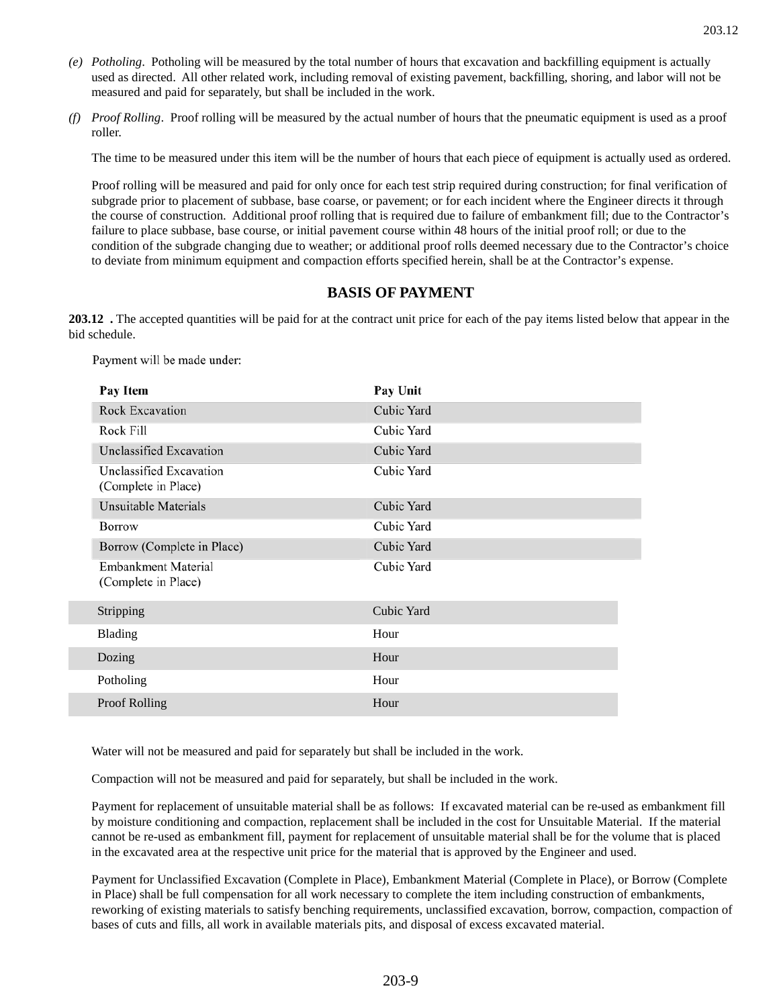- *(e) Potholing*. Potholing will be measured by the total number of hours that excavation and backfilling equipment is actually used as directed. All other related work, including removal of existing pavement, backfilling, shoring, and labor will not be measured and paid for separately, but shall be included in the work.
- *(f) Proof Rolling*. Proof rolling will be measured by the actual number of hours that the pneumatic equipment is used as a proof roller.

The time to be measured under this item will be the number of hours that each piece of equipment is actually used as ordered.

Proof rolling will be measured and paid for only once for each test strip required during construction; for final verification of subgrade prior to placement of subbase, base coarse, or pavement; or for each incident where the Engineer directs it through the course of construction. Additional proof rolling that is required due to failure of embankment fill; due to the Contractor's failure to place subbase, base course, or initial pavement course within 48 hours of the initial proof roll; or due to the condition of the subgrade changing due to weather; or additional proof rolls deemed necessary due to the Contractor's choice to deviate from minimum equipment and compaction efforts specified herein, shall be at the Contractor's expense.

## **BASIS OF PAYMENT**

**203.12 .** The accepted quantities will be paid for at the contract unit price for each of the pay items listed below that appear in the bid schedule.

Payment will be made under:

| Pay Item                                       | Pay Unit   |
|------------------------------------------------|------------|
| <b>Rock Excavation</b>                         | Cubic Yard |
| Rock Fill                                      | Cubic Yard |
| Unclassified Excavation                        | Cubic Yard |
| Unclassified Excavation<br>(Complete in Place) | Cubic Yard |
| Unsuitable Materials                           | Cubic Yard |
| Borrow                                         | Cubic Yard |
| Borrow (Complete in Place)                     | Cubic Yard |
| Embankment Material<br>(Complete in Place)     | Cubic Yard |
| Stripping                                      | Cubic Yard |
| <b>Blading</b>                                 | Hour       |
| Dozing                                         | Hour       |
| Potholing                                      | Hour       |
| <b>Proof Rolling</b>                           | Hour       |

Water will not be measured and paid for separately but shall be included in the work.

Compaction will not be measured and paid for separately, but shall be included in the work.

Payment for replacement of unsuitable material shall be as follows: If excavated material can be re-used as embankment fill by moisture conditioning and compaction, replacement shall be included in the cost for Unsuitable Material. If the material cannot be re-used as embankment fill, payment for replacement of unsuitable material shall be for the volume that is placed in the excavated area at the respective unit price for the material that is approved by the Engineer and used.

Payment for Unclassified Excavation (Complete in Place), Embankment Material (Complete in Place), or Borrow (Complete in Place) shall be full compensation for all work necessary to complete the item including construction of embankments, reworking of existing materials to satisfy benching requirements, unclassified excavation, borrow, compaction, compaction of bases of cuts and fills, all work in available materials pits, and disposal of excess excavated material.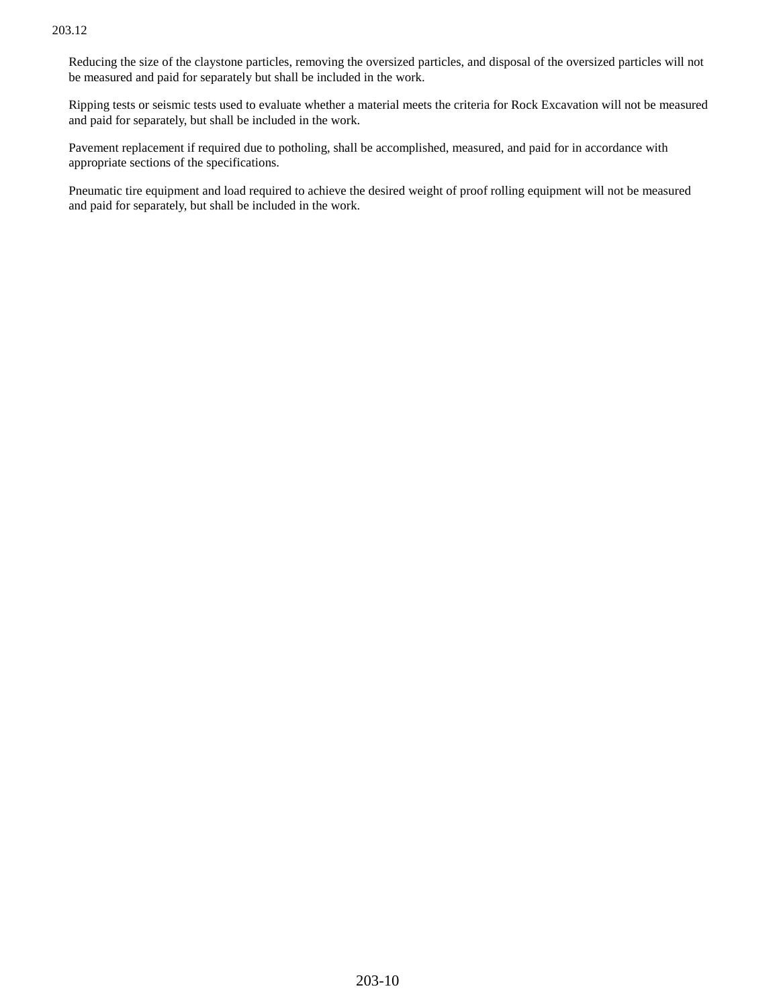#### 203.12

Reducing the size of the claystone particles, removing the oversized particles, and disposal of the oversized particles will not be measured and paid for separately but shall be included in the work.

Ripping tests or seismic tests used to evaluate whether a material meets the criteria for Rock Excavation will not be measured and paid for separately, but shall be included in the work.

Pavement replacement if required due to potholing, shall be accomplished, measured, and paid for in accordance with appropriate sections of the specifications.

Pneumatic tire equipment and load required to achieve the desired weight of proof rolling equipment will not be measured and paid for separately, but shall be included in the work.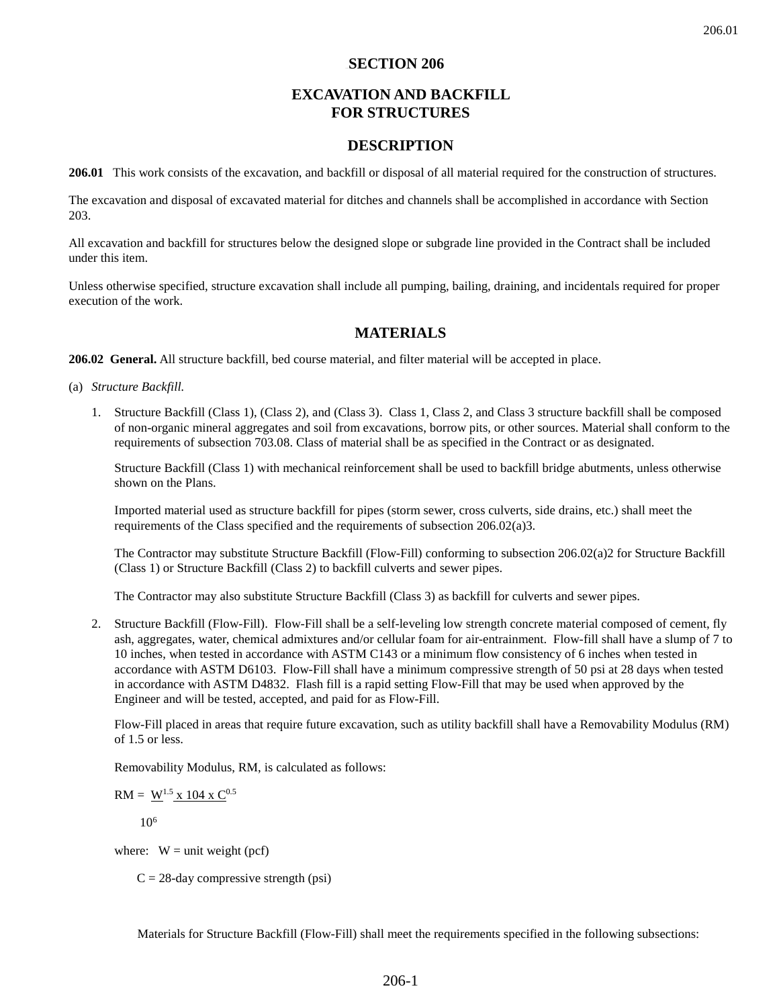### **SECTION 206**

# **EXCAVATION AND BACKFILL FOR STRUCTURES**

#### **DESCRIPTION**

**206.01** This work consists of the excavation, and backfill or disposal of all material required for the construction of structures.

The excavation and disposal of excavated material for ditches and channels shall be accomplished in accordance with Section 203.

All excavation and backfill for structures below the designed slope or subgrade line provided in the Contract shall be included under this item.

Unless otherwise specified, structure excavation shall include all pumping, bailing, draining, and incidentals required for proper execution of the work.

### **MATERIALS**

**206.02 General.** All structure backfill, bed course material, and filter material will be accepted in place.

- (a) *Structure Backfill.*
	- 1. Structure Backfill (Class 1), (Class 2), and (Class 3). Class 1, Class 2, and Class 3 structure backfill shall be composed of non-organic mineral aggregates and soil from excavations, borrow pits, or other sources. Material shall conform to the requirements of subsection 703.08. Class of material shall be as specified in the Contract or as designated.

Structure Backfill (Class 1) with mechanical reinforcement shall be used to backfill bridge abutments, unless otherwise shown on the Plans.

Imported material used as structure backfill for pipes (storm sewer, cross culverts, side drains, etc.) shall meet the requirements of the Class specified and the requirements of subsection 206.02(a)3.

The Contractor may substitute Structure Backfill (Flow-Fill) conforming to subsection 206.02(a)2 for Structure Backfill (Class 1) or Structure Backfill (Class 2) to backfill culverts and sewer pipes.

The Contractor may also substitute Structure Backfill (Class 3) as backfill for culverts and sewer pipes.

2. Structure Backfill (Flow-Fill). Flow-Fill shall be a self-leveling low strength concrete material composed of cement, fly ash, aggregates, water, chemical admixtures and/or cellular foam for air-entrainment. Flow-fill shall have a slump of 7 to 10 inches, when tested in accordance with ASTM C143 or a minimum flow consistency of 6 inches when tested in accordance with ASTM D6103. Flow-Fill shall have a minimum compressive strength of 50 psi at 28 days when tested in accordance with ASTM D4832. Flash fill is a rapid setting Flow-Fill that may be used when approved by the Engineer and will be tested, accepted, and paid for as Flow-Fill.

Flow-Fill placed in areas that require future excavation, such as utility backfill shall have a Removability Modulus (RM) of 1.5 or less.

Removability Modulus, RM, is calculated as follows:

$$
RM = \underline{W}^{1.5} \times 104 \times C^{0.5}
$$

106

where:  $W = unit weight (pcf)$ 

 $C = 28$ -day compressive strength (psi)

Materials for Structure Backfill (Flow-Fill) shall meet the requirements specified in the following subsections: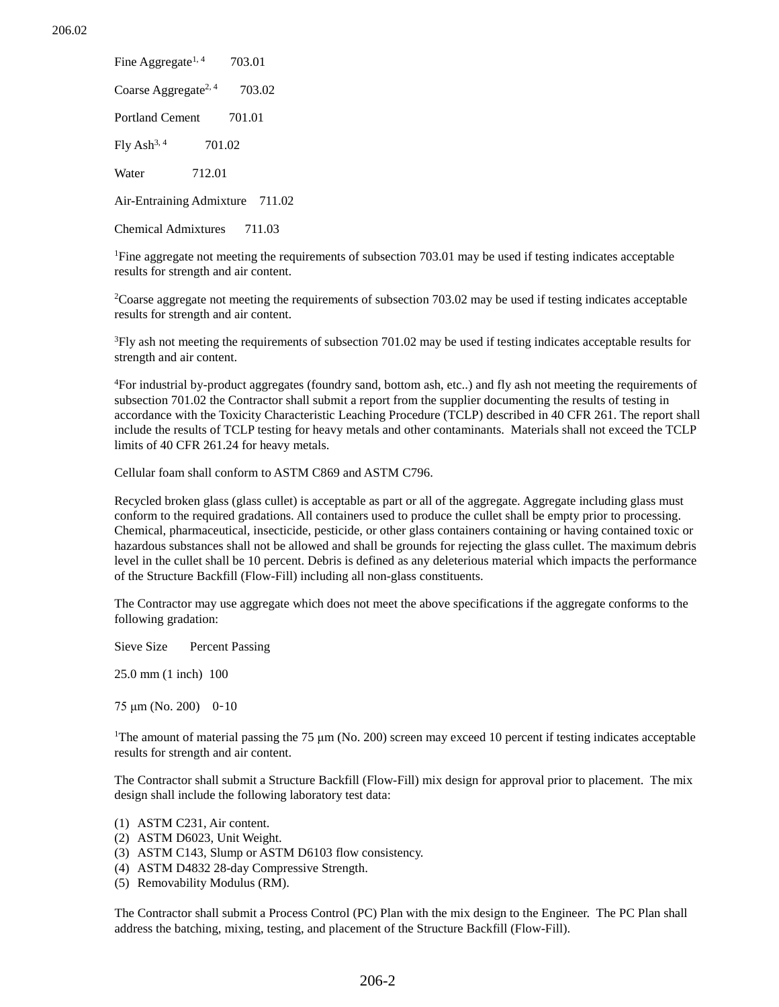Fine Aggregate<sup>1, 4</sup> 703.01 Coarse Aggregate<sup>2, 4</sup> 703.02 Portland Cement 701.01  $Fly Ash<sup>3, 4</sup>$  701.02 Water 712.01 Air-Entraining Admixture 711.02 Chemical Admixtures 711.03

1 Fine aggregate not meeting the requirements of subsection 703.01 may be used if testing indicates acceptable results for strength and air content.

<sup>2</sup>Coarse aggregate not meeting the requirements of subsection 703.02 may be used if testing indicates acceptable results for strength and air content.

 ${}^{3}$ Fly ash not meeting the requirements of subsection 701.02 may be used if testing indicates acceptable results for strength and air content.

4 For industrial by-product aggregates (foundry sand, bottom ash, etc..) and fly ash not meeting the requirements of subsection 701.02 the Contractor shall submit a report from the supplier documenting the results of testing in accordance with the Toxicity Characteristic Leaching Procedure (TCLP) described in 40 CFR 261. The report shall include the results of TCLP testing for heavy metals and other contaminants. Materials shall not exceed the TCLP limits of 40 CFR 261.24 for heavy metals.

Cellular foam shall conform to ASTM C869 and ASTM C796.

Recycled broken glass (glass cullet) is acceptable as part or all of the aggregate. Aggregate including glass must conform to the required gradations. All containers used to produce the cullet shall be empty prior to processing. Chemical, pharmaceutical, insecticide, pesticide, or other glass containers containing or having contained toxic or hazardous substances shall not be allowed and shall be grounds for rejecting the glass cullet. The maximum debris level in the cullet shall be 10 percent. Debris is defined as any deleterious material which impacts the performance of the Structure Backfill (Flow-Fill) including all non-glass constituents.

The Contractor may use aggregate which does not meet the above specifications if the aggregate conforms to the following gradation:

Sieve Size Percent Passing

25.0 mm (1 inch) 100

75 μm (No. 200) 0‑10

<sup>1</sup>The amount of material passing the 75 μm (No. 200) screen may exceed 10 percent if testing indicates acceptable results for strength and air content.

The Contractor shall submit a Structure Backfill (Flow-Fill) mix design for approval prior to placement. The mix design shall include the following laboratory test data:

- (1) ASTM C231, Air content.
- (2) ASTM D6023, Unit Weight.
- (3) ASTM C143, Slump or ASTM D6103 flow consistency.
- (4) ASTM D4832 28-day Compressive Strength.
- (5) Removability Modulus (RM).

The Contractor shall submit a Process Control (PC) Plan with the mix design to the Engineer. The PC Plan shall address the batching, mixing, testing, and placement of the Structure Backfill (Flow-Fill).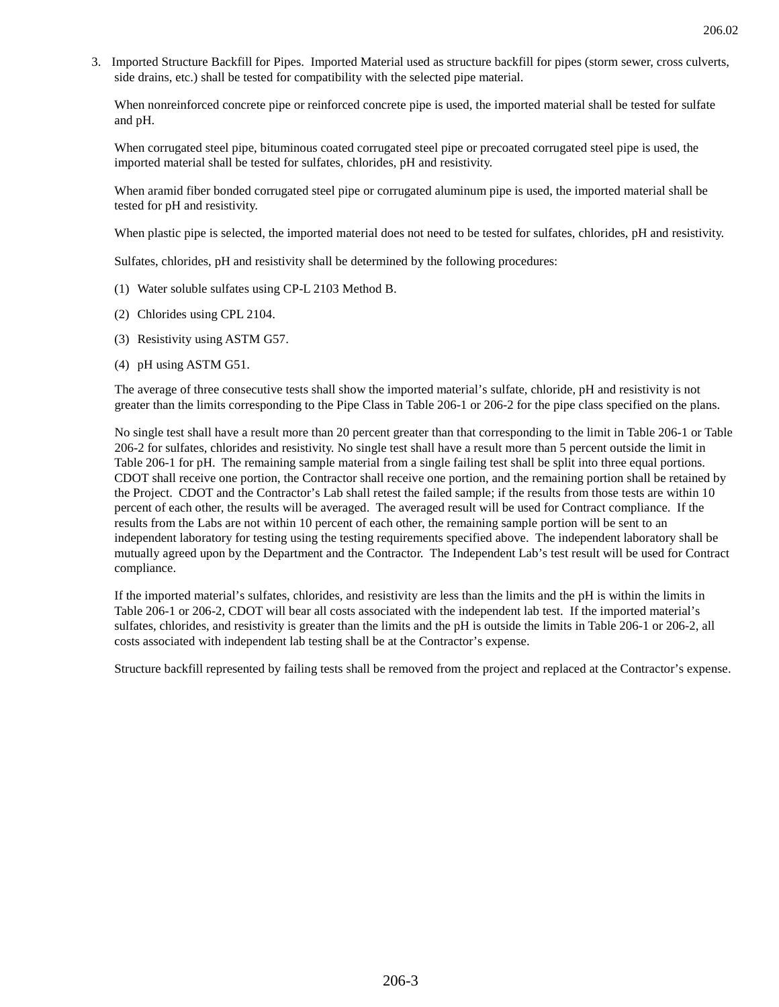3. Imported Structure Backfill for Pipes. Imported Material used as structure backfill for pipes (storm sewer, cross culverts, side drains, etc.) shall be tested for compatibility with the selected pipe material.

When nonreinforced concrete pipe or reinforced concrete pipe is used, the imported material shall be tested for sulfate and pH.

When corrugated steel pipe, bituminous coated corrugated steel pipe or precoated corrugated steel pipe is used, the imported material shall be tested for sulfates, chlorides, pH and resistivity.

When aramid fiber bonded corrugated steel pipe or corrugated aluminum pipe is used, the imported material shall be tested for pH and resistivity.

When plastic pipe is selected, the imported material does not need to be tested for sulfates, chlorides, pH and resistivity.

Sulfates, chlorides, pH and resistivity shall be determined by the following procedures:

- (1) Water soluble sulfates using CP-L 2103 Method B.
- (2) Chlorides using CPL 2104.
- (3) Resistivity using ASTM G57.
- (4) pH using ASTM G51.

The average of three consecutive tests shall show the imported material's sulfate, chloride, pH and resistivity is not greater than the limits corresponding to the Pipe Class in Table 206-1 or 206-2 for the pipe class specified on the plans.

No single test shall have a result more than 20 percent greater than that corresponding to the limit in Table 206-1 or Table 206-2 for sulfates, chlorides and resistivity. No single test shall have a result more than 5 percent outside the limit in Table 206-1 for pH. The remaining sample material from a single failing test shall be split into three equal portions. CDOT shall receive one portion, the Contractor shall receive one portion, and the remaining portion shall be retained by the Project. CDOT and the Contractor's Lab shall retest the failed sample; if the results from those tests are within 10 percent of each other, the results will be averaged. The averaged result will be used for Contract compliance. If the results from the Labs are not within 10 percent of each other, the remaining sample portion will be sent to an independent laboratory for testing using the testing requirements specified above. The independent laboratory shall be mutually agreed upon by the Department and the Contractor. The Independent Lab's test result will be used for Contract compliance.

If the imported material's sulfates, chlorides, and resistivity are less than the limits and the pH is within the limits in Table 206-1 or 206-2, CDOT will bear all costs associated with the independent lab test. If the imported material's sulfates, chlorides, and resistivity is greater than the limits and the pH is outside the limits in Table 206-1 or 206-2, all costs associated with independent lab testing shall be at the Contractor's expense.

Structure backfill represented by failing tests shall be removed from the project and replaced at the Contractor's expense.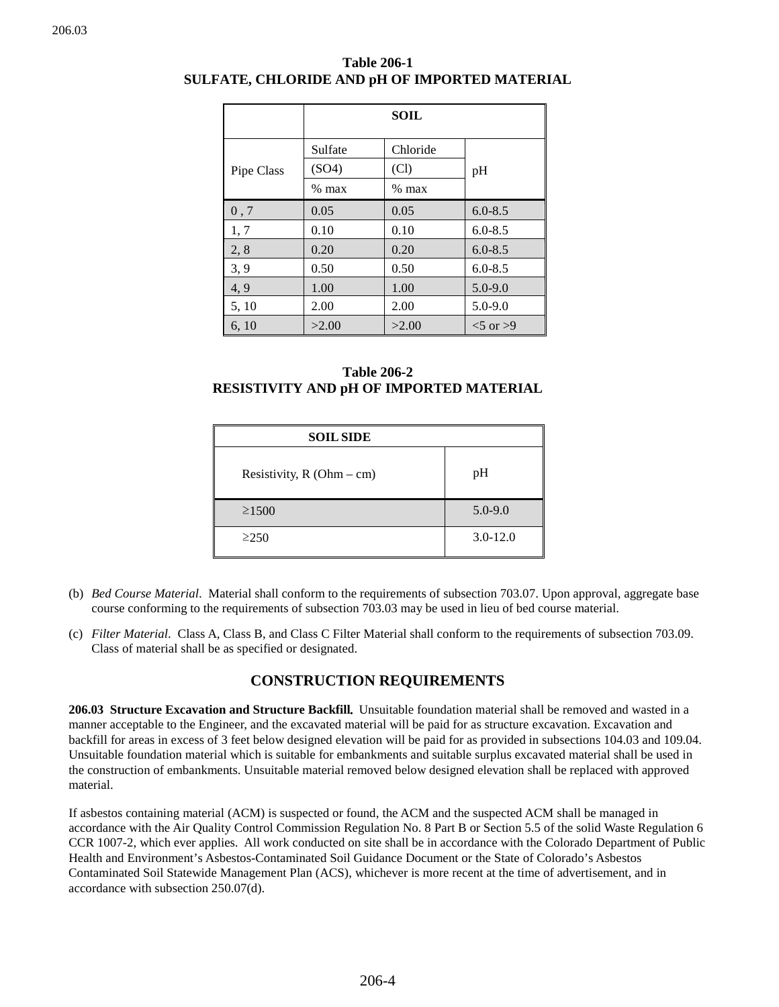|            |         | <b>SOIL</b> |             |
|------------|---------|-------------|-------------|
|            | Sulfate | Chloride    |             |
| Pipe Class | (SO4)   | (Cl)        | pH          |
|            | $%$ max | $%$ max     |             |
| 0,7        | 0.05    | 0.05        | $6.0 - 8.5$ |
| 1, 7       | 0.10    | 0.10        | $6.0 - 8.5$ |
| 2, 8       | 0.20    | 0.20        | $6.0 - 8.5$ |
| 3, 9       | 0.50    | 0.50        | $6.0 - 8.5$ |
| 4, 9       | 1.00    | 1.00        | $5.0 - 9.0$ |
| 5, 10      | 2.00    | 2.00        | $5.0 - 9.0$ |
| 6, 10      | >2.00   | >2.00       | $5$ or $>9$ |

# **Table 206-1 SULFATE, CHLORIDE AND pH OF IMPORTED MATERIAL**

# **Table 206-2 RESISTIVITY AND pH OF IMPORTED MATERIAL**

| <b>SOIL SIDE</b>           |              |
|----------------------------|--------------|
| Resistivity, $R(Ohm - cm)$ | pH           |
| $\geq$ 1500                | $5.0 - 9.0$  |
| $\geq$ 250                 | $3.0 - 12.0$ |

- (b) *Bed Course Material*. Material shall conform to the requirements of subsection 703.07. Upon approval, aggregate base course conforming to the requirements of subsection 703.03 may be used in lieu of bed course material.
- (c) *Filter Material*. Class A, Class B, and Class C Filter Material shall conform to the requirements of subsection 703.09. Class of material shall be as specified or designated.

# **CONSTRUCTION REQUIREMENTS**

**206.03 Structure Excavation and Structure Backfill** Unsuitable foundation material shall be removed and wasted in a manner acceptable to the Engineer, and the excavated material will be paid for as structure excavation. Excavation and backfill for areas in excess of 3 feet below designed elevation will be paid for as provided in subsections 104.03 and 109.04. Unsuitable foundation material which is suitable for embankments and suitable surplus excavated material shall be used in the construction of embankments. Unsuitable material removed below designed elevation shall be replaced with approved material.

If asbestos containing material (ACM) is suspected or found, the ACM and the suspected ACM shall be managed in accordance with the Air Quality Control Commission Regulation No. 8 Part B or Section 5.5 of the solid Waste Regulation 6 CCR 1007-2, which ever applies. All work conducted on site shall be in accordance with the Colorado Department of Public Health and Environment's Asbestos-Contaminated Soil Guidance Document or the State of Colorado's Asbestos Contaminated Soil Statewide Management Plan (ACS), whichever is more recent at the time of advertisement, and in accordance with subsection 250.07(d).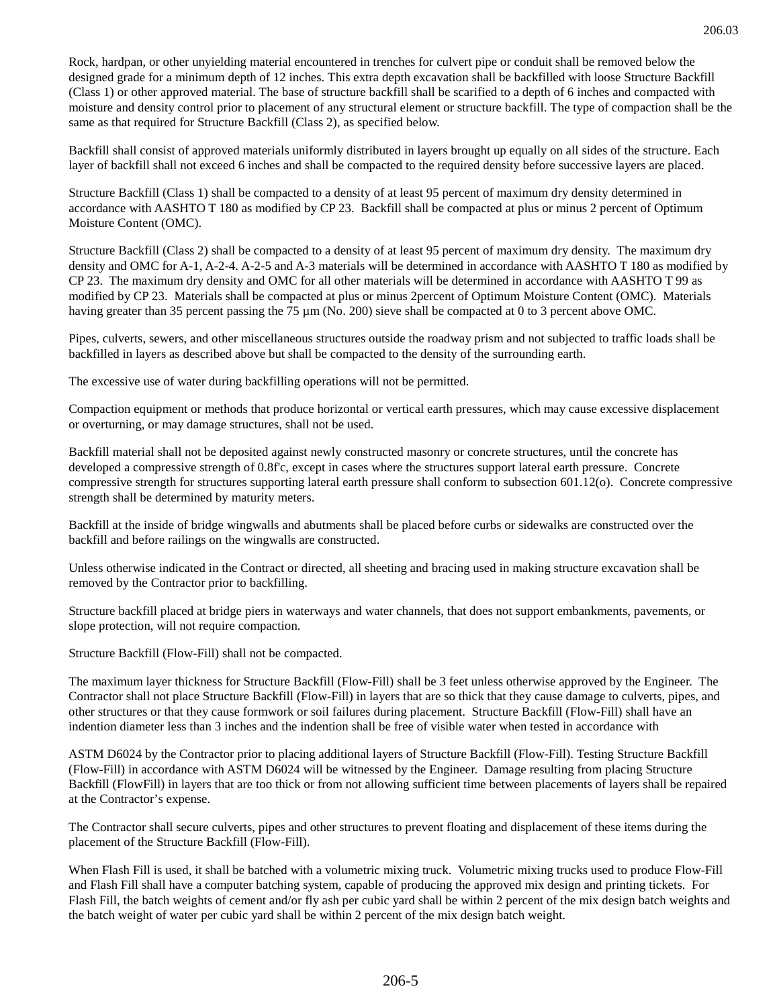Rock, hardpan, or other unyielding material encountered in trenches for culvert pipe or conduit shall be removed below the designed grade for a minimum depth of 12 inches. This extra depth excavation shall be backfilled with loose Structure Backfill (Class 1) or other approved material. The base of structure backfill shall be scarified to a depth of 6 inches and compacted with moisture and density control prior to placement of any structural element or structure backfill. The type of compaction shall be the same as that required for Structure Backfill (Class 2), as specified below.

Backfill shall consist of approved materials uniformly distributed in layers brought up equally on all sides of the structure. Each layer of backfill shall not exceed 6 inches and shall be compacted to the required density before successive layers are placed.

Structure Backfill (Class 1) shall be compacted to a density of at least 95 percent of maximum dry density determined in accordance with AASHTO T 180 as modified by CP 23. Backfill shall be compacted at plus or minus 2 percent of Optimum Moisture Content (OMC).

Structure Backfill (Class 2) shall be compacted to a density of at least 95 percent of maximum dry density. The maximum dry density and OMC for A-1, A-2-4. A-2-5 and A-3 materials will be determined in accordance with AASHTO T 180 as modified by CP 23. The maximum dry density and OMC for all other materials will be determined in accordance with AASHTO T 99 as modified by CP 23. Materials shall be compacted at plus or minus 2percent of Optimum Moisture Content (OMC). Materials having greater than 35 percent passing the 75  $\mu$ m (No. 200) sieve shall be compacted at 0 to 3 percent above OMC.

Pipes, culverts, sewers, and other miscellaneous structures outside the roadway prism and not subjected to traffic loads shall be backfilled in layers as described above but shall be compacted to the density of the surrounding earth.

The excessive use of water during backfilling operations will not be permitted.

Compaction equipment or methods that produce horizontal or vertical earth pressures, which may cause excessive displacement or overturning, or may damage structures, shall not be used.

Backfill material shall not be deposited against newly constructed masonry or concrete structures, until the concrete has developed a compressive strength of 0.8f'c, except in cases where the structures support lateral earth pressure. Concrete compressive strength for structures supporting lateral earth pressure shall conform to subsection 601.12(o). Concrete compressive strength shall be determined by maturity meters.

Backfill at the inside of bridge wingwalls and abutments shall be placed before curbs or sidewalks are constructed over the backfill and before railings on the wingwalls are constructed.

Unless otherwise indicated in the Contract or directed, all sheeting and bracing used in making structure excavation shall be removed by the Contractor prior to backfilling.

Structure backfill placed at bridge piers in waterways and water channels, that does not support embankments, pavements, or slope protection, will not require compaction.

Structure Backfill (Flow-Fill) shall not be compacted.

The maximum layer thickness for Structure Backfill (Flow-Fill) shall be 3 feet unless otherwise approved by the Engineer. The Contractor shall not place Structure Backfill (Flow-Fill) in layers that are so thick that they cause damage to culverts, pipes, and other structures or that they cause formwork or soil failures during placement. Structure Backfill (Flow-Fill) shall have an indention diameter less than 3 inches and the indention shall be free of visible water when tested in accordance with

ASTM D6024 by the Contractor prior to placing additional layers of Structure Backfill (Flow-Fill). Testing Structure Backfill (Flow-Fill) in accordance with ASTM D6024 will be witnessed by the Engineer. Damage resulting from placing Structure Backfill (FlowFill) in layers that are too thick or from not allowing sufficient time between placements of layers shall be repaired at the Contractor's expense.

The Contractor shall secure culverts, pipes and other structures to prevent floating and displacement of these items during the placement of the Structure Backfill (Flow-Fill).

When Flash Fill is used, it shall be batched with a volumetric mixing truck. Volumetric mixing trucks used to produce Flow-Fill and Flash Fill shall have a computer batching system, capable of producing the approved mix design and printing tickets. For Flash Fill, the batch weights of cement and/or fly ash per cubic yard shall be within 2 percent of the mix design batch weights and the batch weight of water per cubic yard shall be within 2 percent of the mix design batch weight.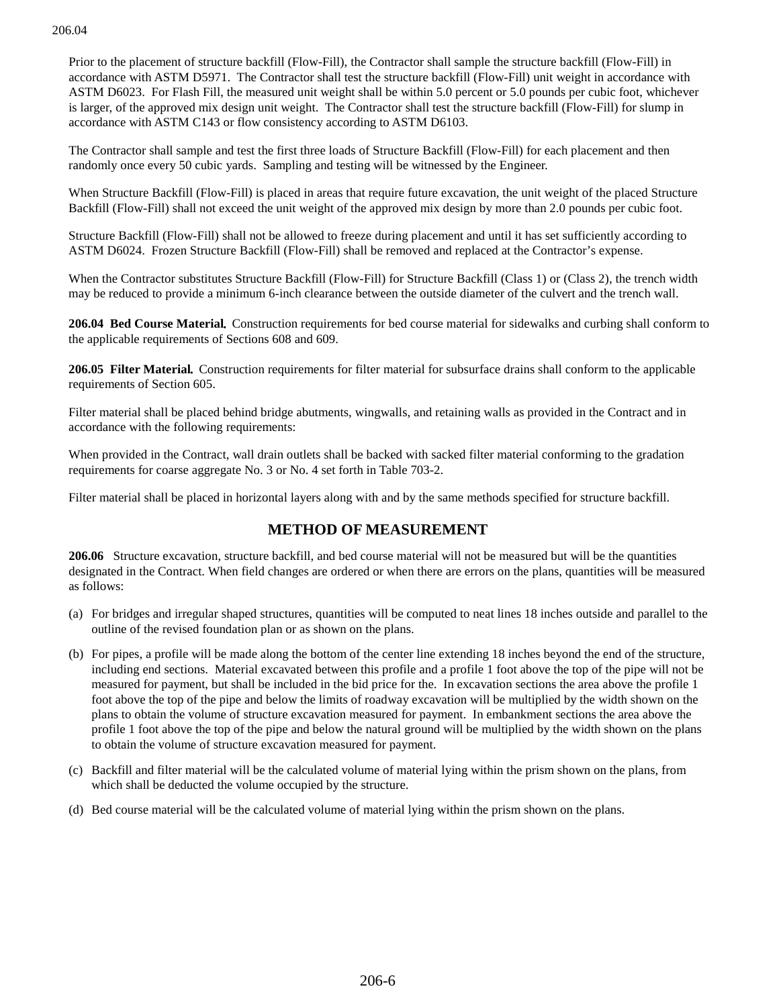Prior to the placement of structure backfill (Flow-Fill), the Contractor shall sample the structure backfill (Flow-Fill) in accordance with ASTM D5971. The Contractor shall test the structure backfill (Flow-Fill) unit weight in accordance with ASTM D6023. For Flash Fill, the measured unit weight shall be within 5.0 percent or 5.0 pounds per cubic foot, whichever is larger, of the approved mix design unit weight. The Contractor shall test the structure backfill (Flow-Fill) for slump in accordance with ASTM C143 or flow consistency according to ASTM D6103.

The Contractor shall sample and test the first three loads of Structure Backfill (Flow-Fill) for each placement and then randomly once every 50 cubic yards. Sampling and testing will be witnessed by the Engineer.

When Structure Backfill (Flow-Fill) is placed in areas that require future excavation, the unit weight of the placed Structure Backfill (Flow-Fill) shall not exceed the unit weight of the approved mix design by more than 2.0 pounds per cubic foot.

Structure Backfill (Flow-Fill) shall not be allowed to freeze during placement and until it has set sufficiently according to ASTM D6024. Frozen Structure Backfill (Flow-Fill) shall be removed and replaced at the Contractor's expense.

When the Contractor substitutes Structure Backfill (Flow-Fill) for Structure Backfill (Class 1) or (Class 2), the trench width may be reduced to provide a minimum 6-inch clearance between the outside diameter of the culvert and the trench wall.

**206.04 Bed Course Material** Construction requirements for bed course material for sidewalks and curbing shall conform to the applicable requirements of Sections 608 and 609.

**206.05 Filter Material** Construction requirements for filter material for subsurface drains shall conform to the applicable requirements of Section 605.

Filter material shall be placed behind bridge abutments, wingwalls, and retaining walls as provided in the Contract and in accordance with the following requirements:

When provided in the Contract, wall drain outlets shall be backed with sacked filter material conforming to the gradation requirements for coarse aggregate No. 3 or No. 4 set forth in Table 703-2.

Filter material shall be placed in horizontal layers along with and by the same methods specified for structure backfill.

# **METHOD OF MEASUREMENT**

**206.06** Structure excavation, structure backfill, and bed course material will not be measured but will be the quantities designated in the Contract. When field changes are ordered or when there are errors on the plans, quantities will be measured as follows:

- (a) For bridges and irregular shaped structures, quantities will be computed to neat lines 18 inches outside and parallel to the outline of the revised foundation plan or as shown on the plans.
- (b) For pipes, a profile will be made along the bottom of the center line extending 18 inches beyond the end of the structure, including end sections. Material excavated between this profile and a profile 1 foot above the top of the pipe will not be measured for payment, but shall be included in the bid price for the. In excavation sections the area above the profile 1 foot above the top of the pipe and below the limits of roadway excavation will be multiplied by the width shown on the plans to obtain the volume of structure excavation measured for payment. In embankment sections the area above the profile 1 foot above the top of the pipe and below the natural ground will be multiplied by the width shown on the plans to obtain the volume of structure excavation measured for payment.
- (c) Backfill and filter material will be the calculated volume of material lying within the prism shown on the plans, from which shall be deducted the volume occupied by the structure.
- (d) Bed course material will be the calculated volume of material lying within the prism shown on the plans.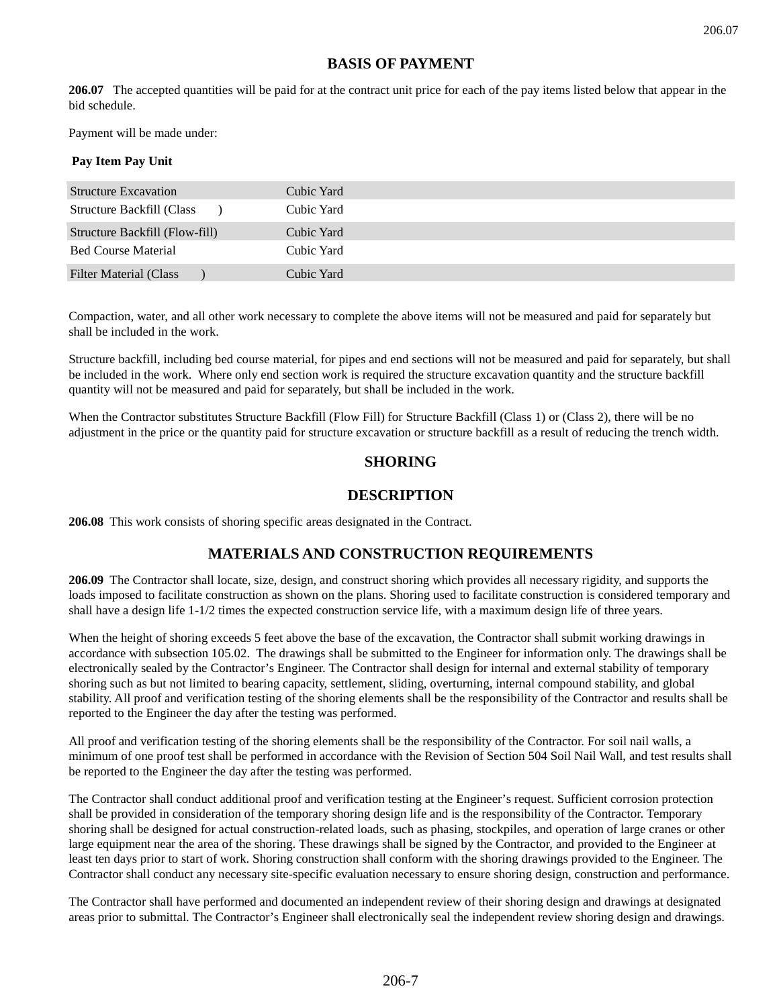## **BASIS OF PAYMENT**

**206.07** The accepted quantities will be paid for at the contract unit price for each of the pay items listed below that appear in the bid schedule.

Payment will be made under:

#### **Pay Item Pay Unit**

| <b>Structure Excavation</b>    | Cubic Yard |
|--------------------------------|------------|
| Structure Backfill (Class      | Cubic Yard |
| Structure Backfill (Flow-fill) | Cubic Yard |
| <b>Bed Course Material</b>     | Cubic Yard |
| <b>Filter Material (Class</b>  | Cubic Yard |

Compaction, water, and all other work necessary to complete the above items will not be measured and paid for separately but shall be included in the work.

Structure backfill, including bed course material, for pipes and end sections will not be measured and paid for separately, but shall be included in the work. Where only end section work is required the structure excavation quantity and the structure backfill quantity will not be measured and paid for separately, but shall be included in the work.

When the Contractor substitutes Structure Backfill (Flow Fill) for Structure Backfill (Class 1) or (Class 2), there will be no adjustment in the price or the quantity paid for structure excavation or structure backfill as a result of reducing the trench width.

# **SHORING**

### **DESCRIPTION**

**206.08** This work consists of shoring specific areas designated in the Contract.

## **MATERIALS AND CONSTRUCTION REQUIREMENTS**

**206.09** The Contractor shall locate, size, design, and construct shoring which provides all necessary rigidity, and supports the loads imposed to facilitate construction as shown on the plans. Shoring used to facilitate construction is considered temporary and shall have a design life 1-1/2 times the expected construction service life, with a maximum design life of three years.

When the height of shoring exceeds 5 feet above the base of the excavation, the Contractor shall submit working drawings in accordance with subsection 105.02. The drawings shall be submitted to the Engineer for information only. The drawings shall be electronically sealed by the Contractor's Engineer. The Contractor shall design for internal and external stability of temporary shoring such as but not limited to bearing capacity, settlement, sliding, overturning, internal compound stability, and global stability. All proof and verification testing of the shoring elements shall be the responsibility of the Contractor and results shall be reported to the Engineer the day after the testing was performed.

All proof and verification testing of the shoring elements shall be the responsibility of the Contractor. For soil nail walls, a minimum of one proof test shall be performed in accordance with the Revision of Section 504 Soil Nail Wall, and test results shall be reported to the Engineer the day after the testing was performed.

The Contractor shall conduct additional proof and verification testing at the Engineer's request. Sufficient corrosion protection shall be provided in consideration of the temporary shoring design life and is the responsibility of the Contractor. Temporary shoring shall be designed for actual construction-related loads, such as phasing, stockpiles, and operation of large cranes or other large equipment near the area of the shoring. These drawings shall be signed by the Contractor, and provided to the Engineer at least ten days prior to start of work. Shoring construction shall conform with the shoring drawings provided to the Engineer. The Contractor shall conduct any necessary site-specific evaluation necessary to ensure shoring design, construction and performance.

The Contractor shall have performed and documented an independent review of their shoring design and drawings at designated areas prior to submittal. The Contractor's Engineer shall electronically seal the independent review shoring design and drawings.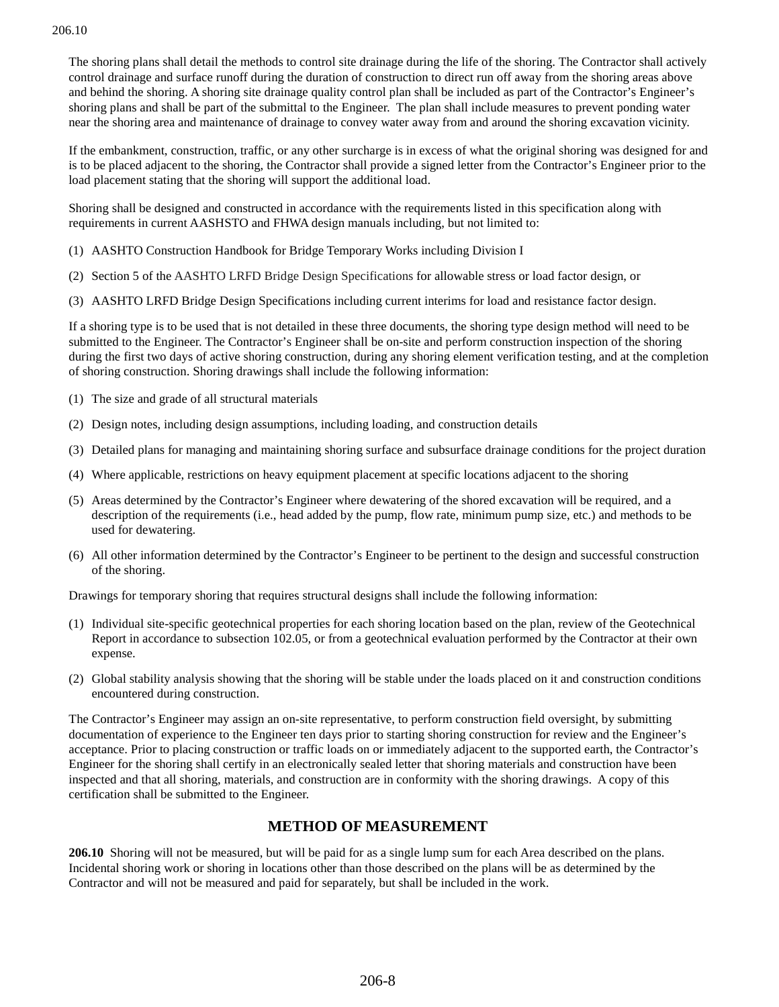#### 206.10

The shoring plans shall detail the methods to control site drainage during the life of the shoring. The Contractor shall actively control drainage and surface runoff during the duration of construction to direct run off away from the shoring areas above and behind the shoring. A shoring site drainage quality control plan shall be included as part of the Contractor's Engineer's shoring plans and shall be part of the submittal to the Engineer. The plan shall include measures to prevent ponding water near the shoring area and maintenance of drainage to convey water away from and around the shoring excavation vicinity.

If the embankment, construction, traffic, or any other surcharge is in excess of what the original shoring was designed for and is to be placed adjacent to the shoring, the Contractor shall provide a signed letter from the Contractor's Engineer prior to the load placement stating that the shoring will support the additional load.

Shoring shall be designed and constructed in accordance with the requirements listed in this specification along with requirements in current AASHSTO and FHWA design manuals including, but not limited to:

- (1) AASHTO Construction Handbook for Bridge Temporary Works including Division I
- (2) Section 5 of the AASHTO LRFD Bridge Design Specifications for allowable stress or load factor design, or
- (3) AASHTO LRFD Bridge Design Specifications including current interims for load and resistance factor design.

If a shoring type is to be used that is not detailed in these three documents, the shoring type design method will need to be submitted to the Engineer. The Contractor's Engineer shall be on-site and perform construction inspection of the shoring during the first two days of active shoring construction, during any shoring element verification testing, and at the completion of shoring construction. Shoring drawings shall include the following information:

- (1) The size and grade of all structural materials
- (2) Design notes, including design assumptions, including loading, and construction details
- (3) Detailed plans for managing and maintaining shoring surface and subsurface drainage conditions for the project duration
- (4) Where applicable, restrictions on heavy equipment placement at specific locations adjacent to the shoring
- (5) Areas determined by the Contractor's Engineer where dewatering of the shored excavation will be required, and a description of the requirements (i.e., head added by the pump, flow rate, minimum pump size, etc.) and methods to be used for dewatering.
- (6) All other information determined by the Contractor's Engineer to be pertinent to the design and successful construction of the shoring.

Drawings for temporary shoring that requires structural designs shall include the following information:

- (1) Individual site-specific geotechnical properties for each shoring location based on the plan, review of the Geotechnical Report in accordance to subsection 102.05, or from a geotechnical evaluation performed by the Contractor at their own expense.
- (2) Global stability analysis showing that the shoring will be stable under the loads placed on it and construction conditions encountered during construction.

The Contractor's Engineer may assign an on-site representative, to perform construction field oversight, by submitting documentation of experience to the Engineer ten days prior to starting shoring construction for review and the Engineer's acceptance. Prior to placing construction or traffic loads on or immediately adjacent to the supported earth, the Contractor's Engineer for the shoring shall certify in an electronically sealed letter that shoring materials and construction have been inspected and that all shoring, materials, and construction are in conformity with the shoring drawings. A copy of this certification shall be submitted to the Engineer.

# **METHOD OF MEASUREMENT**

**206.10** Shoring will not be measured, but will be paid for as a single lump sum for each Area described on the plans. Incidental shoring work or shoring in locations other than those described on the plans will be as determined by the Contractor and will not be measured and paid for separately, but shall be included in the work.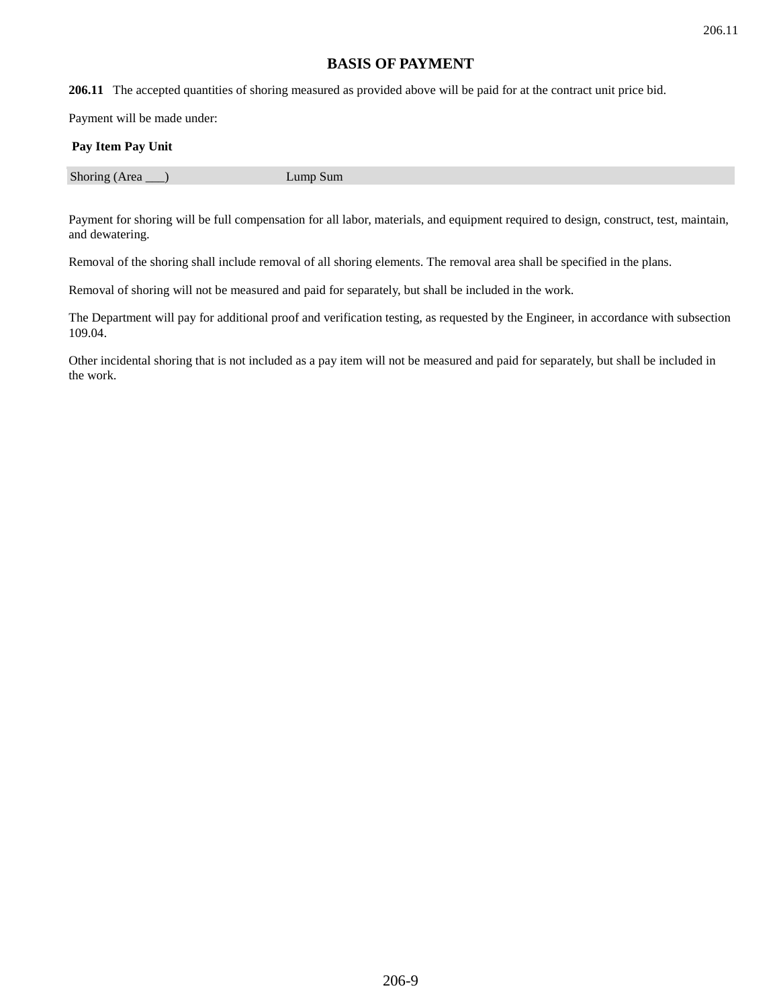# **BASIS OF PAYMENT**

**206.11** The accepted quantities of shoring measured as provided above will be paid for at the contract unit price bid.

Payment will be made under:

#### **Pay Item Pay Unit**

Shoring (Area \_\_\_) Lump Sum

Payment for shoring will be full compensation for all labor, materials, and equipment required to design, construct, test, maintain, and dewatering.

Removal of the shoring shall include removal of all shoring elements. The removal area shall be specified in the plans.

Removal of shoring will not be measured and paid for separately, but shall be included in the work.

The Department will pay for additional proof and verification testing, as requested by the Engineer, in accordance with subsection 109.04.

Other incidental shoring that is not included as a pay item will not be measured and paid for separately, but shall be included in the work.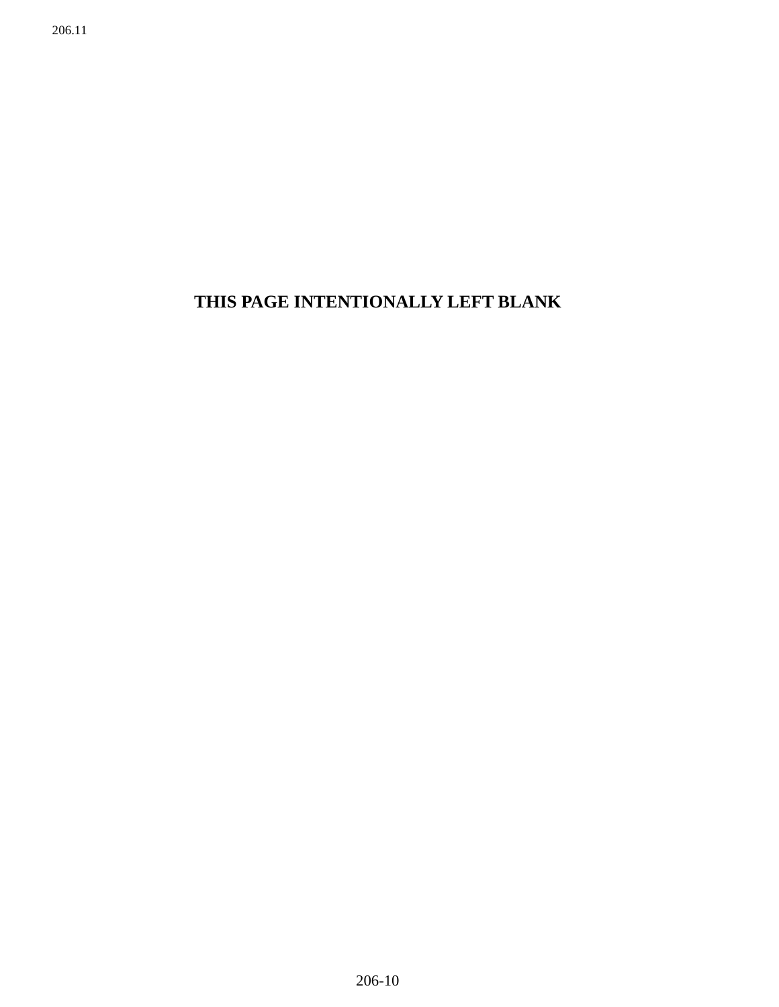# **THIS PAGE INTENTIONALLY LEFT BLANK**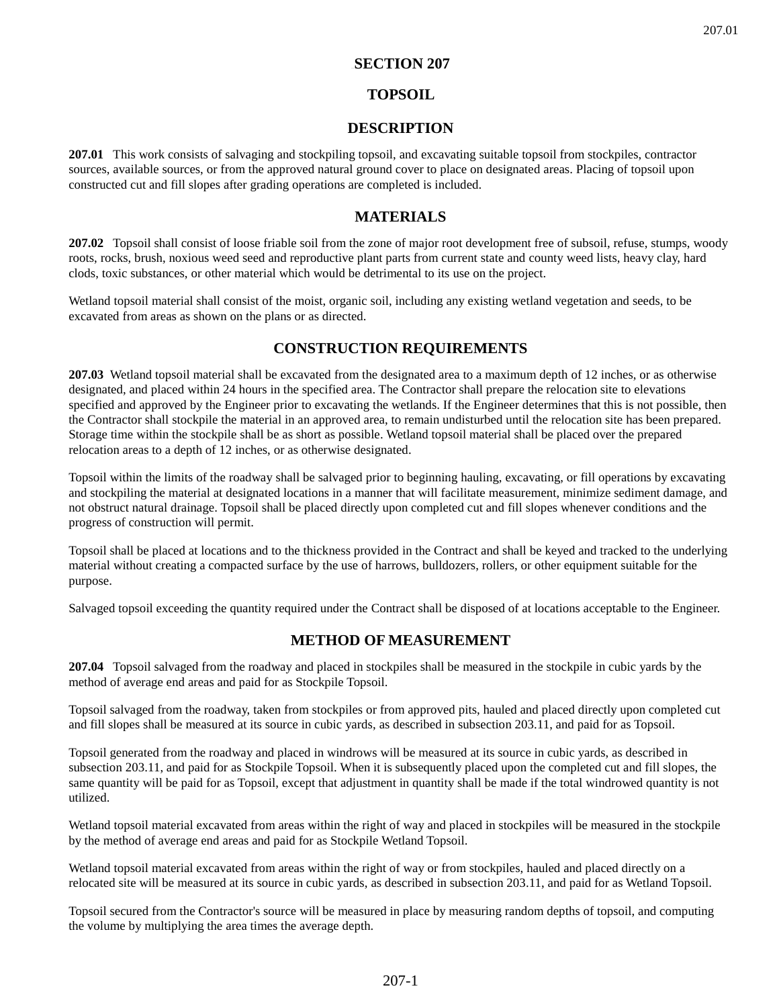## **SECTION 207**

#### **TOPSOIL**

#### **DESCRIPTION**

**207.01** This work consists of salvaging and stockpiling topsoil, and excavating suitable topsoil from stockpiles, contractor sources, available sources, or from the approved natural ground cover to place on designated areas. Placing of topsoil upon constructed cut and fill slopes after grading operations are completed is included.

## **MATERIALS**

**207.02** Topsoil shall consist of loose friable soil from the zone of major root development free of subsoil, refuse, stumps, woody roots, rocks, brush, noxious weed seed and reproductive plant parts from current state and county weed lists, heavy clay, hard clods, toxic substances, or other material which would be detrimental to its use on the project.

Wetland topsoil material shall consist of the moist, organic soil, including any existing wetland vegetation and seeds, to be excavated from areas as shown on the plans or as directed.

## **CONSTRUCTION REQUIREMENTS**

**207.03** Wetland topsoil material shall be excavated from the designated area to a maximum depth of 12 inches, or as otherwise designated, and placed within 24 hours in the specified area. The Contractor shall prepare the relocation site to elevations specified and approved by the Engineer prior to excavating the wetlands. If the Engineer determines that this is not possible, then the Contractor shall stockpile the material in an approved area, to remain undisturbed until the relocation site has been prepared. Storage time within the stockpile shall be as short as possible. Wetland topsoil material shall be placed over the prepared relocation areas to a depth of 12 inches, or as otherwise designated.

Topsoil within the limits of the roadway shall be salvaged prior to beginning hauling, excavating, or fill operations by excavating and stockpiling the material at designated locations in a manner that will facilitate measurement, minimize sediment damage, and not obstruct natural drainage. Topsoil shall be placed directly upon completed cut and fill slopes whenever conditions and the progress of construction will permit.

Topsoil shall be placed at locations and to the thickness provided in the Contract and shall be keyed and tracked to the underlying material without creating a compacted surface by the use of harrows, bulldozers, rollers, or other equipment suitable for the purpose.

Salvaged topsoil exceeding the quantity required under the Contract shall be disposed of at locations acceptable to the Engineer.

## **METHOD OF MEASUREMENT**

**207.04** Topsoil salvaged from the roadway and placed in stockpiles shall be measured in the stockpile in cubic yards by the method of average end areas and paid for as Stockpile Topsoil.

Topsoil salvaged from the roadway, taken from stockpiles or from approved pits, hauled and placed directly upon completed cut and fill slopes shall be measured at its source in cubic yards, as described in subsection 203.11, and paid for as Topsoil.

Topsoil generated from the roadway and placed in windrows will be measured at its source in cubic yards, as described in subsection 203.11, and paid for as Stockpile Topsoil. When it is subsequently placed upon the completed cut and fill slopes, the same quantity will be paid for as Topsoil, except that adjustment in quantity shall be made if the total windrowed quantity is not utilized.

Wetland topsoil material excavated from areas within the right of way and placed in stockpiles will be measured in the stockpile by the method of average end areas and paid for as Stockpile Wetland Topsoil.

Wetland topsoil material excavated from areas within the right of way or from stockpiles, hauled and placed directly on a relocated site will be measured at its source in cubic yards, as described in subsection 203.11, and paid for as Wetland Topsoil.

Topsoil secured from the Contractor's source will be measured in place by measuring random depths of topsoil, and computing the volume by multiplying the area times the average depth.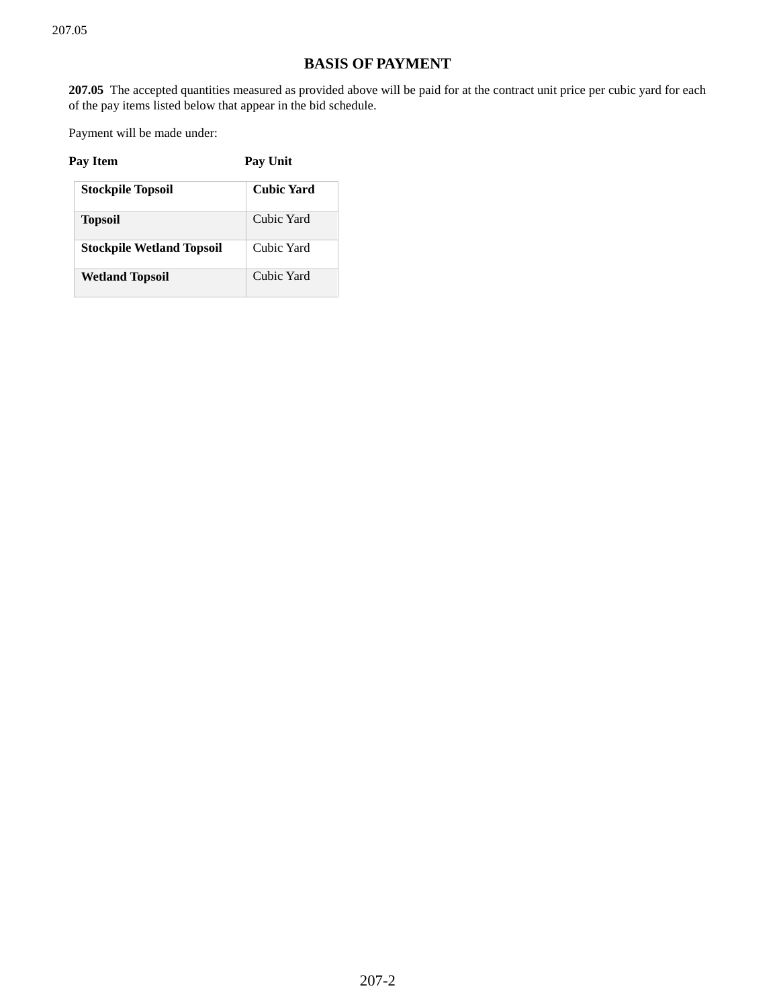# **BASIS OF PAYMENT**

**207.05** The accepted quantities measured as provided above will be paid for at the contract unit price per cubic yard for each of the pay items listed below that appear in the bid schedule.

Payment will be made under:

| Pav Item |  |
|----------|--|
|----------|--|

**Pay Unit** 

| <b>Stockpile Topsoil</b>         | <b>Cubic Yard</b> |
|----------------------------------|-------------------|
| <b>Topsoil</b>                   | Cubic Yard        |
| <b>Stockpile Wetland Topsoil</b> | Cubic Yard        |
| <b>Wetland Topsoil</b>           | Cubic Yard        |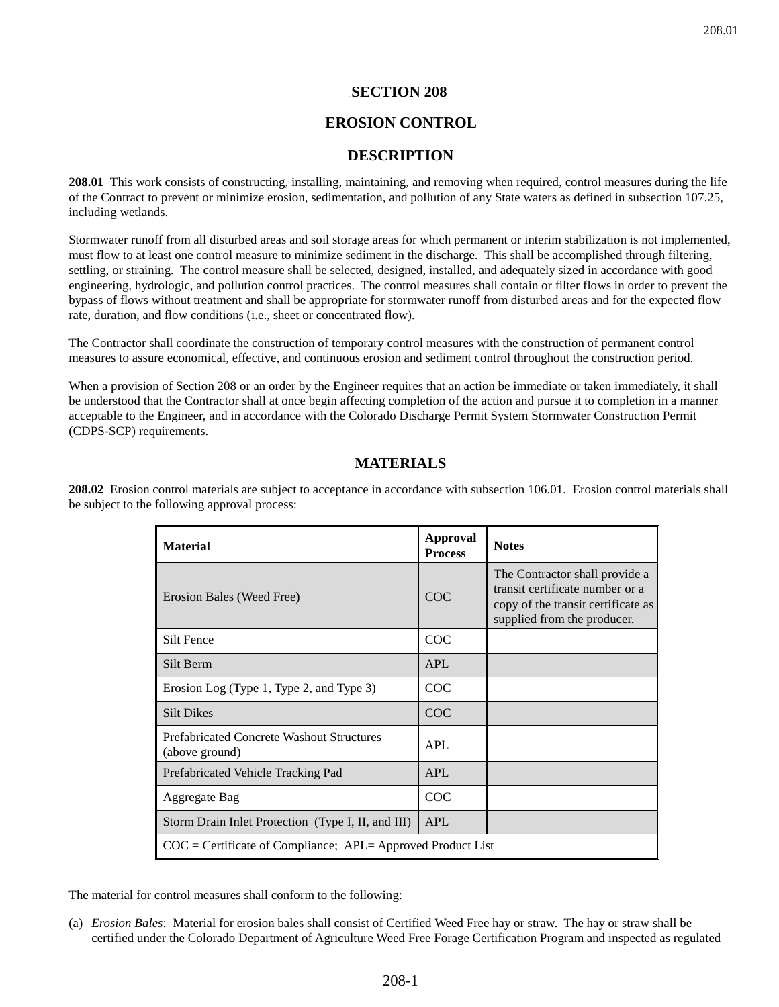## **SECTION 208**

## **EROSION CONTROL**

#### **DESCRIPTION**

**208.01** This work consists of constructing, installing, maintaining, and removing when required, control measures during the life of the Contract to prevent or minimize erosion, sedimentation, and pollution of any State waters as defined in subsection 107.25, including wetlands.

Stormwater runoff from all disturbed areas and soil storage areas for which permanent or interim stabilization is not implemented, must flow to at least one control measure to minimize sediment in the discharge. This shall be accomplished through filtering, settling, or straining. The control measure shall be selected, designed, installed, and adequately sized in accordance with good engineering, hydrologic, and pollution control practices. The control measures shall contain or filter flows in order to prevent the bypass of flows without treatment and shall be appropriate for stormwater runoff from disturbed areas and for the expected flow rate, duration, and flow conditions (i.e., sheet or concentrated flow).

The Contractor shall coordinate the construction of temporary control measures with the construction of permanent control measures to assure economical, effective, and continuous erosion and sediment control throughout the construction period.

When a provision of Section 208 or an order by the Engineer requires that an action be immediate or taken immediately, it shall be understood that the Contractor shall at once begin affecting completion of the action and pursue it to completion in a manner acceptable to the Engineer, and in accordance with the Colorado Discharge Permit System Stormwater Construction Permit (CDPS-SCP) requirements.

## **MATERIALS**

**208.02** Erosion control materials are subject to acceptance in accordance with subsection 106.01. Erosion control materials shall be subject to the following approval process:

| <b>Material</b>                                                    | <b>Approval</b><br><b>Process</b> | <b>Notes</b>                                                                                                                           |
|--------------------------------------------------------------------|-----------------------------------|----------------------------------------------------------------------------------------------------------------------------------------|
| Erosion Bales (Weed Free)                                          | COC                               | The Contractor shall provide a<br>transit certificate number or a<br>copy of the transit certificate as<br>supplied from the producer. |
| <b>Silt Fence</b>                                                  | COC                               |                                                                                                                                        |
| Silt Berm                                                          | <b>APL</b>                        |                                                                                                                                        |
| Erosion Log (Type 1, Type 2, and Type 3)                           | <b>COC</b>                        |                                                                                                                                        |
| <b>Silt Dikes</b>                                                  | COC                               |                                                                                                                                        |
| <b>Prefabricated Concrete Washout Structures</b><br>(above ground) | <b>APL</b>                        |                                                                                                                                        |
| Prefabricated Vehicle Tracking Pad                                 | <b>APL</b>                        |                                                                                                                                        |
| Aggregate Bag                                                      | <b>COC</b>                        |                                                                                                                                        |
| Storm Drain Inlet Protection (Type I, II, and III)                 | <b>APL</b>                        |                                                                                                                                        |
| $COC =$ Certificate of Compliance; APL= Approved Product List      |                                   |                                                                                                                                        |

The material for control measures shall conform to the following:

(a) *Erosion Bales*: Material for erosion bales shall consist of Certified Weed Free hay or straw. The hay or straw shall be certified under the Colorado Department of Agriculture Weed Free Forage Certification Program and inspected as regulated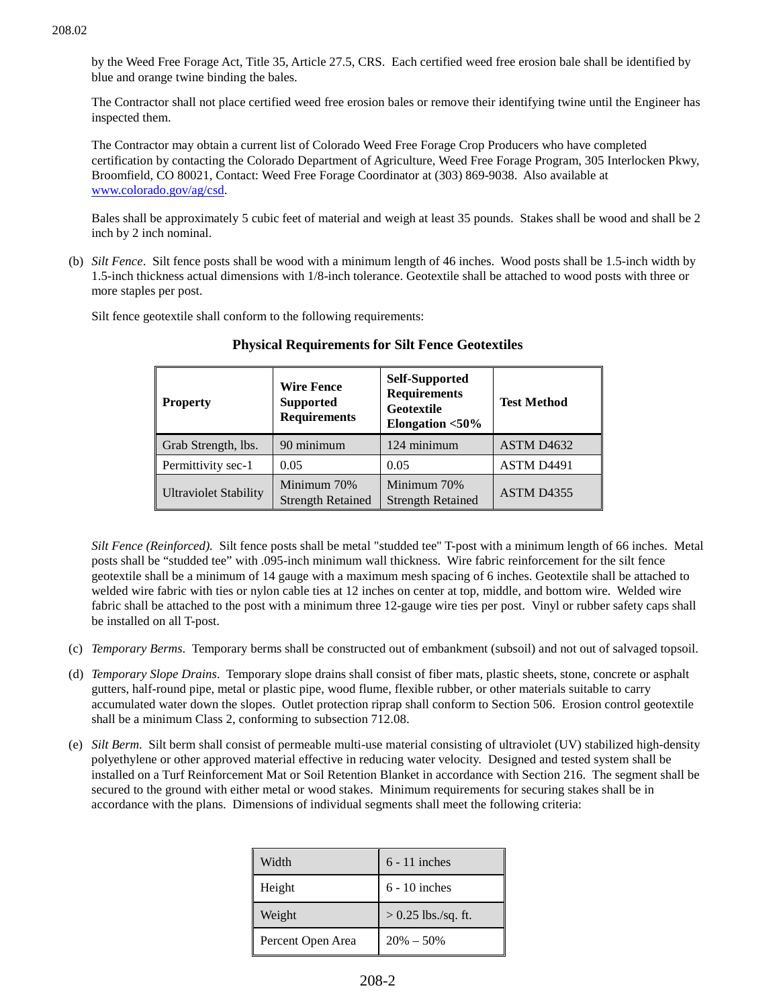by the Weed Free Forage Act, Title 35, Article 27.5, CRS. Each certified weed free erosion bale shall be identified by blue and orange twine binding the bales.

The Contractor shall not place certified weed free erosion bales or remove their identifying twine until the Engineer has inspected them.

The Contractor may obtain a current list of Colorado Weed Free Forage Crop Producers who have completed certification by contacting the Colorado Department of Agriculture, Weed Free Forage Program, 305 Interlocken Pkwy, Broomfield, CO 80021, Contact: Weed Free Forage Coordinator at (303) 869-9038. Also available at www.colorado.gov/ag/csd.

Bales shall be approximately 5 cubic feet of material and weigh at least 35 pounds. Stakes shall be wood and shall be 2 inch by 2 inch nominal.

(b) *Silt Fence*. Silt fence posts shall be wood with a minimum length of 46 inches. Wood posts shall be 1.5-inch width by 1.5-inch thickness actual dimensions with 1/8-inch tolerance. Geotextile shall be attached to wood posts with three or more staples per post.

Silt fence geotextile shall conform to the following requirements:

| <b>Property</b>              | <b>Wire Fence</b><br><b>Supported</b><br><b>Requirements</b> | Self-Supported<br><b>Requirements</b><br><b>Geotextile</b><br>Elongation $<$ 50% | <b>Test Method</b> |
|------------------------------|--------------------------------------------------------------|----------------------------------------------------------------------------------|--------------------|
| Grab Strength, lbs.          | 90 minimum                                                   | 124 minimum                                                                      | ASTM D4632         |
| Permittivity sec-1           | 0.05                                                         | 0.05                                                                             | ASTM D4491         |
| <b>Ultraviolet Stability</b> | Minimum 70%<br><b>Strength Retained</b>                      | Minimum 70%<br><b>Strength Retained</b>                                          | ASTM D4355         |

#### **Physical Requirements for Silt Fence Geotextiles**

*Silt Fence (Reinforced).* Silt fence posts shall be metal "studded tee" T-post with a minimum length of 66 inches. Metal posts shall be "studded tee" with .095-inch minimum wall thickness. Wire fabric reinforcement for the silt fence geotextile shall be a minimum of 14 gauge with a maximum mesh spacing of 6 inches. Geotextile shall be attached to welded wire fabric with ties or nylon cable ties at 12 inches on center at top, middle, and bottom wire. Welded wire fabric shall be attached to the post with a minimum three 12-gauge wire ties per post. Vinyl or rubber safety caps shall be installed on all T-post.

- (c) *Temporary Berms*. Temporary berms shall be constructed out of embankment (subsoil) and not out of salvaged topsoil.
- (d) *Temporary Slope Drains*. Temporary slope drains shall consist of fiber mats, plastic sheets, stone, concrete or asphalt gutters, half-round pipe, metal or plastic pipe, wood flume, flexible rubber, or other materials suitable to carry accumulated water down the slopes. Outlet protection riprap shall conform to Section 506. Erosion control geotextile shall be a minimum Class 2, conforming to subsection 712.08.
- (e) *Silt Berm*. Silt berm shall consist of permeable multi-use material consisting of ultraviolet (UV) stabilized high-density polyethylene or other approved material effective in reducing water velocity. Designed and tested system shall be installed on a Turf Reinforcement Mat or Soil Retention Blanket in accordance with Section 216. The segment shall be secured to the ground with either metal or wood stakes. Minimum requirements for securing stakes shall be in accordance with the plans. Dimensions of individual segments shall meet the following criteria:

| Width             | $6 - 11$ inches       |
|-------------------|-----------------------|
| Height            | $6 - 10$ inches       |
| Weight            | $> 0.25$ lbs./sq. ft. |
| Percent Open Area | $20\% - 50\%$         |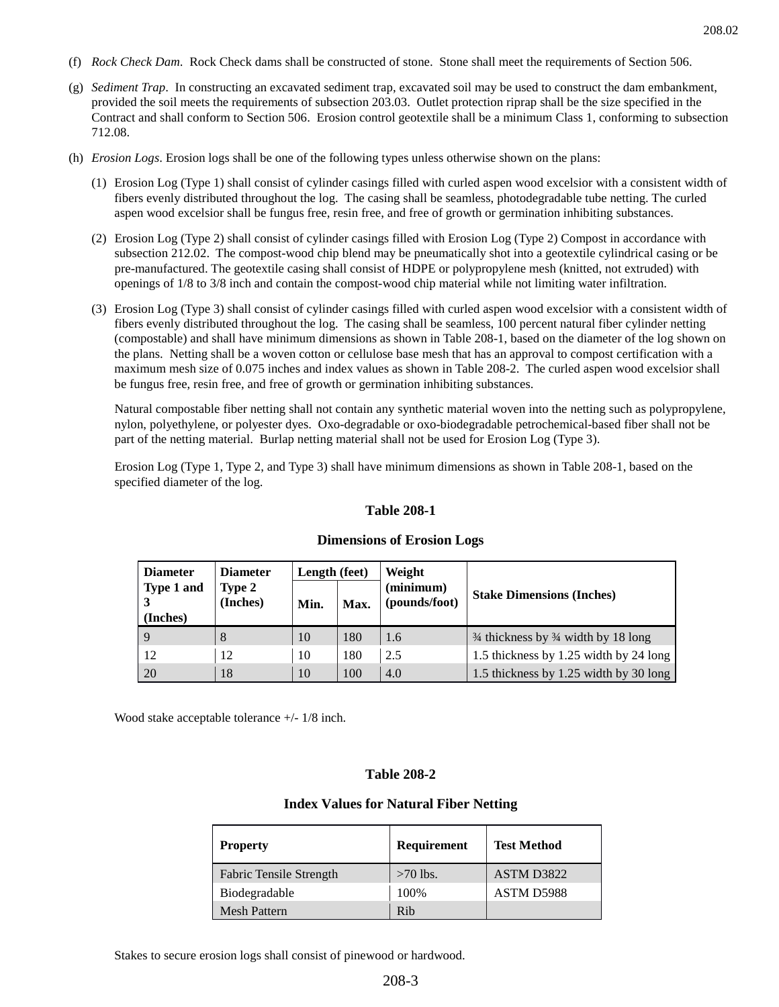- (f) *Rock Check Dam*. Rock Check dams shall be constructed of stone. Stone shall meet the requirements of Section 506.
- (g) *Sediment Trap*. In constructing an excavated sediment trap, excavated soil may be used to construct the dam embankment, provided the soil meets the requirements of subsection 203.03. Outlet protection riprap shall be the size specified in the Contract and shall conform to Section 506. Erosion control geotextile shall be a minimum Class 1, conforming to subsection 712.08.
- (h) *Erosion Logs*. Erosion logs shall be one of the following types unless otherwise shown on the plans:
	- (1) Erosion Log (Type 1) shall consist of cylinder casings filled with curled aspen wood excelsior with a consistent width of fibers evenly distributed throughout the log. The casing shall be seamless, photodegradable tube netting. The curled aspen wood excelsior shall be fungus free, resin free, and free of growth or germination inhibiting substances.
	- (2) Erosion Log (Type 2) shall consist of cylinder casings filled with Erosion Log (Type 2) Compost in accordance with subsection 212.02. The compost-wood chip blend may be pneumatically shot into a geotextile cylindrical casing or be pre-manufactured. The geotextile casing shall consist of HDPE or polypropylene mesh (knitted, not extruded) with openings of 1/8 to 3/8 inch and contain the compost-wood chip material while not limiting water infiltration.
	- (3) Erosion Log (Type 3) shall consist of cylinder casings filled with curled aspen wood excelsior with a consistent width of fibers evenly distributed throughout the log. The casing shall be seamless, 100 percent natural fiber cylinder netting (compostable) and shall have minimum dimensions as shown in Table 208-1, based on the diameter of the log shown on the plans. Netting shall be a woven cotton or cellulose base mesh that has an approval to compost certification with a maximum mesh size of 0.075 inches and index values as shown in Table 208-2. The curled aspen wood excelsior shall be fungus free, resin free, and free of growth or germination inhibiting substances.

Natural compostable fiber netting shall not contain any synthetic material woven into the netting such as polypropylene, nylon, polyethylene, or polyester dyes. Oxo-degradable or oxo-biodegradable petrochemical-based fiber shall not be part of the netting material. Burlap netting material shall not be used for Erosion Log (Type 3).

Erosion Log (Type 1, Type 2, and Type 3) shall have minimum dimensions as shown in Table 208-1, based on the specified diameter of the log.

## **Table 208-1**

| <b>Diameter</b>        | <b>Diameter</b>    | Length (feet) |      | Weight                     |                                                           |
|------------------------|--------------------|---------------|------|----------------------------|-----------------------------------------------------------|
| Type 1 and<br>(Inches) | Type 2<br>(Inches) | Min.          | Max. | (minimum)<br>(pounds/foot) | <b>Stake Dimensions (Inches)</b>                          |
|                        | 8                  | 10            | 180  | 1.6                        | $\frac{3}{4}$ thickness by $\frac{3}{4}$ width by 18 long |
| 12                     | 12                 | 10            | 180  | 2.5                        | 1.5 thickness by 1.25 width by 24 long                    |
| 20                     | 18                 | 10            | 100  | 4.0                        | 1.5 thickness by 1.25 width by 30 long                    |

#### **Dimensions of Erosion Logs**

Wood stake acceptable tolerance +/- 1/8 inch.

#### **Table 208-2**

#### **Index Values for Natural Fiber Netting**

| <b>Property</b>         | Requirement | <b>Test Method</b> |
|-------------------------|-------------|--------------------|
| Fabric Tensile Strength | $>70$ lbs.  | ASTM D3822         |
| Biodegradable           | 100\%       | ASTM D5988         |
| Mesh Pattern            | Rih         |                    |

Stakes to secure erosion logs shall consist of pinewood or hardwood.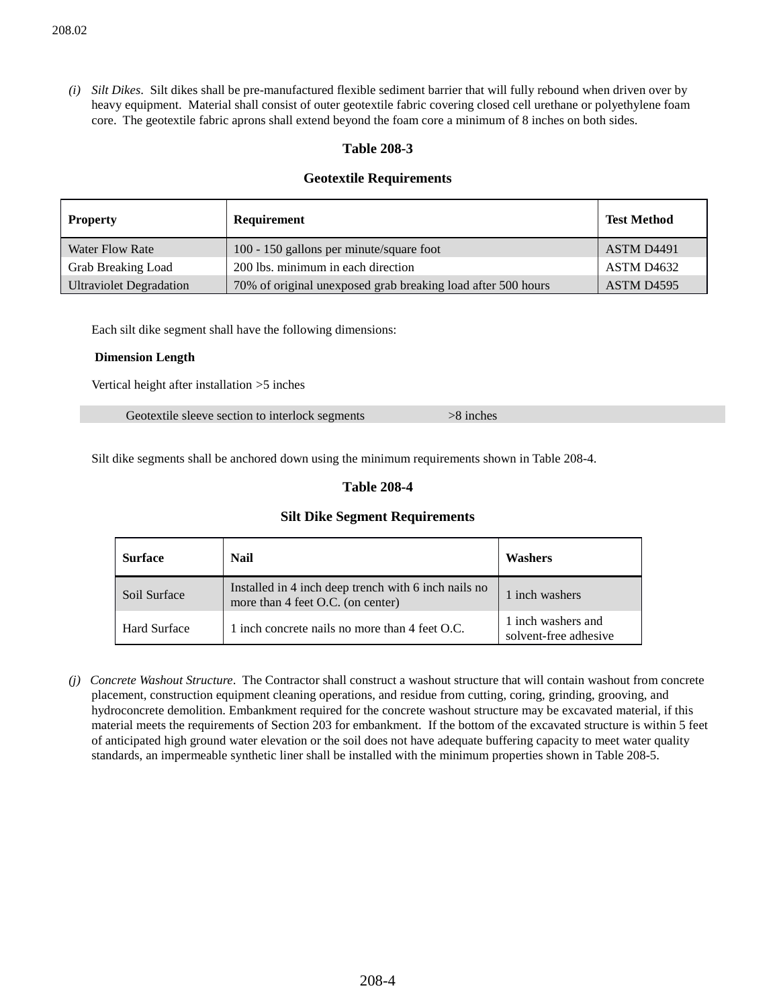*(i) Silt Dikes*. Silt dikes shall be pre-manufactured flexible sediment barrier that will fully rebound when driven over by heavy equipment. Material shall consist of outer geotextile fabric covering closed cell urethane or polyethylene foam core. The geotextile fabric aprons shall extend beyond the foam core a minimum of 8 inches on both sides.

## **Table 208-3**

## **Geotextile Requirements**

| <b>Property</b>                | Requirement                                                  | <b>Test Method</b> |
|--------------------------------|--------------------------------------------------------------|--------------------|
| Water Flow Rate                | 100 - 150 gallons per minute/square foot                     | ASTM D4491         |
| Grab Breaking Load             | 200 lbs. minimum in each direction                           | ASTM D4632         |
| <b>Ultraviolet Degradation</b> | 70% of original unexposed grab breaking load after 500 hours | ASTM D4595         |

Each silt dike segment shall have the following dimensions:

#### **Dimension Length**

Vertical height after installation >5 inches

| Geotextile sleeve section to interlock segments | $>8$ inches |  |
|-------------------------------------------------|-------------|--|
|-------------------------------------------------|-------------|--|

Silt dike segments shall be anchored down using the minimum requirements shown in Table 208-4.

#### **Table 208-4**

#### **Silt Dike Segment Requirements**

| <b>Surface</b>      | <b>Nail</b>                                                                               | Washers                                     |
|---------------------|-------------------------------------------------------------------------------------------|---------------------------------------------|
| Soil Surface        | Installed in 4 inch deep trench with 6 inch nails no<br>more than 4 feet O.C. (on center) | 1 inch washers                              |
| <b>Hard Surface</b> | 1 inch concrete nails no more than 4 feet O.C.                                            | 1 inch washers and<br>solvent-free adhesive |

*(j) Concrete Washout Structure*. The Contractor shall construct a washout structure that will contain washout from concrete placement, construction equipment cleaning operations, and residue from cutting, coring, grinding, grooving, and hydroconcrete demolition. Embankment required for the concrete washout structure may be excavated material, if this material meets the requirements of Section 203 for embankment. If the bottom of the excavated structure is within 5 feet of anticipated high ground water elevation or the soil does not have adequate buffering capacity to meet water quality standards, an impermeable synthetic liner shall be installed with the minimum properties shown in Table 208-5.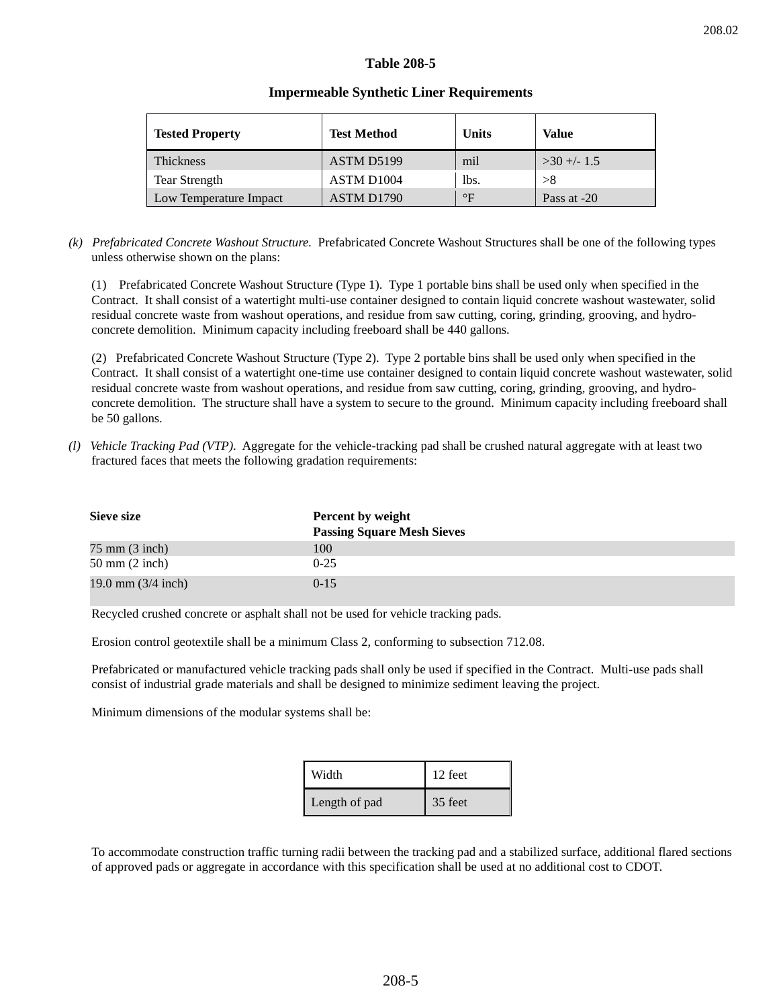#### **Table 208-5**

| <b>Tested Property</b> | <b>Test Method</b> | <b>Units</b> | <b>Value</b>  |
|------------------------|--------------------|--------------|---------------|
| <b>Thickness</b>       | ASTM D5199         | mil          | $>30 +/- 1.5$ |
| <b>Tear Strength</b>   | ASTM D1004         | lbs.         | >8            |
| Low Temperature Impact | ASTM D1790         | $\circ$ F    | Pass at -20   |

#### **Impermeable Synthetic Liner Requirements**

*(k) Prefabricated Concrete Washout Structure.* Prefabricated Concrete Washout Structures shall be one of the following types unless otherwise shown on the plans:

(1) Prefabricated Concrete Washout Structure (Type 1). Type 1 portable bins shall be used only when specified in the Contract. It shall consist of a watertight multi-use container designed to contain liquid concrete washout wastewater, solid residual concrete waste from washout operations, and residue from saw cutting, coring, grinding, grooving, and hydroconcrete demolition. Minimum capacity including freeboard shall be 440 gallons.

(2) Prefabricated Concrete Washout Structure (Type 2). Type 2 portable bins shall be used only when specified in the Contract. It shall consist of a watertight one-time use container designed to contain liquid concrete washout wastewater, solid residual concrete waste from washout operations, and residue from saw cutting, coring, grinding, grooving, and hydroconcrete demolition. The structure shall have a system to secure to the ground. Minimum capacity including freeboard shall be 50 gallons.

*(l) Vehicle Tracking Pad (VTP)*. Aggregate for the vehicle-tracking pad shall be crushed natural aggregate with at least two fractured faces that meets the following gradation requirements:

| Sieve size                         | <b>Percent by weight</b><br><b>Passing Square Mesh Sieves</b> |
|------------------------------------|---------------------------------------------------------------|
| $75 \text{ mm}$ $(3 \text{ inch})$ | 100                                                           |
| $50 \text{ mm}$ (2 inch)           | $0 - 25$                                                      |
| 19.0 mm $(3/4$ inch)               | $0-15$                                                        |

Recycled crushed concrete or asphalt shall not be used for vehicle tracking pads.

Erosion control geotextile shall be a minimum Class 2, conforming to subsection 712.08.

Prefabricated or manufactured vehicle tracking pads shall only be used if specified in the Contract. Multi-use pads shall consist of industrial grade materials and shall be designed to minimize sediment leaving the project.

Minimum dimensions of the modular systems shall be:

| Width         | 12 feet |
|---------------|---------|
| Length of pad | 35 feet |

To accommodate construction traffic turning radii between the tracking pad and a stabilized surface, additional flared sections of approved pads or aggregate in accordance with this specification shall be used at no additional cost to CDOT.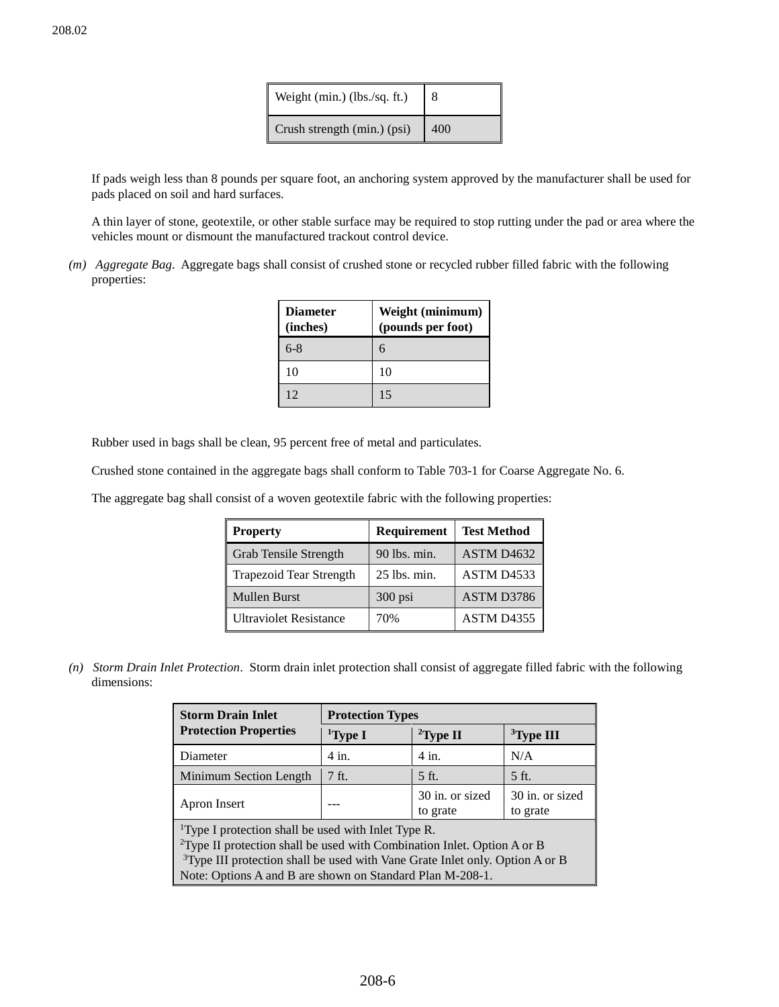| Weight (min.) (lbs./sq. ft.) |          |
|------------------------------|----------|
| Crush strength (min.) (psi)  | $^4()()$ |

If pads weigh less than 8 pounds per square foot, an anchoring system approved by the manufacturer shall be used for pads placed on soil and hard surfaces.

A thin layer of stone, geotextile, or other stable surface may be required to stop rutting under the pad or area where the vehicles mount or dismount the manufactured trackout control device.

*(m) Aggregate Bag*. Aggregate bags shall consist of crushed stone or recycled rubber filled fabric with the following properties:

| <b>Diameter</b><br>(inches) | Weight (minimum)<br>(pounds per foot) |
|-----------------------------|---------------------------------------|
| $6-8$                       | 6                                     |
| 10                          | 10                                    |
| 12                          | 15                                    |

Rubber used in bags shall be clean, 95 percent free of metal and particulates.

Crushed stone contained in the aggregate bags shall conform to Table 703-1 for Coarse Aggregate No. 6.

The aggregate bag shall consist of a woven geotextile fabric with the following properties:

| <b>Property</b>                | Requirement    | <b>Test Method</b>     |
|--------------------------------|----------------|------------------------|
| Grab Tensile Strength          | 90 lbs. min.   | ASTM D <sub>4632</sub> |
| <b>Trapezoid Tear Strength</b> | $25$ lbs. min. | ASTM D4533             |
| <b>Mullen Burst</b>            | $300$ psi      | ASTM D3786             |
| <b>Ultraviolet Resistance</b>  | 70%            | ASTM D4355             |

*(n) Storm Drain Inlet Protection*. Storm drain inlet protection shall consist of aggregate filled fabric with the following dimensions:

| <b>Storm Drain Inlet</b>                                                                                                                                                                                                                                                                                        | <b>Protection Types</b> |                      |                  |  |
|-----------------------------------------------------------------------------------------------------------------------------------------------------------------------------------------------------------------------------------------------------------------------------------------------------------------|-------------------------|----------------------|------------------|--|
| <b>Protection Properties</b>                                                                                                                                                                                                                                                                                    | <sup>1</sup> Type I     | <sup>2</sup> Type II | $3$ Type III     |  |
| Diameter                                                                                                                                                                                                                                                                                                        | $4$ in.                 | $4$ in.              | N/A              |  |
| Minimum Section Length                                                                                                                                                                                                                                                                                          | $7f_{\text{t}}$         | $5$ ft.              | 5 <sub>ft.</sub> |  |
| Apron Insert                                                                                                                                                                                                                                                                                                    |                         | 30 in. or sized      | 30 in. or sized  |  |
|                                                                                                                                                                                                                                                                                                                 |                         | to grate             | to grate         |  |
| <sup>1</sup> Type I protection shall be used with Inlet Type R.<br><sup>2</sup> Type II protection shall be used with Combination Inlet. Option A or B<br><sup>3</sup> Type III protection shall be used with Vane Grate Inlet only. Option A or B<br>Note: Options A and B are shown on Standard Plan M-208-1. |                         |                      |                  |  |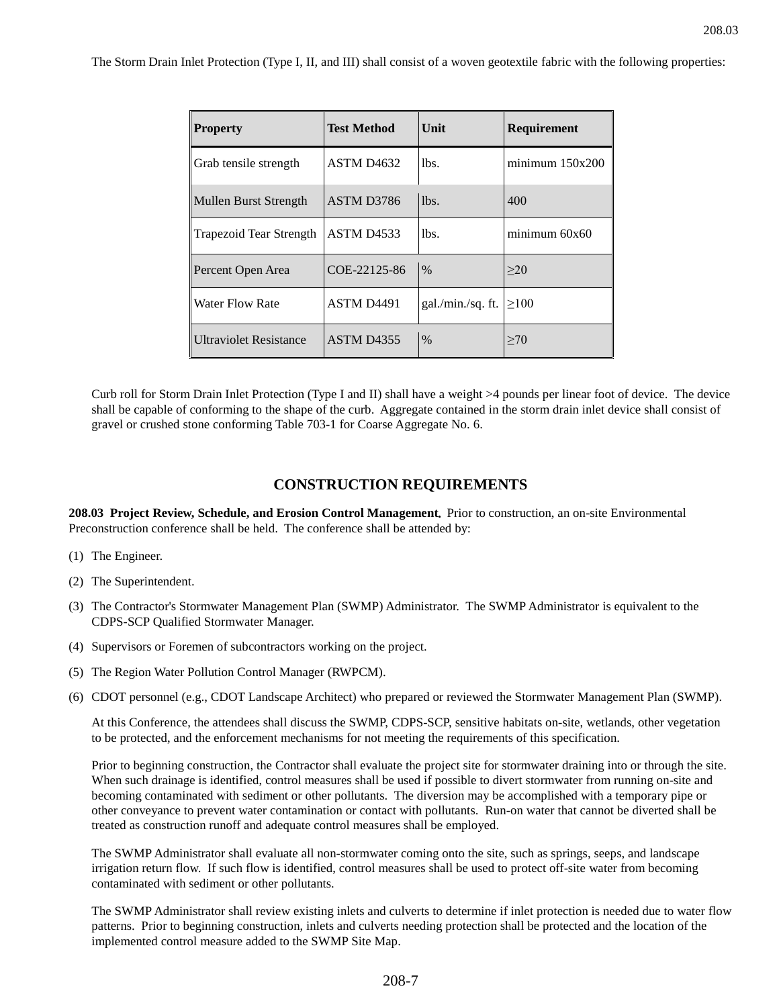The Storm Drain Inlet Protection (Type I, II, and III) shall consist of a woven geotextile fabric with the following properties:

| <b>Property</b>                | <b>Test Method</b>     | Unit              | Requirement     |
|--------------------------------|------------------------|-------------------|-----------------|
| Grab tensile strength          | ASTM D <sub>4632</sub> | lbs.              | minimum 150x200 |
| <b>Mullen Burst Strength</b>   | ASTM D3786             | lbs.              | 400             |
| <b>Trapezoid Tear Strength</b> | ASTM D <sub>4533</sub> | lbs.              | minimum 60x60   |
| Percent Open Area              | COE-22125-86           | $\%$              | >20             |
| <b>Water Flow Rate</b>         | ASTM D4491             | gal./min./sq. ft. | >100            |
| <b>Ultraviolet Resistance</b>  | ASTM D4355             | $\%$              | >70             |

Curb roll for Storm Drain Inlet Protection (Type I and II) shall have a weight >4 pounds per linear foot of device. The device shall be capable of conforming to the shape of the curb. Aggregate contained in the storm drain inlet device shall consist of gravel or crushed stone conforming Table 703-1 for Coarse Aggregate No. 6.

## **CONSTRUCTION REQUIREMENTS**

**208.03 Project Review, Schedule, and Erosion Control Management.** Prior to construction, an on-site Environmental Preconstruction conference shall be held. The conference shall be attended by:

- (1) The Engineer.
- (2) The Superintendent.
- (3) The Contractor's Stormwater Management Plan (SWMP) Administrator. The SWMP Administrator is equivalent to the CDPS-SCP Qualified Stormwater Manager.
- (4) Supervisors or Foremen of subcontractors working on the project.
- (5) The Region Water Pollution Control Manager (RWPCM).
- (6) CDOT personnel (e.g., CDOT Landscape Architect) who prepared or reviewed the Stormwater Management Plan (SWMP).

At this Conference, the attendees shall discuss the SWMP, CDPS-SCP, sensitive habitats on-site, wetlands, other vegetation to be protected, and the enforcement mechanisms for not meeting the requirements of this specification.

Prior to beginning construction, the Contractor shall evaluate the project site for stormwater draining into or through the site. When such drainage is identified, control measures shall be used if possible to divert stormwater from running on-site and becoming contaminated with sediment or other pollutants. The diversion may be accomplished with a temporary pipe or other conveyance to prevent water contamination or contact with pollutants. Run-on water that cannot be diverted shall be treated as construction runoff and adequate control measures shall be employed.

The SWMP Administrator shall evaluate all non-stormwater coming onto the site, such as springs, seeps, and landscape irrigation return flow. If such flow is identified, control measures shall be used to protect off-site water from becoming contaminated with sediment or other pollutants.

The SWMP Administrator shall review existing inlets and culverts to determine if inlet protection is needed due to water flow patterns. Prior to beginning construction, inlets and culverts needing protection shall be protected and the location of the implemented control measure added to the SWMP Site Map.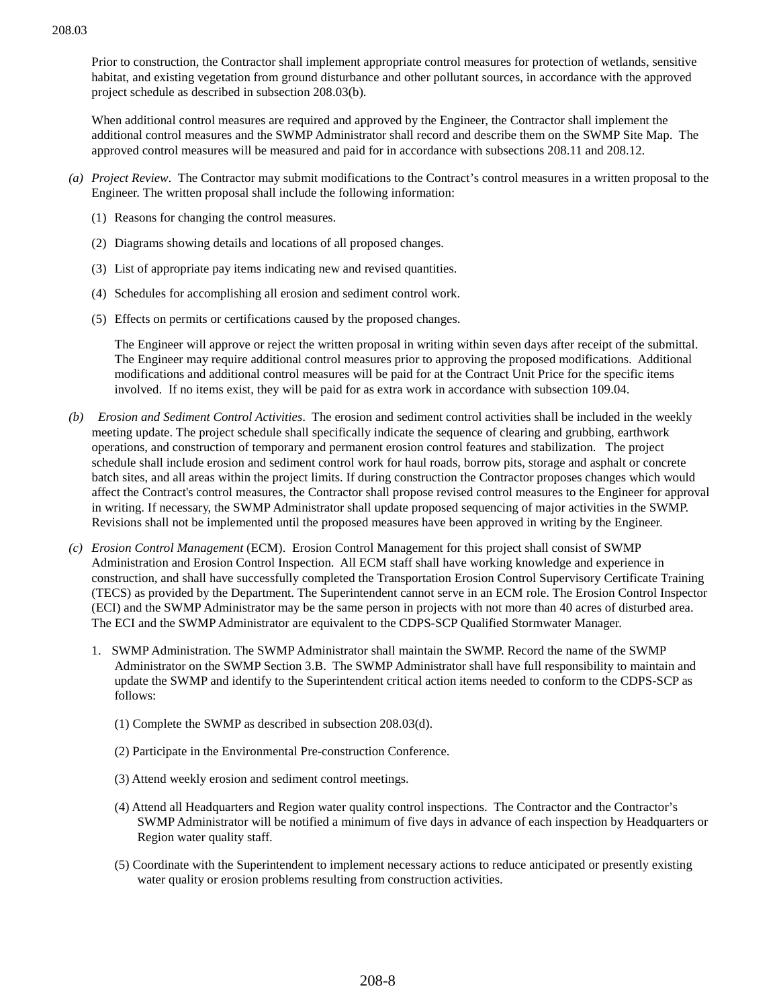Prior to construction, the Contractor shall implement appropriate control measures for protection of wetlands, sensitive habitat, and existing vegetation from ground disturbance and other pollutant sources, in accordance with the approved project schedule as described in subsection 208.03(b).

When additional control measures are required and approved by the Engineer, the Contractor shall implement the additional control measures and the SWMP Administrator shall record and describe them on the SWMP Site Map. The approved control measures will be measured and paid for in accordance with subsections 208.11 and 208.12.

- *(a) Project Review*. The Contractor may submit modifications to the Contract's control measures in a written proposal to the Engineer. The written proposal shall include the following information:
	- (1) Reasons for changing the control measures.
	- (2) Diagrams showing details and locations of all proposed changes.
	- (3) List of appropriate pay items indicating new and revised quantities.
	- (4) Schedules for accomplishing all erosion and sediment control work.
	- (5) Effects on permits or certifications caused by the proposed changes.

The Engineer will approve or reject the written proposal in writing within seven days after receipt of the submittal. The Engineer may require additional control measures prior to approving the proposed modifications. Additional modifications and additional control measures will be paid for at the Contract Unit Price for the specific items involved. If no items exist, they will be paid for as extra work in accordance with subsection 109.04.

- *(b) Erosion and Sediment Control Activities*. The erosion and sediment control activities shall be included in the weekly meeting update. The project schedule shall specifically indicate the sequence of clearing and grubbing, earthwork operations, and construction of temporary and permanent erosion control features and stabilization. The project schedule shall include erosion and sediment control work for haul roads, borrow pits, storage and asphalt or concrete batch sites, and all areas within the project limits. If during construction the Contractor proposes changes which would affect the Contract's control measures, the Contractor shall propose revised control measures to the Engineer for approval in writing. If necessary, the SWMP Administrator shall update proposed sequencing of major activities in the SWMP. Revisions shall not be implemented until the proposed measures have been approved in writing by the Engineer.
- *(c) Erosion Control Management* (ECM). Erosion Control Management for this project shall consist of SWMP Administration and Erosion Control Inspection. All ECM staff shall have working knowledge and experience in construction, and shall have successfully completed the Transportation Erosion Control Supervisory Certificate Training (TECS) as provided by the Department. The Superintendent cannot serve in an ECM role. The Erosion Control Inspector (ECI) and the SWMP Administrator may be the same person in projects with not more than 40 acres of disturbed area. The ECI and the SWMP Administrator are equivalent to the CDPS-SCP Qualified Stormwater Manager.
	- 1. SWMP Administration. The SWMP Administrator shall maintain the SWMP. Record the name of the SWMP Administrator on the SWMP Section 3.B. The SWMP Administrator shall have full responsibility to maintain and update the SWMP and identify to the Superintendent critical action items needed to conform to the CDPS-SCP as follows:
		- (1) Complete the SWMP as described in subsection 208.03(d).
		- (2) Participate in the Environmental Pre-construction Conference.
		- (3) Attend weekly erosion and sediment control meetings.
		- (4) Attend all Headquarters and Region water quality control inspections. The Contractor and the Contractor's SWMP Administrator will be notified a minimum of five days in advance of each inspection by Headquarters or Region water quality staff.
		- (5) Coordinate with the Superintendent to implement necessary actions to reduce anticipated or presently existing water quality or erosion problems resulting from construction activities.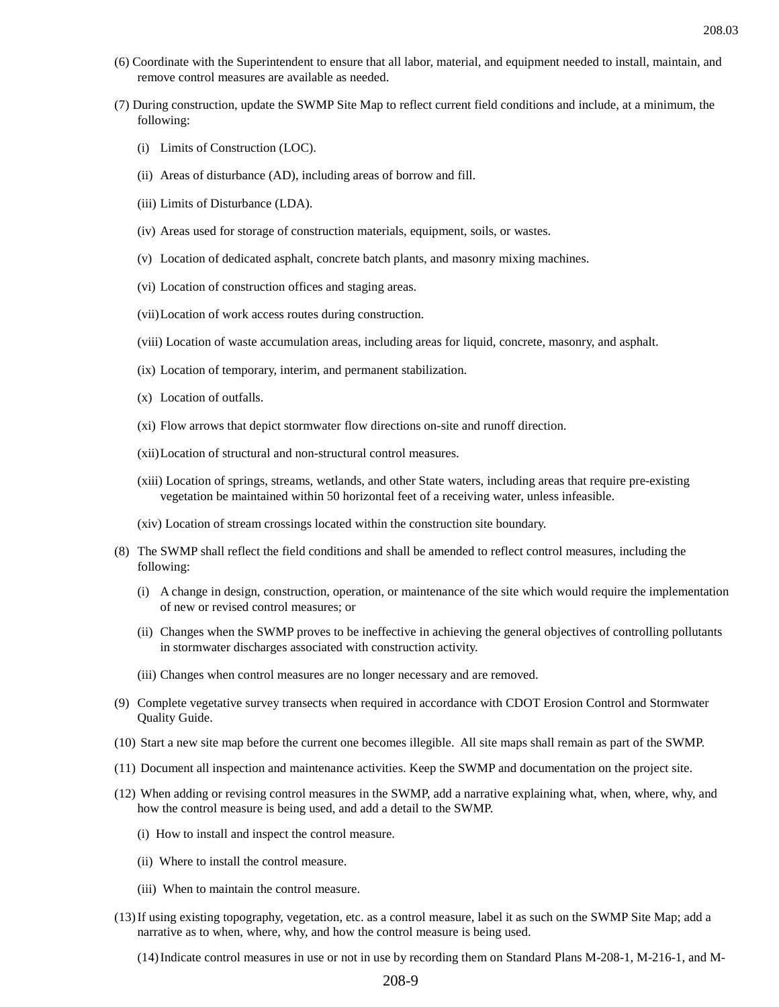- (6) Coordinate with the Superintendent to ensure that all labor, material, and equipment needed to install, maintain, and remove control measures are available as needed.
- (7) During construction, update the SWMP Site Map to reflect current field conditions and include, at a minimum, the following:
	- (i) Limits of Construction (LOC).
	- (ii) Areas of disturbance (AD), including areas of borrow and fill.
	- (iii) Limits of Disturbance (LDA).
	- (iv) Areas used for storage of construction materials, equipment, soils, or wastes.
	- (v) Location of dedicated asphalt, concrete batch plants, and masonry mixing machines.
	- (vi) Location of construction offices and staging areas.
	- (vii)Location of work access routes during construction.
	- (viii) Location of waste accumulation areas, including areas for liquid, concrete, masonry, and asphalt.
	- (ix) Location of temporary, interim, and permanent stabilization.
	- (x) Location of outfalls.
	- (xi) Flow arrows that depict stormwater flow directions on-site and runoff direction.
	- (xii)Location of structural and non-structural control measures.
	- (xiii) Location of springs, streams, wetlands, and other State waters, including areas that require pre-existing vegetation be maintained within 50 horizontal feet of a receiving water, unless infeasible.
	- (xiv) Location of stream crossings located within the construction site boundary.
- (8) The SWMP shall reflect the field conditions and shall be amended to reflect control measures, including the following:
	- (i) A change in design, construction, operation, or maintenance of the site which would require the implementation of new or revised control measures; or
	- (ii) Changes when the SWMP proves to be ineffective in achieving the general objectives of controlling pollutants in stormwater discharges associated with construction activity.
	- (iii) Changes when control measures are no longer necessary and are removed.
- (9) Complete vegetative survey transects when required in accordance with CDOT Erosion Control and Stormwater Quality Guide.
- (10) Start a new site map before the current one becomes illegible. All site maps shall remain as part of the SWMP.
- (11) Document all inspection and maintenance activities. Keep the SWMP and documentation on the project site.
- (12) When adding or revising control measures in the SWMP, add a narrative explaining what, when, where, why, and how the control measure is being used, and add a detail to the SWMP.
	- (i) How to install and inspect the control measure.
	- (ii) Where to install the control measure.
	- (iii) When to maintain the control measure.
- (13)If using existing topography, vegetation, etc. as a control measure, label it as such on the SWMP Site Map; add a narrative as to when, where, why, and how the control measure is being used.
	- (14)Indicate control measures in use or not in use by recording them on Standard Plans M-208-1, M-216-1, and M-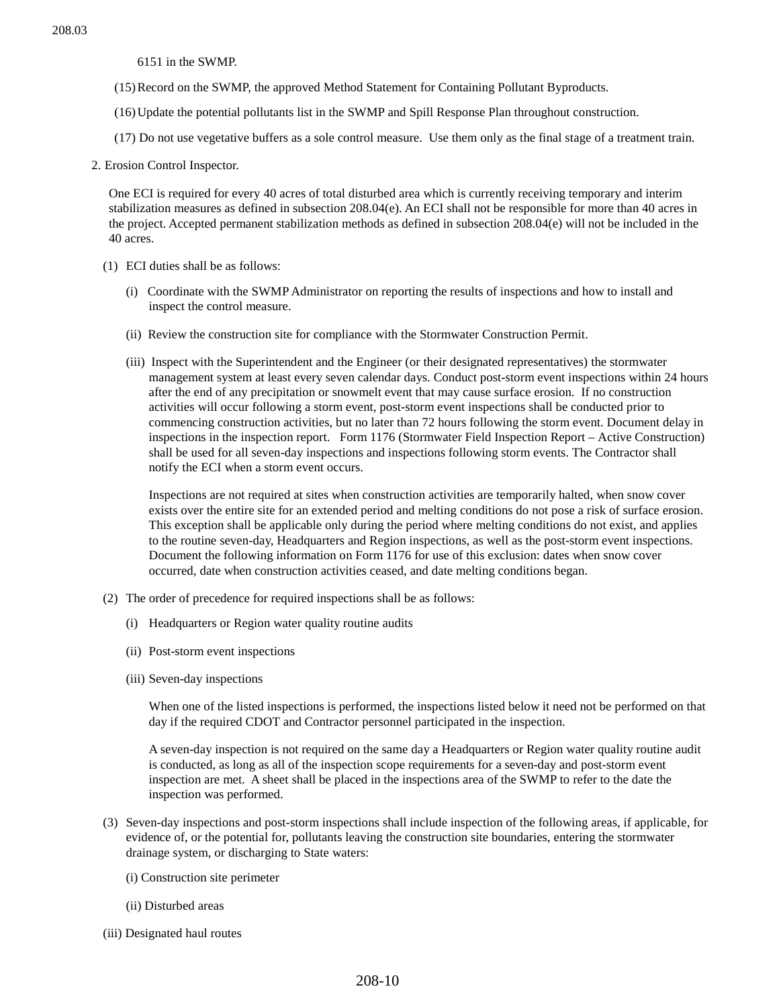- 6151 in the SWMP.
- (15)Record on the SWMP, the approved Method Statement for Containing Pollutant Byproducts.
- (16)Update the potential pollutants list in the SWMP and Spill Response Plan throughout construction.
- (17) Do not use vegetative buffers as a sole control measure. Use them only as the final stage of a treatment train.
- 2. Erosion Control Inspector.

One ECI is required for every 40 acres of total disturbed area which is currently receiving temporary and interim stabilization measures as defined in subsection 208.04(e). An ECI shall not be responsible for more than 40 acres in the project. Accepted permanent stabilization methods as defined in subsection 208.04(e) will not be included in the 40 acres.

- (1) ECI duties shall be as follows:
	- (i) Coordinate with the SWMP Administrator on reporting the results of inspections and how to install and inspect the control measure.
	- (ii) Review the construction site for compliance with the Stormwater Construction Permit.
	- (iii) Inspect with the Superintendent and the Engineer (or their designated representatives) the stormwater management system at least every seven calendar days. Conduct post-storm event inspections within 24 hours after the end of any precipitation or snowmelt event that may cause surface erosion. If no construction activities will occur following a storm event, post-storm event inspections shall be conducted prior to commencing construction activities, but no later than 72 hours following the storm event. Document delay in inspections in the inspection report. Form 1176 (Stormwater Field Inspection Report – Active Construction) shall be used for all seven-day inspections and inspections following storm events. The Contractor shall notify the ECI when a storm event occurs.

Inspections are not required at sites when construction activities are temporarily halted, when snow cover exists over the entire site for an extended period and melting conditions do not pose a risk of surface erosion. This exception shall be applicable only during the period where melting conditions do not exist, and applies to the routine seven-day, Headquarters and Region inspections, as well as the post-storm event inspections. Document the following information on Form 1176 for use of this exclusion: dates when snow cover occurred, date when construction activities ceased, and date melting conditions began.

- (2) The order of precedence for required inspections shall be as follows:
	- (i) Headquarters or Region water quality routine audits
	- (ii) Post-storm event inspections
	- (iii) Seven-day inspections

When one of the listed inspections is performed, the inspections listed below it need not be performed on that day if the required CDOT and Contractor personnel participated in the inspection.

A seven-day inspection is not required on the same day a Headquarters or Region water quality routine audit is conducted, as long as all of the inspection scope requirements for a seven-day and post-storm event inspection are met. A sheet shall be placed in the inspections area of the SWMP to refer to the date the inspection was performed.

- (3) Seven-day inspections and post-storm inspections shall include inspection of the following areas, if applicable, for evidence of, or the potential for, pollutants leaving the construction site boundaries, entering the stormwater drainage system, or discharging to State waters:
	- (i) Construction site perimeter
	- (ii) Disturbed areas
- (iii) Designated haul routes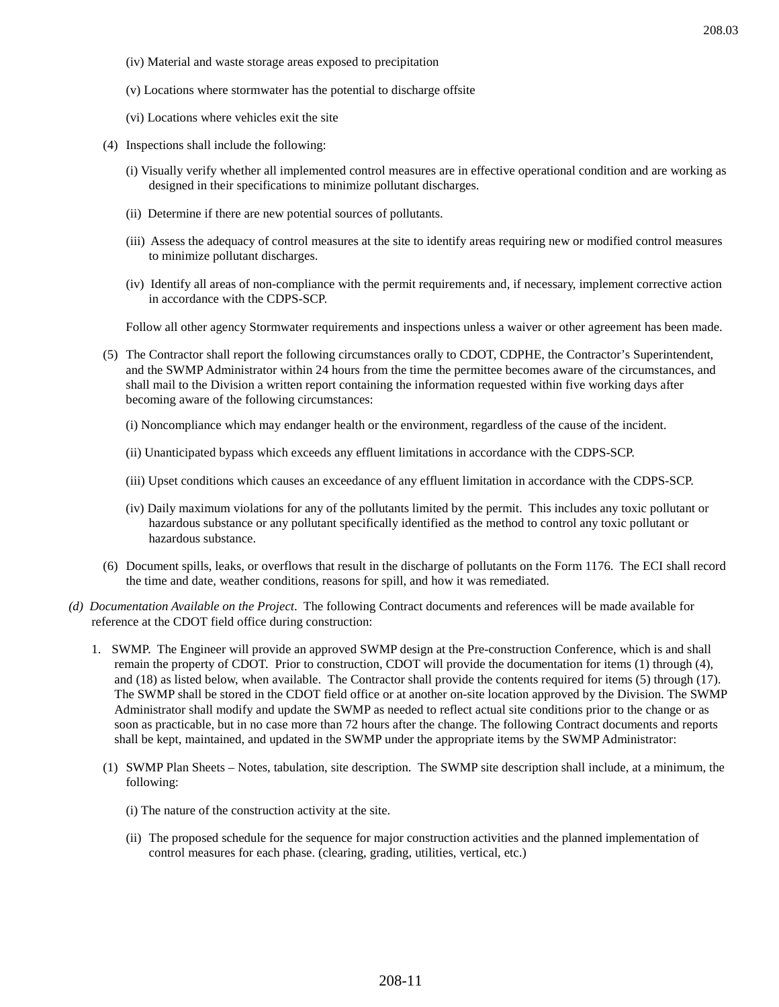- (iv) Material and waste storage areas exposed to precipitation
- (v) Locations where stormwater has the potential to discharge offsite
- (vi) Locations where vehicles exit the site
- (4) Inspections shall include the following:
	- (i) Visually verify whether all implemented control measures are in effective operational condition and are working as designed in their specifications to minimize pollutant discharges.
	- (ii) Determine if there are new potential sources of pollutants.
	- (iii) Assess the adequacy of control measures at the site to identify areas requiring new or modified control measures to minimize pollutant discharges.
	- (iv) Identify all areas of non-compliance with the permit requirements and, if necessary, implement corrective action in accordance with the CDPS-SCP.

Follow all other agency Stormwater requirements and inspections unless a waiver or other agreement has been made.

- (5) The Contractor shall report the following circumstances orally to CDOT, CDPHE, the Contractor's Superintendent, and the SWMP Administrator within 24 hours from the time the permittee becomes aware of the circumstances, and shall mail to the Division a written report containing the information requested within five working days after becoming aware of the following circumstances:
	- (i) Noncompliance which may endanger health or the environment, regardless of the cause of the incident.
	- (ii) Unanticipated bypass which exceeds any effluent limitations in accordance with the CDPS-SCP.
	- (iii) Upset conditions which causes an exceedance of any effluent limitation in accordance with the CDPS-SCP.
	- (iv) Daily maximum violations for any of the pollutants limited by the permit. This includes any toxic pollutant or hazardous substance or any pollutant specifically identified as the method to control any toxic pollutant or hazardous substance.
- (6) Document spills, leaks, or overflows that result in the discharge of pollutants on the Form 1176. The ECI shall record the time and date, weather conditions, reasons for spill, and how it was remediated.
- *(d) Documentation Available on the Project*. The following Contract documents and references will be made available for reference at the CDOT field office during construction:
	- 1. SWMP. The Engineer will provide an approved SWMP design at the Pre-construction Conference, which is and shall remain the property of CDOT. Prior to construction, CDOT will provide the documentation for items (1) through (4), and (18) as listed below, when available. The Contractor shall provide the contents required for items (5) through (17). The SWMP shall be stored in the CDOT field office or at another on-site location approved by the Division. The SWMP Administrator shall modify and update the SWMP as needed to reflect actual site conditions prior to the change or as soon as practicable, but in no case more than 72 hours after the change. The following Contract documents and reports shall be kept, maintained, and updated in the SWMP under the appropriate items by the SWMP Administrator:
		- (1) SWMP Plan Sheets Notes, tabulation, site description. The SWMP site description shall include, at a minimum, the following:
			- (i) The nature of the construction activity at the site.
			- (ii) The proposed schedule for the sequence for major construction activities and the planned implementation of control measures for each phase. (clearing, grading, utilities, vertical, etc.)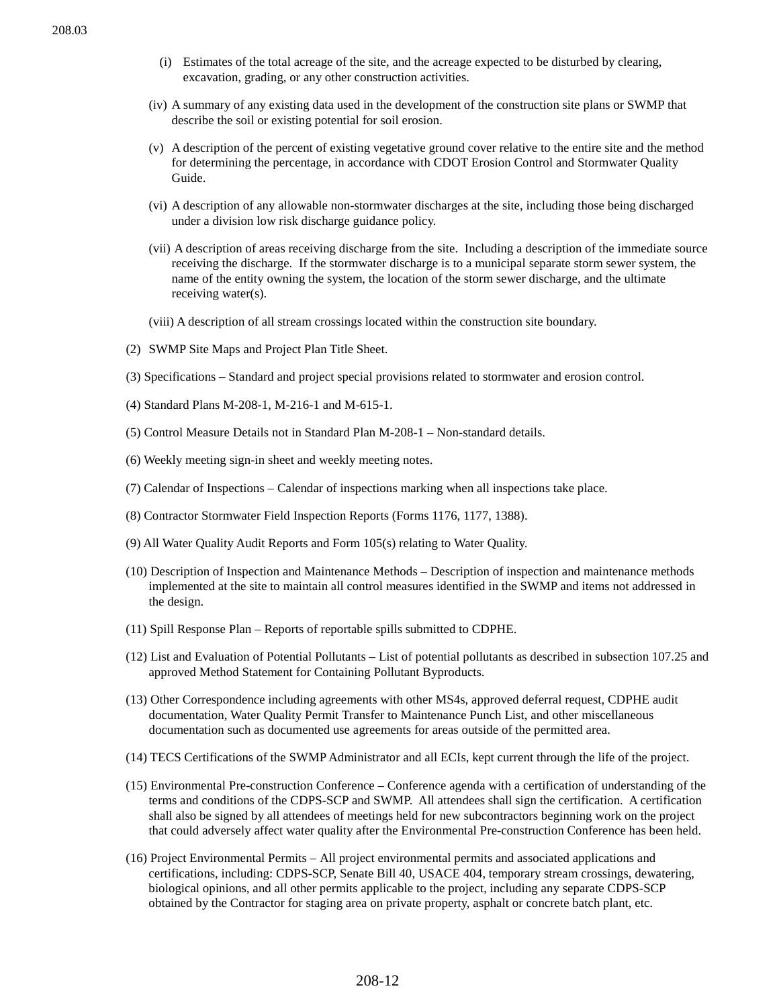- (i) Estimates of the total acreage of the site, and the acreage expected to be disturbed by clearing, excavation, grading, or any other construction activities.
- (iv) A summary of any existing data used in the development of the construction site plans or SWMP that describe the soil or existing potential for soil erosion.
- (v) A description of the percent of existing vegetative ground cover relative to the entire site and the method for determining the percentage, in accordance with CDOT Erosion Control and Stormwater Quality Guide.
- (vi) A description of any allowable non-stormwater discharges at the site, including those being discharged under a division low risk discharge guidance policy.
- (vii) A description of areas receiving discharge from the site. Including a description of the immediate source receiving the discharge. If the stormwater discharge is to a municipal separate storm sewer system, the name of the entity owning the system, the location of the storm sewer discharge, and the ultimate receiving water(s).
- (viii) A description of all stream crossings located within the construction site boundary.
- (2) SWMP Site Maps and Project Plan Title Sheet.
- (3) Specifications Standard and project special provisions related to stormwater and erosion control.
- (4) Standard Plans M-208-1, M-216-1 and M-615-1.
- (5) Control Measure Details not in Standard Plan M-208-1 Non-standard details.
- (6) Weekly meeting sign-in sheet and weekly meeting notes.
- (7) Calendar of Inspections Calendar of inspections marking when all inspections take place.
- (8) Contractor Stormwater Field Inspection Reports (Forms 1176, 1177, 1388).
- (9) All Water Quality Audit Reports and Form 105(s) relating to Water Quality.
- (10) Description of Inspection and Maintenance Methods Description of inspection and maintenance methods implemented at the site to maintain all control measures identified in the SWMP and items not addressed in the design.
- (11) Spill Response Plan Reports of reportable spills submitted to CDPHE.
- (12) List and Evaluation of Potential Pollutants List of potential pollutants as described in subsection 107.25 and approved Method Statement for Containing Pollutant Byproducts.
- (13) Other Correspondence including agreements with other MS4s, approved deferral request, CDPHE audit documentation, Water Quality Permit Transfer to Maintenance Punch List, and other miscellaneous documentation such as documented use agreements for areas outside of the permitted area.
- (14) TECS Certifications of the SWMP Administrator and all ECIs, kept current through the life of the project.
- (15) Environmental Pre-construction Conference Conference agenda with a certification of understanding of the terms and conditions of the CDPS-SCP and SWMP. All attendees shall sign the certification. A certification shall also be signed by all attendees of meetings held for new subcontractors beginning work on the project that could adversely affect water quality after the Environmental Pre-construction Conference has been held.
- (16) Project Environmental Permits All project environmental permits and associated applications and certifications, including: CDPS-SCP, Senate Bill 40, USACE 404, temporary stream crossings, dewatering, biological opinions, and all other permits applicable to the project, including any separate CDPS-SCP obtained by the Contractor for staging area on private property, asphalt or concrete batch plant, etc.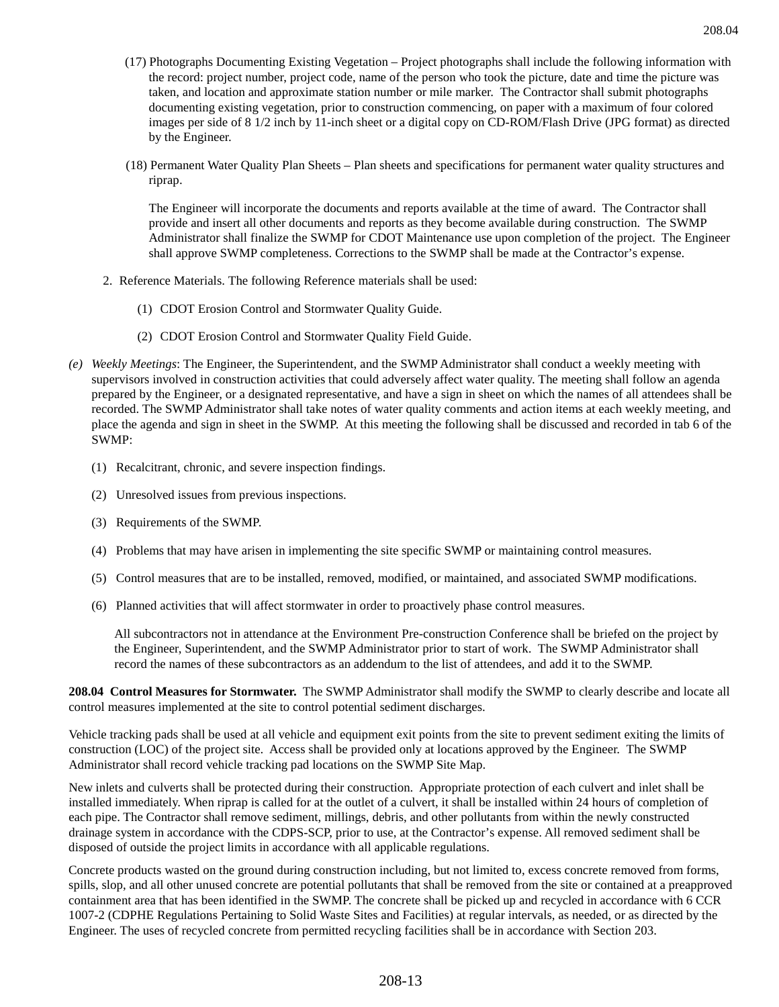- (17) Photographs Documenting Existing Vegetation Project photographs shall include the following information with the record: project number, project code, name of the person who took the picture, date and time the picture was taken, and location and approximate station number or mile marker. The Contractor shall submit photographs documenting existing vegetation, prior to construction commencing, on paper with a maximum of four colored images per side of 8 1/2 inch by 11-inch sheet or a digital copy on CD-ROM/Flash Drive (JPG format) as directed by the Engineer.
- (18) Permanent Water Quality Plan Sheets Plan sheets and specifications for permanent water quality structures and riprap.

The Engineer will incorporate the documents and reports available at the time of award. The Contractor shall provide and insert all other documents and reports as they become available during construction. The SWMP Administrator shall finalize the SWMP for CDOT Maintenance use upon completion of the project. The Engineer shall approve SWMP completeness. Corrections to the SWMP shall be made at the Contractor's expense.

- 2. Reference Materials. The following Reference materials shall be used:
	- (1) CDOT Erosion Control and Stormwater Quality Guide.
	- (2) CDOT Erosion Control and Stormwater Quality Field Guide.
- *(e) Weekly Meetings*: The Engineer, the Superintendent, and the SWMP Administrator shall conduct a weekly meeting with supervisors involved in construction activities that could adversely affect water quality. The meeting shall follow an agenda prepared by the Engineer, or a designated representative, and have a sign in sheet on which the names of all attendees shall be recorded. The SWMP Administrator shall take notes of water quality comments and action items at each weekly meeting, and place the agenda and sign in sheet in the SWMP. At this meeting the following shall be discussed and recorded in tab 6 of the SWMP:
	- (1) Recalcitrant, chronic, and severe inspection findings.
	- (2) Unresolved issues from previous inspections.
	- (3) Requirements of the SWMP.
	- (4) Problems that may have arisen in implementing the site specific SWMP or maintaining control measures.
	- (5) Control measures that are to be installed, removed, modified, or maintained, and associated SWMP modifications.
	- (6) Planned activities that will affect stormwater in order to proactively phase control measures.

All subcontractors not in attendance at the Environment Pre-construction Conference shall be briefed on the project by the Engineer, Superintendent, and the SWMP Administrator prior to start of work. The SWMP Administrator shall record the names of these subcontractors as an addendum to the list of attendees, and add it to the SWMP.

**208.04 Control Measures for Stormwater.** The SWMP Administrator shall modify the SWMP to clearly describe and locate all control measures implemented at the site to control potential sediment discharges.

Vehicle tracking pads shall be used at all vehicle and equipment exit points from the site to prevent sediment exiting the limits of construction (LOC) of the project site. Access shall be provided only at locations approved by the Engineer. The SWMP Administrator shall record vehicle tracking pad locations on the SWMP Site Map.

New inlets and culverts shall be protected during their construction. Appropriate protection of each culvert and inlet shall be installed immediately. When riprap is called for at the outlet of a culvert, it shall be installed within 24 hours of completion of each pipe. The Contractor shall remove sediment, millings, debris, and other pollutants from within the newly constructed drainage system in accordance with the CDPS-SCP, prior to use, at the Contractor's expense. All removed sediment shall be disposed of outside the project limits in accordance with all applicable regulations.

Concrete products wasted on the ground during construction including, but not limited to, excess concrete removed from forms, spills, slop, and all other unused concrete are potential pollutants that shall be removed from the site or contained at a preapproved containment area that has been identified in the SWMP. The concrete shall be picked up and recycled in accordance with 6 CCR 1007-2 (CDPHE Regulations Pertaining to Solid Waste Sites and Facilities) at regular intervals, as needed, or as directed by the Engineer. The uses of recycled concrete from permitted recycling facilities shall be in accordance with Section 203.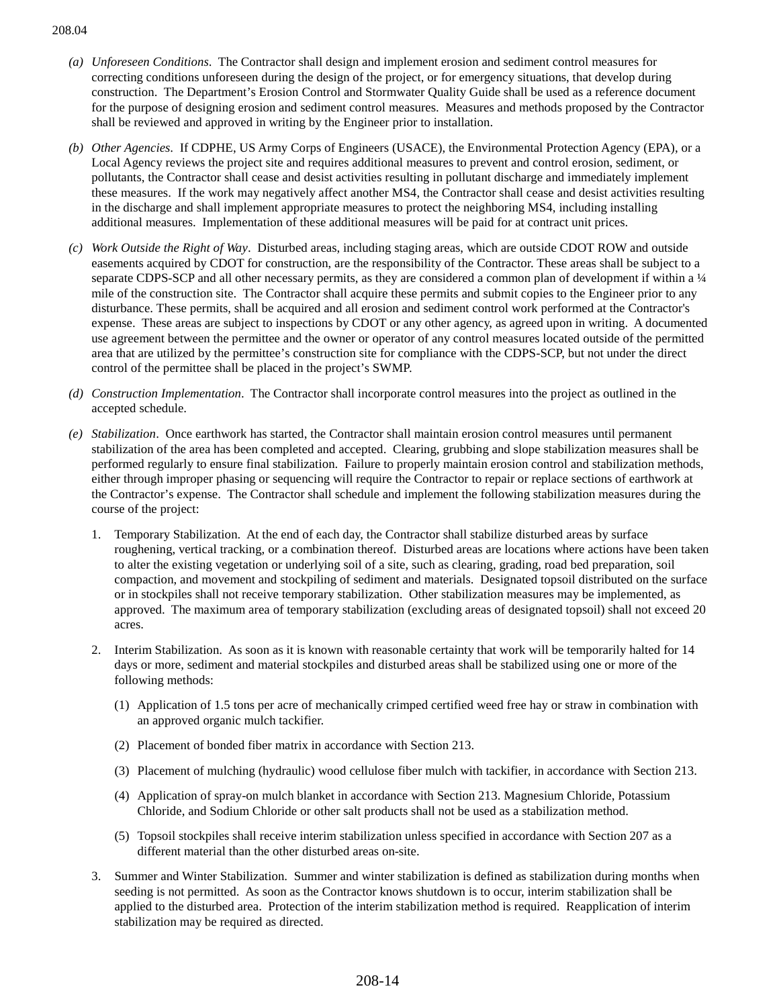- 208.04
	- *(a) Unforeseen Conditions*. The Contractor shall design and implement erosion and sediment control measures for correcting conditions unforeseen during the design of the project, or for emergency situations, that develop during construction. The Department's Erosion Control and Stormwater Quality Guide shall be used as a reference document for the purpose of designing erosion and sediment control measures. Measures and methods proposed by the Contractor shall be reviewed and approved in writing by the Engineer prior to installation.
	- *(b) Other Agencies*. If CDPHE, US Army Corps of Engineers (USACE), the Environmental Protection Agency (EPA), or a Local Agency reviews the project site and requires additional measures to prevent and control erosion, sediment, or pollutants, the Contractor shall cease and desist activities resulting in pollutant discharge and immediately implement these measures. If the work may negatively affect another MS4, the Contractor shall cease and desist activities resulting in the discharge and shall implement appropriate measures to protect the neighboring MS4, including installing additional measures. Implementation of these additional measures will be paid for at contract unit prices.
	- *(c) Work Outside the Right of Way*. Disturbed areas, including staging areas, which are outside CDOT ROW and outside easements acquired by CDOT for construction, are the responsibility of the Contractor. These areas shall be subject to a separate CDPS-SCP and all other necessary permits, as they are considered a common plan of development if within a 1/4 mile of the construction site. The Contractor shall acquire these permits and submit copies to the Engineer prior to any disturbance. These permits, shall be acquired and all erosion and sediment control work performed at the Contractor's expense. These areas are subject to inspections by CDOT or any other agency, as agreed upon in writing. A documented use agreement between the permittee and the owner or operator of any control measures located outside of the permitted area that are utilized by the permittee's construction site for compliance with the CDPS-SCP, but not under the direct control of the permittee shall be placed in the project's SWMP.
	- *(d) Construction Implementation*. The Contractor shall incorporate control measures into the project as outlined in the accepted schedule.
	- *(e) Stabilization*. Once earthwork has started, the Contractor shall maintain erosion control measures until permanent stabilization of the area has been completed and accepted. Clearing, grubbing and slope stabilization measures shall be performed regularly to ensure final stabilization. Failure to properly maintain erosion control and stabilization methods, either through improper phasing or sequencing will require the Contractor to repair or replace sections of earthwork at the Contractor's expense. The Contractor shall schedule and implement the following stabilization measures during the course of the project:
		- 1. Temporary Stabilization. At the end of each day, the Contractor shall stabilize disturbed areas by surface roughening, vertical tracking, or a combination thereof. Disturbed areas are locations where actions have been taken to alter the existing vegetation or underlying soil of a site, such as clearing, grading, road bed preparation, soil compaction, and movement and stockpiling of sediment and materials. Designated topsoil distributed on the surface or in stockpiles shall not receive temporary stabilization. Other stabilization measures may be implemented, as approved. The maximum area of temporary stabilization (excluding areas of designated topsoil) shall not exceed 20 acres.
		- 2. Interim Stabilization. As soon as it is known with reasonable certainty that work will be temporarily halted for 14 days or more, sediment and material stockpiles and disturbed areas shall be stabilized using one or more of the following methods:
			- (1) Application of 1.5 tons per acre of mechanically crimped certified weed free hay or straw in combination with an approved organic mulch tackifier.
			- (2) Placement of bonded fiber matrix in accordance with Section 213.
			- (3) Placement of mulching (hydraulic) wood cellulose fiber mulch with tackifier, in accordance with Section 213.
			- (4) Application of spray-on mulch blanket in accordance with Section 213. Magnesium Chloride, Potassium Chloride, and Sodium Chloride or other salt products shall not be used as a stabilization method.
			- (5) Topsoil stockpiles shall receive interim stabilization unless specified in accordance with Section 207 as a different material than the other disturbed areas on-site.
		- 3. Summer and Winter Stabilization. Summer and winter stabilization is defined as stabilization during months when seeding is not permitted. As soon as the Contractor knows shutdown is to occur, interim stabilization shall be applied to the disturbed area. Protection of the interim stabilization method is required. Reapplication of interim stabilization may be required as directed.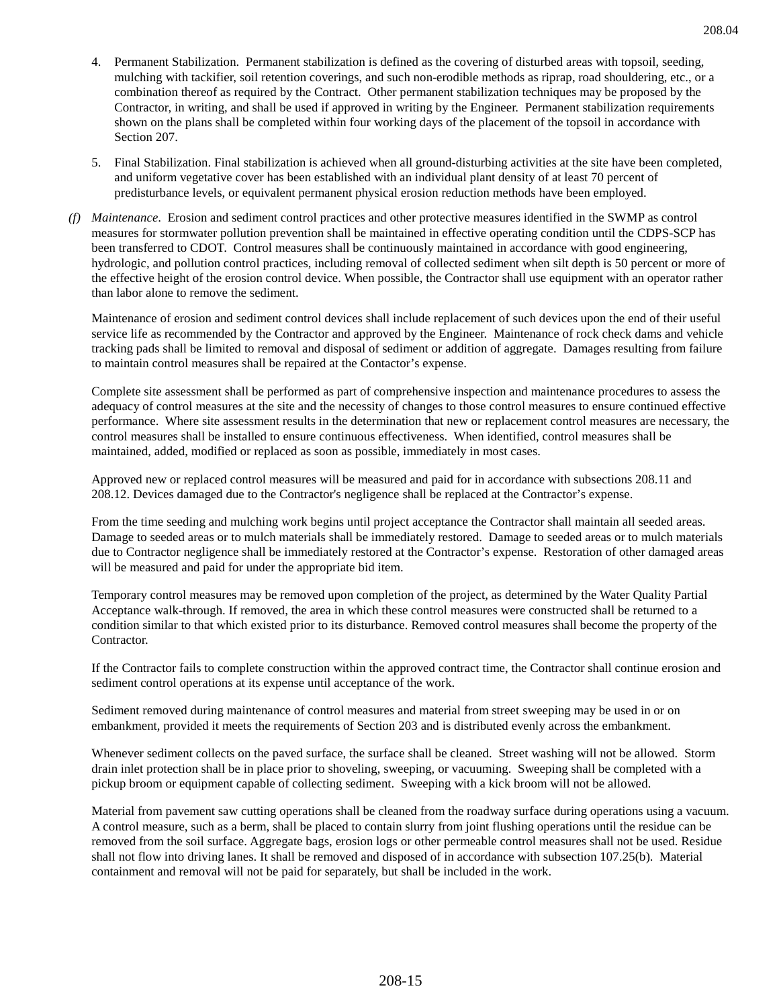- 4. Permanent Stabilization. Permanent stabilization is defined as the covering of disturbed areas with topsoil, seeding, mulching with tackifier, soil retention coverings, and such non-erodible methods as riprap, road shouldering, etc., or a combination thereof as required by the Contract. Other permanent stabilization techniques may be proposed by the Contractor, in writing, and shall be used if approved in writing by the Engineer. Permanent stabilization requirements shown on the plans shall be completed within four working days of the placement of the topsoil in accordance with Section 207.
- 5. Final Stabilization. Final stabilization is achieved when all ground-disturbing activities at the site have been completed, and uniform vegetative cover has been established with an individual plant density of at least 70 percent of predisturbance levels, or equivalent permanent physical erosion reduction methods have been employed.
- *(f) Maintenance*. Erosion and sediment control practices and other protective measures identified in the SWMP as control measures for stormwater pollution prevention shall be maintained in effective operating condition until the CDPS-SCP has been transferred to CDOT. Control measures shall be continuously maintained in accordance with good engineering, hydrologic, and pollution control practices, including removal of collected sediment when silt depth is 50 percent or more of the effective height of the erosion control device. When possible, the Contractor shall use equipment with an operator rather than labor alone to remove the sediment.

Maintenance of erosion and sediment control devices shall include replacement of such devices upon the end of their useful service life as recommended by the Contractor and approved by the Engineer. Maintenance of rock check dams and vehicle tracking pads shall be limited to removal and disposal of sediment or addition of aggregate. Damages resulting from failure to maintain control measures shall be repaired at the Contactor's expense.

Complete site assessment shall be performed as part of comprehensive inspection and maintenance procedures to assess the adequacy of control measures at the site and the necessity of changes to those control measures to ensure continued effective performance. Where site assessment results in the determination that new or replacement control measures are necessary, the control measures shall be installed to ensure continuous effectiveness. When identified, control measures shall be maintained, added, modified or replaced as soon as possible, immediately in most cases.

Approved new or replaced control measures will be measured and paid for in accordance with subsections 208.11 and 208.12. Devices damaged due to the Contractor's negligence shall be replaced at the Contractor's expense.

From the time seeding and mulching work begins until project acceptance the Contractor shall maintain all seeded areas. Damage to seeded areas or to mulch materials shall be immediately restored. Damage to seeded areas or to mulch materials due to Contractor negligence shall be immediately restored at the Contractor's expense. Restoration of other damaged areas will be measured and paid for under the appropriate bid item.

Temporary control measures may be removed upon completion of the project, as determined by the Water Quality Partial Acceptance walk-through. If removed, the area in which these control measures were constructed shall be returned to a condition similar to that which existed prior to its disturbance. Removed control measures shall become the property of the Contractor.

If the Contractor fails to complete construction within the approved contract time, the Contractor shall continue erosion and sediment control operations at its expense until acceptance of the work.

Sediment removed during maintenance of control measures and material from street sweeping may be used in or on embankment, provided it meets the requirements of Section 203 and is distributed evenly across the embankment.

Whenever sediment collects on the paved surface, the surface shall be cleaned. Street washing will not be allowed. Storm drain inlet protection shall be in place prior to shoveling, sweeping, or vacuuming. Sweeping shall be completed with a pickup broom or equipment capable of collecting sediment. Sweeping with a kick broom will not be allowed.

Material from pavement saw cutting operations shall be cleaned from the roadway surface during operations using a vacuum. A control measure, such as a berm, shall be placed to contain slurry from joint flushing operations until the residue can be removed from the soil surface. Aggregate bags, erosion logs or other permeable control measures shall not be used. Residue shall not flow into driving lanes. It shall be removed and disposed of in accordance with subsection 107.25(b). Material containment and removal will not be paid for separately, but shall be included in the work.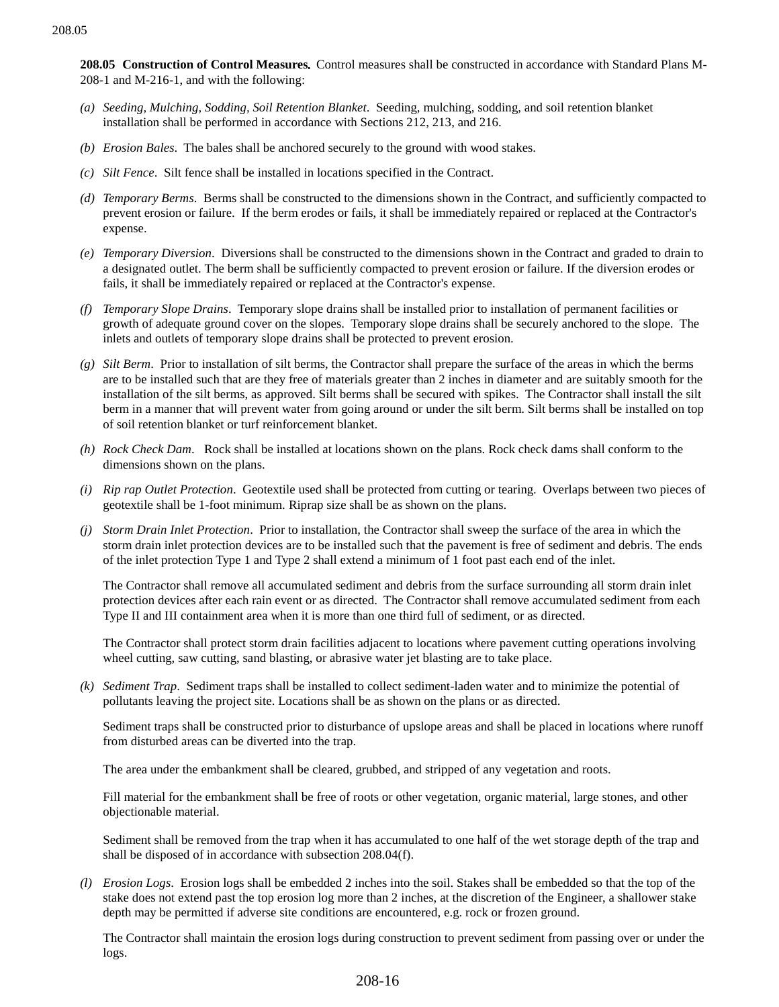**208.05 Construction of Control Measures** Control measures shall be constructed in accordance with Standard Plans M-208-1 and M-216-1, and with the following:

- *(a) Seeding, Mulching, Sodding, Soil Retention Blanket*. Seeding, mulching, sodding, and soil retention blanket installation shall be performed in accordance with Sections 212, 213, and 216.
- *(b) Erosion Bales*. The bales shall be anchored securely to the ground with wood stakes.
- *(c) Silt Fence*. Silt fence shall be installed in locations specified in the Contract.
- *(d) Temporary Berms*. Berms shall be constructed to the dimensions shown in the Contract, and sufficiently compacted to prevent erosion or failure. If the berm erodes or fails, it shall be immediately repaired or replaced at the Contractor's expense.
- *(e) Temporary Diversion*. Diversions shall be constructed to the dimensions shown in the Contract and graded to drain to a designated outlet. The berm shall be sufficiently compacted to prevent erosion or failure. If the diversion erodes or fails, it shall be immediately repaired or replaced at the Contractor's expense.
- *(f) Temporary Slope Drains*. Temporary slope drains shall be installed prior to installation of permanent facilities or growth of adequate ground cover on the slopes. Temporary slope drains shall be securely anchored to the slope. The inlets and outlets of temporary slope drains shall be protected to prevent erosion.
- *(g) Silt Berm*. Prior to installation of silt berms, the Contractor shall prepare the surface of the areas in which the berms are to be installed such that are they free of materials greater than 2 inches in diameter and are suitably smooth for the installation of the silt berms, as approved. Silt berms shall be secured with spikes. The Contractor shall install the silt berm in a manner that will prevent water from going around or under the silt berm. Silt berms shall be installed on top of soil retention blanket or turf reinforcement blanket.
- *(h) Rock Check Dam*. Rock shall be installed at locations shown on the plans. Rock check dams shall conform to the dimensions shown on the plans.
- *(i) Rip rap Outlet Protection*. Geotextile used shall be protected from cutting or tearing. Overlaps between two pieces of geotextile shall be 1-foot minimum. Riprap size shall be as shown on the plans.
- *(j) Storm Drain Inlet Protection*. Prior to installation, the Contractor shall sweep the surface of the area in which the storm drain inlet protection devices are to be installed such that the pavement is free of sediment and debris. The ends of the inlet protection Type 1 and Type 2 shall extend a minimum of 1 foot past each end of the inlet.

The Contractor shall remove all accumulated sediment and debris from the surface surrounding all storm drain inlet protection devices after each rain event or as directed. The Contractor shall remove accumulated sediment from each Type II and III containment area when it is more than one third full of sediment, or as directed.

The Contractor shall protect storm drain facilities adjacent to locations where pavement cutting operations involving wheel cutting, saw cutting, sand blasting, or abrasive water jet blasting are to take place.

*(k) Sediment Trap*. Sediment traps shall be installed to collect sediment-laden water and to minimize the potential of pollutants leaving the project site. Locations shall be as shown on the plans or as directed.

Sediment traps shall be constructed prior to disturbance of upslope areas and shall be placed in locations where runoff from disturbed areas can be diverted into the trap.

The area under the embankment shall be cleared, grubbed, and stripped of any vegetation and roots.

Fill material for the embankment shall be free of roots or other vegetation, organic material, large stones, and other objectionable material.

Sediment shall be removed from the trap when it has accumulated to one half of the wet storage depth of the trap and shall be disposed of in accordance with subsection 208.04(f).

*(l) Erosion Logs*. Erosion logs shall be embedded 2 inches into the soil. Stakes shall be embedded so that the top of the stake does not extend past the top erosion log more than 2 inches, at the discretion of the Engineer, a shallower stake depth may be permitted if adverse site conditions are encountered, e.g. rock or frozen ground.

The Contractor shall maintain the erosion logs during construction to prevent sediment from passing over or under the logs.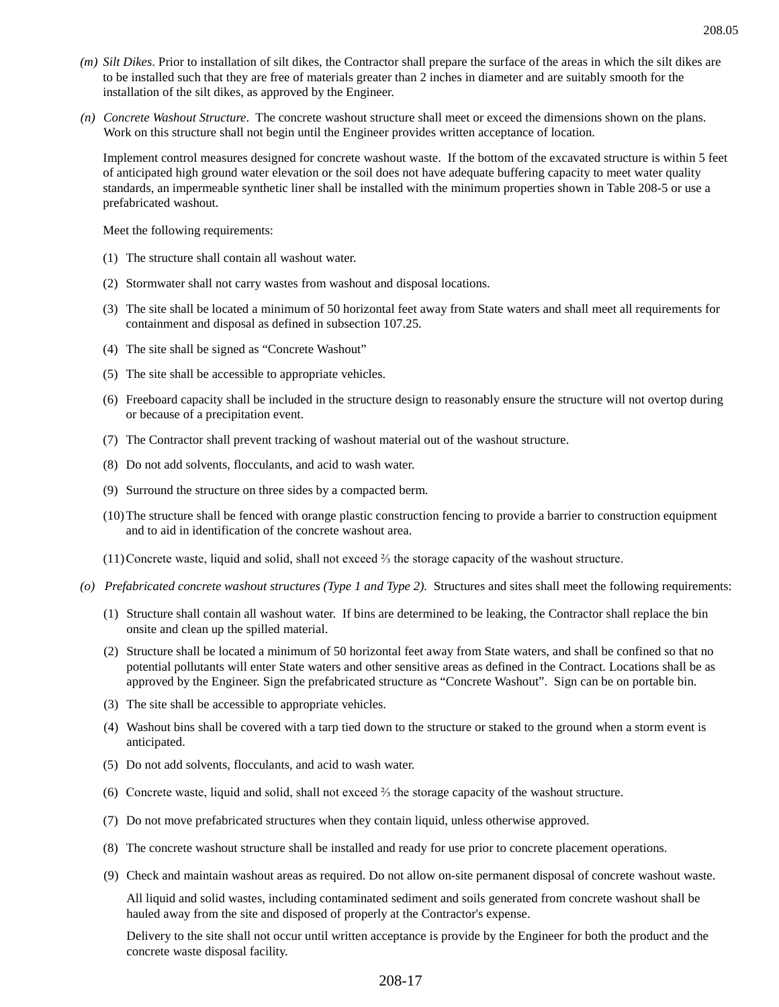- *(m) Silt Dikes*. Prior to installation of silt dikes, the Contractor shall prepare the surface of the areas in which the silt dikes are to be installed such that they are free of materials greater than 2 inches in diameter and are suitably smooth for the installation of the silt dikes, as approved by the Engineer.
- *(n) Concrete Washout Structure*. The concrete washout structure shall meet or exceed the dimensions shown on the plans. Work on this structure shall not begin until the Engineer provides written acceptance of location.

Implement control measures designed for concrete washout waste. If the bottom of the excavated structure is within 5 feet of anticipated high ground water elevation or the soil does not have adequate buffering capacity to meet water quality standards, an impermeable synthetic liner shall be installed with the minimum properties shown in Table 208-5 or use a prefabricated washout.

Meet the following requirements:

- (1) The structure shall contain all washout water.
- (2) Stormwater shall not carry wastes from washout and disposal locations.
- (3) The site shall be located a minimum of 50 horizontal feet away from State waters and shall meet all requirements for containment and disposal as defined in subsection 107.25.
- (4) The site shall be signed as "Concrete Washout"
- (5) The site shall be accessible to appropriate vehicles.
- (6) Freeboard capacity shall be included in the structure design to reasonably ensure the structure will not overtop during or because of a precipitation event.
- (7) The Contractor shall prevent tracking of washout material out of the washout structure.
- (8) Do not add solvents, flocculants, and acid to wash water.
- (9) Surround the structure on three sides by a compacted berm.
- (10)The structure shall be fenced with orange plastic construction fencing to provide a barrier to construction equipment and to aid in identification of the concrete washout area.
- (11)Concrete waste, liquid and solid, shall not exceed ⅔ the storage capacity of the washout structure.
- *(o) Prefabricated concrete washout structures (Type 1 and Type 2).* Structures and sites shall meet the following requirements:
	- (1) Structure shall contain all washout water. If bins are determined to be leaking, the Contractor shall replace the bin onsite and clean up the spilled material.
	- (2) Structure shall be located a minimum of 50 horizontal feet away from State waters, and shall be confined so that no potential pollutants will enter State waters and other sensitive areas as defined in the Contract. Locations shall be as approved by the Engineer. Sign the prefabricated structure as "Concrete Washout". Sign can be on portable bin.
	- (3) The site shall be accessible to appropriate vehicles.
	- (4) Washout bins shall be covered with a tarp tied down to the structure or staked to the ground when a storm event is anticipated.
	- (5) Do not add solvents, flocculants, and acid to wash water.
	- (6) Concrete waste, liquid and solid, shall not exceed ⅔ the storage capacity of the washout structure.
	- (7) Do not move prefabricated structures when they contain liquid, unless otherwise approved.
	- (8) The concrete washout structure shall be installed and ready for use prior to concrete placement operations.
	- (9) Check and maintain washout areas as required. Do not allow on-site permanent disposal of concrete washout waste.

All liquid and solid wastes, including contaminated sediment and soils generated from concrete washout shall be hauled away from the site and disposed of properly at the Contractor's expense.

Delivery to the site shall not occur until written acceptance is provide by the Engineer for both the product and the concrete waste disposal facility.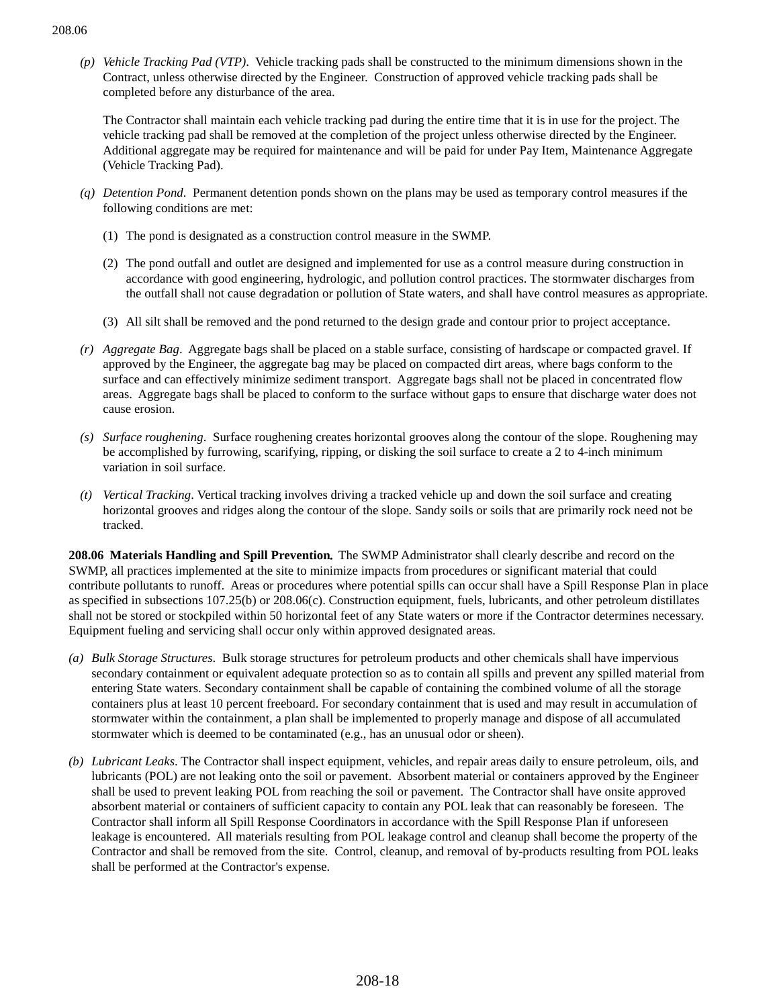*(p) Vehicle Tracking Pad (VTP)*. Vehicle tracking pads shall be constructed to the minimum dimensions shown in the Contract, unless otherwise directed by the Engineer. Construction of approved vehicle tracking pads shall be completed before any disturbance of the area.

The Contractor shall maintain each vehicle tracking pad during the entire time that it is in use for the project. The vehicle tracking pad shall be removed at the completion of the project unless otherwise directed by the Engineer. Additional aggregate may be required for maintenance and will be paid for under Pay Item, Maintenance Aggregate (Vehicle Tracking Pad).

- *(q) Detention Pond*. Permanent detention ponds shown on the plans may be used as temporary control measures if the following conditions are met:
	- (1) The pond is designated as a construction control measure in the SWMP.
	- (2) The pond outfall and outlet are designed and implemented for use as a control measure during construction in accordance with good engineering, hydrologic, and pollution control practices. The stormwater discharges from the outfall shall not cause degradation or pollution of State waters, and shall have control measures as appropriate.
	- (3) All silt shall be removed and the pond returned to the design grade and contour prior to project acceptance.
- *(r) Aggregate Bag*. Aggregate bags shall be placed on a stable surface, consisting of hardscape or compacted gravel. If approved by the Engineer, the aggregate bag may be placed on compacted dirt areas, where bags conform to the surface and can effectively minimize sediment transport. Aggregate bags shall not be placed in concentrated flow areas. Aggregate bags shall be placed to conform to the surface without gaps to ensure that discharge water does not cause erosion.
- *(s) Surface roughening*. Surface roughening creates horizontal grooves along the contour of the slope. Roughening may be accomplished by furrowing, scarifying, ripping, or disking the soil surface to create a 2 to 4-inch minimum variation in soil surface.
- *(t) Vertical Tracking*. Vertical tracking involves driving a tracked vehicle up and down the soil surface and creating horizontal grooves and ridges along the contour of the slope. Sandy soils or soils that are primarily rock need not be tracked.

**208.06 Materials Handling and Spill Prevention** The SWMP Administrator shall clearly describe and record on the SWMP, all practices implemented at the site to minimize impacts from procedures or significant material that could contribute pollutants to runoff. Areas or procedures where potential spills can occur shall have a Spill Response Plan in place as specified in subsections 107.25(b) or 208.06(c). Construction equipment, fuels, lubricants, and other petroleum distillates shall not be stored or stockpiled within 50 horizontal feet of any State waters or more if the Contractor determines necessary. Equipment fueling and servicing shall occur only within approved designated areas.

- *(a) Bulk Storage Structures*. Bulk storage structures for petroleum products and other chemicals shall have impervious secondary containment or equivalent adequate protection so as to contain all spills and prevent any spilled material from entering State waters. Secondary containment shall be capable of containing the combined volume of all the storage containers plus at least 10 percent freeboard. For secondary containment that is used and may result in accumulation of stormwater within the containment, a plan shall be implemented to properly manage and dispose of all accumulated stormwater which is deemed to be contaminated (e.g., has an unusual odor or sheen).
- *(b) Lubricant Leaks*. The Contractor shall inspect equipment, vehicles, and repair areas daily to ensure petroleum, oils, and lubricants (POL) are not leaking onto the soil or pavement. Absorbent material or containers approved by the Engineer shall be used to prevent leaking POL from reaching the soil or pavement. The Contractor shall have onsite approved absorbent material or containers of sufficient capacity to contain any POL leak that can reasonably be foreseen. The Contractor shall inform all Spill Response Coordinators in accordance with the Spill Response Plan if unforeseen leakage is encountered. All materials resulting from POL leakage control and cleanup shall become the property of the Contractor and shall be removed from the site. Control, cleanup, and removal of by-products resulting from POL leaks shall be performed at the Contractor's expense.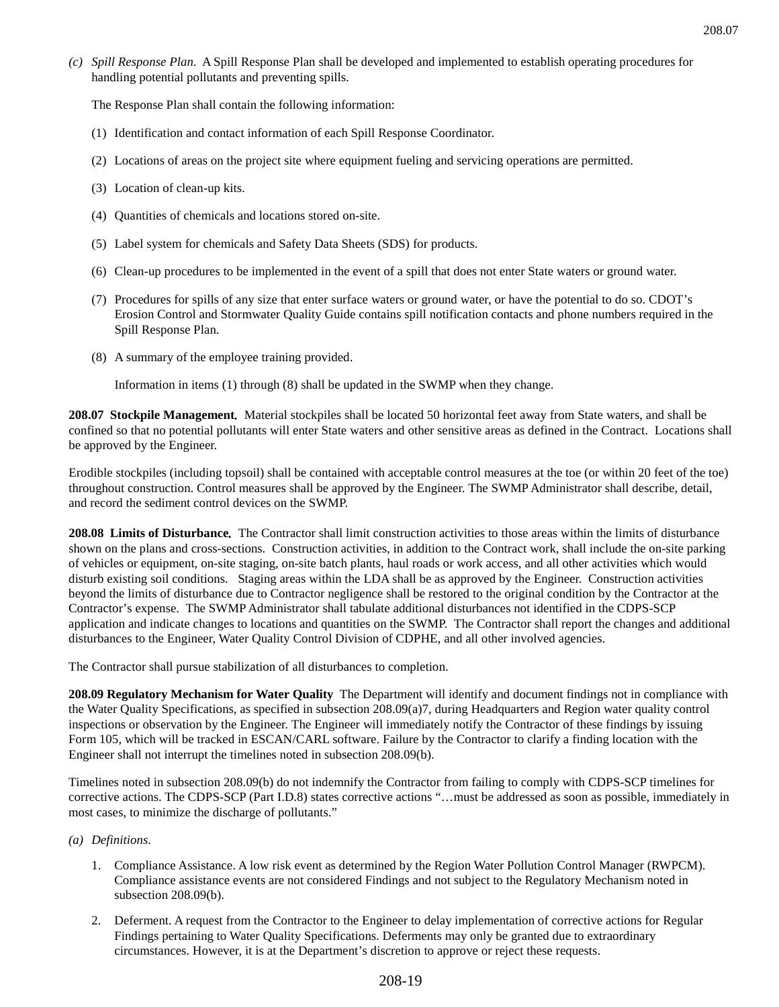*(c) Spill Response Plan*. A Spill Response Plan shall be developed and implemented to establish operating procedures for handling potential pollutants and preventing spills.

The Response Plan shall contain the following information:

- (1) Identification and contact information of each Spill Response Coordinator.
- (2) Locations of areas on the project site where equipment fueling and servicing operations are permitted.
- (3) Location of clean-up kits.
- (4) Quantities of chemicals and locations stored on-site.
- (5) Label system for chemicals and Safety Data Sheets (SDS) for products.
- (6) Clean-up procedures to be implemented in the event of a spill that does not enter State waters or ground water.
- (7) Procedures for spills of any size that enter surface waters or ground water, or have the potential to do so. CDOT's Erosion Control and Stormwater Quality Guide contains spill notification contacts and phone numbers required in the Spill Response Plan.
- (8) A summary of the employee training provided.

Information in items (1) through (8) shall be updated in the SWMP when they change.

**208.07 Stockpile Management.** Material stockpiles shall be located 50 horizontal feet away from State waters, and shall be confined so that no potential pollutants will enter State waters and other sensitive areas as defined in the Contract. Locations shall be approved by the Engineer.

Erodible stockpiles (including topsoil) shall be contained with acceptable control measures at the toe (or within 20 feet of the toe) throughout construction. Control measures shall be approved by the Engineer. The SWMP Administrator shall describe, detail, and record the sediment control devices on the SWMP.

**208.08 Limits of Disturbance** The Contractor shall limit construction activities to those areas within the limits of disturbance shown on the plans and cross-sections. Construction activities, in addition to the Contract work, shall include the on-site parking of vehicles or equipment, on-site staging, on-site batch plants, haul roads or work access, and all other activities which would disturb existing soil conditions. Staging areas within the LDA shall be as approved by the Engineer. Construction activities beyond the limits of disturbance due to Contractor negligence shall be restored to the original condition by the Contractor at the Contractor's expense. The SWMP Administrator shall tabulate additional disturbances not identified in the CDPS-SCP application and indicate changes to locations and quantities on the SWMP. The Contractor shall report the changes and additional disturbances to the Engineer, Water Quality Control Division of CDPHE, and all other involved agencies.

The Contractor shall pursue stabilization of all disturbances to completion.

**208.09 Regulatory Mechanism for Water Quality** The Department will identify and document findings not in compliance with the Water Quality Specifications, as specified in subsection 208.09(a)7, during Headquarters and Region water quality control inspections or observation by the Engineer. The Engineer will immediately notify the Contractor of these findings by issuing Form 105, which will be tracked in ESCAN/CARL software. Failure by the Contractor to clarify a finding location with the Engineer shall not interrupt the timelines noted in subsection 208.09(b).

Timelines noted in subsection 208.09(b) do not indemnify the Contractor from failing to comply with CDPS-SCP timelines for corrective actions. The CDPS-SCP (Part I.D.8) states corrective actions "…must be addressed as soon as possible, immediately in most cases, to minimize the discharge of pollutants."

- *(a) Definitions*.
	- 1. Compliance Assistance. A low risk event as determined by the Region Water Pollution Control Manager (RWPCM). Compliance assistance events are not considered Findings and not subject to the Regulatory Mechanism noted in subsection 208.09(b).
	- 2. Deferment. A request from the Contractor to the Engineer to delay implementation of corrective actions for Regular Findings pertaining to Water Quality Specifications. Deferments may only be granted due to extraordinary circumstances. However, it is at the Department's discretion to approve or reject these requests.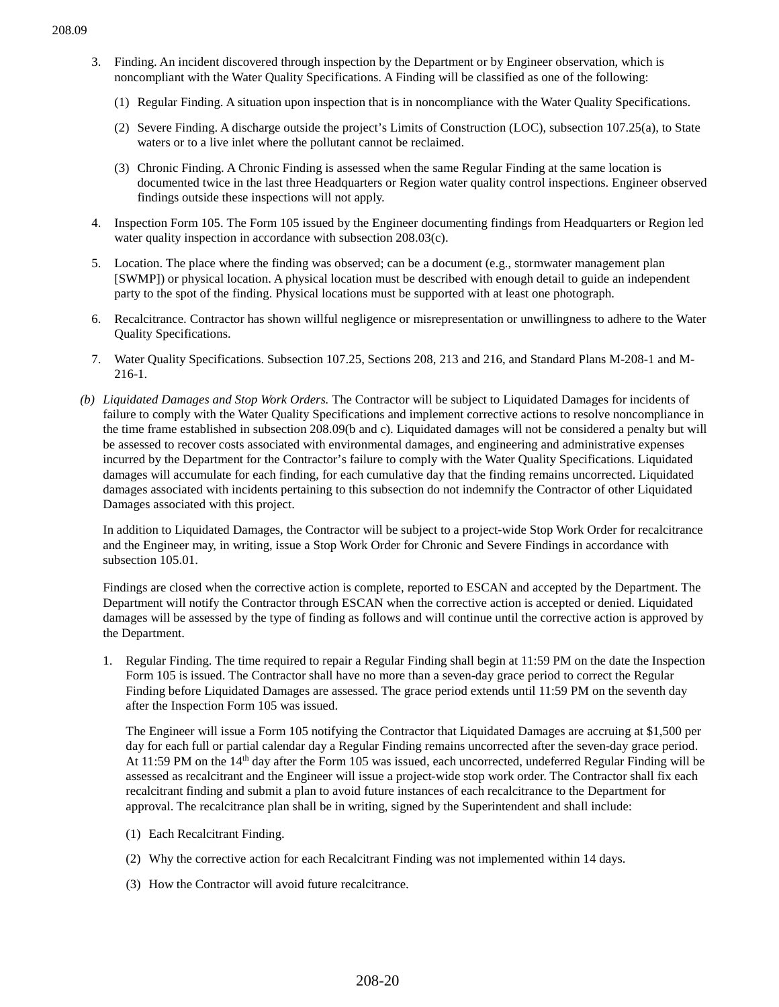- 3. Finding. An incident discovered through inspection by the Department or by Engineer observation, which is noncompliant with the Water Quality Specifications. A Finding will be classified as one of the following:
	- (1) Regular Finding. A situation upon inspection that is in noncompliance with the Water Quality Specifications.
	- (2) Severe Finding. A discharge outside the project's Limits of Construction (LOC), subsection 107.25(a), to State waters or to a live inlet where the pollutant cannot be reclaimed.
	- (3) Chronic Finding. A Chronic Finding is assessed when the same Regular Finding at the same location is documented twice in the last three Headquarters or Region water quality control inspections. Engineer observed findings outside these inspections will not apply.
- 4. Inspection Form 105. The Form 105 issued by the Engineer documenting findings from Headquarters or Region led water quality inspection in accordance with subsection 208.03(c).
- 5. Location. The place where the finding was observed; can be a document (e.g., stormwater management plan [SWMP]) or physical location. A physical location must be described with enough detail to guide an independent party to the spot of the finding. Physical locations must be supported with at least one photograph.
- 6. Recalcitrance. Contractor has shown willful negligence or misrepresentation or unwillingness to adhere to the Water Quality Specifications.
- 7. Water Quality Specifications. Subsection 107.25, Sections 208, 213 and 216, and Standard Plans M-208-1 and M-216-1.
- *(b) Liquidated Damages and Stop Work Orders.* The Contractor will be subject to Liquidated Damages for incidents of failure to comply with the Water Quality Specifications and implement corrective actions to resolve noncompliance in the time frame established in subsection 208.09(b and c). Liquidated damages will not be considered a penalty but will be assessed to recover costs associated with environmental damages, and engineering and administrative expenses incurred by the Department for the Contractor's failure to comply with the Water Quality Specifications. Liquidated damages will accumulate for each finding, for each cumulative day that the finding remains uncorrected. Liquidated damages associated with incidents pertaining to this subsection do not indemnify the Contractor of other Liquidated Damages associated with this project.

In addition to Liquidated Damages, the Contractor will be subject to a project-wide Stop Work Order for recalcitrance and the Engineer may, in writing, issue a Stop Work Order for Chronic and Severe Findings in accordance with subsection 105.01.

Findings are closed when the corrective action is complete, reported to ESCAN and accepted by the Department. The Department will notify the Contractor through ESCAN when the corrective action is accepted or denied. Liquidated damages will be assessed by the type of finding as follows and will continue until the corrective action is approved by the Department.

1. Regular Finding. The time required to repair a Regular Finding shall begin at 11:59 PM on the date the Inspection Form 105 is issued. The Contractor shall have no more than a seven-day grace period to correct the Regular Finding before Liquidated Damages are assessed. The grace period extends until 11:59 PM on the seventh day after the Inspection Form 105 was issued.

The Engineer will issue a Form 105 notifying the Contractor that Liquidated Damages are accruing at \$1,500 per day for each full or partial calendar day a Regular Finding remains uncorrected after the seven-day grace period. At 11:59 PM on the 14th day after the Form 105 was issued, each uncorrected, undeferred Regular Finding will be assessed as recalcitrant and the Engineer will issue a project-wide stop work order. The Contractor shall fix each recalcitrant finding and submit a plan to avoid future instances of each recalcitrance to the Department for approval. The recalcitrance plan shall be in writing, signed by the Superintendent and shall include:

- (1) Each Recalcitrant Finding.
- (2) Why the corrective action for each Recalcitrant Finding was not implemented within 14 days.
- (3) How the Contractor will avoid future recalcitrance.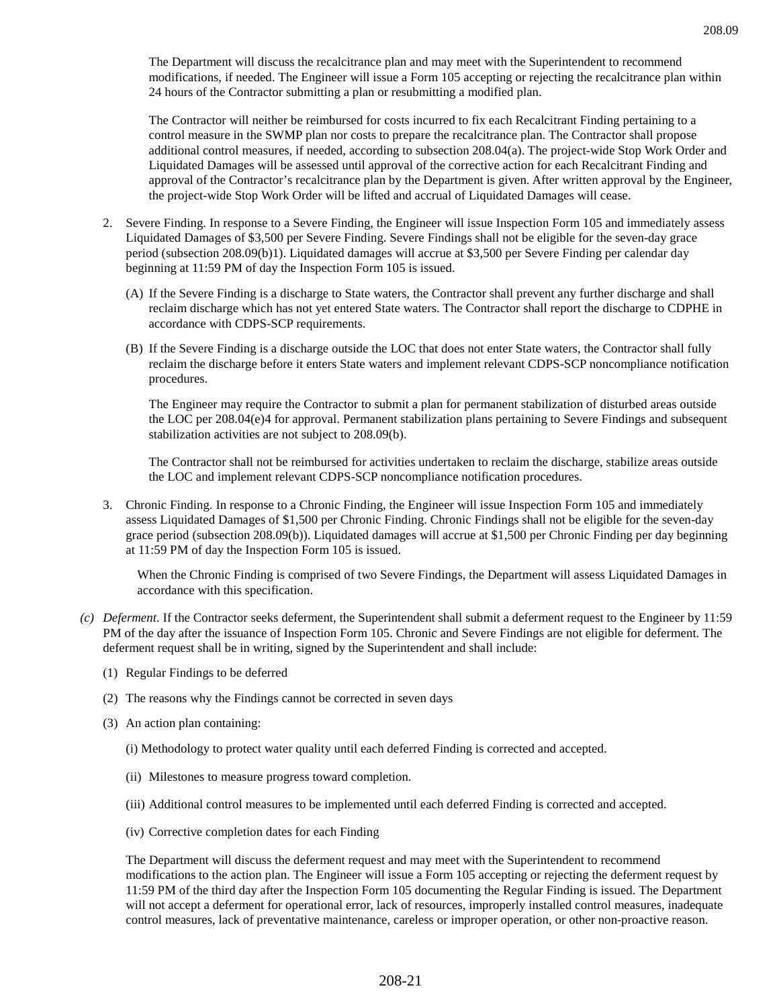The Department will discuss the recalcitrance plan and may meet with the Superintendent to recommend modifications, if needed. The Engineer will issue a Form 105 accepting or rejecting the recalcitrance plan within 24 hours of the Contractor submitting a plan or resubmitting a modified plan.

The Contractor will neither be reimbursed for costs incurred to fix each Recalcitrant Finding pertaining to a control measure in the SWMP plan nor costs to prepare the recalcitrance plan. The Contractor shall propose additional control measures, if needed, according to subsection 208.04(a). The project-wide Stop Work Order and Liquidated Damages will be assessed until approval of the corrective action for each Recalcitrant Finding and approval of the Contractor's recalcitrance plan by the Department is given. After written approval by the Engineer, the project-wide Stop Work Order will be lifted and accrual of Liquidated Damages will cease.

- 2. Severe Finding. In response to a Severe Finding, the Engineer will issue Inspection Form 105 and immediately assess Liquidated Damages of \$3,500 per Severe Finding. Severe Findings shall not be eligible for the seven-day grace period (subsection 208.09(b)1). Liquidated damages will accrue at \$3,500 per Severe Finding per calendar day beginning at 11:59 PM of day the Inspection Form 105 is issued.
	- (A) If the Severe Finding is a discharge to State waters, the Contractor shall prevent any further discharge and shall reclaim discharge which has not yet entered State waters. The Contractor shall report the discharge to CDPHE in accordance with CDPS-SCP requirements.
	- (B) If the Severe Finding is a discharge outside the LOC that does not enter State waters, the Contractor shall fully reclaim the discharge before it enters State waters and implement relevant CDPS-SCP noncompliance notification procedures.

The Engineer may require the Contractor to submit a plan for permanent stabilization of disturbed areas outside the LOC per 208.04(e)4 for approval. Permanent stabilization plans pertaining to Severe Findings and subsequent stabilization activities are not subject to 208.09(b).

The Contractor shall not be reimbursed for activities undertaken to reclaim the discharge, stabilize areas outside the LOC and implement relevant CDPS-SCP noncompliance notification procedures.

3. Chronic Finding. In response to a Chronic Finding, the Engineer will issue Inspection Form 105 and immediately assess Liquidated Damages of \$1,500 per Chronic Finding. Chronic Findings shall not be eligible for the seven-day grace period (subsection 208.09(b)). Liquidated damages will accrue at \$1,500 per Chronic Finding per day beginning at 11:59 PM of day the Inspection Form 105 is issued.

When the Chronic Finding is comprised of two Severe Findings, the Department will assess Liquidated Damages in accordance with this specification.

- *(c) Deferment*. If the Contractor seeks deferment, the Superintendent shall submit a deferment request to the Engineer by 11:59 PM of the day after the issuance of Inspection Form 105. Chronic and Severe Findings are not eligible for deferment. The deferment request shall be in writing, signed by the Superintendent and shall include:
	- (1) Regular Findings to be deferred
	- (2) The reasons why the Findings cannot be corrected in seven days
	- (3) An action plan containing:
		- (i) Methodology to protect water quality until each deferred Finding is corrected and accepted.
		- (ii) Milestones to measure progress toward completion.
		- (iii) Additional control measures to be implemented until each deferred Finding is corrected and accepted.
		- (iv) Corrective completion dates for each Finding

The Department will discuss the deferment request and may meet with the Superintendent to recommend modifications to the action plan. The Engineer will issue a Form 105 accepting or rejecting the deferment request by 11:59 PM of the third day after the Inspection Form 105 documenting the Regular Finding is issued. The Department will not accept a deferment for operational error, lack of resources, improperly installed control measures, inadequate control measures, lack of preventative maintenance, careless or improper operation, or other non-proactive reason.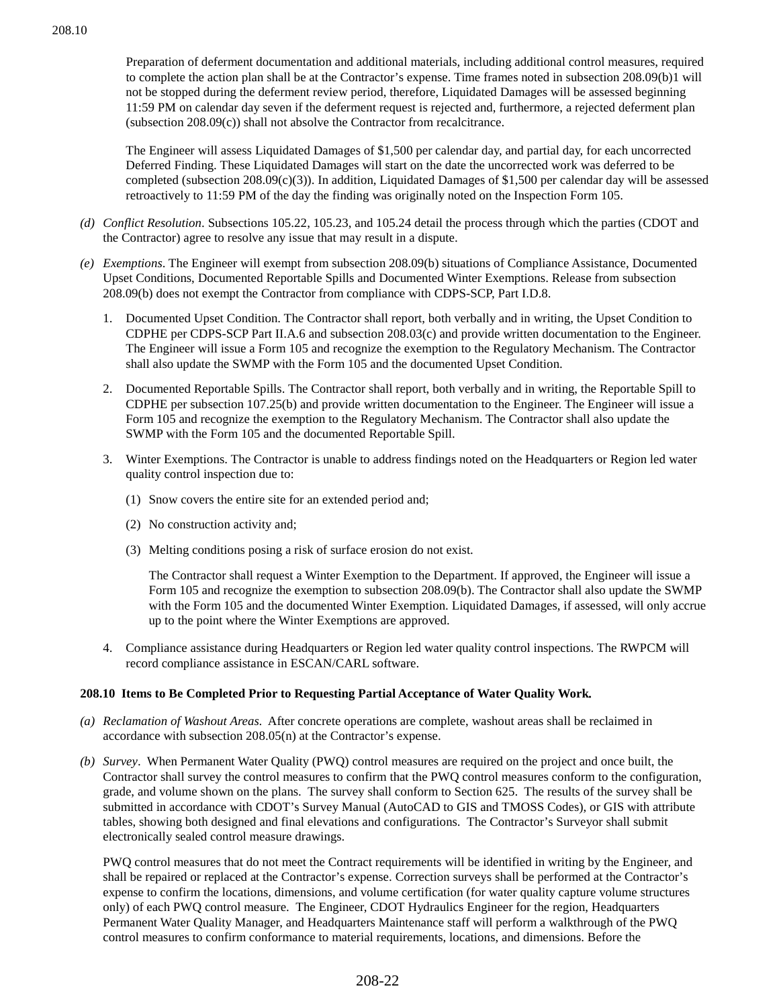#### 208.10

Preparation of deferment documentation and additional materials, including additional control measures, required to complete the action plan shall be at the Contractor's expense. Time frames noted in subsection 208.09(b)1 will not be stopped during the deferment review period, therefore, Liquidated Damages will be assessed beginning 11:59 PM on calendar day seven if the deferment request is rejected and, furthermore, a rejected deferment plan (subsection 208.09(c)) shall not absolve the Contractor from recalcitrance.

The Engineer will assess Liquidated Damages of \$1,500 per calendar day, and partial day, for each uncorrected Deferred Finding. These Liquidated Damages will start on the date the uncorrected work was deferred to be completed (subsection 208.09(c)(3)). In addition, Liquidated Damages of \$1,500 per calendar day will be assessed retroactively to 11:59 PM of the day the finding was originally noted on the Inspection Form 105.

- *(d) Conflict Resolution*. Subsections 105.22, 105.23, and 105.24 detail the process through which the parties (CDOT and the Contractor) agree to resolve any issue that may result in a dispute.
- *(e) Exemptions*. The Engineer will exempt from subsection 208.09(b) situations of Compliance Assistance, Documented Upset Conditions, Documented Reportable Spills and Documented Winter Exemptions. Release from subsection 208.09(b) does not exempt the Contractor from compliance with CDPS-SCP, Part I.D.8.
	- 1. Documented Upset Condition. The Contractor shall report, both verbally and in writing, the Upset Condition to CDPHE per CDPS-SCP Part II.A.6 and subsection 208.03(c) and provide written documentation to the Engineer. The Engineer will issue a Form 105 and recognize the exemption to the Regulatory Mechanism. The Contractor shall also update the SWMP with the Form 105 and the documented Upset Condition.
	- 2. Documented Reportable Spills. The Contractor shall report, both verbally and in writing, the Reportable Spill to CDPHE per subsection 107.25(b) and provide written documentation to the Engineer. The Engineer will issue a Form 105 and recognize the exemption to the Regulatory Mechanism. The Contractor shall also update the SWMP with the Form 105 and the documented Reportable Spill.
	- 3. Winter Exemptions. The Contractor is unable to address findings noted on the Headquarters or Region led water quality control inspection due to:
		- (1) Snow covers the entire site for an extended period and;
		- (2) No construction activity and;
		- (3) Melting conditions posing a risk of surface erosion do not exist.

The Contractor shall request a Winter Exemption to the Department. If approved, the Engineer will issue a Form 105 and recognize the exemption to subsection 208.09(b). The Contractor shall also update the SWMP with the Form 105 and the documented Winter Exemption. Liquidated Damages, if assessed, will only accrue up to the point where the Winter Exemptions are approved.

4. Compliance assistance during Headquarters or Region led water quality control inspections. The RWPCM will record compliance assistance in ESCAN/CARL software.

#### **208.10 Items to Be Completed Prior to Requesting Partial Acceptance of Water Quality Work**

- *(a) Reclamation of Washout Areas*. After concrete operations are complete, washout areas shall be reclaimed in accordance with subsection 208.05(n) at the Contractor's expense.
- *(b) Survey*. When Permanent Water Quality (PWQ) control measures are required on the project and once built, the Contractor shall survey the control measures to confirm that the PWQ control measures conform to the configuration, grade, and volume shown on the plans. The survey shall conform to Section 625. The results of the survey shall be submitted in accordance with CDOT's Survey Manual (AutoCAD to GIS and TMOSS Codes), or GIS with attribute tables, showing both designed and final elevations and configurations. The Contractor's Surveyor shall submit electronically sealed control measure drawings.

PWQ control measures that do not meet the Contract requirements will be identified in writing by the Engineer, and shall be repaired or replaced at the Contractor's expense. Correction surveys shall be performed at the Contractor's expense to confirm the locations, dimensions, and volume certification (for water quality capture volume structures only) of each PWQ control measure. The Engineer, CDOT Hydraulics Engineer for the region, Headquarters Permanent Water Quality Manager, and Headquarters Maintenance staff will perform a walkthrough of the PWQ control measures to confirm conformance to material requirements, locations, and dimensions. Before the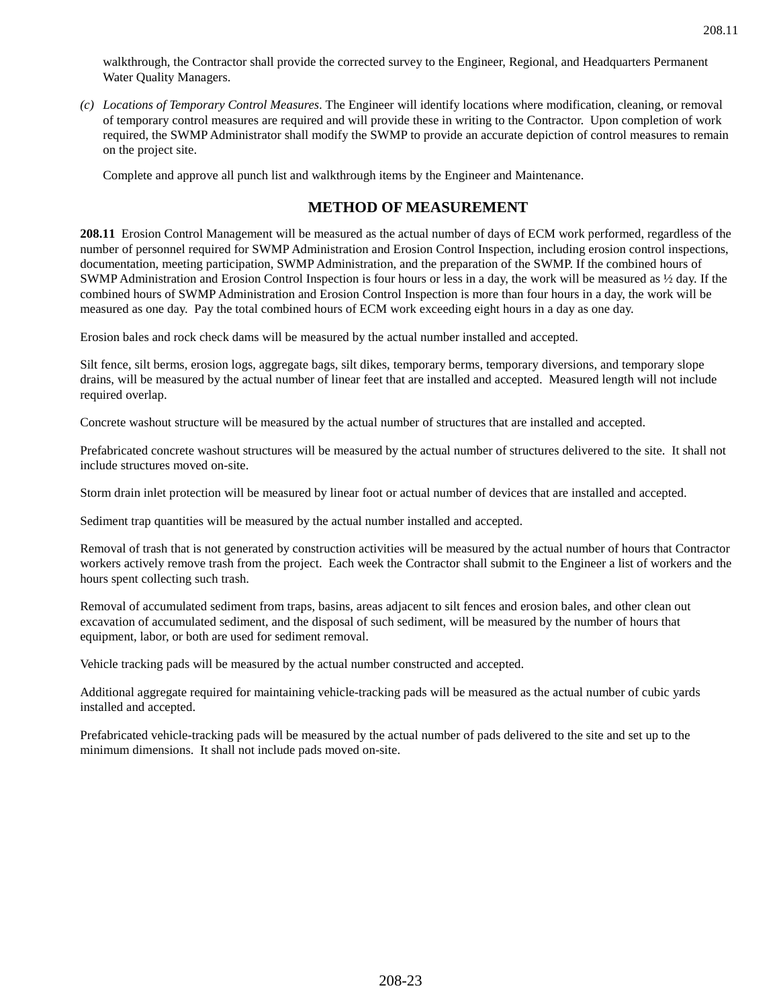walkthrough, the Contractor shall provide the corrected survey to the Engineer, Regional, and Headquarters Permanent Water Quality Managers.

*(c) Locations of Temporary Control Measures*. The Engineer will identify locations where modification, cleaning, or removal of temporary control measures are required and will provide these in writing to the Contractor. Upon completion of work required, the SWMP Administrator shall modify the SWMP to provide an accurate depiction of control measures to remain on the project site.

Complete and approve all punch list and walkthrough items by the Engineer and Maintenance.

## **METHOD OF MEASUREMENT**

**208.11** Erosion Control Management will be measured as the actual number of days of ECM work performed, regardless of the number of personnel required for SWMP Administration and Erosion Control Inspection, including erosion control inspections, documentation, meeting participation, SWMP Administration, and the preparation of the SWMP. If the combined hours of SWMP Administration and Erosion Control Inspection is four hours or less in a day, the work will be measured as ½ day. If the combined hours of SWMP Administration and Erosion Control Inspection is more than four hours in a day, the work will be measured as one day. Pay the total combined hours of ECM work exceeding eight hours in a day as one day.

Erosion bales and rock check dams will be measured by the actual number installed and accepted.

Silt fence, silt berms, erosion logs, aggregate bags, silt dikes, temporary berms, temporary diversions, and temporary slope drains, will be measured by the actual number of linear feet that are installed and accepted. Measured length will not include required overlap.

Concrete washout structure will be measured by the actual number of structures that are installed and accepted.

Prefabricated concrete washout structures will be measured by the actual number of structures delivered to the site. It shall not include structures moved on-site.

Storm drain inlet protection will be measured by linear foot or actual number of devices that are installed and accepted.

Sediment trap quantities will be measured by the actual number installed and accepted.

Removal of trash that is not generated by construction activities will be measured by the actual number of hours that Contractor workers actively remove trash from the project. Each week the Contractor shall submit to the Engineer a list of workers and the hours spent collecting such trash.

Removal of accumulated sediment from traps, basins, areas adjacent to silt fences and erosion bales, and other clean out excavation of accumulated sediment, and the disposal of such sediment, will be measured by the number of hours that equipment, labor, or both are used for sediment removal.

Vehicle tracking pads will be measured by the actual number constructed and accepted.

Additional aggregate required for maintaining vehicle-tracking pads will be measured as the actual number of cubic yards installed and accepted.

Prefabricated vehicle-tracking pads will be measured by the actual number of pads delivered to the site and set up to the minimum dimensions. It shall not include pads moved on-site.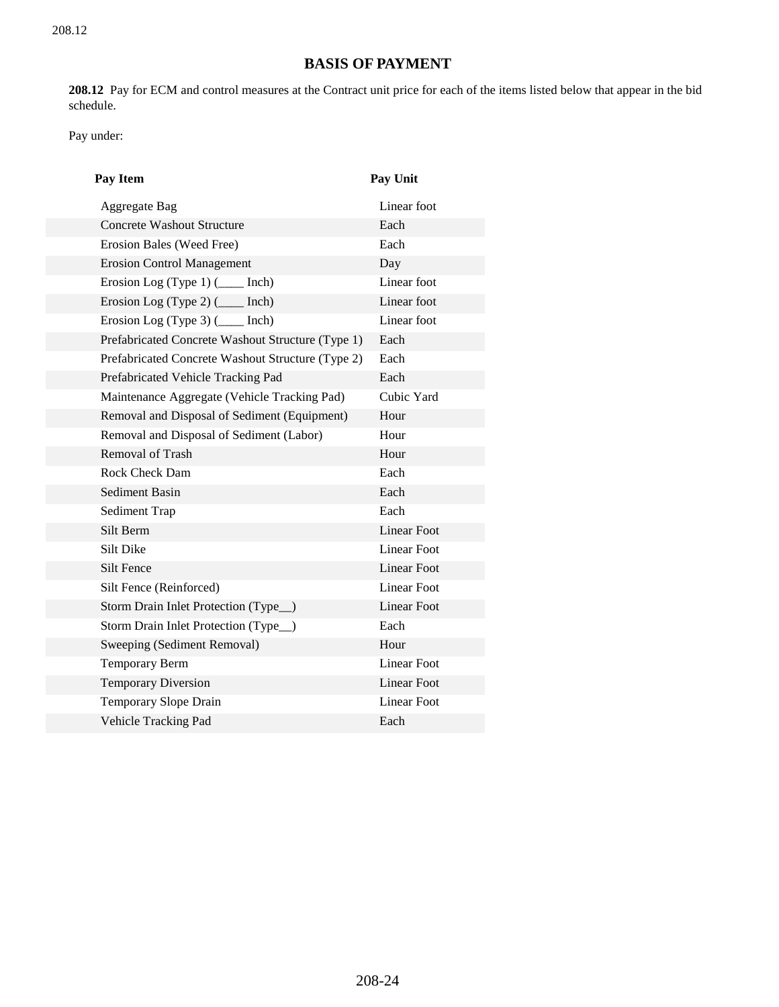# **BASIS OF PAYMENT**

**208.12** Pay for ECM and control measures at the Contract unit price for each of the items listed below that appear in the bid schedule.

Pay under:

| Pay Item                                          | Pay Unit           |
|---------------------------------------------------|--------------------|
| Aggregate Bag                                     | Linear foot        |
| <b>Concrete Washout Structure</b>                 | Each               |
| Erosion Bales (Weed Free)                         | Each               |
| <b>Erosion Control Management</b>                 | Day                |
| Erosion Log (Type $1$ ) ( $\_\_\_\$ Inch)         | Linear foot        |
| Erosion Log (Type 2) $(\_\_$ Inch)                | Linear foot        |
| Erosion Log (Type 3) $(\_\_\_\$ Inch)             | Linear foot        |
| Prefabricated Concrete Washout Structure (Type 1) | Each               |
| Prefabricated Concrete Washout Structure (Type 2) | Each               |
| Prefabricated Vehicle Tracking Pad                | Each               |
| Maintenance Aggregate (Vehicle Tracking Pad)      | Cubic Yard         |
| Removal and Disposal of Sediment (Equipment)      | Hour               |
| Removal and Disposal of Sediment (Labor)          | Hour               |
| <b>Removal of Trash</b>                           | Hour               |
| Rock Check Dam                                    | Each               |
| <b>Sediment Basin</b>                             | Each               |
| Sediment Trap                                     | Each               |
| Silt Berm                                         | <b>Linear Foot</b> |
| Silt Dike                                         | <b>Linear Foot</b> |
| Silt Fence                                        | <b>Linear Foot</b> |
| Silt Fence (Reinforced)                           | <b>Linear Foot</b> |
| Storm Drain Inlet Protection (Type_)              | <b>Linear Foot</b> |
| Storm Drain Inlet Protection (Type_)              | Each               |
| Sweeping (Sediment Removal)                       | Hour               |
| <b>Temporary Berm</b>                             | <b>Linear Foot</b> |
| <b>Temporary Diversion</b>                        | <b>Linear Foot</b> |
| Temporary Slope Drain                             | <b>Linear Foot</b> |
| Vehicle Tracking Pad                              | Each               |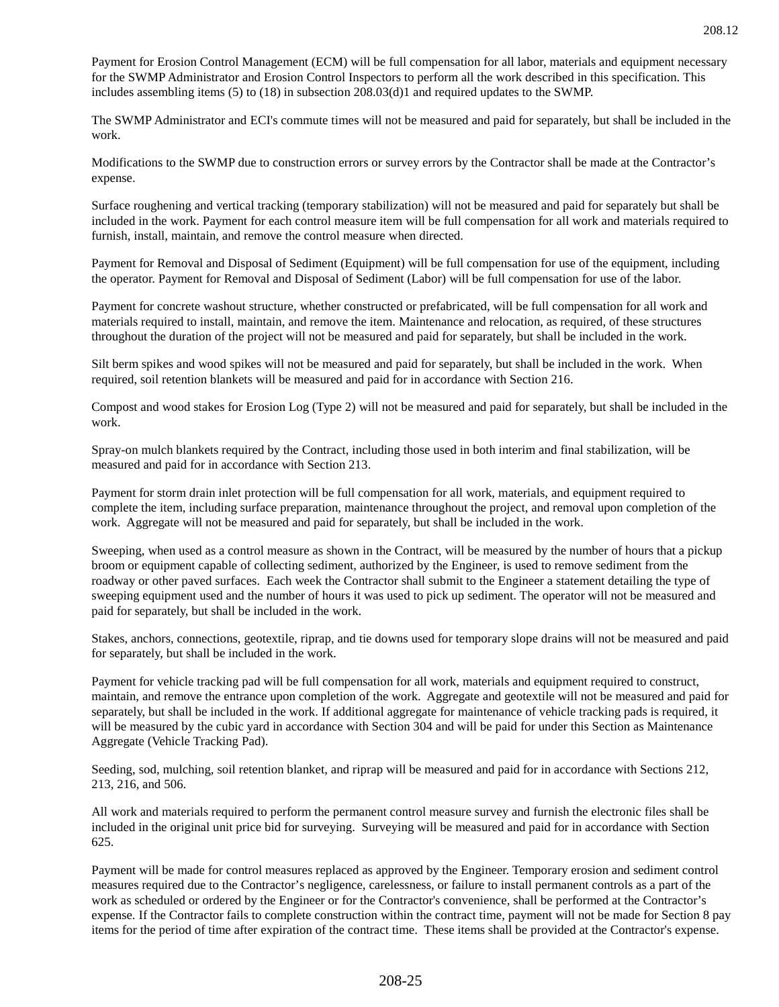Payment for Erosion Control Management (ECM) will be full compensation for all labor, materials and equipment necessary for the SWMP Administrator and Erosion Control Inspectors to perform all the work described in this specification. This includes assembling items (5) to (18) in subsection 208.03(d)1 and required updates to the SWMP.

The SWMP Administrator and ECI's commute times will not be measured and paid for separately, but shall be included in the work.

Modifications to the SWMP due to construction errors or survey errors by the Contractor shall be made at the Contractor's expense.

Surface roughening and vertical tracking (temporary stabilization) will not be measured and paid for separately but shall be included in the work. Payment for each control measure item will be full compensation for all work and materials required to furnish, install, maintain, and remove the control measure when directed.

Payment for Removal and Disposal of Sediment (Equipment) will be full compensation for use of the equipment, including the operator. Payment for Removal and Disposal of Sediment (Labor) will be full compensation for use of the labor.

Payment for concrete washout structure, whether constructed or prefabricated, will be full compensation for all work and materials required to install, maintain, and remove the item. Maintenance and relocation, as required, of these structures throughout the duration of the project will not be measured and paid for separately, but shall be included in the work.

Silt berm spikes and wood spikes will not be measured and paid for separately, but shall be included in the work. When required, soil retention blankets will be measured and paid for in accordance with Section 216.

Compost and wood stakes for Erosion Log (Type 2) will not be measured and paid for separately, but shall be included in the work.

Spray-on mulch blankets required by the Contract, including those used in both interim and final stabilization, will be measured and paid for in accordance with Section 213.

Payment for storm drain inlet protection will be full compensation for all work, materials, and equipment required to complete the item, including surface preparation, maintenance throughout the project, and removal upon completion of the work. Aggregate will not be measured and paid for separately, but shall be included in the work.

Sweeping, when used as a control measure as shown in the Contract, will be measured by the number of hours that a pickup broom or equipment capable of collecting sediment, authorized by the Engineer, is used to remove sediment from the roadway or other paved surfaces. Each week the Contractor shall submit to the Engineer a statement detailing the type of sweeping equipment used and the number of hours it was used to pick up sediment. The operator will not be measured and paid for separately, but shall be included in the work.

Stakes, anchors, connections, geotextile, riprap, and tie downs used for temporary slope drains will not be measured and paid for separately, but shall be included in the work.

Payment for vehicle tracking pad will be full compensation for all work, materials and equipment required to construct, maintain, and remove the entrance upon completion of the work. Aggregate and geotextile will not be measured and paid for separately, but shall be included in the work. If additional aggregate for maintenance of vehicle tracking pads is required, it will be measured by the cubic yard in accordance with Section 304 and will be paid for under this Section as Maintenance Aggregate (Vehicle Tracking Pad).

Seeding, sod, mulching, soil retention blanket, and riprap will be measured and paid for in accordance with Sections 212, 213, 216, and 506.

All work and materials required to perform the permanent control measure survey and furnish the electronic files shall be included in the original unit price bid for surveying. Surveying will be measured and paid for in accordance with Section 625.

Payment will be made for control measures replaced as approved by the Engineer. Temporary erosion and sediment control measures required due to the Contractor's negligence, carelessness, or failure to install permanent controls as a part of the work as scheduled or ordered by the Engineer or for the Contractor's convenience, shall be performed at the Contractor's expense. If the Contractor fails to complete construction within the contract time, payment will not be made for Section 8 pay items for the period of time after expiration of the contract time. These items shall be provided at the Contractor's expense.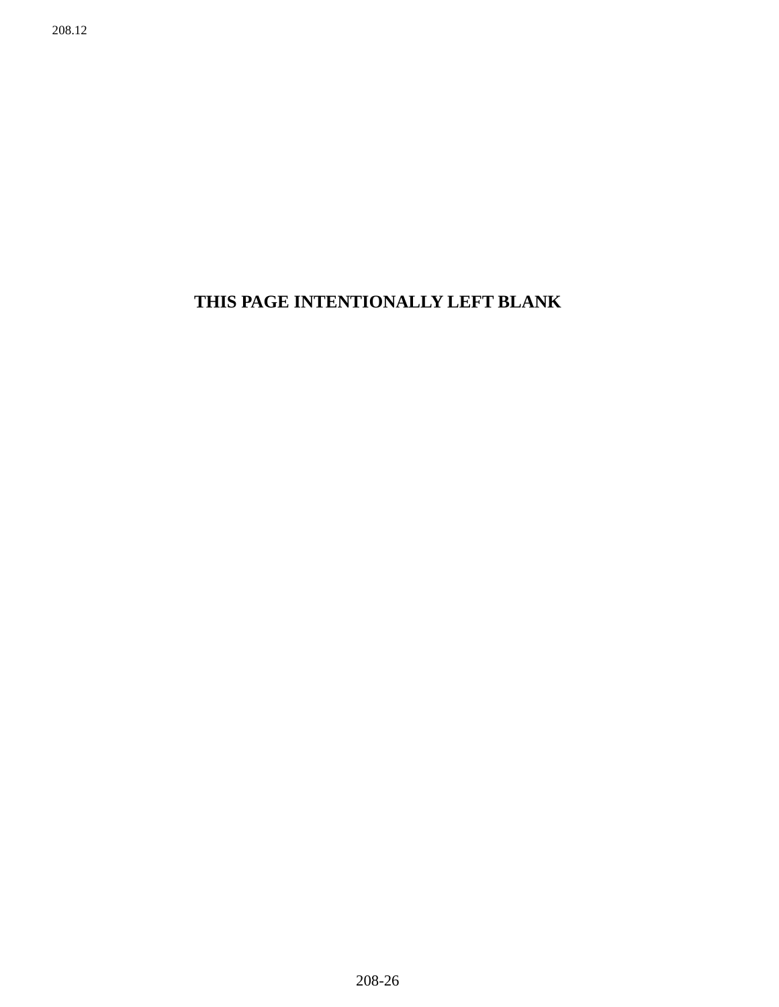# **THIS PAGE INTENTIONALLY LEFT BLANK**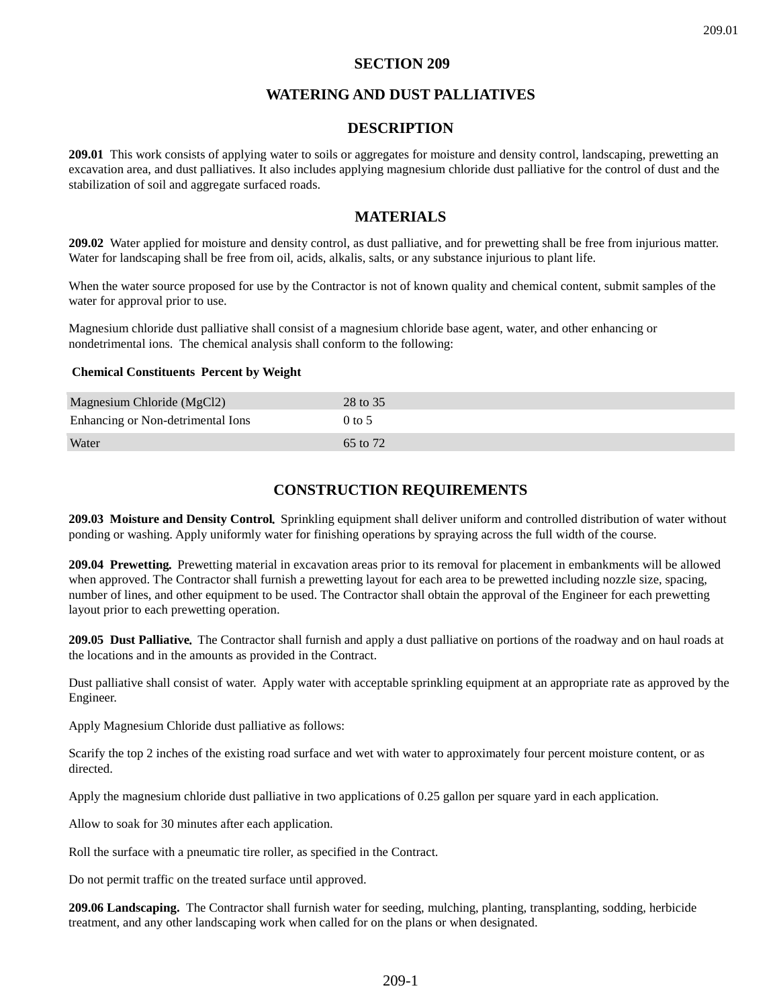#### **SECTION 209**

#### **WATERING AND DUST PALLIATIVES**

#### **DESCRIPTION**

**209.01** This work consists of applying water to soils or aggregates for moisture and density control, landscaping, prewetting an excavation area, and dust palliatives. It also includes applying magnesium chloride dust palliative for the control of dust and the stabilization of soil and aggregate surfaced roads.

#### **MATERIALS**

**209.02** Water applied for moisture and density control, as dust palliative, and for prewetting shall be free from injurious matter. Water for landscaping shall be free from oil, acids, alkalis, salts, or any substance injurious to plant life.

When the water source proposed for use by the Contractor is not of known quality and chemical content, submit samples of the water for approval prior to use.

Magnesium chloride dust palliative shall consist of a magnesium chloride base agent, water, and other enhancing or nondetrimental ions. The chemical analysis shall conform to the following:

#### **Chemical Constituents Percent by Weight**

| Magnesium Chloride (MgCl2)        | 28 to 35 |
|-----------------------------------|----------|
| Enhancing or Non-detrimental Ions | $0$ to 5 |
| Water                             | 65 to 72 |

#### **CONSTRUCTION REQUIREMENTS**

**209.03 Moisture and Density Control** Sprinkling equipment shall deliver uniform and controlled distribution of water without ponding or washing. Apply uniformly water for finishing operations by spraying across the full width of the course.

**209.04 Prewetting.** Prewetting material in excavation areas prior to its removal for placement in embankments will be allowed when approved. The Contractor shall furnish a prewetting layout for each area to be prewetted including nozzle size, spacing, number of lines, and other equipment to be used. The Contractor shall obtain the approval of the Engineer for each prewetting layout prior to each prewetting operation.

**209.05 Dust Palliative** The Contractor shall furnish and apply a dust palliative on portions of the roadway and on haul roads at the locations and in the amounts as provided in the Contract.

Dust palliative shall consist of water. Apply water with acceptable sprinkling equipment at an appropriate rate as approved by the Engineer.

Apply Magnesium Chloride dust palliative as follows:

Scarify the top 2 inches of the existing road surface and wet with water to approximately four percent moisture content, or as directed.

Apply the magnesium chloride dust palliative in two applications of 0.25 gallon per square yard in each application.

Allow to soak for 30 minutes after each application.

Roll the surface with a pneumatic tire roller, as specified in the Contract.

Do not permit traffic on the treated surface until approved.

**209.06 Landscaping.** The Contractor shall furnish water for seeding, mulching, planting, transplanting, sodding, herbicide treatment, and any other landscaping work when called for on the plans or when designated.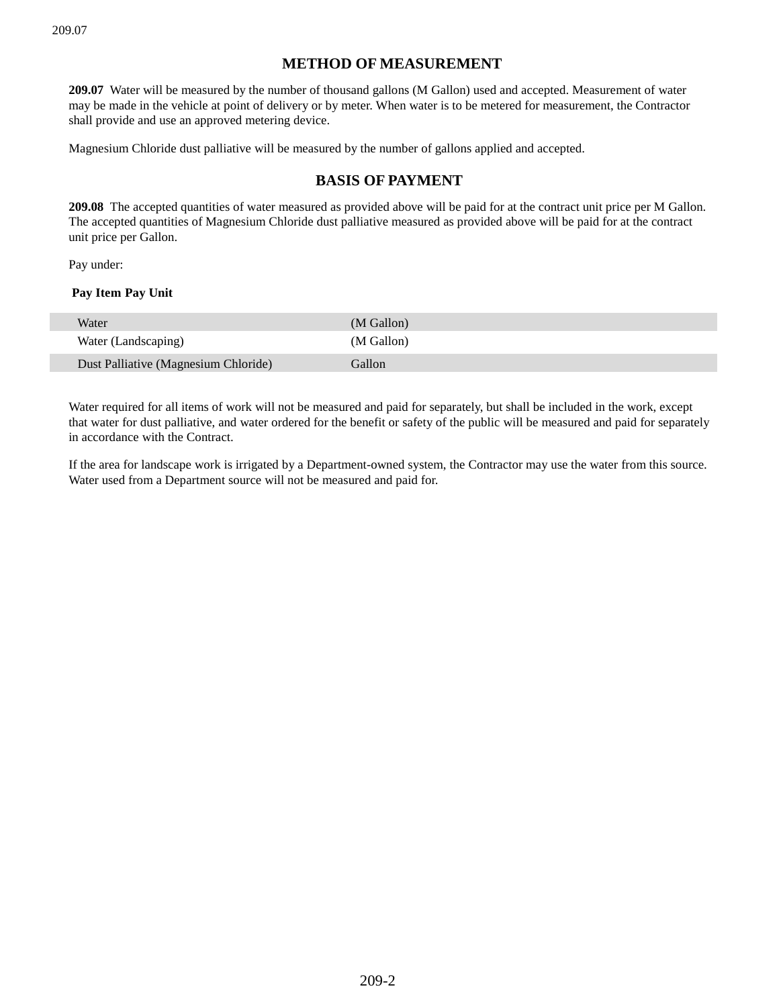# **METHOD OF MEASUREMENT**

**209.07** Water will be measured by the number of thousand gallons (M Gallon) used and accepted. Measurement of water may be made in the vehicle at point of delivery or by meter. When water is to be metered for measurement, the Contractor shall provide and use an approved metering device.

Magnesium Chloride dust palliative will be measured by the number of gallons applied and accepted.

## **BASIS OF PAYMENT**

**209.08** The accepted quantities of water measured as provided above will be paid for at the contract unit price per M Gallon. The accepted quantities of Magnesium Chloride dust palliative measured as provided above will be paid for at the contract unit price per Gallon.

Pay under:

#### **Pay Item Pay Unit**

| Water                                | (M Gallon) |
|--------------------------------------|------------|
| Water (Landscaping)                  | (M Gallon) |
| Dust Palliative (Magnesium Chloride) | Gallon     |

Water required for all items of work will not be measured and paid for separately, but shall be included in the work, except that water for dust palliative, and water ordered for the benefit or safety of the public will be measured and paid for separately in accordance with the Contract.

If the area for landscape work is irrigated by a Department-owned system, the Contractor may use the water from this source. Water used from a Department source will not be measured and paid for.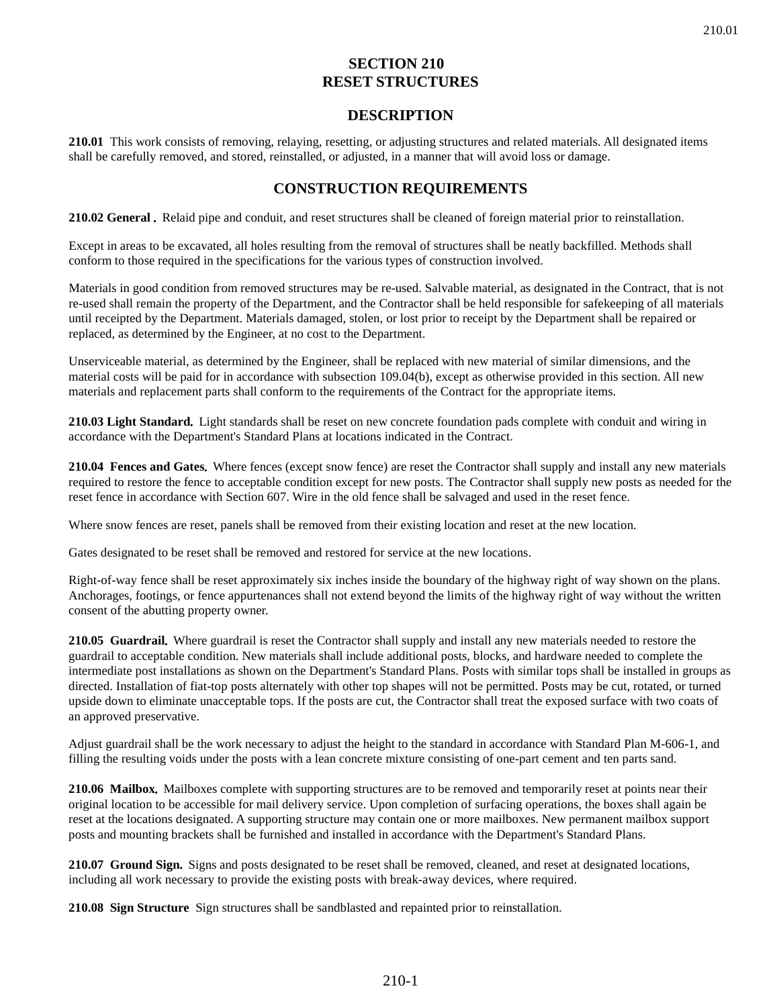## **SECTION 210 RESET STRUCTURES**

## **DESCRIPTION**

**210.01** This work consists of removing, relaying, resetting, or adjusting structures and related materials. All designated items shall be carefully removed, and stored, reinstalled, or adjusted, in a manner that will avoid loss or damage.

## **CONSTRUCTION REQUIREMENTS**

**210.02 General** Relaid pipe and conduit, and reset structures shall be cleaned of foreign material prior to reinstallation.

Except in areas to be excavated, all holes resulting from the removal of structures shall be neatly backfilled. Methods shall conform to those required in the specifications for the various types of construction involved.

Materials in good condition from removed structures may be re-used. Salvable material, as designated in the Contract, that is not re-used shall remain the property of the Department, and the Contractor shall be held responsible for safekeeping of all materials until receipted by the Department. Materials damaged, stolen, or lost prior to receipt by the Department shall be repaired or replaced, as determined by the Engineer, at no cost to the Department.

Unserviceable material, as determined by the Engineer, shall be replaced with new material of similar dimensions, and the material costs will be paid for in accordance with subsection 109.04(b), except as otherwise provided in this section. All new materials and replacement parts shall conform to the requirements of the Contract for the appropriate items.

**210.03 Light Standard** Light standards shall be reset on new concrete foundation pads complete with conduit and wiring in accordance with the Department's Standard Plans at locations indicated in the Contract.

**210.04 Fences and Gates** Where fences (except snow fence) are reset the Contractor shall supply and install any new materials required to restore the fence to acceptable condition except for new posts. The Contractor shall supply new posts as needed for the reset fence in accordance with Section 607. Wire in the old fence shall be salvaged and used in the reset fence.

Where snow fences are reset, panels shall be removed from their existing location and reset at the new location.

Gates designated to be reset shall be removed and restored for service at the new locations.

Right-of-way fence shall be reset approximately six inches inside the boundary of the highway right of way shown on the plans. Anchorages, footings, or fence appurtenances shall not extend beyond the limits of the highway right of way without the written consent of the abutting property owner.

**210.05 Guardrail** Where guardrail is reset the Contractor shall supply and install any new materials needed to restore the guardrail to acceptable condition. New materials shall include additional posts, blocks, and hardware needed to complete the intermediate post installations as shown on the Department's Standard Plans. Posts with similar tops shall be installed in groups as directed. Installation of fiat-top posts alternately with other top shapes will not be permitted. Posts may be cut, rotated, or turned upside down to eliminate unacceptable tops. If the posts are cut, the Contractor shall treat the exposed surface with two coats of an approved preservative.

Adjust guardrail shall be the work necessary to adjust the height to the standard in accordance with Standard Plan M-606-1, and filling the resulting voids under the posts with a lean concrete mixture consisting of one-part cement and ten parts sand.

**210.06 Mailbox** Mailboxes complete with supporting structures are to be removed and temporarily reset at points near their original location to be accessible for mail delivery service. Upon completion of surfacing operations, the boxes shall again be reset at the locations designated. A supporting structure may contain one or more mailboxes. New permanent mailbox support posts and mounting brackets shall be furnished and installed in accordance with the Department's Standard Plans.

**210.07 Ground Sign** Signs and posts designated to be reset shall be removed, cleaned, and reset at designated locations, including all work necessary to provide the existing posts with break-away devices, where required.

**210.08 Sign Structure** Sign structures shall be sandblasted and repainted prior to reinstallation.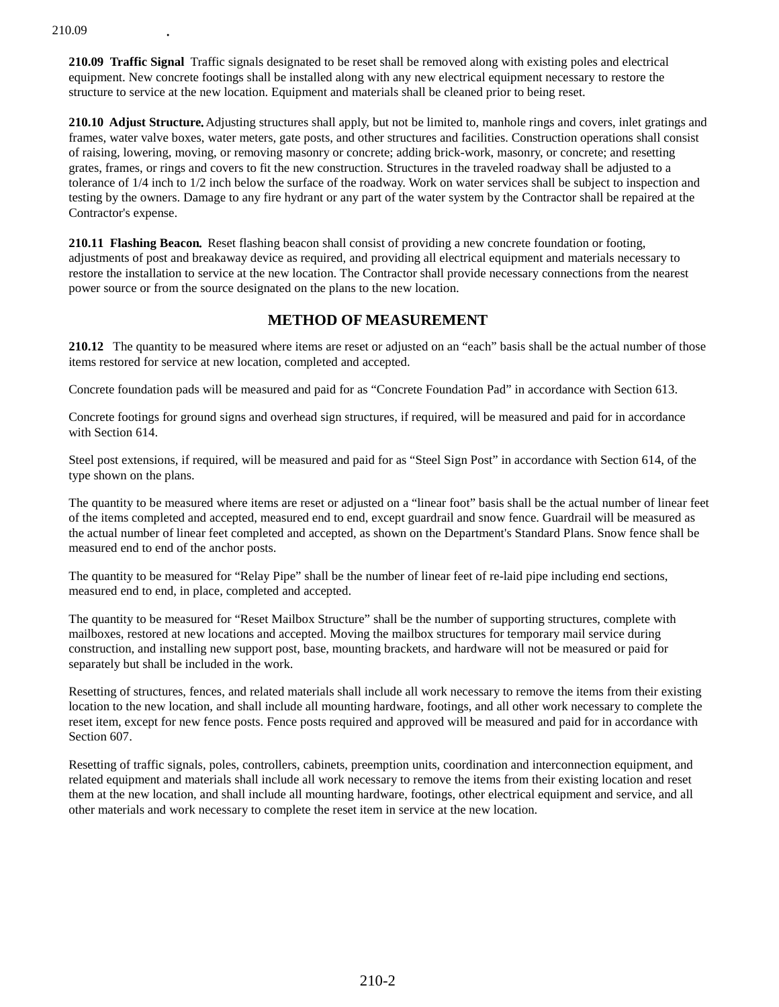**210.09 Traffic Signal** Traffic signals designated to be reset shall be removed along with existing poles and electrical equipment. New concrete footings shall be installed along with any new electrical equipment necessary to restore the structure to service at the new location. Equipment and materials shall be cleaned prior to being reset.

**210.10 Adjust Structure** Adjusting structures shall apply, but not be limited to, manhole rings and covers, inlet gratings and frames, water valve boxes, water meters, gate posts, and other structures and facilities. Construction operations shall consist of raising, lowering, moving, or removing masonry or concrete; adding brick-work, masonry, or concrete; and resetting grates, frames, or rings and covers to fit the new construction. Structures in the traveled roadway shall be adjusted to a tolerance of 1/4 inch to 1/2 inch below the surface of the roadway. Work on water services shall be subject to inspection and testing by the owners. Damage to any fire hydrant or any part of the water system by the Contractor shall be repaired at the Contractor's expense.

**210.11 Flashing Beacon** Reset flashing beacon shall consist of providing a new concrete foundation or footing, adjustments of post and breakaway device as required, and providing all electrical equipment and materials necessary to restore the installation to service at the new location. The Contractor shall provide necessary connections from the nearest power source or from the source designated on the plans to the new location.

#### **METHOD OF MEASUREMENT**

**210.12** The quantity to be measured where items are reset or adjusted on an "each" basis shall be the actual number of those items restored for service at new location, completed and accepted.

Concrete foundation pads will be measured and paid for as "Concrete Foundation Pad" in accordance with Section 613.

Concrete footings for ground signs and overhead sign structures, if required, will be measured and paid for in accordance with Section 614.

Steel post extensions, if required, will be measured and paid for as "Steel Sign Post" in accordance with Section 614, of the type shown on the plans.

The quantity to be measured where items are reset or adjusted on a "linear foot" basis shall be the actual number of linear feet of the items completed and accepted, measured end to end, except guardrail and snow fence. Guardrail will be measured as the actual number of linear feet completed and accepted, as shown on the Department's Standard Plans. Snow fence shall be measured end to end of the anchor posts.

The quantity to be measured for "Relay Pipe" shall be the number of linear feet of re-laid pipe including end sections, measured end to end, in place, completed and accepted.

The quantity to be measured for "Reset Mailbox Structure" shall be the number of supporting structures, complete with mailboxes, restored at new locations and accepted. Moving the mailbox structures for temporary mail service during construction, and installing new support post, base, mounting brackets, and hardware will not be measured or paid for separately but shall be included in the work.

Resetting of structures, fences, and related materials shall include all work necessary to remove the items from their existing location to the new location, and shall include all mounting hardware, footings, and all other work necessary to complete the reset item, except for new fence posts. Fence posts required and approved will be measured and paid for in accordance with Section 607.

Resetting of traffic signals, poles, controllers, cabinets, preemption units, coordination and interconnection equipment, and related equipment and materials shall include all work necessary to remove the items from their existing location and reset them at the new location, and shall include all mounting hardware, footings, other electrical equipment and service, and all other materials and work necessary to complete the reset item in service at the new location.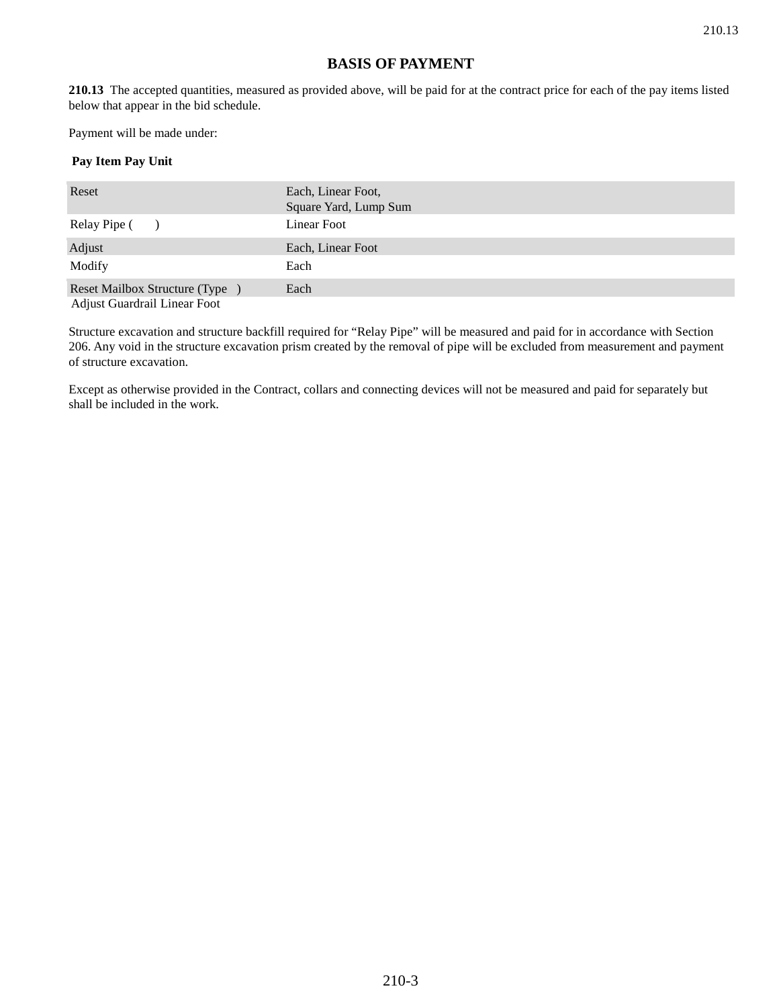**210.13** The accepted quantities, measured as provided above, will be paid for at the contract price for each of the pay items listed below that appear in the bid schedule.

Payment will be made under:

#### **Pay Item Pay Unit**

| Reset                                                                | Each, Linear Foot,<br>Square Yard, Lump Sum |
|----------------------------------------------------------------------|---------------------------------------------|
| Relay Pipe (                                                         | Linear Foot                                 |
| Adjust                                                               | Each, Linear Foot                           |
| Modify                                                               | Each                                        |
| <b>Reset Mailbox Structure (Type</b><br>Adjust Guardrail Linear Foot | Each                                        |

Structure excavation and structure backfill required for "Relay Pipe" will be measured and paid for in accordance with Section 206. Any void in the structure excavation prism created by the removal of pipe will be excluded from measurement and payment of structure excavation.

Except as otherwise provided in the Contract, collars and connecting devices will not be measured and paid for separately but shall be included in the work.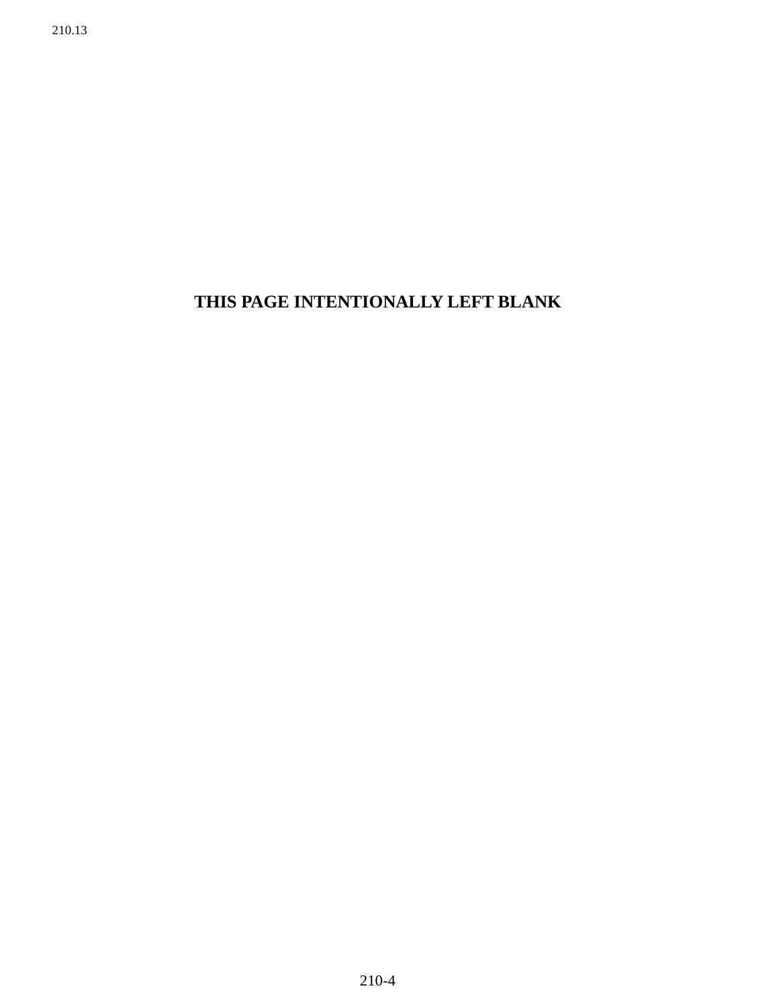# **THIS PAGE INTENTIONALLY LEFT BLANK**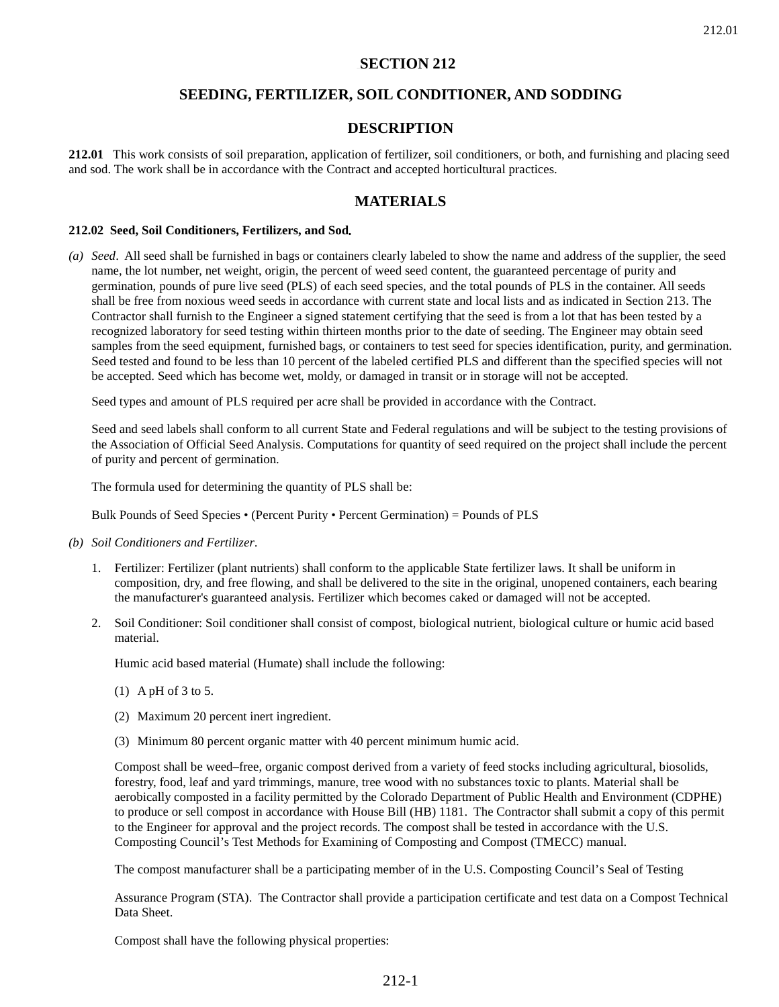#### **SECTION 212**

### **SEEDING, FERTILIZER, SOIL CONDITIONER, AND SODDING**

#### **DESCRIPTION**

**212.01** This work consists of soil preparation, application of fertilizer, soil conditioners, or both, and furnishing and placing seed and sod. The work shall be in accordance with the Contract and accepted horticultural practices.

### **MATERIALS**

#### **212.02 Seed, Soil Conditioners, Fertilizers, and Sod**

*(a) Seed*. All seed shall be furnished in bags or containers clearly labeled to show the name and address of the supplier, the seed name, the lot number, net weight, origin, the percent of weed seed content, the guaranteed percentage of purity and germination, pounds of pure live seed (PLS) of each seed species, and the total pounds of PLS in the container. All seeds shall be free from noxious weed seeds in accordance with current state and local lists and as indicated in Section 213. The Contractor shall furnish to the Engineer a signed statement certifying that the seed is from a lot that has been tested by a recognized laboratory for seed testing within thirteen months prior to the date of seeding. The Engineer may obtain seed samples from the seed equipment, furnished bags, or containers to test seed for species identification, purity, and germination. Seed tested and found to be less than 10 percent of the labeled certified PLS and different than the specified species will not be accepted. Seed which has become wet, moldy, or damaged in transit or in storage will not be accepted.

Seed types and amount of PLS required per acre shall be provided in accordance with the Contract.

Seed and seed labels shall conform to all current State and Federal regulations and will be subject to the testing provisions of the Association of Official Seed Analysis. Computations for quantity of seed required on the project shall include the percent of purity and percent of germination.

The formula used for determining the quantity of PLS shall be:

Bulk Pounds of Seed Species • (Percent Purity • Percent Germination) = Pounds of PLS

- *(b) Soil Conditioners and Fertilizer*.
	- 1. Fertilizer: Fertilizer (plant nutrients) shall conform to the applicable State fertilizer laws. It shall be uniform in composition, dry, and free flowing, and shall be delivered to the site in the original, unopened containers, each bearing the manufacturer's guaranteed analysis. Fertilizer which becomes caked or damaged will not be accepted.
	- 2. Soil Conditioner: Soil conditioner shall consist of compost, biological nutrient, biological culture or humic acid based material.

Humic acid based material (Humate) shall include the following:

- (1) A pH of 3 to 5.
- (2) Maximum 20 percent inert ingredient.
- (3) Minimum 80 percent organic matter with 40 percent minimum humic acid.

Compost shall be weed–free, organic compost derived from a variety of feed stocks including agricultural, biosolids, forestry, food, leaf and yard trimmings, manure, tree wood with no substances toxic to plants. Material shall be aerobically composted in a facility permitted by the Colorado Department of Public Health and Environment (CDPHE) to produce or sell compost in accordance with House Bill (HB) 1181. The Contractor shall submit a copy of this permit to the Engineer for approval and the project records. The compost shall be tested in accordance with the U.S. Composting Council's Test Methods for Examining of Composting and Compost (TMECC) manual.

The compost manufacturer shall be a participating member of in the U.S. Composting Council's Seal of Testing

Assurance Program (STA). The Contractor shall provide a participation certificate and test data on a Compost Technical Data Sheet.

Compost shall have the following physical properties: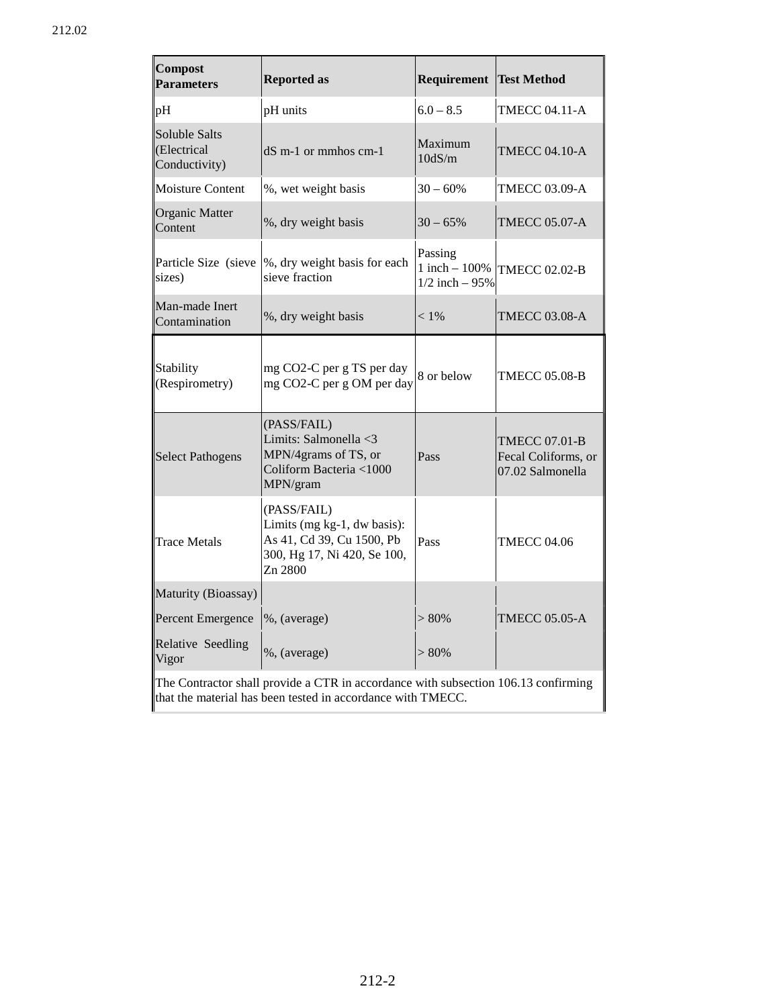| Compost<br><b>Parameters</b>                                                                                                                      | <b>Reported as</b>                                                                                                | Requirement                                      | <b>Test Method</b>                                       |
|---------------------------------------------------------------------------------------------------------------------------------------------------|-------------------------------------------------------------------------------------------------------------------|--------------------------------------------------|----------------------------------------------------------|
| pH                                                                                                                                                | pH units                                                                                                          | $6.0 - 8.5$                                      | <b>TMECC 04.11-A</b>                                     |
| Soluble Salts<br>(Electrical<br>Conductivity)                                                                                                     | dS m-1 or mmhos cm-1                                                                                              | Maximum<br>10dS/m                                | <b>TMECC 04.10-A</b>                                     |
| Moisture Content                                                                                                                                  | %, wet weight basis                                                                                               | $30 - 60\%$                                      | TMECC 03.09-A                                            |
| Organic Matter<br>Content                                                                                                                         | %, dry weight basis                                                                                               | $30 - 65\%$                                      | TMECC 05.07-A                                            |
| sizes)                                                                                                                                            | Particle Size (sieve $\frac{1}{6}$ , dry weight basis for each<br>sieve fraction                                  | Passing<br>$1$ inch $-100%$<br>$1/2$ inch $-95%$ | TMECC 02.02-B                                            |
| Man-made Inert<br>Contamination                                                                                                                   | %, dry weight basis                                                                                               | $< 1\%$                                          | <b>TMECC 03.08-A</b>                                     |
| Stability<br>(Respirometry)                                                                                                                       | mg CO2-C per g TS per day<br>mg CO2-C per g OM per day                                                            | 8 or below                                       | <b>TMECC 05.08-B</b>                                     |
| <b>Select Pathogens</b>                                                                                                                           | (PASS/FAIL)<br>Limits: Salmonella <3<br>MPN/4grams of TS, or<br>Coliform Bacteria <1000<br>MPN/gram               | Pass                                             | TMECC 07.01-B<br>Fecal Coliforms, or<br>07.02 Salmonella |
| <b>Trace Metals</b>                                                                                                                               | (PASS/FAIL)<br>Limits (mg kg-1, dw basis):<br>As 41, Cd 39, Cu 1500, Pb<br>300, Hg 17, Ni 420, Se 100,<br>Zn 2800 | Pass                                             | <b>TMECC 04.06</b>                                       |
| Maturity (Bioassay)                                                                                                                               |                                                                                                                   |                                                  |                                                          |
| Percent Emergence                                                                                                                                 | %, (average)                                                                                                      | $> 80\%$                                         | TMECC 05.05-A                                            |
| Relative Seedling<br>Vigor                                                                                                                        | %, (average)                                                                                                      | $> 80\%$                                         |                                                          |
| The Contractor shall provide a CTR in accordance with subsection 106.13 confirming<br>that the material has been tested in accordance with TMECC. |                                                                                                                   |                                                  |                                                          |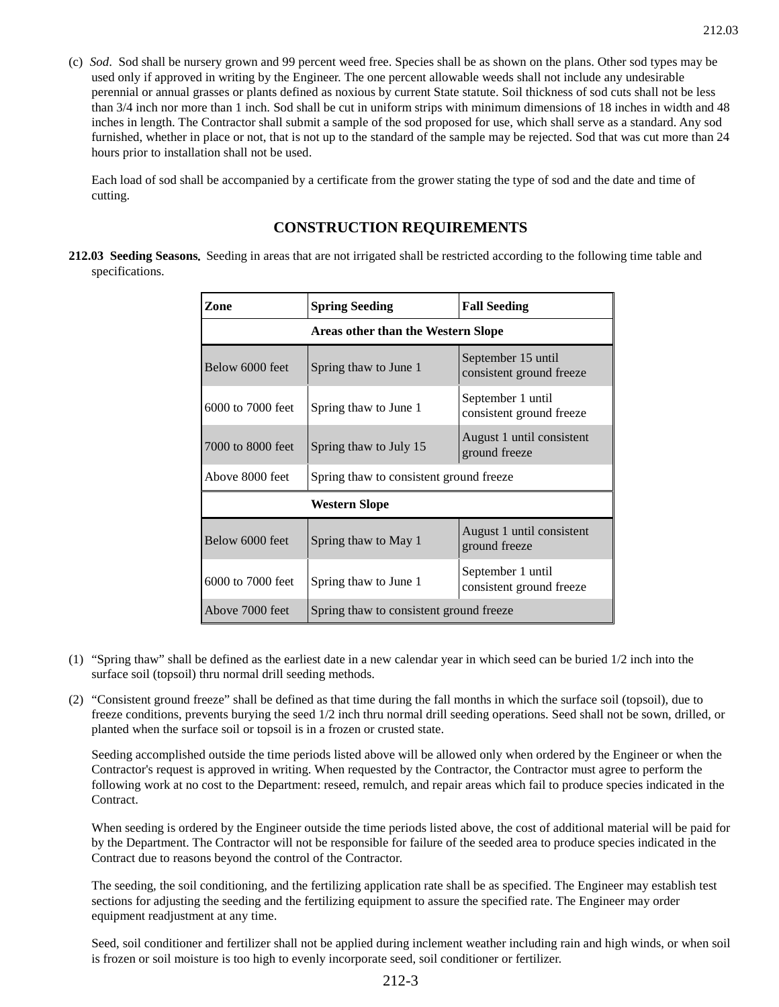(c) *Sod*. Sod shall be nursery grown and 99 percent weed free. Species shall be as shown on the plans. Other sod types may be used only if approved in writing by the Engineer. The one percent allowable weeds shall not include any undesirable perennial or annual grasses or plants defined as noxious by current State statute. Soil thickness of sod cuts shall not be less than 3/4 inch nor more than 1 inch. Sod shall be cut in uniform strips with minimum dimensions of 18 inches in width and 48 inches in length. The Contractor shall submit a sample of the sod proposed for use, which shall serve as a standard. Any sod furnished, whether in place or not, that is not up to the standard of the sample may be rejected. Sod that was cut more than 24 hours prior to installation shall not be used.

Each load of sod shall be accompanied by a certificate from the grower stating the type of sod and the date and time of cutting.

# **CONSTRUCTION REQUIREMENTS**

**212.03 Seeding Seasons** Seeding in areas that are not irrigated shall be restricted according to the following time table and specifications.

| Zone                               | <b>Spring Seeding</b>                    | <b>Fall Seeding</b>                            |  |
|------------------------------------|------------------------------------------|------------------------------------------------|--|
| Areas other than the Western Slope |                                          |                                                |  |
| Below 6000 feet                    | Spring thaw to June 1                    | September 15 until<br>consistent ground freeze |  |
| 6000 to 7000 feet                  | Spring thaw to June 1                    | September 1 until<br>consistent ground freeze  |  |
| 7000 to 8000 feet                  | Spring thaw to July 15                   | August 1 until consistent<br>ground freeze     |  |
| Above 8000 feet                    | Spring thaw to consistent ground freeze  |                                                |  |
|                                    | <b>Western Slope</b>                     |                                                |  |
| Below 6000 feet                    | Spring thaw to May 1                     | August 1 until consistent<br>ground freeze     |  |
| 6000 to 7000 feet                  | Spring thaw to June 1                    | September 1 until<br>consistent ground freeze  |  |
| Above 7000 feet                    | Spring thaw to consistent ground freeze. |                                                |  |

- (1) "Spring thaw" shall be defined as the earliest date in a new calendar year in which seed can be buried 1/2 inch into the surface soil (topsoil) thru normal drill seeding methods.
- (2) "Consistent ground freeze" shall be defined as that time during the fall months in which the surface soil (topsoil), due to freeze conditions, prevents burying the seed 1/2 inch thru normal drill seeding operations. Seed shall not be sown, drilled, or planted when the surface soil or topsoil is in a frozen or crusted state.

Seeding accomplished outside the time periods listed above will be allowed only when ordered by the Engineer or when the Contractor's request is approved in writing. When requested by the Contractor, the Contractor must agree to perform the following work at no cost to the Department: reseed, remulch, and repair areas which fail to produce species indicated in the Contract.

When seeding is ordered by the Engineer outside the time periods listed above, the cost of additional material will be paid for by the Department. The Contractor will not be responsible for failure of the seeded area to produce species indicated in the Contract due to reasons beyond the control of the Contractor.

The seeding, the soil conditioning, and the fertilizing application rate shall be as specified. The Engineer may establish test sections for adjusting the seeding and the fertilizing equipment to assure the specified rate. The Engineer may order equipment readjustment at any time.

Seed, soil conditioner and fertilizer shall not be applied during inclement weather including rain and high winds, or when soil is frozen or soil moisture is too high to evenly incorporate seed, soil conditioner or fertilizer.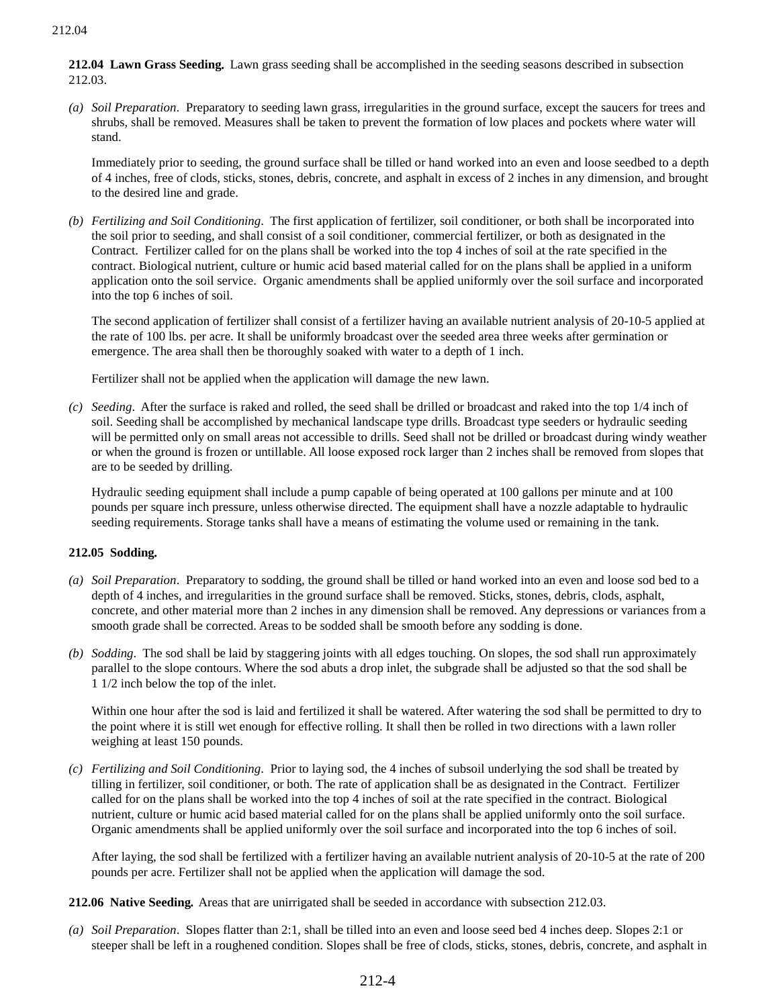**212.04 Lawn Grass Seeding** Lawn grass seeding shall be accomplished in the seeding seasons described in subsection 212.03.

*(a) Soil Preparation*. Preparatory to seeding lawn grass, irregularities in the ground surface, except the saucers for trees and shrubs, shall be removed. Measures shall be taken to prevent the formation of low places and pockets where water will stand.

Immediately prior to seeding, the ground surface shall be tilled or hand worked into an even and loose seedbed to a depth of 4 inches, free of clods, sticks, stones, debris, concrete, and asphalt in excess of 2 inches in any dimension, and brought to the desired line and grade.

*(b) Fertilizing and Soil Conditioning*. The first application of fertilizer, soil conditioner, or both shall be incorporated into the soil prior to seeding, and shall consist of a soil conditioner, commercial fertilizer, or both as designated in the Contract. Fertilizer called for on the plans shall be worked into the top 4 inches of soil at the rate specified in the contract. Biological nutrient, culture or humic acid based material called for on the plans shall be applied in a uniform application onto the soil service. Organic amendments shall be applied uniformly over the soil surface and incorporated into the top 6 inches of soil.

The second application of fertilizer shall consist of a fertilizer having an available nutrient analysis of 20-10-5 applied at the rate of 100 lbs. per acre. It shall be uniformly broadcast over the seeded area three weeks after germination or emergence. The area shall then be thoroughly soaked with water to a depth of 1 inch.

Fertilizer shall not be applied when the application will damage the new lawn.

*(c) Seeding*. After the surface is raked and rolled, the seed shall be drilled or broadcast and raked into the top 1/4 inch of soil. Seeding shall be accomplished by mechanical landscape type drills. Broadcast type seeders or hydraulic seeding will be permitted only on small areas not accessible to drills. Seed shall not be drilled or broadcast during windy weather or when the ground is frozen or untillable. All loose exposed rock larger than 2 inches shall be removed from slopes that are to be seeded by drilling.

Hydraulic seeding equipment shall include a pump capable of being operated at 100 gallons per minute and at 100 pounds per square inch pressure, unless otherwise directed. The equipment shall have a nozzle adaptable to hydraulic seeding requirements. Storage tanks shall have a means of estimating the volume used or remaining in the tank.

#### **212.05 Sodding**

- *(a) Soil Preparation*. Preparatory to sodding, the ground shall be tilled or hand worked into an even and loose sod bed to a depth of 4 inches, and irregularities in the ground surface shall be removed. Sticks, stones, debris, clods, asphalt, concrete, and other material more than 2 inches in any dimension shall be removed. Any depressions or variances from a smooth grade shall be corrected. Areas to be sodded shall be smooth before any sodding is done.
- *(b) Sodding*. The sod shall be laid by staggering joints with all edges touching. On slopes, the sod shall run approximately parallel to the slope contours. Where the sod abuts a drop inlet, the subgrade shall be adjusted so that the sod shall be 1 1/2 inch below the top of the inlet.

Within one hour after the sod is laid and fertilized it shall be watered. After watering the sod shall be permitted to dry to the point where it is still wet enough for effective rolling. It shall then be rolled in two directions with a lawn roller weighing at least 150 pounds.

*(c) Fertilizing and Soil Conditioning*. Prior to laying sod, the 4 inches of subsoil underlying the sod shall be treated by tilling in fertilizer, soil conditioner, or both. The rate of application shall be as designated in the Contract. Fertilizer called for on the plans shall be worked into the top 4 inches of soil at the rate specified in the contract. Biological nutrient, culture or humic acid based material called for on the plans shall be applied uniformly onto the soil surface. Organic amendments shall be applied uniformly over the soil surface and incorporated into the top 6 inches of soil.

After laying, the sod shall be fertilized with a fertilizer having an available nutrient analysis of 20-10-5 at the rate of 200 pounds per acre. Fertilizer shall not be applied when the application will damage the sod.

**212.06 Native Seeding** Areas that are unirrigated shall be seeded in accordance with subsection 212.03.

*(a) Soil Preparation*. Slopes flatter than 2:1, shall be tilled into an even and loose seed bed 4 inches deep. Slopes 2:1 or steeper shall be left in a roughened condition. Slopes shall be free of clods, sticks, stones, debris, concrete, and asphalt in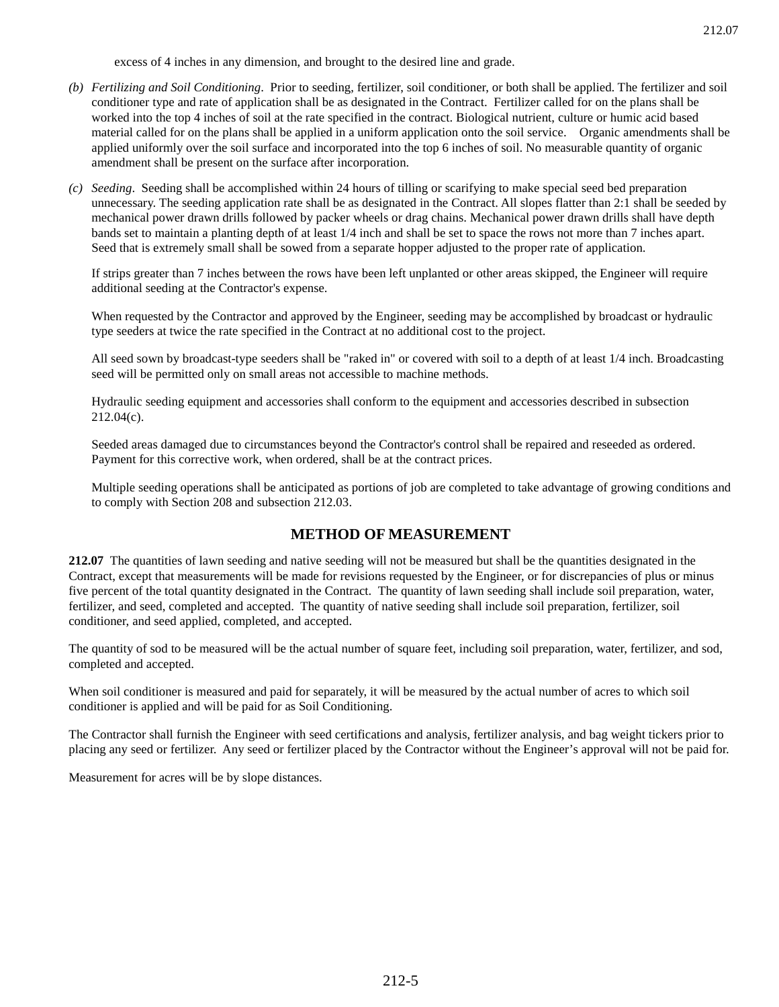excess of 4 inches in any dimension, and brought to the desired line and grade.

- *(b) Fertilizing and Soil Conditioning*. Prior to seeding, fertilizer, soil conditioner, or both shall be applied. The fertilizer and soil conditioner type and rate of application shall be as designated in the Contract. Fertilizer called for on the plans shall be worked into the top 4 inches of soil at the rate specified in the contract. Biological nutrient, culture or humic acid based material called for on the plans shall be applied in a uniform application onto the soil service. Organic amendments shall be applied uniformly over the soil surface and incorporated into the top 6 inches of soil. No measurable quantity of organic amendment shall be present on the surface after incorporation.
- *(c) Seeding*. Seeding shall be accomplished within 24 hours of tilling or scarifying to make special seed bed preparation unnecessary. The seeding application rate shall be as designated in the Contract. All slopes flatter than 2:1 shall be seeded by mechanical power drawn drills followed by packer wheels or drag chains. Mechanical power drawn drills shall have depth bands set to maintain a planting depth of at least 1/4 inch and shall be set to space the rows not more than 7 inches apart. Seed that is extremely small shall be sowed from a separate hopper adjusted to the proper rate of application.

If strips greater than 7 inches between the rows have been left unplanted or other areas skipped, the Engineer will require additional seeding at the Contractor's expense.

When requested by the Contractor and approved by the Engineer, seeding may be accomplished by broadcast or hydraulic type seeders at twice the rate specified in the Contract at no additional cost to the project.

All seed sown by broadcast-type seeders shall be "raked in" or covered with soil to a depth of at least 1/4 inch. Broadcasting seed will be permitted only on small areas not accessible to machine methods.

Hydraulic seeding equipment and accessories shall conform to the equipment and accessories described in subsection  $212.04(c)$ .

Seeded areas damaged due to circumstances beyond the Contractor's control shall be repaired and reseeded as ordered. Payment for this corrective work, when ordered, shall be at the contract prices.

Multiple seeding operations shall be anticipated as portions of job are completed to take advantage of growing conditions and to comply with Section 208 and subsection 212.03.

## **METHOD OF MEASUREMENT**

**212.07** The quantities of lawn seeding and native seeding will not be measured but shall be the quantities designated in the Contract, except that measurements will be made for revisions requested by the Engineer, or for discrepancies of plus or minus five percent of the total quantity designated in the Contract. The quantity of lawn seeding shall include soil preparation, water, fertilizer, and seed, completed and accepted. The quantity of native seeding shall include soil preparation, fertilizer, soil conditioner, and seed applied, completed, and accepted.

The quantity of sod to be measured will be the actual number of square feet, including soil preparation, water, fertilizer, and sod, completed and accepted.

When soil conditioner is measured and paid for separately, it will be measured by the actual number of acres to which soil conditioner is applied and will be paid for as Soil Conditioning.

The Contractor shall furnish the Engineer with seed certifications and analysis, fertilizer analysis, and bag weight tickers prior to placing any seed or fertilizer. Any seed or fertilizer placed by the Contractor without the Engineer's approval will not be paid for.

Measurement for acres will be by slope distances.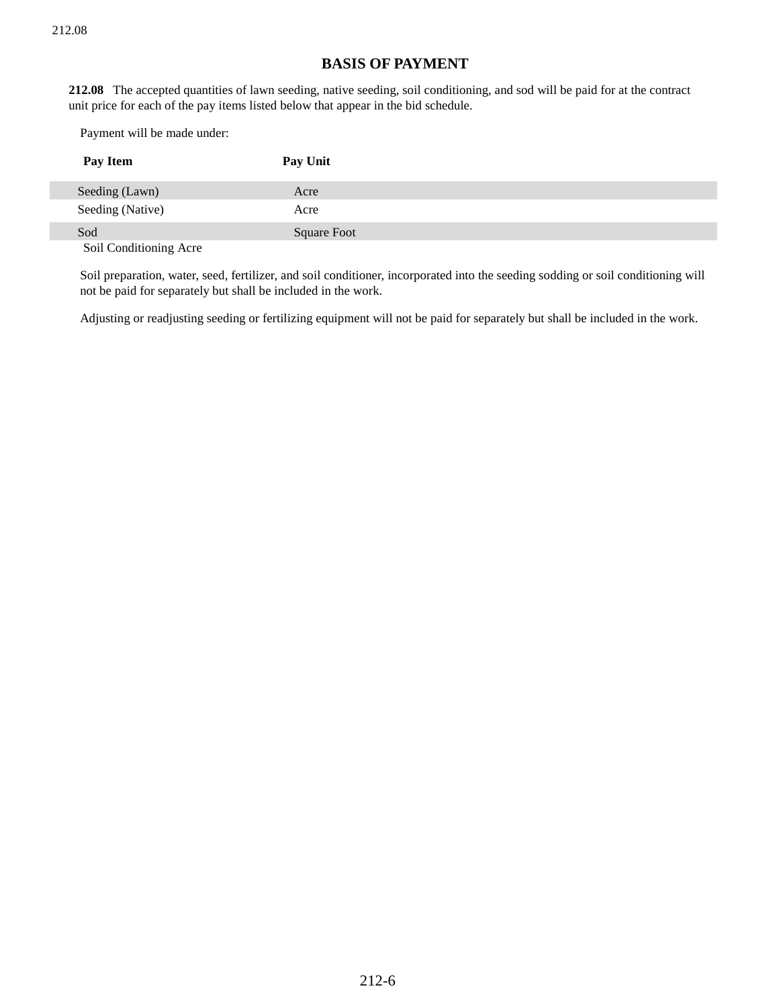# **BASIS OF PAYMENT**

**212.08** The accepted quantities of lawn seeding, native seeding, soil conditioning, and sod will be paid for at the contract unit price for each of the pay items listed below that appear in the bid schedule.

Payment will be made under:

| Pay Item               | Pay Unit           |
|------------------------|--------------------|
| Seeding (Lawn)         | Acre               |
| Seeding (Native)       | Acre               |
| Sod                    | <b>Square Foot</b> |
| Soil Conditioning Acre |                    |

Soil preparation, water, seed, fertilizer, and soil conditioner, incorporated into the seeding sodding or soil conditioning will not be paid for separately but shall be included in the work.

Adjusting or readjusting seeding or fertilizing equipment will not be paid for separately but shall be included in the work.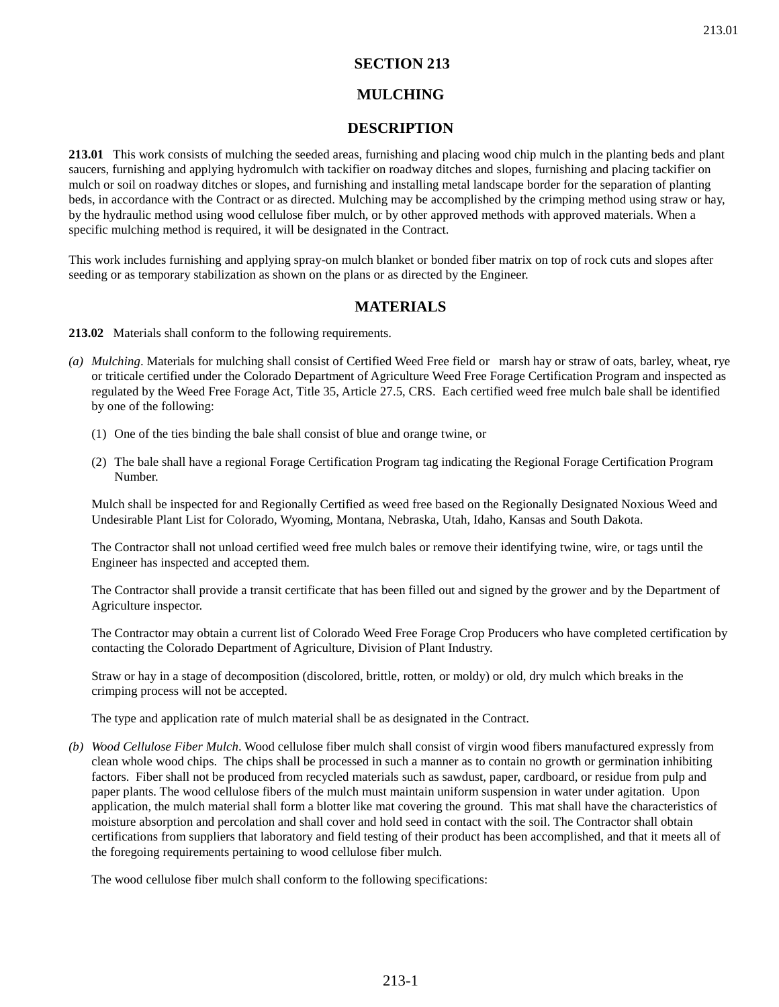## **SECTION 213**

## **MULCHING**

#### **DESCRIPTION**

**213.01** This work consists of mulching the seeded areas, furnishing and placing wood chip mulch in the planting beds and plant saucers, furnishing and applying hydromulch with tackifier on roadway ditches and slopes, furnishing and placing tackifier on mulch or soil on roadway ditches or slopes, and furnishing and installing metal landscape border for the separation of planting beds, in accordance with the Contract or as directed. Mulching may be accomplished by the crimping method using straw or hay, by the hydraulic method using wood cellulose fiber mulch, or by other approved methods with approved materials. When a specific mulching method is required, it will be designated in the Contract.

This work includes furnishing and applying spray-on mulch blanket or bonded fiber matrix on top of rock cuts and slopes after seeding or as temporary stabilization as shown on the plans or as directed by the Engineer.

## **MATERIALS**

**213.02** Materials shall conform to the following requirements.

- *(a) Mulching*. Materials for mulching shall consist of Certified Weed Free field or marsh hay or straw of oats, barley, wheat, rye or triticale certified under the Colorado Department of Agriculture Weed Free Forage Certification Program and inspected as regulated by the Weed Free Forage Act, Title 35, Article 27.5, CRS. Each certified weed free mulch bale shall be identified by one of the following:
	- (1) One of the ties binding the bale shall consist of blue and orange twine, or
	- (2) The bale shall have a regional Forage Certification Program tag indicating the Regional Forage Certification Program Number.

Mulch shall be inspected for and Regionally Certified as weed free based on the Regionally Designated Noxious Weed and Undesirable Plant List for Colorado, Wyoming, Montana, Nebraska, Utah, Idaho, Kansas and South Dakota.

The Contractor shall not unload certified weed free mulch bales or remove their identifying twine, wire, or tags until the Engineer has inspected and accepted them.

The Contractor shall provide a transit certificate that has been filled out and signed by the grower and by the Department of Agriculture inspector.

The Contractor may obtain a current list of Colorado Weed Free Forage Crop Producers who have completed certification by contacting the Colorado Department of Agriculture, Division of Plant Industry.

Straw or hay in a stage of decomposition (discolored, brittle, rotten, or moldy) or old, dry mulch which breaks in the crimping process will not be accepted.

The type and application rate of mulch material shall be as designated in the Contract.

*(b) Wood Cellulose Fiber Mulch*. Wood cellulose fiber mulch shall consist of virgin wood fibers manufactured expressly from clean whole wood chips. The chips shall be processed in such a manner as to contain no growth or germination inhibiting factors. Fiber shall not be produced from recycled materials such as sawdust, paper, cardboard, or residue from pulp and paper plants. The wood cellulose fibers of the mulch must maintain uniform suspension in water under agitation. Upon application, the mulch material shall form a blotter like mat covering the ground. This mat shall have the characteristics of moisture absorption and percolation and shall cover and hold seed in contact with the soil. The Contractor shall obtain certifications from suppliers that laboratory and field testing of their product has been accomplished, and that it meets all of the foregoing requirements pertaining to wood cellulose fiber mulch.

The wood cellulose fiber mulch shall conform to the following specifications: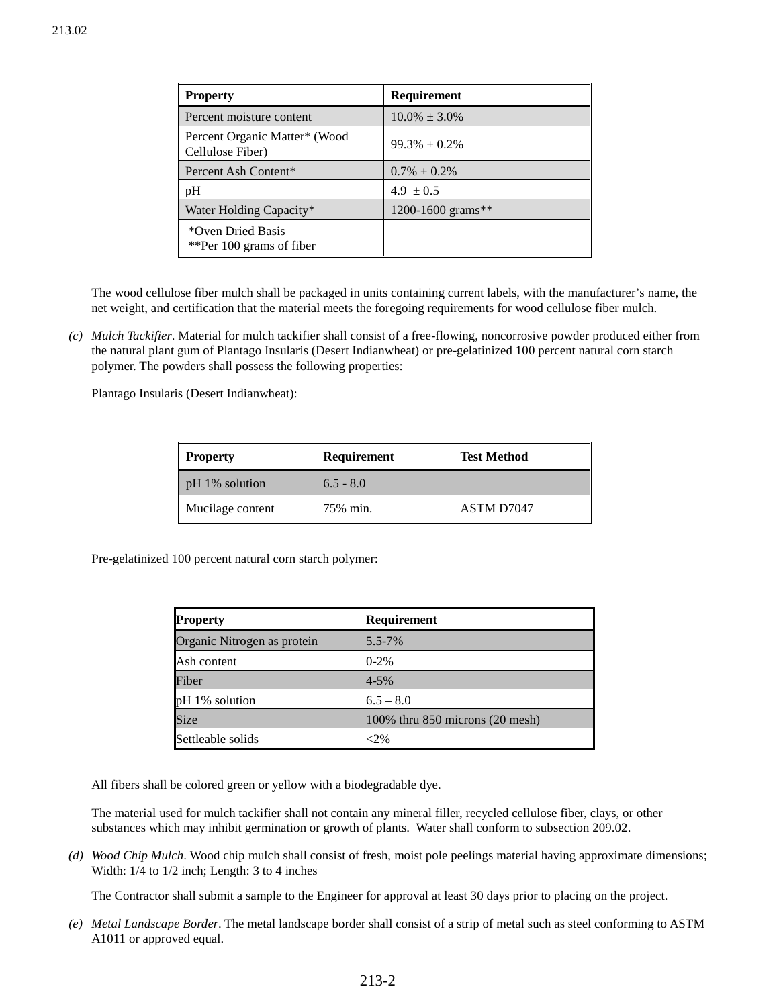| <b>Property</b>                                   | Requirement        |
|---------------------------------------------------|--------------------|
| Percent moisture content                          | $10.0\% \pm 3.0\%$ |
| Percent Organic Matter* (Wood<br>Cellulose Fiber) | $99.3\% \pm 0.2\%$ |
| Percent Ash Content*                              | $0.7\% \pm 0.2\%$  |
| pH                                                | $4.9 \pm 0.5$      |
| Water Holding Capacity*                           | 1200-1600 grams**  |
| *Oven Dried Basis<br>**Per 100 grams of fiber     |                    |

The wood cellulose fiber mulch shall be packaged in units containing current labels, with the manufacturer's name, the net weight, and certification that the material meets the foregoing requirements for wood cellulose fiber mulch.

*(c) Mulch Tackifier*. Material for mulch tackifier shall consist of a free-flowing, noncorrosive powder produced either from the natural plant gum of Plantago Insularis (Desert Indianwheat) or pre-gelatinized 100 percent natural corn starch polymer. The powders shall possess the following properties:

Plantago Insularis (Desert Indianwheat):

| <b>Property</b>  | <b>Requirement</b> | <b>Test Method</b> |
|------------------|--------------------|--------------------|
| pH 1% solution   | $6.5 - 8.0$        |                    |
| Mucilage content | 75% min.           | ASTM D7047         |

Pre-gelatinized 100 percent natural corn starch polymer:

| <b>Property</b>             | Requirement                        |
|-----------------------------|------------------------------------|
| Organic Nitrogen as protein | $15.5 - 7\%$                       |
| Ash content                 | $0 - 2\%$                          |
| Fiber                       | $4 - 5%$                           |
| pH 1% solution              | $6.5 - 8.0$                        |
| Size                        | $100\%$ thru 850 microns (20 mesh) |
| Settleable solids           | 22%                                |

All fibers shall be colored green or yellow with a biodegradable dye.

The material used for mulch tackifier shall not contain any mineral filler, recycled cellulose fiber, clays, or other substances which may inhibit germination or growth of plants. Water shall conform to subsection 209.02.

*(d) Wood Chip Mulch*. Wood chip mulch shall consist of fresh, moist pole peelings material having approximate dimensions; Width: 1/4 to 1/2 inch; Length: 3 to 4 inches

The Contractor shall submit a sample to the Engineer for approval at least 30 days prior to placing on the project.

*(e) Metal Landscape Border*. The metal landscape border shall consist of a strip of metal such as steel conforming to ASTM A1011 or approved equal.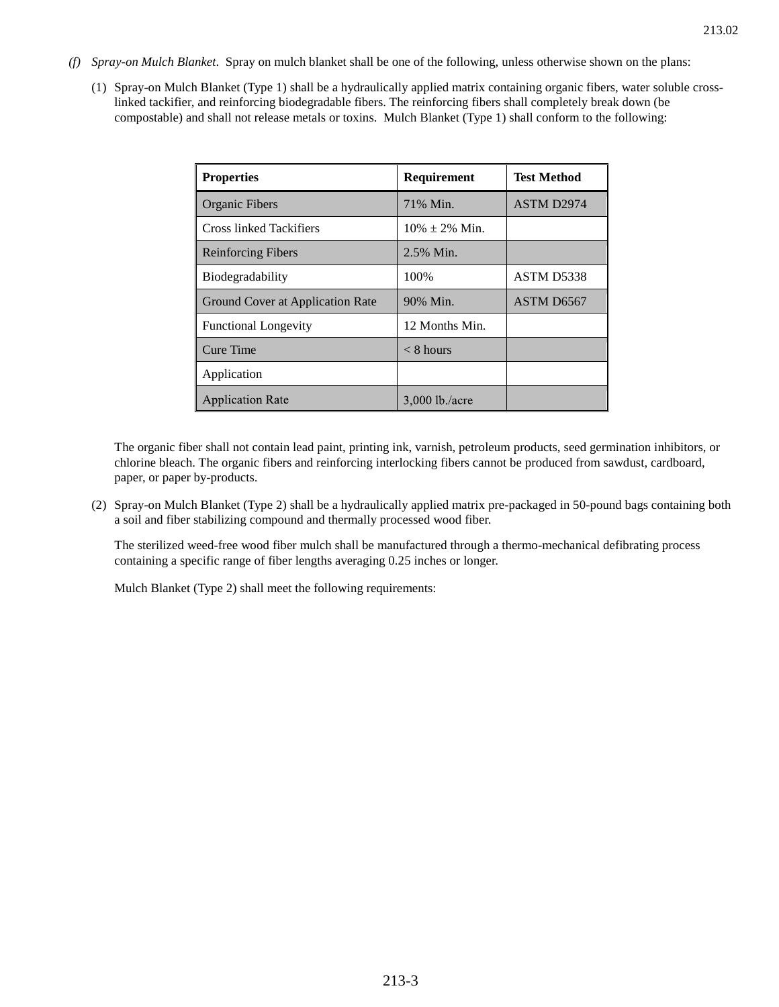213.02

(1) Spray-on Mulch Blanket (Type 1) shall be a hydraulically applied matrix containing organic fibers, water soluble crosslinked tackifier, and reinforcing biodegradable fibers. The reinforcing fibers shall completely break down (be compostable) and shall not release metals or toxins. Mulch Blanket (Type 1) shall conform to the following:

| <b>Properties</b>                | Requirement       | <b>Test Method</b> |
|----------------------------------|-------------------|--------------------|
| Organic Fibers                   | 71% Min.          | ASTM D2974         |
| <b>Cross linked Tackifiers</b>   | $10\% + 2\%$ Min. |                    |
| <b>Reinforcing Fibers</b>        | 2.5% Min.         |                    |
| Biodegradability                 | 100%              | ASTM D5338         |
| Ground Cover at Application Rate | 90% Min.          | ASTM D6567         |
| <b>Functional Longevity</b>      | 12 Months Min.    |                    |
| <b>Cure Time</b>                 | $< 8$ hours       |                    |
| Application                      |                   |                    |
| <b>Application Rate</b>          | $3,000$ lb./acre  |                    |

The organic fiber shall not contain lead paint, printing ink, varnish, petroleum products, seed germination inhibitors, or chlorine bleach. The organic fibers and reinforcing interlocking fibers cannot be produced from sawdust, cardboard, paper, or paper by-products.

(2) Spray-on Mulch Blanket (Type 2) shall be a hydraulically applied matrix pre-packaged in 50-pound bags containing both a soil and fiber stabilizing compound and thermally processed wood fiber.

The sterilized weed-free wood fiber mulch shall be manufactured through a thermo-mechanical defibrating process containing a specific range of fiber lengths averaging 0.25 inches or longer.

Mulch Blanket (Type 2) shall meet the following requirements:

213-3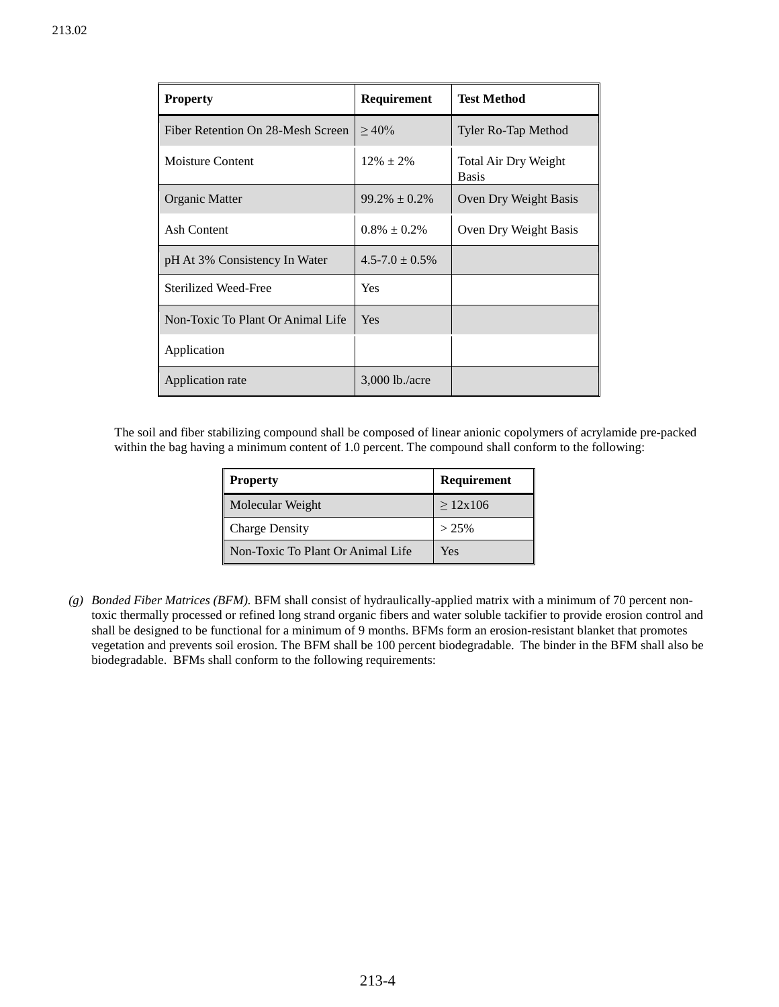| <b>Property</b>                   | Requirement           | <b>Test Method</b>                   |
|-----------------------------------|-----------------------|--------------------------------------|
| Fiber Retention On 28-Mesh Screen | $>40\%$               | <b>Tyler Ro-Tap Method</b>           |
| <b>Moisture Content</b>           | $12\% \pm 2\%$        | Total Air Dry Weight<br><b>Basis</b> |
| Organic Matter                    | $99.2\% \pm 0.2\%$    | Oven Dry Weight Basis                |
| Ash Content                       | $0.8\% \pm 0.2\%$     | Oven Dry Weight Basis                |
| pH At 3% Consistency In Water     | $4.5 - 7.0 \pm 0.5\%$ |                                      |
| <b>Sterilized Weed-Free</b>       | Yes                   |                                      |
| Non-Toxic To Plant Or Animal Life | Yes                   |                                      |
| Application                       |                       |                                      |
| Application rate                  | $3,000$ lb./acre      |                                      |

The soil and fiber stabilizing compound shall be composed of linear anionic copolymers of acrylamide pre-packed within the bag having a minimum content of 1.0 percent. The compound shall conform to the following:

| <b>Property</b>                   | Requirement |
|-----------------------------------|-------------|
| Molecular Weight                  | >12x106     |
| <b>Charge Density</b>             | $> 25\%$    |
| Non-Toxic To Plant Or Animal Life | Yes         |

*(g) Bonded Fiber Matrices (BFM).* BFM shall consist of hydraulically-applied matrix with a minimum of 70 percent nontoxic thermally processed or refined long strand organic fibers and water soluble tackifier to provide erosion control and shall be designed to be functional for a minimum of 9 months. BFMs form an erosion-resistant blanket that promotes vegetation and prevents soil erosion. The BFM shall be 100 percent biodegradable. The binder in the BFM shall also be biodegradable. BFMs shall conform to the following requirements: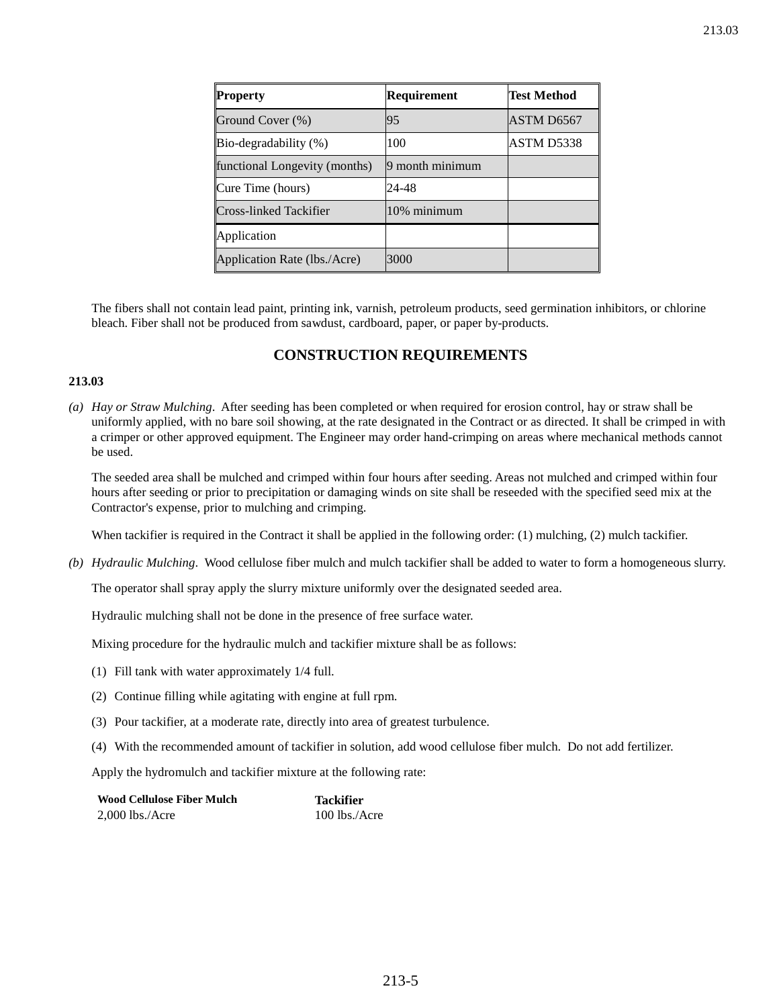| <b>Property</b>               | <b>Requirement</b> | <b>Test Method</b> |
|-------------------------------|--------------------|--------------------|
| Ground Cover (%)              | 95                 | ASTM D6567         |
| Bio-degradability (%)         | 100                | ASTM D5338         |
| functional Longevity (months) | 9 month minimum    |                    |
| Cure Time (hours)             | 24-48              |                    |
| <b>Cross-linked Tackifier</b> | 10% minimum        |                    |
| Application                   |                    |                    |
| Application Rate (lbs./Acre)  | 3000               |                    |

The fibers shall not contain lead paint, printing ink, varnish, petroleum products, seed germination inhibitors, or chlorine bleach. Fiber shall not be produced from sawdust, cardboard, paper, or paper by-products.

# **CONSTRUCTION REQUIREMENTS**

### **213.03**

*(a) Hay or Straw Mulching*. After seeding has been completed or when required for erosion control, hay or straw shall be uniformly applied, with no bare soil showing, at the rate designated in the Contract or as directed. It shall be crimped in with a crimper or other approved equipment. The Engineer may order hand-crimping on areas where mechanical methods cannot be used.

The seeded area shall be mulched and crimped within four hours after seeding. Areas not mulched and crimped within four hours after seeding or prior to precipitation or damaging winds on site shall be reseeded with the specified seed mix at the Contractor's expense, prior to mulching and crimping.

When tackifier is required in the Contract it shall be applied in the following order: (1) mulching, (2) mulch tackifier.

*(b) Hydraulic Mulching*. Wood cellulose fiber mulch and mulch tackifier shall be added to water to form a homogeneous slurry.

The operator shall spray apply the slurry mixture uniformly over the designated seeded area.

Hydraulic mulching shall not be done in the presence of free surface water.

Mixing procedure for the hydraulic mulch and tackifier mixture shall be as follows:

- (1) Fill tank with water approximately 1/4 full.
- (2) Continue filling while agitating with engine at full rpm.
- (3) Pour tackifier, at a moderate rate, directly into area of greatest turbulence.
- (4) With the recommended amount of tackifier in solution, add wood cellulose fiber mulch. Do not add fertilizer.

Apply the hydromulch and tackifier mixture at the following rate:

| <b>Wood Cellulose Fiber Mulch</b> | <b>Tackifier</b> |
|-----------------------------------|------------------|
| $2,000$ lbs./Acre                 | $100$ lbs./Acre  |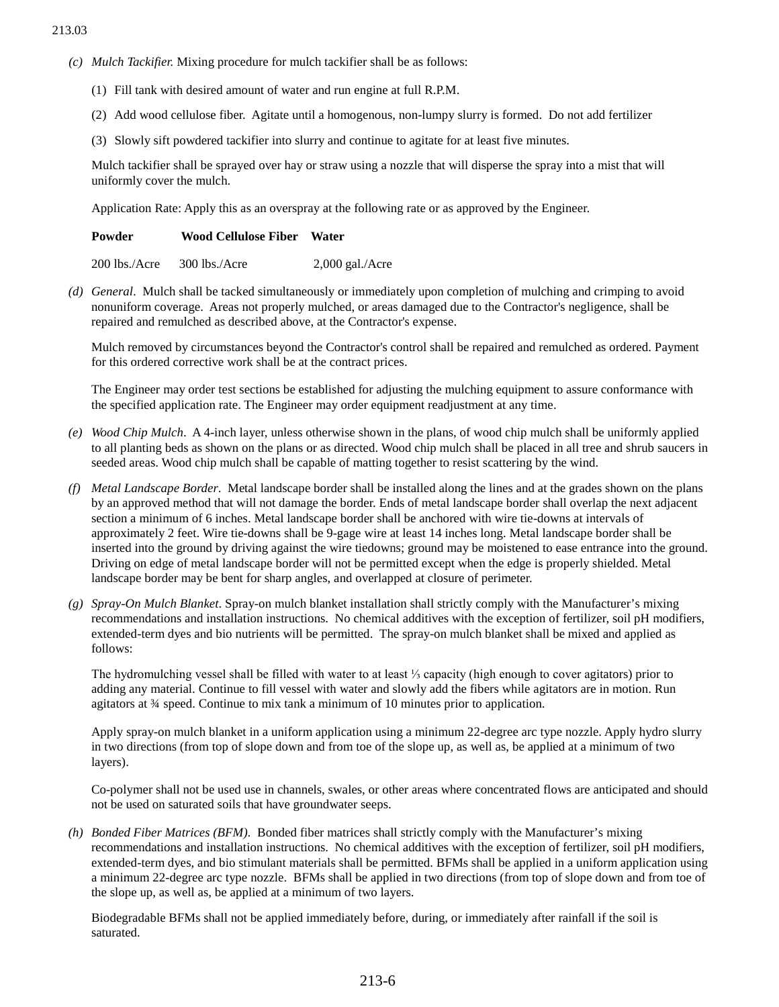- *(c) Mulch Tackifier.* Mixing procedure for mulch tackifier shall be as follows:
	- (1) Fill tank with desired amount of water and run engine at full R.P.M.
	- (2) Add wood cellulose fiber. Agitate until a homogenous, non-lumpy slurry is formed. Do not add fertilizer
	- (3) Slowly sift powdered tackifier into slurry and continue to agitate for at least five minutes.

Mulch tackifier shall be sprayed over hay or straw using a nozzle that will disperse the spray into a mist that will uniformly cover the mulch.

Application Rate: Apply this as an overspray at the following rate or as approved by the Engineer.

#### **Powder Wood Cellulose Fiber Water**

200 lbs./Acre 300 lbs./Acre 2,000 gal./Acre

*(d) General*. Mulch shall be tacked simultaneously or immediately upon completion of mulching and crimping to avoid nonuniform coverage. Areas not properly mulched, or areas damaged due to the Contractor's negligence, shall be repaired and remulched as described above, at the Contractor's expense.

Mulch removed by circumstances beyond the Contractor's control shall be repaired and remulched as ordered. Payment for this ordered corrective work shall be at the contract prices.

The Engineer may order test sections be established for adjusting the mulching equipment to assure conformance with the specified application rate. The Engineer may order equipment readjustment at any time.

- *(e) Wood Chip Mulch*. A 4-inch layer, unless otherwise shown in the plans, of wood chip mulch shall be uniformly applied to all planting beds as shown on the plans or as directed. Wood chip mulch shall be placed in all tree and shrub saucers in seeded areas. Wood chip mulch shall be capable of matting together to resist scattering by the wind.
- *(f) Metal Landscape Border*. Metal landscape border shall be installed along the lines and at the grades shown on the plans by an approved method that will not damage the border. Ends of metal landscape border shall overlap the next adjacent section a minimum of 6 inches. Metal landscape border shall be anchored with wire tie-downs at intervals of approximately 2 feet. Wire tie-downs shall be 9-gage wire at least 14 inches long. Metal landscape border shall be inserted into the ground by driving against the wire tiedowns; ground may be moistened to ease entrance into the ground. Driving on edge of metal landscape border will not be permitted except when the edge is properly shielded. Metal landscape border may be bent for sharp angles, and overlapped at closure of perimeter.
- *(g) Spray-On Mulch Blanket*. Spray-on mulch blanket installation shall strictly comply with the Manufacturer's mixing recommendations and installation instructions. No chemical additives with the exception of fertilizer, soil pH modifiers, extended-term dyes and bio nutrients will be permitted. The spray-on mulch blanket shall be mixed and applied as follows:

The hydromulching vessel shall be filled with water to at least ⅓ capacity (high enough to cover agitators) prior to adding any material. Continue to fill vessel with water and slowly add the fibers while agitators are in motion. Run agitators at ¾ speed. Continue to mix tank a minimum of 10 minutes prior to application.

Apply spray-on mulch blanket in a uniform application using a minimum 22-degree arc type nozzle. Apply hydro slurry in two directions (from top of slope down and from toe of the slope up, as well as, be applied at a minimum of two layers).

Co-polymer shall not be used use in channels, swales, or other areas where concentrated flows are anticipated and should not be used on saturated soils that have groundwater seeps.

*(h) Bonded Fiber Matrices (BFM)*. Bonded fiber matrices shall strictly comply with the Manufacturer's mixing recommendations and installation instructions. No chemical additives with the exception of fertilizer, soil pH modifiers, extended-term dyes, and bio stimulant materials shall be permitted. BFMs shall be applied in a uniform application using a minimum 22-degree arc type nozzle. BFMs shall be applied in two directions (from top of slope down and from toe of the slope up, as well as, be applied at a minimum of two layers.

Biodegradable BFMs shall not be applied immediately before, during, or immediately after rainfall if the soil is saturated.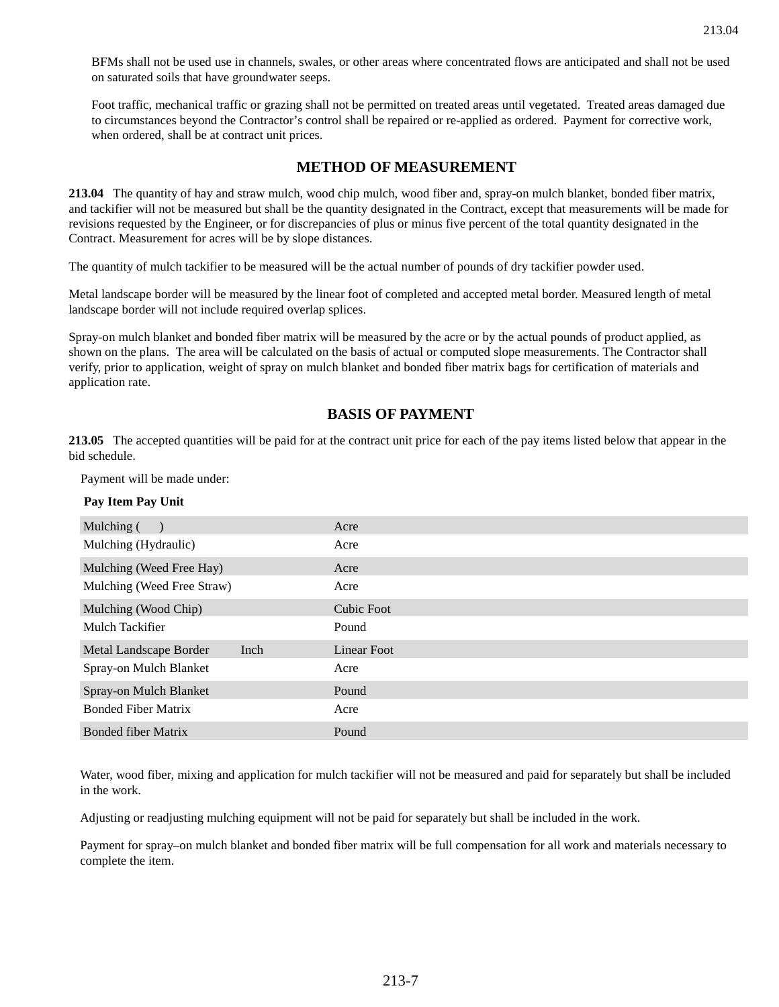BFMs shall not be used use in channels, swales, or other areas where concentrated flows are anticipated and shall not be used on saturated soils that have groundwater seeps.

Foot traffic, mechanical traffic or grazing shall not be permitted on treated areas until vegetated. Treated areas damaged due to circumstances beyond the Contractor's control shall be repaired or re-applied as ordered. Payment for corrective work, when ordered, shall be at contract unit prices.

# **METHOD OF MEASUREMENT**

**213.04** The quantity of hay and straw mulch, wood chip mulch, wood fiber and, spray-on mulch blanket, bonded fiber matrix, and tackifier will not be measured but shall be the quantity designated in the Contract, except that measurements will be made for revisions requested by the Engineer, or for discrepancies of plus or minus five percent of the total quantity designated in the Contract. Measurement for acres will be by slope distances.

The quantity of mulch tackifier to be measured will be the actual number of pounds of dry tackifier powder used.

Metal landscape border will be measured by the linear foot of completed and accepted metal border. Measured length of metal landscape border will not include required overlap splices.

Spray-on mulch blanket and bonded fiber matrix will be measured by the acre or by the actual pounds of product applied, as shown on the plans. The area will be calculated on the basis of actual or computed slope measurements. The Contractor shall verify, prior to application, weight of spray on mulch blanket and bonded fiber matrix bags for certification of materials and application rate.

# **BASIS OF PAYMENT**

**213.05** The accepted quantities will be paid for at the contract unit price for each of the pay items listed below that appear in the bid schedule.

Payment will be made under:

**Pay Item Pay Unit** 

| ray nem ray Umu                |             |
|--------------------------------|-------------|
| Mulching (                     | Acre        |
| Mulching (Hydraulic)           | Acre        |
| Mulching (Weed Free Hay)       | Acre        |
| Mulching (Weed Free Straw)     | Acre        |
| Mulching (Wood Chip)           | Cubic Foot  |
| Mulch Tackifier                | Pound       |
| Metal Landscape Border<br>Inch | Linear Foot |
| Spray-on Mulch Blanket         | Acre        |
| Spray-on Mulch Blanket         | Pound       |
| <b>Bonded Fiber Matrix</b>     | Acre        |
| <b>Bonded fiber Matrix</b>     | Pound       |

Water, wood fiber, mixing and application for mulch tackifier will not be measured and paid for separately but shall be included in the work.

Adjusting or readjusting mulching equipment will not be paid for separately but shall be included in the work.

Payment for spray–on mulch blanket and bonded fiber matrix will be full compensation for all work and materials necessary to complete the item.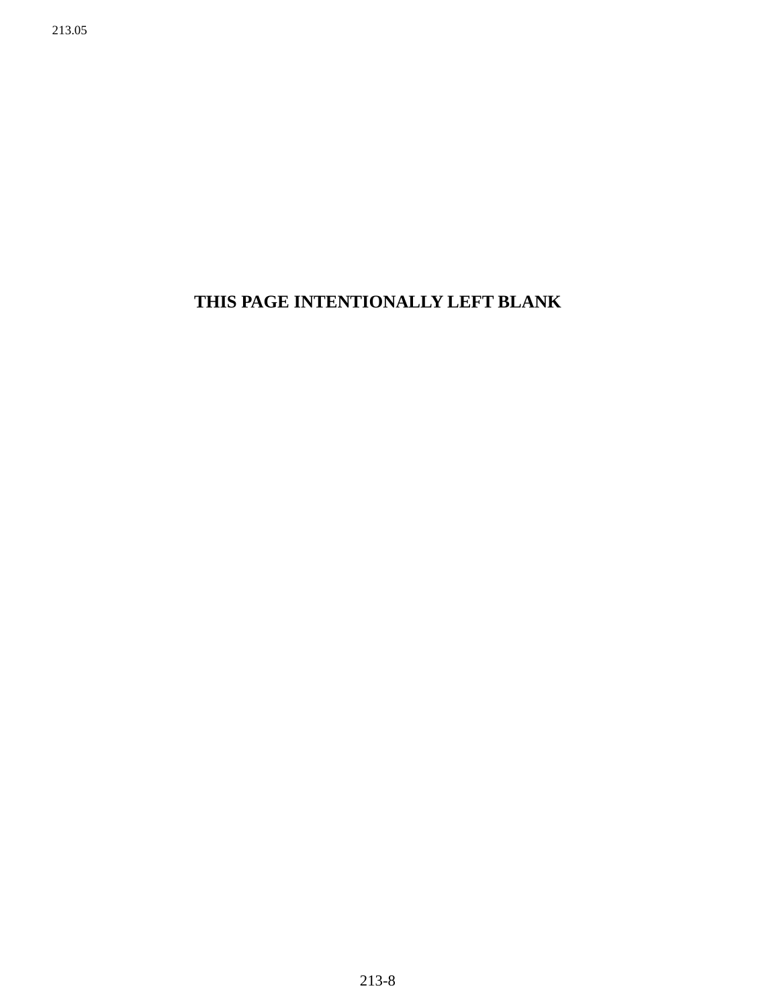# **THIS PAGE INTENTIONALLY LEFT BLANK**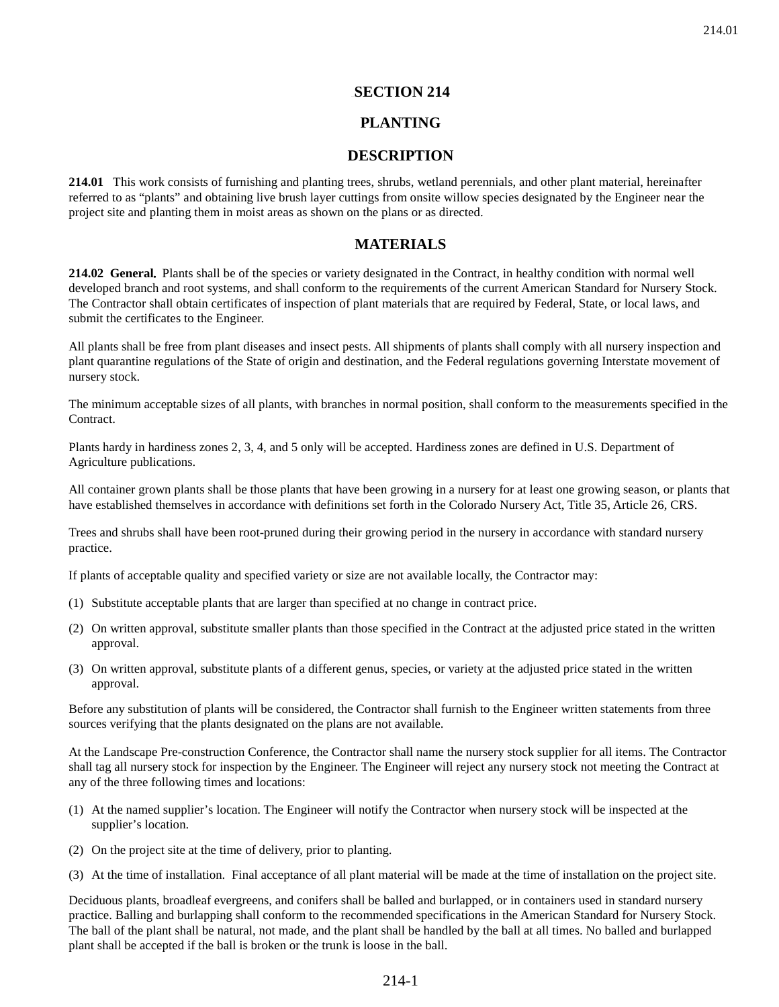# **SECTION 214**

# **PLANTING**

#### **DESCRIPTION**

**214.01** This work consists of furnishing and planting trees, shrubs, wetland perennials, and other plant material, hereinafter referred to as "plants" and obtaining live brush layer cuttings from onsite willow species designated by the Engineer near the project site and planting them in moist areas as shown on the plans or as directed.

# **MATERIALS**

**214.02 General** Plants shall be of the species or variety designated in the Contract, in healthy condition with normal well developed branch and root systems, and shall conform to the requirements of the current American Standard for Nursery Stock. The Contractor shall obtain certificates of inspection of plant materials that are required by Federal, State, or local laws, and submit the certificates to the Engineer.

All plants shall be free from plant diseases and insect pests. All shipments of plants shall comply with all nursery inspection and plant quarantine regulations of the State of origin and destination, and the Federal regulations governing Interstate movement of nursery stock.

The minimum acceptable sizes of all plants, with branches in normal position, shall conform to the measurements specified in the Contract.

Plants hardy in hardiness zones 2, 3, 4, and 5 only will be accepted. Hardiness zones are defined in U.S. Department of Agriculture publications.

All container grown plants shall be those plants that have been growing in a nursery for at least one growing season, or plants that have established themselves in accordance with definitions set forth in the Colorado Nursery Act, Title 35, Article 26, CRS.

Trees and shrubs shall have been root-pruned during their growing period in the nursery in accordance with standard nursery practice.

If plants of acceptable quality and specified variety or size are not available locally, the Contractor may:

- (1) Substitute acceptable plants that are larger than specified at no change in contract price.
- (2) On written approval, substitute smaller plants than those specified in the Contract at the adjusted price stated in the written approval.
- (3) On written approval, substitute plants of a different genus, species, or variety at the adjusted price stated in the written approval.

Before any substitution of plants will be considered, the Contractor shall furnish to the Engineer written statements from three sources verifying that the plants designated on the plans are not available.

At the Landscape Pre-construction Conference, the Contractor shall name the nursery stock supplier for all items. The Contractor shall tag all nursery stock for inspection by the Engineer. The Engineer will reject any nursery stock not meeting the Contract at any of the three following times and locations:

- (1) At the named supplier's location. The Engineer will notify the Contractor when nursery stock will be inspected at the supplier's location.
- (2) On the project site at the time of delivery, prior to planting.
- (3) At the time of installation. Final acceptance of all plant material will be made at the time of installation on the project site.

Deciduous plants, broadleaf evergreens, and conifers shall be balled and burlapped, or in containers used in standard nursery practice. Balling and burlapping shall conform to the recommended specifications in the American Standard for Nursery Stock. The ball of the plant shall be natural, not made, and the plant shall be handled by the ball at all times. No balled and burlapped plant shall be accepted if the ball is broken or the trunk is loose in the ball.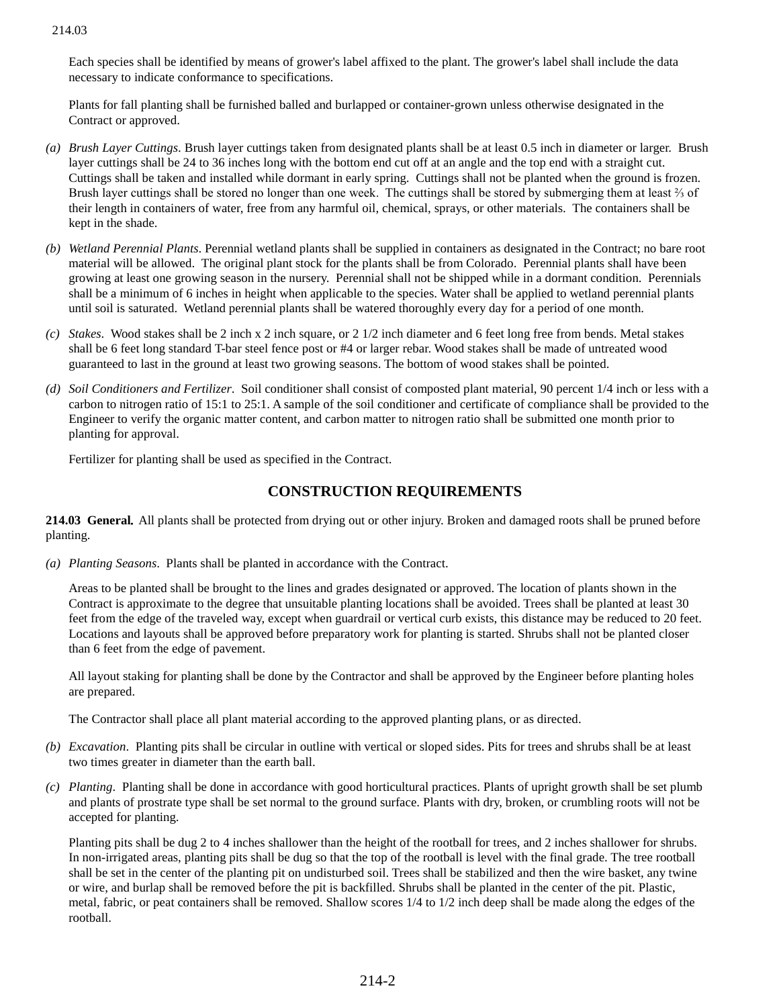Each species shall be identified by means of grower's label affixed to the plant. The grower's label shall include the data necessary to indicate conformance to specifications.

Plants for fall planting shall be furnished balled and burlapped or container-grown unless otherwise designated in the Contract or approved.

- *(a) Brush Layer Cuttings*. Brush layer cuttings taken from designated plants shall be at least 0.5 inch in diameter or larger. Brush layer cuttings shall be 24 to 36 inches long with the bottom end cut off at an angle and the top end with a straight cut. Cuttings shall be taken and installed while dormant in early spring. Cuttings shall not be planted when the ground is frozen. Brush layer cuttings shall be stored no longer than one week. The cuttings shall be stored by submerging them at least ⅔ of their length in containers of water, free from any harmful oil, chemical, sprays, or other materials. The containers shall be kept in the shade.
- *(b) Wetland Perennial Plants*. Perennial wetland plants shall be supplied in containers as designated in the Contract; no bare root material will be allowed. The original plant stock for the plants shall be from Colorado. Perennial plants shall have been growing at least one growing season in the nursery. Perennial shall not be shipped while in a dormant condition. Perennials shall be a minimum of 6 inches in height when applicable to the species. Water shall be applied to wetland perennial plants until soil is saturated. Wetland perennial plants shall be watered thoroughly every day for a period of one month.
- *(c) Stakes*. Wood stakes shall be 2 inch x 2 inch square, or 2 1/2 inch diameter and 6 feet long free from bends. Metal stakes shall be 6 feet long standard T-bar steel fence post or #4 or larger rebar. Wood stakes shall be made of untreated wood guaranteed to last in the ground at least two growing seasons. The bottom of wood stakes shall be pointed.
- *(d) Soil Conditioners and Fertilizer*. Soil conditioner shall consist of composted plant material, 90 percent 1/4 inch or less with a carbon to nitrogen ratio of 15:1 to 25:1. A sample of the soil conditioner and certificate of compliance shall be provided to the Engineer to verify the organic matter content, and carbon matter to nitrogen ratio shall be submitted one month prior to planting for approval.

Fertilizer for planting shall be used as specified in the Contract.

# **CONSTRUCTION REQUIREMENTS**

**214.03 General** All plants shall be protected from drying out or other injury. Broken and damaged roots shall be pruned before planting.

*(a) Planting Seasons*. Plants shall be planted in accordance with the Contract.

Areas to be planted shall be brought to the lines and grades designated or approved. The location of plants shown in the Contract is approximate to the degree that unsuitable planting locations shall be avoided. Trees shall be planted at least 30 feet from the edge of the traveled way, except when guardrail or vertical curb exists, this distance may be reduced to 20 feet. Locations and layouts shall be approved before preparatory work for planting is started. Shrubs shall not be planted closer than 6 feet from the edge of pavement.

All layout staking for planting shall be done by the Contractor and shall be approved by the Engineer before planting holes are prepared.

The Contractor shall place all plant material according to the approved planting plans, or as directed.

- *(b) Excavation*. Planting pits shall be circular in outline with vertical or sloped sides. Pits for trees and shrubs shall be at least two times greater in diameter than the earth ball.
- *(c) Planting*. Planting shall be done in accordance with good horticultural practices. Plants of upright growth shall be set plumb and plants of prostrate type shall be set normal to the ground surface. Plants with dry, broken, or crumbling roots will not be accepted for planting.

Planting pits shall be dug 2 to 4 inches shallower than the height of the rootball for trees, and 2 inches shallower for shrubs. In non-irrigated areas, planting pits shall be dug so that the top of the rootball is level with the final grade. The tree rootball shall be set in the center of the planting pit on undisturbed soil. Trees shall be stabilized and then the wire basket, any twine or wire, and burlap shall be removed before the pit is backfilled. Shrubs shall be planted in the center of the pit. Plastic, metal, fabric, or peat containers shall be removed. Shallow scores 1/4 to 1/2 inch deep shall be made along the edges of the rootball.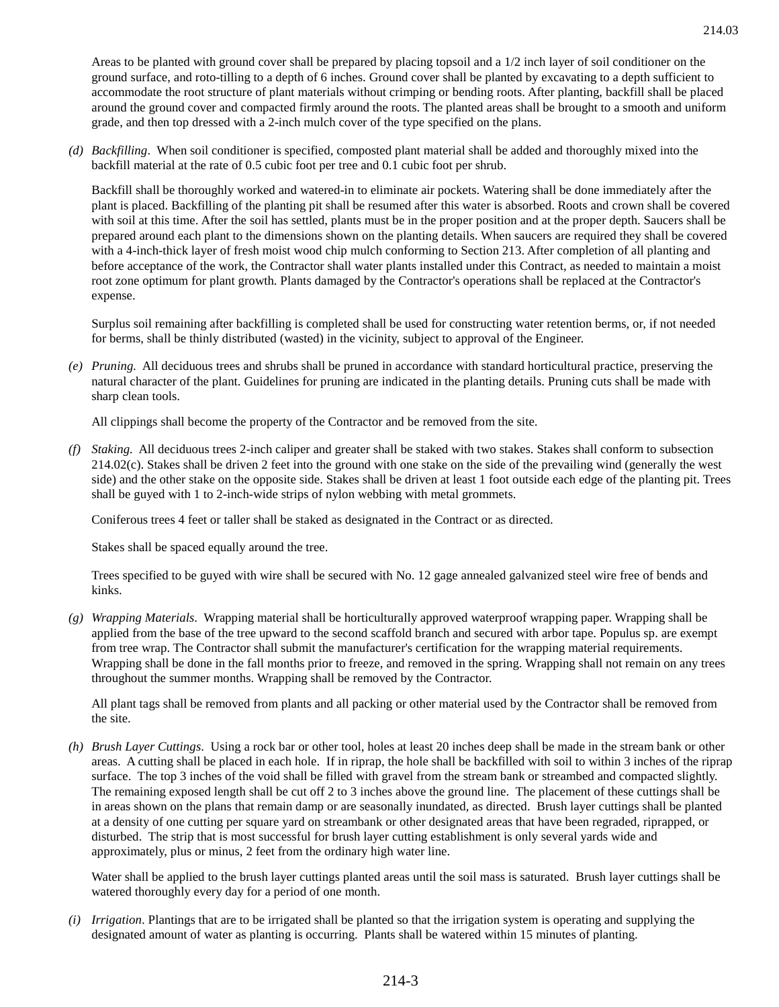Areas to be planted with ground cover shall be prepared by placing topsoil and a 1/2 inch layer of soil conditioner on the ground surface, and roto-tilling to a depth of 6 inches. Ground cover shall be planted by excavating to a depth sufficient to accommodate the root structure of plant materials without crimping or bending roots. After planting, backfill shall be placed around the ground cover and compacted firmly around the roots. The planted areas shall be brought to a smooth and uniform grade, and then top dressed with a 2-inch mulch cover of the type specified on the plans.

*(d) Backfilling*. When soil conditioner is specified, composted plant material shall be added and thoroughly mixed into the backfill material at the rate of 0.5 cubic foot per tree and 0.1 cubic foot per shrub.

Backfill shall be thoroughly worked and watered-in to eliminate air pockets. Watering shall be done immediately after the plant is placed. Backfilling of the planting pit shall be resumed after this water is absorbed. Roots and crown shall be covered with soil at this time. After the soil has settled, plants must be in the proper position and at the proper depth. Saucers shall be prepared around each plant to the dimensions shown on the planting details. When saucers are required they shall be covered with a 4-inch-thick layer of fresh moist wood chip mulch conforming to Section 213. After completion of all planting and before acceptance of the work, the Contractor shall water plants installed under this Contract, as needed to maintain a moist root zone optimum for plant growth. Plants damaged by the Contractor's operations shall be replaced at the Contractor's expense.

Surplus soil remaining after backfilling is completed shall be used for constructing water retention berms, or, if not needed for berms, shall be thinly distributed (wasted) in the vicinity, subject to approval of the Engineer.

*(e) Pruning.* All deciduous trees and shrubs shall be pruned in accordance with standard horticultural practice, preserving the natural character of the plant. Guidelines for pruning are indicated in the planting details. Pruning cuts shall be made with sharp clean tools.

All clippings shall become the property of the Contractor and be removed from the site.

*(f) Staking.* All deciduous trees 2-inch caliper and greater shall be staked with two stakes. Stakes shall conform to subsection 214.02(c). Stakes shall be driven 2 feet into the ground with one stake on the side of the prevailing wind (generally the west side) and the other stake on the opposite side. Stakes shall be driven at least 1 foot outside each edge of the planting pit. Trees shall be guyed with 1 to 2-inch-wide strips of nylon webbing with metal grommets.

Coniferous trees 4 feet or taller shall be staked as designated in the Contract or as directed.

Stakes shall be spaced equally around the tree.

Trees specified to be guyed with wire shall be secured with No. 12 gage annealed galvanized steel wire free of bends and kinks.

*(g) Wrapping Materials*. Wrapping material shall be horticulturally approved waterproof wrapping paper. Wrapping shall be applied from the base of the tree upward to the second scaffold branch and secured with arbor tape. Populus sp. are exempt from tree wrap. The Contractor shall submit the manufacturer's certification for the wrapping material requirements. Wrapping shall be done in the fall months prior to freeze, and removed in the spring. Wrapping shall not remain on any trees throughout the summer months. Wrapping shall be removed by the Contractor.

All plant tags shall be removed from plants and all packing or other material used by the Contractor shall be removed from the site.

*(h) Brush Layer Cuttings*. Using a rock bar or other tool, holes at least 20 inches deep shall be made in the stream bank or other areas. A cutting shall be placed in each hole. If in riprap, the hole shall be backfilled with soil to within 3 inches of the riprap surface. The top 3 inches of the void shall be filled with gravel from the stream bank or streambed and compacted slightly. The remaining exposed length shall be cut off 2 to 3 inches above the ground line. The placement of these cuttings shall be in areas shown on the plans that remain damp or are seasonally inundated, as directed. Brush layer cuttings shall be planted at a density of one cutting per square yard on streambank or other designated areas that have been regraded, riprapped, or disturbed. The strip that is most successful for brush layer cutting establishment is only several yards wide and approximately, plus or minus, 2 feet from the ordinary high water line.

Water shall be applied to the brush layer cuttings planted areas until the soil mass is saturated. Brush layer cuttings shall be watered thoroughly every day for a period of one month.

*(i) Irrigation*. Plantings that are to be irrigated shall be planted so that the irrigation system is operating and supplying the designated amount of water as planting is occurring. Plants shall be watered within 15 minutes of planting.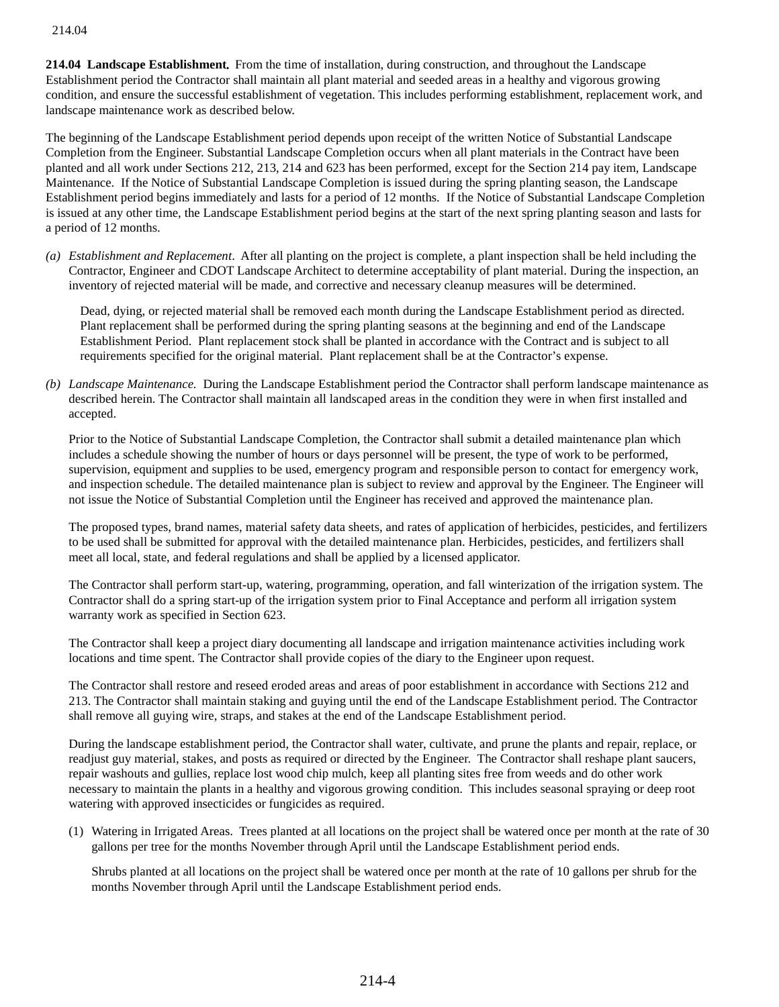**214.04 Landscape Establishment**. From the time of installation, during construction, and throughout the Landscape Establishment period the Contractor shall maintain all plant material and seeded areas in a healthy and vigorous growing condition, and ensure the successful establishment of vegetation. This includes performing establishment, replacement work, and landscape maintenance work as described below.

The beginning of the Landscape Establishment period depends upon receipt of the written Notice of Substantial Landscape Completion from the Engineer. Substantial Landscape Completion occurs when all plant materials in the Contract have been planted and all work under Sections 212, 213, 214 and 623 has been performed, except for the Section 214 pay item, Landscape Maintenance. If the Notice of Substantial Landscape Completion is issued during the spring planting season, the Landscape Establishment period begins immediately and lasts for a period of 12 months. If the Notice of Substantial Landscape Completion is issued at any other time, the Landscape Establishment period begins at the start of the next spring planting season and lasts for a period of 12 months.

*(a) Establishment and Replacement*. After all planting on the project is complete, a plant inspection shall be held including the Contractor, Engineer and CDOT Landscape Architect to determine acceptability of plant material. During the inspection, an inventory of rejected material will be made, and corrective and necessary cleanup measures will be determined.

Dead, dying, or rejected material shall be removed each month during the Landscape Establishment period as directed. Plant replacement shall be performed during the spring planting seasons at the beginning and end of the Landscape Establishment Period. Plant replacement stock shall be planted in accordance with the Contract and is subject to all requirements specified for the original material. Plant replacement shall be at the Contractor's expense.

*(b) Landscape Maintenance.* During the Landscape Establishment period the Contractor shall perform landscape maintenance as described herein. The Contractor shall maintain all landscaped areas in the condition they were in when first installed and accepted.

Prior to the Notice of Substantial Landscape Completion, the Contractor shall submit a detailed maintenance plan which includes a schedule showing the number of hours or days personnel will be present, the type of work to be performed, supervision, equipment and supplies to be used, emergency program and responsible person to contact for emergency work, and inspection schedule. The detailed maintenance plan is subject to review and approval by the Engineer. The Engineer will not issue the Notice of Substantial Completion until the Engineer has received and approved the maintenance plan.

The proposed types, brand names, material safety data sheets, and rates of application of herbicides, pesticides, and fertilizers to be used shall be submitted for approval with the detailed maintenance plan. Herbicides, pesticides, and fertilizers shall meet all local, state, and federal regulations and shall be applied by a licensed applicator.

The Contractor shall perform start-up, watering, programming, operation, and fall winterization of the irrigation system. The Contractor shall do a spring start-up of the irrigation system prior to Final Acceptance and perform all irrigation system warranty work as specified in Section 623.

The Contractor shall keep a project diary documenting all landscape and irrigation maintenance activities including work locations and time spent. The Contractor shall provide copies of the diary to the Engineer upon request.

The Contractor shall restore and reseed eroded areas and areas of poor establishment in accordance with Sections 212 and 213. The Contractor shall maintain staking and guying until the end of the Landscape Establishment period. The Contractor shall remove all guying wire, straps, and stakes at the end of the Landscape Establishment period.

During the landscape establishment period, the Contractor shall water, cultivate, and prune the plants and repair, replace, or readjust guy material, stakes, and posts as required or directed by the Engineer. The Contractor shall reshape plant saucers, repair washouts and gullies, replace lost wood chip mulch, keep all planting sites free from weeds and do other work necessary to maintain the plants in a healthy and vigorous growing condition. This includes seasonal spraying or deep root watering with approved insecticides or fungicides as required.

(1) Watering in Irrigated Areas. Trees planted at all locations on the project shall be watered once per month at the rate of 30 gallons per tree for the months November through April until the Landscape Establishment period ends.

Shrubs planted at all locations on the project shall be watered once per month at the rate of 10 gallons per shrub for the months November through April until the Landscape Establishment period ends.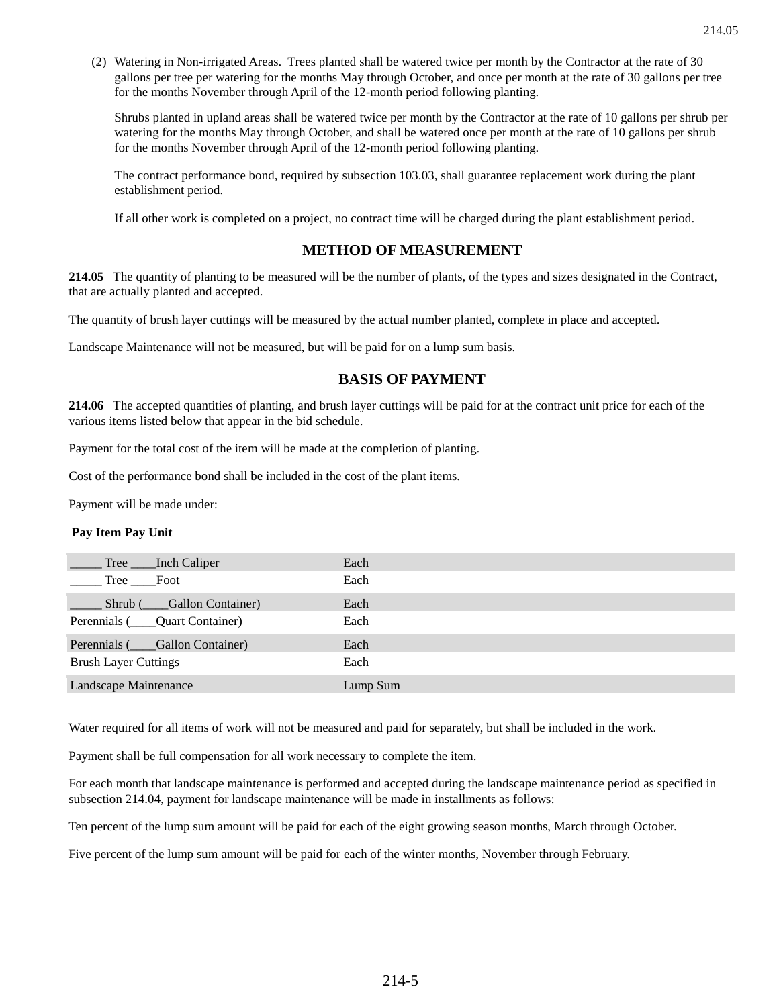(2) Watering in Non-irrigated Areas. Trees planted shall be watered twice per month by the Contractor at the rate of 30 gallons per tree per watering for the months May through October, and once per month at the rate of 30 gallons per tree for the months November through April of the 12-month period following planting.

Shrubs planted in upland areas shall be watered twice per month by the Contractor at the rate of 10 gallons per shrub per watering for the months May through October, and shall be watered once per month at the rate of 10 gallons per shrub for the months November through April of the 12-month period following planting.

The contract performance bond, required by subsection 103.03, shall guarantee replacement work during the plant establishment period.

If all other work is completed on a project, no contract time will be charged during the plant establishment period.

# **METHOD OF MEASUREMENT**

**214.05** The quantity of planting to be measured will be the number of plants, of the types and sizes designated in the Contract, that are actually planted and accepted.

The quantity of brush layer cuttings will be measured by the actual number planted, complete in place and accepted.

Landscape Maintenance will not be measured, but will be paid for on a lump sum basis.

# **BASIS OF PAYMENT**

**214.06** The accepted quantities of planting, and brush layer cuttings will be paid for at the contract unit price for each of the various items listed below that appear in the bid schedule.

Payment for the total cost of the item will be made at the completion of planting.

Cost of the performance bond shall be included in the cost of the plant items.

Payment will be made under:

#### **Pay Item Pay Unit**

| Tree ______ Inch Caliper      | Each     |  |
|-------------------------------|----------|--|
| Tree Foot                     | Each     |  |
| Shrub (Gallon Container)      | Each     |  |
| Perennials (Container)        | Each     |  |
| Perennials (Callon Container) | Each     |  |
| <b>Brush Layer Cuttings</b>   | Each     |  |
| Landscape Maintenance         | Lump Sum |  |

Water required for all items of work will not be measured and paid for separately, but shall be included in the work.

Payment shall be full compensation for all work necessary to complete the item.

For each month that landscape maintenance is performed and accepted during the landscape maintenance period as specified in subsection 214.04, payment for landscape maintenance will be made in installments as follows:

Ten percent of the lump sum amount will be paid for each of the eight growing season months, March through October.

Five percent of the lump sum amount will be paid for each of the winter months, November through February.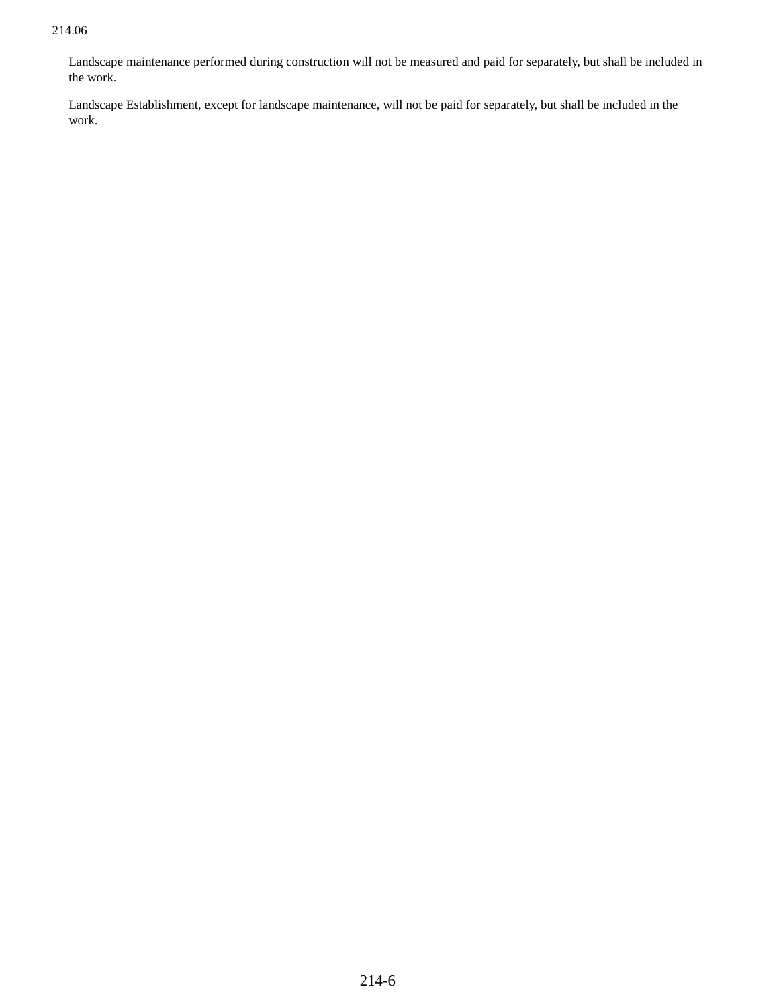## 214.06

Landscape maintenance performed during construction will not be measured and paid for separately, but shall be included in the work.

Landscape Establishment, except for landscape maintenance, will not be paid for separately, but shall be included in the work.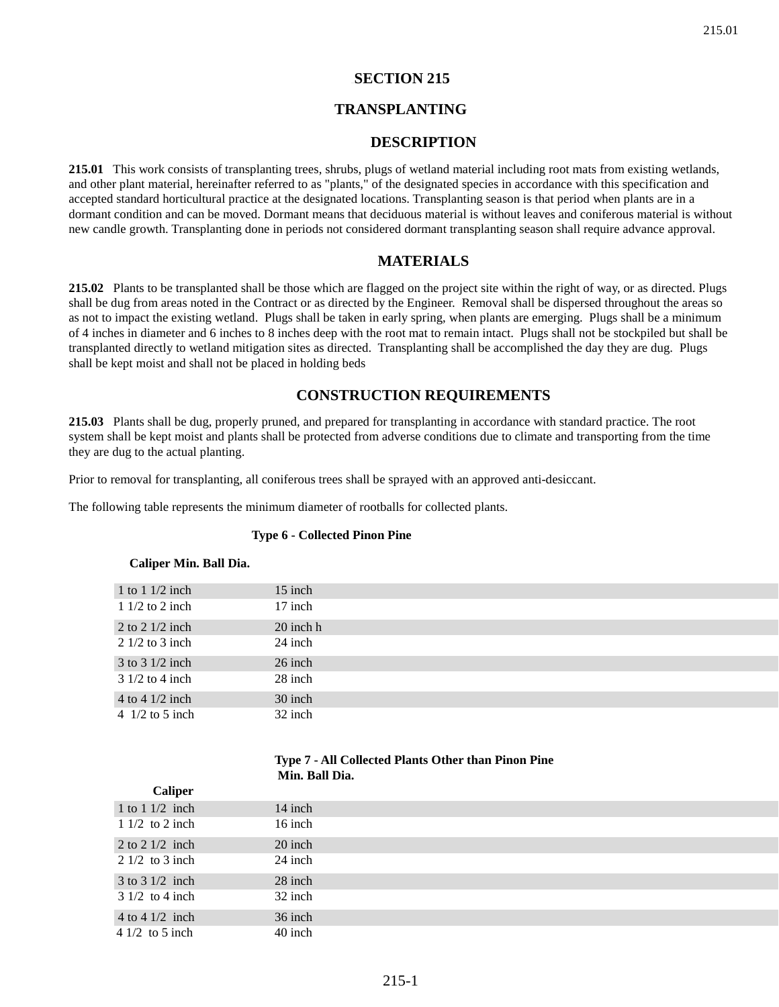#### **SECTION 215**

### **TRANSPLANTING**

## **DESCRIPTION**

**215.01** This work consists of transplanting trees, shrubs, plugs of wetland material including root mats from existing wetlands, and other plant material, hereinafter referred to as "plants," of the designated species in accordance with this specification and accepted standard horticultural practice at the designated locations. Transplanting season is that period when plants are in a dormant condition and can be moved. Dormant means that deciduous material is without leaves and coniferous material is without new candle growth. Transplanting done in periods not considered dormant transplanting season shall require advance approval.

#### **MATERIALS**

**215.02** Plants to be transplanted shall be those which are flagged on the project site within the right of way, or as directed. Plugs shall be dug from areas noted in the Contract or as directed by the Engineer. Removal shall be dispersed throughout the areas so as not to impact the existing wetland. Plugs shall be taken in early spring, when plants are emerging. Plugs shall be a minimum of 4 inches in diameter and 6 inches to 8 inches deep with the root mat to remain intact. Plugs shall not be stockpiled but shall be transplanted directly to wetland mitigation sites as directed. Transplanting shall be accomplished the day they are dug. Plugs shall be kept moist and shall not be placed in holding beds

### **CONSTRUCTION REQUIREMENTS**

**215.03** Plants shall be dug, properly pruned, and prepared for transplanting in accordance with standard practice. The root system shall be kept moist and plants shall be protected from adverse conditions due to climate and transporting from the time they are dug to the actual planting.

Prior to removal for transplanting, all coniferous trees shall be sprayed with an approved anti-desiccant.

The following table represents the minimum diameter of rootballs for collected plants.

#### **Type 6 - Collected Pinon Pine**

| 1 to $1\frac{1}{2}$ inch    | 15 inch     |
|-----------------------------|-------------|
| $11/2$ to 2 inch            | 17 inch     |
| 2 to $2 \frac{1}{2}$ inch   | $20$ inch h |
| $2 \frac{1}{2}$ to $3$ inch | 24 inch     |
| $3$ to $3 \frac{1}{2}$ inch | 26 inch     |
| $31/2$ to 4 inch            | 28 inch     |
| 4 to 4 $1/2$ inch           | 30 inch     |
| $4 \frac{1}{2}$ to 5 inch   | 32 inch     |

#### **Caliper Min. Ball Dia.**

#### **Type 7 - All Collected Plants Other than Pinon Pine Min. Ball Dia.**

| <b>Caliper</b>             |         |  |  |
|----------------------------|---------|--|--|
| 1 to $11/2$ inch           | 14 inch |  |  |
| $11/2$ to 2 inch           | 16 inch |  |  |
| 2 to $2 \frac{1}{2}$ inch  | 20 inch |  |  |
| $21/2$ to 3 inch           | 24 inch |  |  |
| $3$ to $3\frac{1}{2}$ inch | 28 inch |  |  |
| $31/2$ to 4 inch           | 32 inch |  |  |
| $4$ to $4\frac{1}{2}$ inch | 36 inch |  |  |
| $41/2$ to 5 inch           | 40 inch |  |  |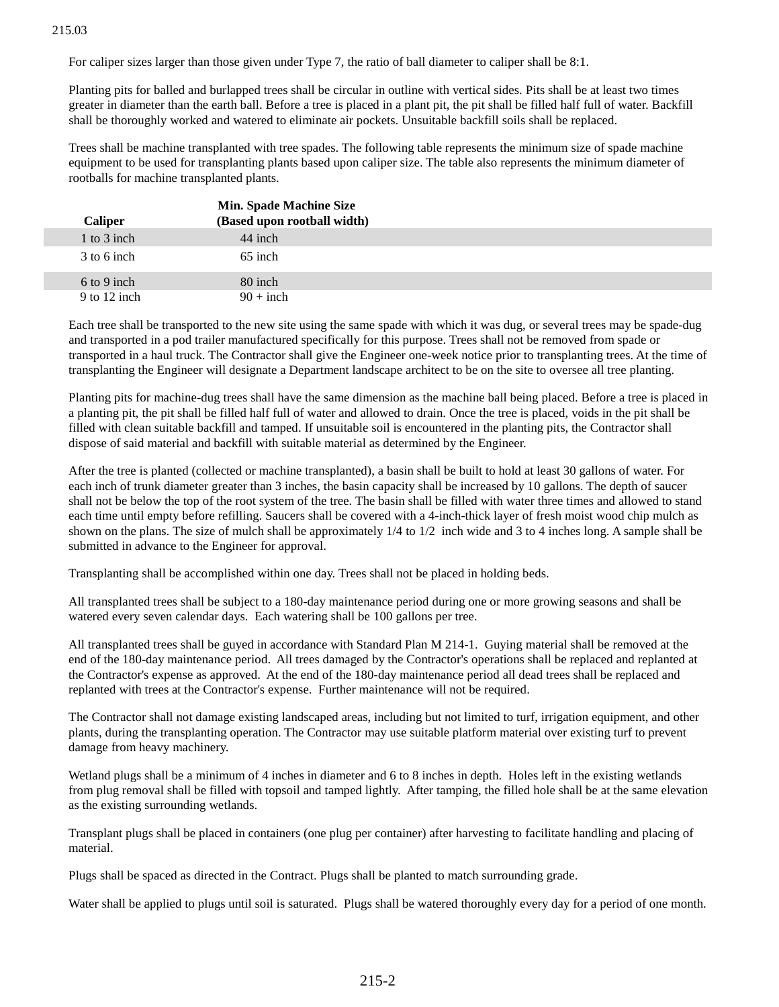For caliper sizes larger than those given under Type 7, the ratio of ball diameter to caliper shall be 8:1.

Planting pits for balled and burlapped trees shall be circular in outline with vertical sides. Pits shall be at least two times greater in diameter than the earth ball. Before a tree is placed in a plant pit, the pit shall be filled half full of water. Backfill shall be thoroughly worked and watered to eliminate air pockets. Unsuitable backfill soils shall be replaced.

Trees shall be machine transplanted with tree spades. The following table represents the minimum size of spade machine equipment to be used for transplanting plants based upon caliper size. The table also represents the minimum diameter of rootballs for machine transplanted plants.

| <b>Caliper</b>  | <b>Min. Spade Machine Size</b><br>(Based upon rootball width) |
|-----------------|---------------------------------------------------------------|
| $1$ to $3$ inch | 44 inch                                                       |
| 3 to 6 inch     | 65 inch                                                       |
| 6 to 9 inch     | 80 inch                                                       |
| 9 to 12 inch    | $90 + inch$                                                   |

Each tree shall be transported to the new site using the same spade with which it was dug, or several trees may be spade-dug and transported in a pod trailer manufactured specifically for this purpose. Trees shall not be removed from spade or transported in a haul truck. The Contractor shall give the Engineer one-week notice prior to transplanting trees. At the time of transplanting the Engineer will designate a Department landscape architect to be on the site to oversee all tree planting.

Planting pits for machine-dug trees shall have the same dimension as the machine ball being placed. Before a tree is placed in a planting pit, the pit shall be filled half full of water and allowed to drain. Once the tree is placed, voids in the pit shall be filled with clean suitable backfill and tamped. If unsuitable soil is encountered in the planting pits, the Contractor shall dispose of said material and backfill with suitable material as determined by the Engineer.

After the tree is planted (collected or machine transplanted), a basin shall be built to hold at least 30 gallons of water. For each inch of trunk diameter greater than 3 inches, the basin capacity shall be increased by 10 gallons. The depth of saucer shall not be below the top of the root system of the tree. The basin shall be filled with water three times and allowed to stand each time until empty before refilling. Saucers shall be covered with a 4-inch-thick layer of fresh moist wood chip mulch as shown on the plans. The size of mulch shall be approximately 1/4 to 1/2 inch wide and 3 to 4 inches long. A sample shall be submitted in advance to the Engineer for approval.

Transplanting shall be accomplished within one day. Trees shall not be placed in holding beds.

All transplanted trees shall be subject to a 180-day maintenance period during one or more growing seasons and shall be watered every seven calendar days. Each watering shall be 100 gallons per tree.

All transplanted trees shall be guyed in accordance with Standard Plan M 214-1. Guying material shall be removed at the end of the 180-day maintenance period. All trees damaged by the Contractor's operations shall be replaced and replanted at the Contractor's expense as approved. At the end of the 180-day maintenance period all dead trees shall be replaced and replanted with trees at the Contractor's expense. Further maintenance will not be required.

The Contractor shall not damage existing landscaped areas, including but not limited to turf, irrigation equipment, and other plants, during the transplanting operation. The Contractor may use suitable platform material over existing turf to prevent damage from heavy machinery.

Wetland plugs shall be a minimum of 4 inches in diameter and 6 to 8 inches in depth. Holes left in the existing wetlands from plug removal shall be filled with topsoil and tamped lightly. After tamping, the filled hole shall be at the same elevation as the existing surrounding wetlands.

Transplant plugs shall be placed in containers (one plug per container) after harvesting to facilitate handling and placing of material.

Plugs shall be spaced as directed in the Contract. Plugs shall be planted to match surrounding grade.

Water shall be applied to plugs until soil is saturated. Plugs shall be watered thoroughly every day for a period of one month.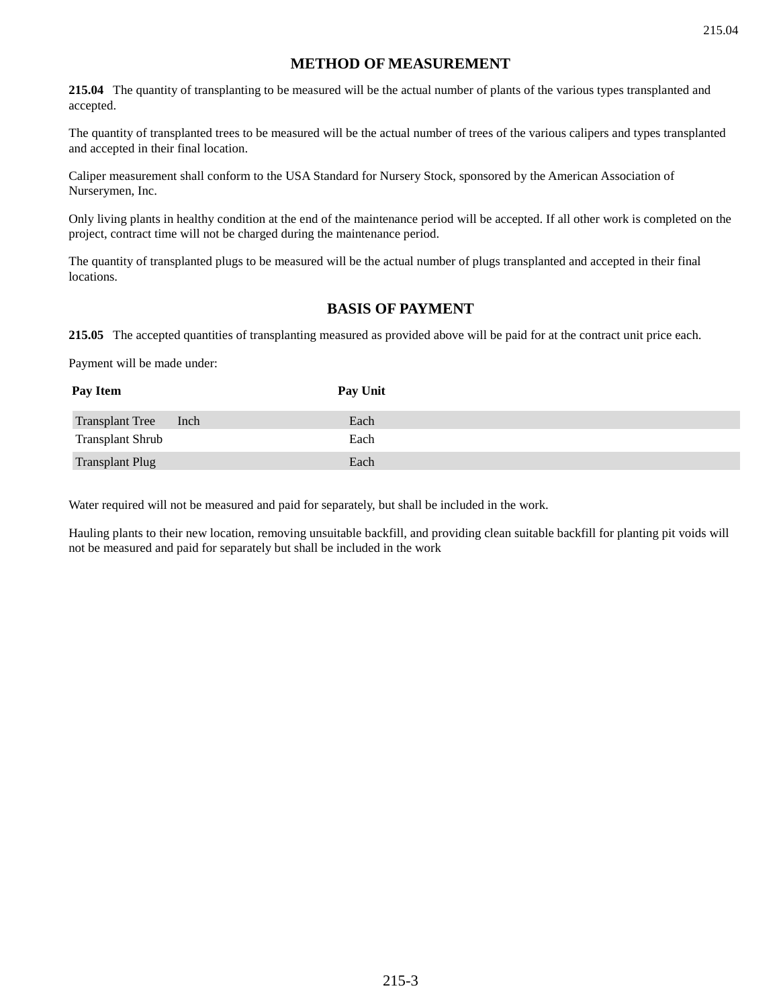**215.04** The quantity of transplanting to be measured will be the actual number of plants of the various types transplanted and accepted.

The quantity of transplanted trees to be measured will be the actual number of trees of the various calipers and types transplanted and accepted in their final location.

Caliper measurement shall conform to the USA Standard for Nursery Stock, sponsored by the American Association of Nurserymen, Inc.

Only living plants in healthy condition at the end of the maintenance period will be accepted. If all other work is completed on the project, contract time will not be charged during the maintenance period.

The quantity of transplanted plugs to be measured will be the actual number of plugs transplanted and accepted in their final locations.

# **BASIS OF PAYMENT**

**215.05** The accepted quantities of transplanting measured as provided above will be paid for at the contract unit price each.

Payment will be made under:

| Pay Item                | Pay Unit |
|-------------------------|----------|
| Transplant Tree Inch    | Each     |
| <b>Transplant Shrub</b> | Each     |
| <b>Transplant Plug</b>  | Each     |

Water required will not be measured and paid for separately, but shall be included in the work.

Hauling plants to their new location, removing unsuitable backfill, and providing clean suitable backfill for planting pit voids will not be measured and paid for separately but shall be included in the work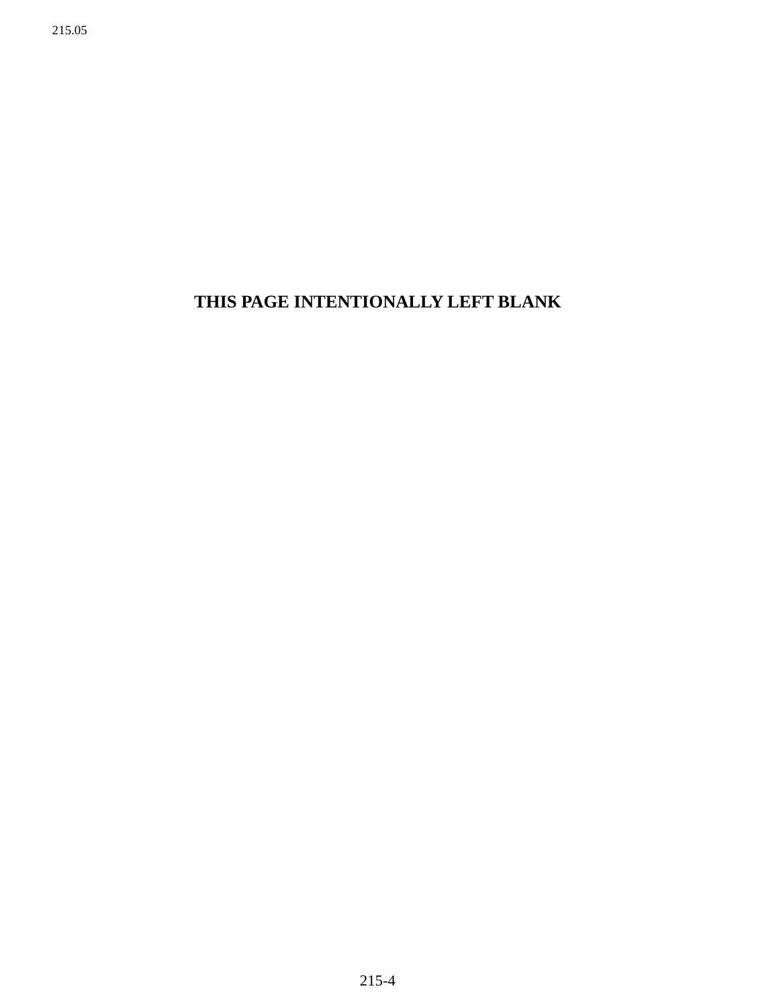# **THIS PAGE INTENTIONALLY LEFT BLANK**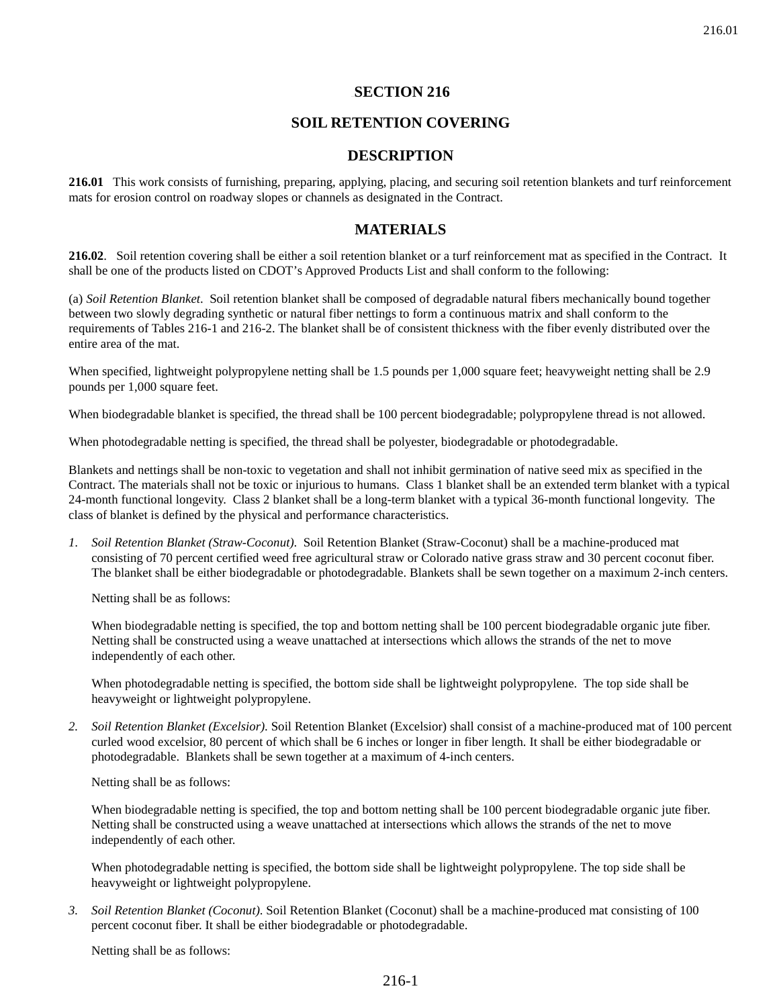### **SECTION 216**

## **SOIL RETENTION COVERING**

#### **DESCRIPTION**

**216.01** This work consists of furnishing, preparing, applying, placing, and securing soil retention blankets and turf reinforcement mats for erosion control on roadway slopes or channels as designated in the Contract.

## **MATERIALS**

**216.02**. Soil retention covering shall be either a soil retention blanket or a turf reinforcement mat as specified in the Contract. It shall be one of the products listed on CDOT's Approved Products List and shall conform to the following:

(a) *Soil Retention Blanket*. Soil retention blanket shall be composed of degradable natural fibers mechanically bound together between two slowly degrading synthetic or natural fiber nettings to form a continuous matrix and shall conform to the requirements of Tables 216-1 and 216-2. The blanket shall be of consistent thickness with the fiber evenly distributed over the entire area of the mat.

When specified, lightweight polypropylene netting shall be 1.5 pounds per 1,000 square feet; heavyweight netting shall be 2.9 pounds per 1,000 square feet.

When biodegradable blanket is specified, the thread shall be 100 percent biodegradable; polypropylene thread is not allowed.

When photodegradable netting is specified, the thread shall be polyester, biodegradable or photodegradable.

Blankets and nettings shall be non-toxic to vegetation and shall not inhibit germination of native seed mix as specified in the Contract. The materials shall not be toxic or injurious to humans. Class 1 blanket shall be an extended term blanket with a typical 24-month functional longevity. Class 2 blanket shall be a long-term blanket with a typical 36-month functional longevity. The class of blanket is defined by the physical and performance characteristics.

*1. Soil Retention Blanket (Straw-Coconut)*. Soil Retention Blanket (Straw-Coconut) shall be a machine-produced mat consisting of 70 percent certified weed free agricultural straw or Colorado native grass straw and 30 percent coconut fiber. The blanket shall be either biodegradable or photodegradable. Blankets shall be sewn together on a maximum 2-inch centers.

Netting shall be as follows:

When biodegradable netting is specified, the top and bottom netting shall be 100 percent biodegradable organic jute fiber. Netting shall be constructed using a weave unattached at intersections which allows the strands of the net to move independently of each other.

When photodegradable netting is specified, the bottom side shall be lightweight polypropylene. The top side shall be heavyweight or lightweight polypropylene.

*2. Soil Retention Blanket (Excelsior)*. Soil Retention Blanket (Excelsior) shall consist of a machine-produced mat of 100 percent curled wood excelsior, 80 percent of which shall be 6 inches or longer in fiber length. It shall be either biodegradable or photodegradable. Blankets shall be sewn together at a maximum of 4-inch centers.

Netting shall be as follows:

When biodegradable netting is specified, the top and bottom netting shall be 100 percent biodegradable organic jute fiber. Netting shall be constructed using a weave unattached at intersections which allows the strands of the net to move independently of each other.

When photodegradable netting is specified, the bottom side shall be lightweight polypropylene. The top side shall be heavyweight or lightweight polypropylene.

*3. Soil Retention Blanket (Coconut)*. Soil Retention Blanket (Coconut) shall be a machine-produced mat consisting of 100 percent coconut fiber. It shall be either biodegradable or photodegradable.

Netting shall be as follows: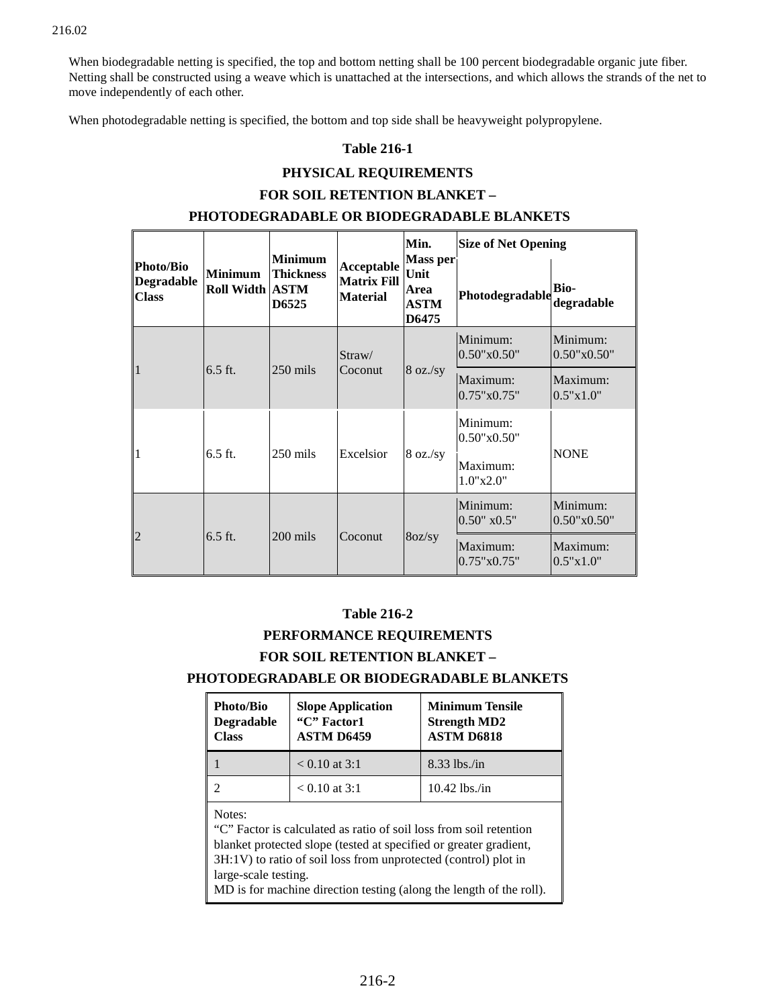When biodegradable netting is specified, the top and bottom netting shall be 100 percent biodegradable organic jute fiber. Netting shall be constructed using a weave which is unattached at the intersections, and which allows the strands of the net to move independently of each other.

When photodegradable netting is specified, the bottom and top side shall be heavyweight polypropylene.

# **Table 216-1**

# **PHYSICAL REQUIREMENTS**

# **FOR SOIL RETENTION BLANKET –**

# **PHOTODEGRADABLE OR BIODEGRADABLE BLANKETS**

|                                                |                                          | <b>Minimum</b>            | Min.<br><b>Mass per</b><br>Acceptable<br>Unit<br><b>Matrix Fill</b><br>Area<br><b>Material</b><br><b>ASTM</b><br>D6475 |                       | <b>Size of Net Opening</b>                              |                                |                                |
|------------------------------------------------|------------------------------------------|---------------------------|------------------------------------------------------------------------------------------------------------------------|-----------------------|---------------------------------------------------------|--------------------------------|--------------------------------|
| <b>Photo/Bio</b><br>Degradable<br><b>Class</b> | <b>Minimum</b><br><b>Roll Width ASTM</b> | <b>Thickness</b><br>D6525 |                                                                                                                        |                       | Photodegradable                                         | Bio-<br>degradable             |                                |
|                                                |                                          |                           | Straw/                                                                                                                 |                       | Minimum:<br>$0.50$ "x $0.50$ "                          | Minimum:<br>$0.50$ "x $0.50$ " |                                |
|                                                | 6.5 ft.                                  | 250 mils                  | Coconut                                                                                                                | $8 \text{ oz./sy}$    | Maximum:<br>$0.75$ "x $0.75$ "                          | Maximum:<br>0.5"x1.0"          |                                |
|                                                | $6.5$ ft.                                | 250 mils                  | Excelsior                                                                                                              | 8 oz./sy              | Minimum:<br>$0.50$ "x $0.50$ "<br>Maximum:<br>1.0"x2.0" | <b>NONE</b>                    |                                |
|                                                |                                          |                           |                                                                                                                        |                       |                                                         | Minimum:<br>$0.50$ " x $0.5$ " | Minimum:<br>$0.50$ "x $0.50$ " |
| $\overline{2}$<br>$6.5$ ft.<br>200 mils        | Coconut                                  | 8oz/sy                    | Maximum:<br>$0.75$ "x $0.75$ "                                                                                         | Maximum:<br>0.5"x1.0" |                                                         |                                |                                |

### **Table 216-2**

# **PERFORMANCE REQUIREMENTS**

# **FOR SOIL RETENTION BLANKET –**

# **PHOTODEGRADABLE OR BIODEGRADABLE BLANKETS**

| <b>Photo/Bio</b><br>Degradable<br><b>Class</b> | <b>Slope Application</b><br>"C" Factor1<br><b>ASTM D6459</b> | <b>Minimum Tensile</b><br><b>Strength MD2</b><br><b>ASTM D6818</b> |  |
|------------------------------------------------|--------------------------------------------------------------|--------------------------------------------------------------------|--|
|                                                | $< 0.10$ at 3:1                                              | $8.33$ lbs./in                                                     |  |
|                                                | $< 0.10$ at 3:1                                              | $10.42$ lbs./in                                                    |  |

#### Notes:

"C" Factor is calculated as ratio of soil loss from soil retention blanket protected slope (tested at specified or greater gradient, 3H:1V) to ratio of soil loss from unprotected (control) plot in large-scale testing. MD is for machine direction testing (along the length of the roll).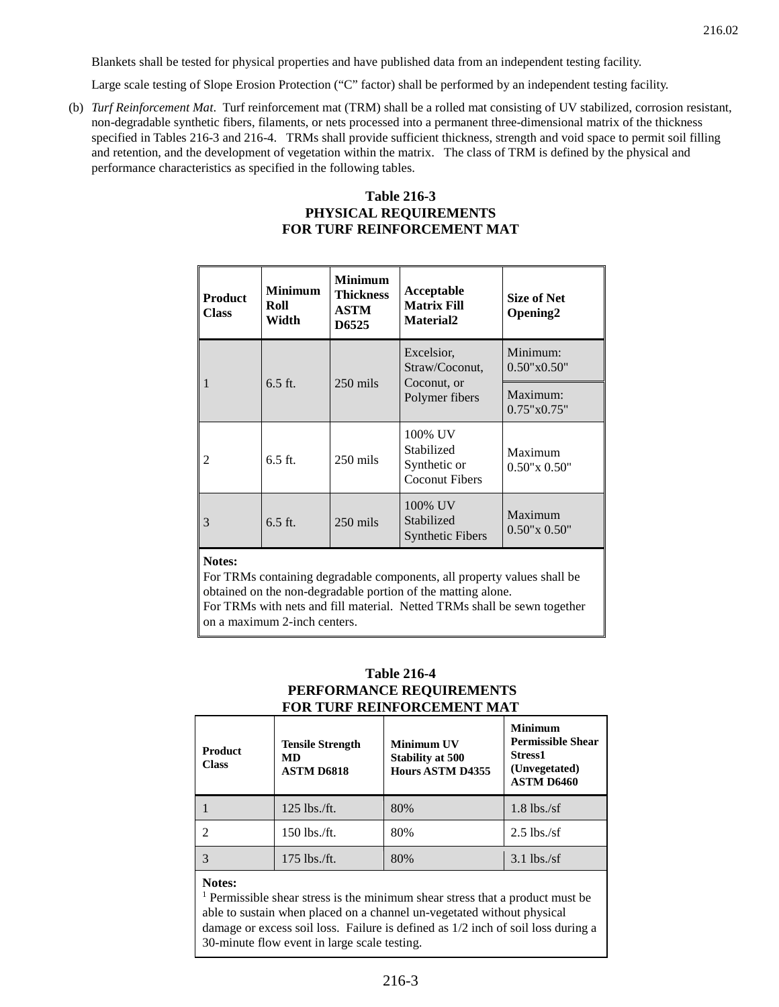Blankets shall be tested for physical properties and have published data from an independent testing facility.

Large scale testing of Slope Erosion Protection ("C" factor) shall be performed by an independent testing facility.

(b) *Turf Reinforcement Mat*. Turf reinforcement mat (TRM) shall be a rolled mat consisting of UV stabilized, corrosion resistant, non-degradable synthetic fibers, filaments, or nets processed into a permanent three-dimensional matrix of the thickness specified in Tables 216-3 and 216-4. TRMs shall provide sufficient thickness, strength and void space to permit soil filling and retention, and the development of vegetation within the matrix. The class of TRM is defined by the physical and performance characteristics as specified in the following tables.

# **Table 216-3 PHYSICAL REQUIREMENTS FOR TURF REINFORCEMENT MAT**

| <b>Product</b><br><b>Class</b>                                                                                                                    | <b>Minimum</b><br>Roll<br>Width | <b>Minimum</b><br><b>Thickness</b><br><b>ASTM</b><br>D <sub>6525</sub> | Acceptable<br><b>Matrix Fill</b><br>Material <sub>2</sub>      | <b>Size of Net</b><br>Opening2 |
|---------------------------------------------------------------------------------------------------------------------------------------------------|---------------------------------|------------------------------------------------------------------------|----------------------------------------------------------------|--------------------------------|
|                                                                                                                                                   | $6.5$ ft.                       | 250 mils                                                               | Excelsior,<br>Straw/Coconut.                                   | Minimum:<br>$0.50$ "x $0.50$ " |
| 1                                                                                                                                                 |                                 |                                                                        | Coconut, or<br>Polymer fibers                                  | Maximum:<br>$0.75$ "x $0.75$ " |
| 2                                                                                                                                                 | $6.5$ ft.                       | $250$ mils                                                             | 100% UV<br>Stabilized<br>Synthetic or<br><b>Coconut Fibers</b> | Maximum<br>$0.50$ "x $0.50$ "  |
| 3                                                                                                                                                 | $6.5$ ft.                       | 250 mils                                                               | 100% UV<br>Stabilized<br><b>Synthetic Fibers</b>               | Maximum<br>$0.50$ "x $0.50$ "  |
| Notes:<br>For TRMs containing degradable components, all property values shall be<br>obtained on the non-degradable portion of the matting alone. |                                 |                                                                        |                                                                |                                |

For TRMs with nets and fill material. Netted TRMs shall be sewn together on a maximum 2-inch centers.

# **Table 216-4 PERFORMANCE REQUIREMENTS FOR TURF REINFORCEMENT MAT**

| <b>Product</b><br>Class | <b>Tensile Strength</b><br>MD<br><b>ASTM D6818</b> | <b>Minimum UV</b><br><b>Stability at 500</b><br><b>Hours ASTM D4355</b> | <b>Minimum</b><br><b>Permissible Shear</b><br>Stress <sub>1</sub><br>(Unvegetated)<br><b>ASTM D6460</b> |
|-------------------------|----------------------------------------------------|-------------------------------------------------------------------------|---------------------------------------------------------------------------------------------------------|
|                         | $125$ lbs./ft.                                     | 80%                                                                     | $1.8$ lbs./sf                                                                                           |
|                         | $150$ lbs./ft.                                     | 80%                                                                     | $2.5$ lbs./sf                                                                                           |
|                         | $175$ lbs./ft.                                     | 80%                                                                     | $3.1$ lbs./sf                                                                                           |

#### **Notes:**

<sup>1</sup> Permissible shear stress is the minimum shear stress that a product must be able to sustain when placed on a channel un-vegetated without physical damage or excess soil loss. Failure is defined as 1/2 inch of soil loss during a 30-minute flow event in large scale testing.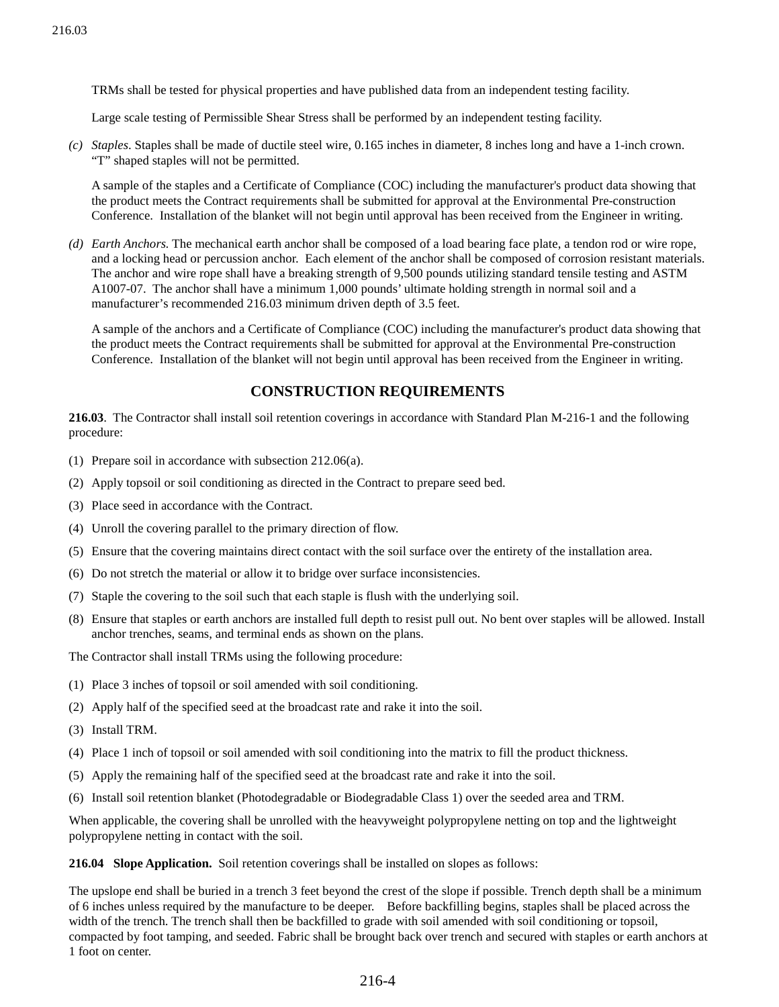TRMs shall be tested for physical properties and have published data from an independent testing facility.

Large scale testing of Permissible Shear Stress shall be performed by an independent testing facility.

*(c) Staples*. Staples shall be made of ductile steel wire, 0.165 inches in diameter, 8 inches long and have a 1-inch crown. "T" shaped staples will not be permitted.

A sample of the staples and a Certificate of Compliance (COC) including the manufacturer's product data showing that the product meets the Contract requirements shall be submitted for approval at the Environmental Pre-construction Conference. Installation of the blanket will not begin until approval has been received from the Engineer in writing.

*(d) Earth Anchors.* The mechanical earth anchor shall be composed of a load bearing face plate, a tendon rod or wire rope, and a locking head or percussion anchor. Each element of the anchor shall be composed of corrosion resistant materials. The anchor and wire rope shall have a breaking strength of 9,500 pounds utilizing standard tensile testing and ASTM A1007-07. The anchor shall have a minimum 1,000 pounds' ultimate holding strength in normal soil and a manufacturer's recommended 216.03 minimum driven depth of 3.5 feet.

A sample of the anchors and a Certificate of Compliance (COC) including the manufacturer's product data showing that the product meets the Contract requirements shall be submitted for approval at the Environmental Pre-construction Conference. Installation of the blanket will not begin until approval has been received from the Engineer in writing.

# **CONSTRUCTION REQUIREMENTS**

**216.03**. The Contractor shall install soil retention coverings in accordance with Standard Plan M-216-1 and the following procedure:

- (1) Prepare soil in accordance with subsection 212.06(a).
- (2) Apply topsoil or soil conditioning as directed in the Contract to prepare seed bed.
- (3) Place seed in accordance with the Contract.
- (4) Unroll the covering parallel to the primary direction of flow.
- (5) Ensure that the covering maintains direct contact with the soil surface over the entirety of the installation area.
- (6) Do not stretch the material or allow it to bridge over surface inconsistencies.
- (7) Staple the covering to the soil such that each staple is flush with the underlying soil.
- (8) Ensure that staples or earth anchors are installed full depth to resist pull out. No bent over staples will be allowed. Install anchor trenches, seams, and terminal ends as shown on the plans.

The Contractor shall install TRMs using the following procedure:

- (1) Place 3 inches of topsoil or soil amended with soil conditioning.
- (2) Apply half of the specified seed at the broadcast rate and rake it into the soil.
- (3) Install TRM.
- (4) Place 1 inch of topsoil or soil amended with soil conditioning into the matrix to fill the product thickness.
- (5) Apply the remaining half of the specified seed at the broadcast rate and rake it into the soil.
- (6) Install soil retention blanket (Photodegradable or Biodegradable Class 1) over the seeded area and TRM.

When applicable, the covering shall be unrolled with the heavyweight polypropylene netting on top and the lightweight polypropylene netting in contact with the soil.

**216.04 Slope Application.** Soil retention coverings shall be installed on slopes as follows:

The upslope end shall be buried in a trench 3 feet beyond the crest of the slope if possible. Trench depth shall be a minimum of 6 inches unless required by the manufacture to be deeper. Before backfilling begins, staples shall be placed across the width of the trench. The trench shall then be backfilled to grade with soil amended with soil conditioning or topsoil, compacted by foot tamping, and seeded. Fabric shall be brought back over trench and secured with staples or earth anchors at 1 foot on center.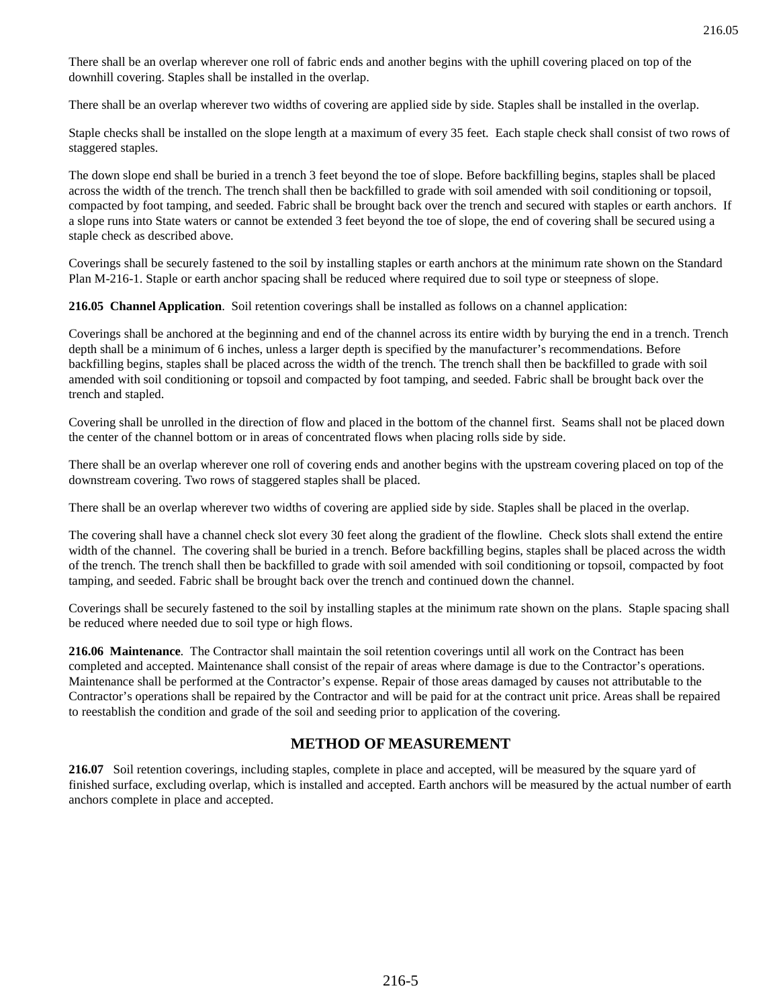There shall be an overlap wherever one roll of fabric ends and another begins with the uphill covering placed on top of the downhill covering. Staples shall be installed in the overlap.

There shall be an overlap wherever two widths of covering are applied side by side. Staples shall be installed in the overlap.

Staple checks shall be installed on the slope length at a maximum of every 35 feet. Each staple check shall consist of two rows of staggered staples.

The down slope end shall be buried in a trench 3 feet beyond the toe of slope. Before backfilling begins, staples shall be placed across the width of the trench. The trench shall then be backfilled to grade with soil amended with soil conditioning or topsoil, compacted by foot tamping, and seeded. Fabric shall be brought back over the trench and secured with staples or earth anchors. If a slope runs into State waters or cannot be extended 3 feet beyond the toe of slope, the end of covering shall be secured using a staple check as described above.

Coverings shall be securely fastened to the soil by installing staples or earth anchors at the minimum rate shown on the Standard Plan M-216-1. Staple or earth anchor spacing shall be reduced where required due to soil type or steepness of slope.

**216.05 Channel Application**. Soil retention coverings shall be installed as follows on a channel application:

Coverings shall be anchored at the beginning and end of the channel across its entire width by burying the end in a trench. Trench depth shall be a minimum of 6 inches, unless a larger depth is specified by the manufacturer's recommendations. Before backfilling begins, staples shall be placed across the width of the trench. The trench shall then be backfilled to grade with soil amended with soil conditioning or topsoil and compacted by foot tamping, and seeded. Fabric shall be brought back over the trench and stapled.

Covering shall be unrolled in the direction of flow and placed in the bottom of the channel first. Seams shall not be placed down the center of the channel bottom or in areas of concentrated flows when placing rolls side by side.

There shall be an overlap wherever one roll of covering ends and another begins with the upstream covering placed on top of the downstream covering. Two rows of staggered staples shall be placed.

There shall be an overlap wherever two widths of covering are applied side by side. Staples shall be placed in the overlap.

The covering shall have a channel check slot every 30 feet along the gradient of the flowline. Check slots shall extend the entire width of the channel. The covering shall be buried in a trench. Before backfilling begins, staples shall be placed across the width of the trench. The trench shall then be backfilled to grade with soil amended with soil conditioning or topsoil, compacted by foot tamping, and seeded. Fabric shall be brought back over the trench and continued down the channel.

Coverings shall be securely fastened to the soil by installing staples at the minimum rate shown on the plans. Staple spacing shall be reduced where needed due to soil type or high flows.

**216.06 Maintenance***.* The Contractor shall maintain the soil retention coverings until all work on the Contract has been completed and accepted. Maintenance shall consist of the repair of areas where damage is due to the Contractor's operations. Maintenance shall be performed at the Contractor's expense. Repair of those areas damaged by causes not attributable to the Contractor's operations shall be repaired by the Contractor and will be paid for at the contract unit price. Areas shall be repaired to reestablish the condition and grade of the soil and seeding prior to application of the covering.

# **METHOD OF MEASUREMENT**

**216.07** Soil retention coverings, including staples, complete in place and accepted, will be measured by the square yard of finished surface, excluding overlap, which is installed and accepted. Earth anchors will be measured by the actual number of earth anchors complete in place and accepted.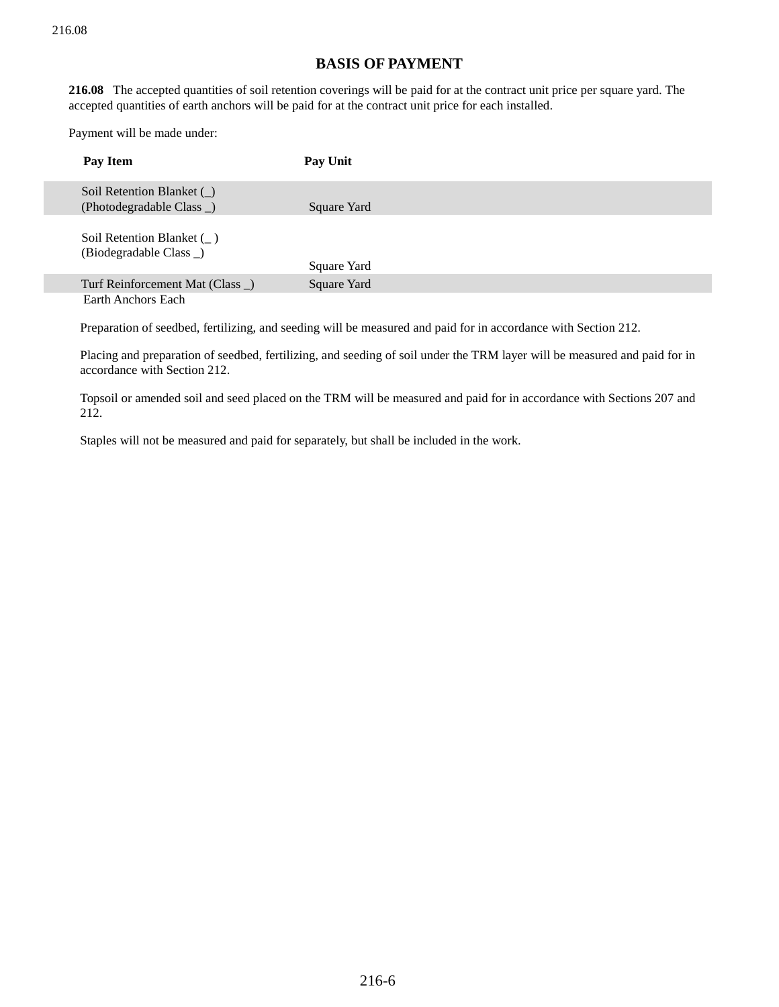# **BASIS OF PAYMENT**

**216.08** The accepted quantities of soil retention coverings will be paid for at the contract unit price per square yard. The accepted quantities of earth anchors will be paid for at the contract unit price for each installed.

Payment will be made under:

| Pay Item                                                 | Pay Unit    |
|----------------------------------------------------------|-------------|
| Soil Retention Blanket ()<br>(Photodegradable Class _)   | Square Yard |
| Soil Retention Blanket $(\_)$<br>$(Biodegradable Class_$ | Square Yard |
| Turf Reinforcement Mat (Class)                           | Square Yard |
| Earth Anchors Each                                       |             |

Preparation of seedbed, fertilizing, and seeding will be measured and paid for in accordance with Section 212.

Placing and preparation of seedbed, fertilizing, and seeding of soil under the TRM layer will be measured and paid for in accordance with Section 212.

Topsoil or amended soil and seed placed on the TRM will be measured and paid for in accordance with Sections 207 and 212.

Staples will not be measured and paid for separately, but shall be included in the work.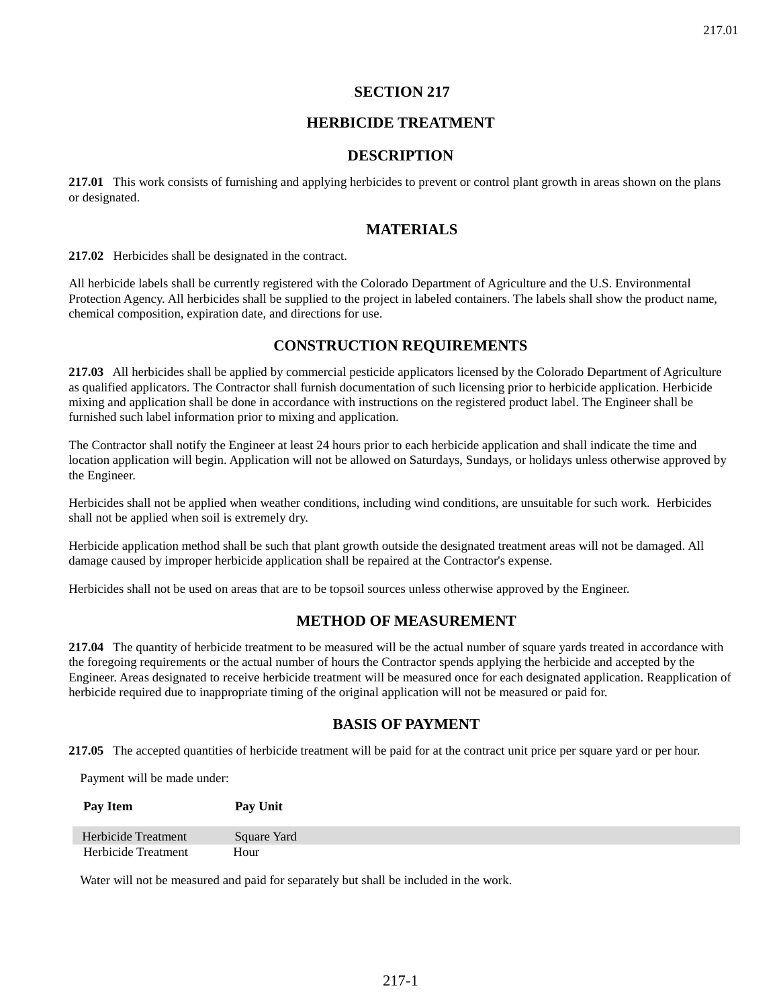# **SECTION 217**

# **HERBICIDE TREATMENT**

#### **DESCRIPTION**

**217.01** This work consists of furnishing and applying herbicides to prevent or control plant growth in areas shown on the plans or designated.

## **MATERIALS**

**217.02** Herbicides shall be designated in the contract.

All herbicide labels shall be currently registered with the Colorado Department of Agriculture and the U.S. Environmental Protection Agency. All herbicides shall be supplied to the project in labeled containers. The labels shall show the product name, chemical composition, expiration date, and directions for use.

# **CONSTRUCTION REQUIREMENTS**

**217.03** All herbicides shall be applied by commercial pesticide applicators licensed by the Colorado Department of Agriculture as qualified applicators. The Contractor shall furnish documentation of such licensing prior to herbicide application. Herbicide mixing and application shall be done in accordance with instructions on the registered product label. The Engineer shall be furnished such label information prior to mixing and application.

The Contractor shall notify the Engineer at least 24 hours prior to each herbicide application and shall indicate the time and location application will begin. Application will not be allowed on Saturdays, Sundays, or holidays unless otherwise approved by the Engineer.

Herbicides shall not be applied when weather conditions, including wind conditions, are unsuitable for such work. Herbicides shall not be applied when soil is extremely dry.

Herbicide application method shall be such that plant growth outside the designated treatment areas will not be damaged. All damage caused by improper herbicide application shall be repaired at the Contractor's expense.

Herbicides shall not be used on areas that are to be topsoil sources unless otherwise approved by the Engineer.

# **METHOD OF MEASUREMENT**

**217.04** The quantity of herbicide treatment to be measured will be the actual number of square yards treated in accordance with the foregoing requirements or the actual number of hours the Contractor spends applying the herbicide and accepted by the Engineer. Areas designated to receive herbicide treatment will be measured once for each designated application. Reapplication of herbicide required due to inappropriate timing of the original application will not be measured or paid for.

### **BASIS OF PAYMENT**

**217.05** The accepted quantities of herbicide treatment will be paid for at the contract unit price per square yard or per hour.

Payment will be made under:

| <b>Pay Item</b>     | Pay Unit    |
|---------------------|-------------|
| Herbicide Treatment | Square Yard |
| Herbicide Treatment | Hour        |

Water will not be measured and paid for separately but shall be included in the work.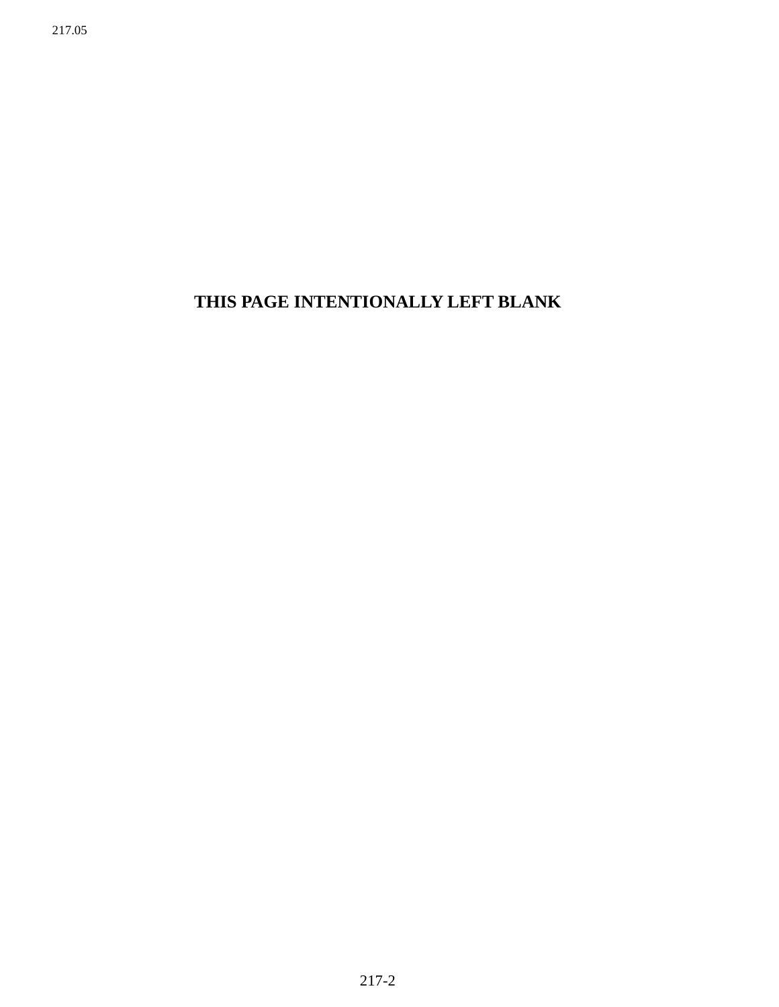# **THIS PAGE INTENTIONALLY LEFT BLANK**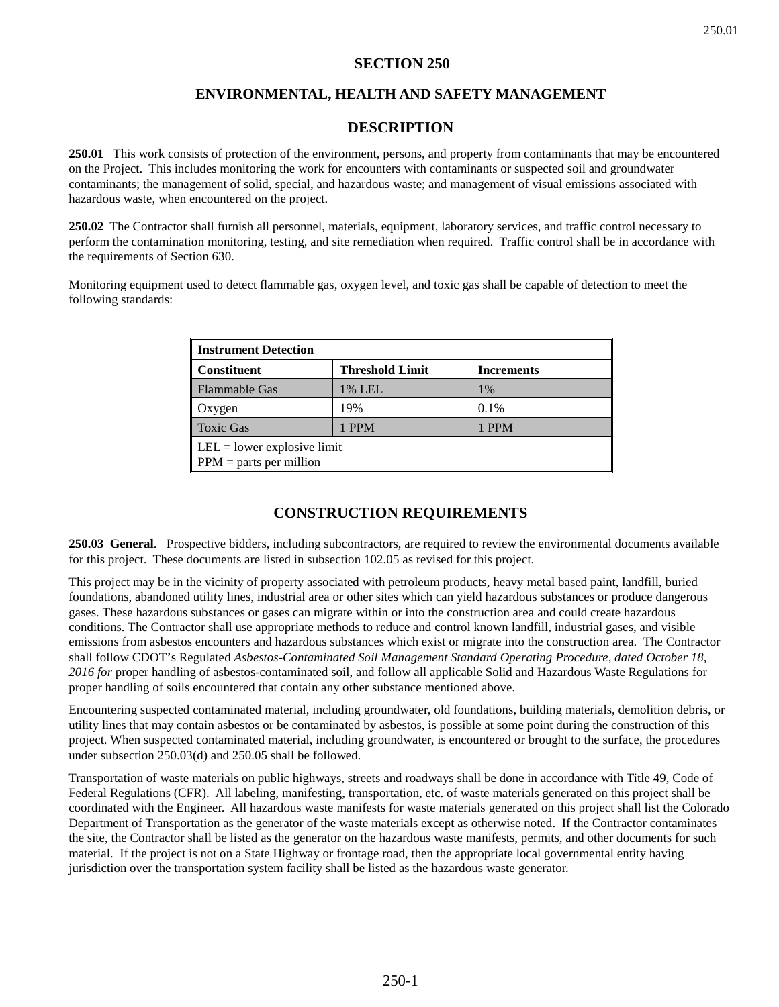# **SECTION 250**

# **ENVIRONMENTAL, HEALTH AND SAFETY MANAGEMENT**

#### **DESCRIPTION**

**250.01** This work consists of protection of the environment, persons, and property from contaminants that may be encountered on the Project. This includes monitoring the work for encounters with contaminants or suspected soil and groundwater contaminants; the management of solid, special, and hazardous waste; and management of visual emissions associated with hazardous waste, when encountered on the project.

**250.02** The Contractor shall furnish all personnel, materials, equipment, laboratory services, and traffic control necessary to perform the contamination monitoring, testing, and site remediation when required. Traffic control shall be in accordance with the requirements of Section 630.

Monitoring equipment used to detect flammable gas, oxygen level, and toxic gas shall be capable of detection to meet the following standards:

| <b>Instrument Detection</b>                                      |                        |                   |  |
|------------------------------------------------------------------|------------------------|-------------------|--|
| <b>Constituent</b>                                               | <b>Threshold Limit</b> | <b>Increments</b> |  |
| <b>Flammable Gas</b>                                             | 1% LEL                 | $1\%$             |  |
| Oxygen                                                           | 19%                    | 0.1%              |  |
| <b>Toxic Gas</b>                                                 | 1 PPM                  | 1 PPM             |  |
| $\vert$ LEL = lower explosive limit<br>$PPM =$ parts per million |                        |                   |  |

# **CONSTRUCTION REQUIREMENTS**

**250.03 General**.Prospective bidders, including subcontractors, are required to review the environmental documents available for this project. These documents are listed in subsection 102.05 as revised for this project.

This project may be in the vicinity of property associated with petroleum products, heavy metal based paint, landfill, buried foundations, abandoned utility lines, industrial area or other sites which can yield hazardous substances or produce dangerous gases. These hazardous substances or gases can migrate within or into the construction area and could create hazardous conditions. The Contractor shall use appropriate methods to reduce and control known landfill, industrial gases, and visible emissions from asbestos encounters and hazardous substances which exist or migrate into the construction area. The Contractor shall follow CDOT's Regulated *Asbestos-Contaminated Soil Management Standard Operating Procedure, dated October 18, 2016 for* proper handling of asbestos-contaminated soil, and follow all applicable Solid and Hazardous Waste Regulations for proper handling of soils encountered that contain any other substance mentioned above.

Encountering suspected contaminated material, including groundwater, old foundations, building materials, demolition debris, or utility lines that may contain asbestos or be contaminated by asbestos, is possible at some point during the construction of this project. When suspected contaminated material, including groundwater, is encountered or brought to the surface, the procedures under subsection 250.03(d) and 250.05 shall be followed.

Transportation of waste materials on public highways, streets and roadways shall be done in accordance with Title 49, Code of Federal Regulations (CFR). All labeling, manifesting, transportation, etc. of waste materials generated on this project shall be coordinated with the Engineer. All hazardous waste manifests for waste materials generated on this project shall list the Colorado Department of Transportation as the generator of the waste materials except as otherwise noted. If the Contractor contaminates the site, the Contractor shall be listed as the generator on the hazardous waste manifests, permits, and other documents for such material. If the project is not on a State Highway or frontage road, then the appropriate local governmental entity having jurisdiction over the transportation system facility shall be listed as the hazardous waste generator.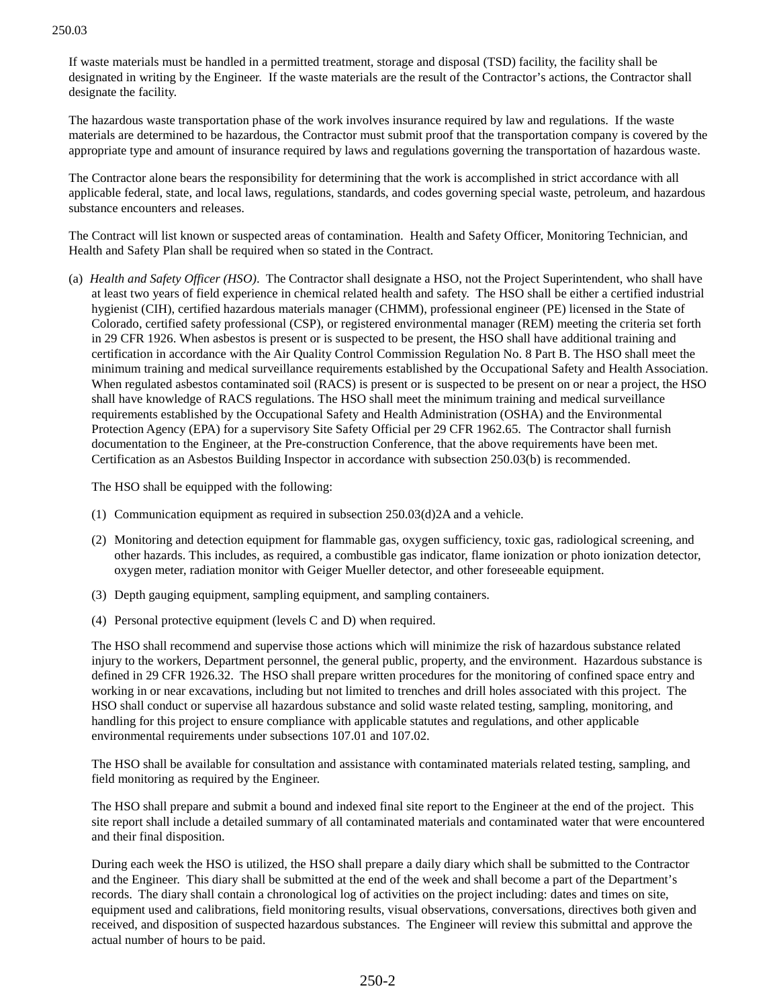If waste materials must be handled in a permitted treatment, storage and disposal (TSD) facility, the facility shall be designated in writing by the Engineer. If the waste materials are the result of the Contractor's actions, the Contractor shall designate the facility.

The hazardous waste transportation phase of the work involves insurance required by law and regulations. If the waste materials are determined to be hazardous, the Contractor must submit proof that the transportation company is covered by the appropriate type and amount of insurance required by laws and regulations governing the transportation of hazardous waste.

The Contractor alone bears the responsibility for determining that the work is accomplished in strict accordance with all applicable federal, state, and local laws, regulations, standards, and codes governing special waste, petroleum, and hazardous substance encounters and releases.

The Contract will list known or suspected areas of contamination. Health and Safety Officer, Monitoring Technician, and Health and Safety Plan shall be required when so stated in the Contract.

(a) *Health and Safety Officer (HSO)*. The Contractor shall designate a HSO, not the Project Superintendent, who shall have at least two years of field experience in chemical related health and safety. The HSO shall be either a certified industrial hygienist (CIH), certified hazardous materials manager (CHMM), professional engineer (PE) licensed in the State of Colorado, certified safety professional (CSP), or registered environmental manager (REM) meeting the criteria set forth in 29 CFR 1926. When asbestos is present or is suspected to be present, the HSO shall have additional training and certification in accordance with the Air Quality Control Commission Regulation No. 8 Part B. The HSO shall meet the minimum training and medical surveillance requirements established by the Occupational Safety and Health Association. When regulated asbestos contaminated soil (RACS) is present or is suspected to be present on or near a project, the HSO shall have knowledge of RACS regulations. The HSO shall meet the minimum training and medical surveillance requirements established by the Occupational Safety and Health Administration (OSHA) and the Environmental Protection Agency (EPA) for a supervisory Site Safety Official per 29 CFR 1962.65. The Contractor shall furnish documentation to the Engineer, at the Pre-construction Conference, that the above requirements have been met. Certification as an Asbestos Building Inspector in accordance with subsection 250.03(b) is recommended.

The HSO shall be equipped with the following:

- (1) Communication equipment as required in subsection 250.03(d)2A and a vehicle.
- (2) Monitoring and detection equipment for flammable gas, oxygen sufficiency, toxic gas, radiological screening, and other hazards. This includes, as required, a combustible gas indicator, flame ionization or photo ionization detector, oxygen meter, radiation monitor with Geiger Mueller detector, and other foreseeable equipment.
- (3) Depth gauging equipment, sampling equipment, and sampling containers.
- (4) Personal protective equipment (levels C and D) when required.

The HSO shall recommend and supervise those actions which will minimize the risk of hazardous substance related injury to the workers, Department personnel, the general public, property, and the environment. Hazardous substance is defined in 29 CFR 1926.32. The HSO shall prepare written procedures for the monitoring of confined space entry and working in or near excavations, including but not limited to trenches and drill holes associated with this project. The HSO shall conduct or supervise all hazardous substance and solid waste related testing, sampling, monitoring, and handling for this project to ensure compliance with applicable statutes and regulations, and other applicable environmental requirements under subsections 107.01 and 107.02.

The HSO shall be available for consultation and assistance with contaminated materials related testing, sampling, and field monitoring as required by the Engineer.

The HSO shall prepare and submit a bound and indexed final site report to the Engineer at the end of the project. This site report shall include a detailed summary of all contaminated materials and contaminated water that were encountered and their final disposition.

During each week the HSO is utilized, the HSO shall prepare a daily diary which shall be submitted to the Contractor and the Engineer. This diary shall be submitted at the end of the week and shall become a part of the Department's records. The diary shall contain a chronological log of activities on the project including: dates and times on site, equipment used and calibrations, field monitoring results, visual observations, conversations, directives both given and received, and disposition of suspected hazardous substances. The Engineer will review this submittal and approve the actual number of hours to be paid.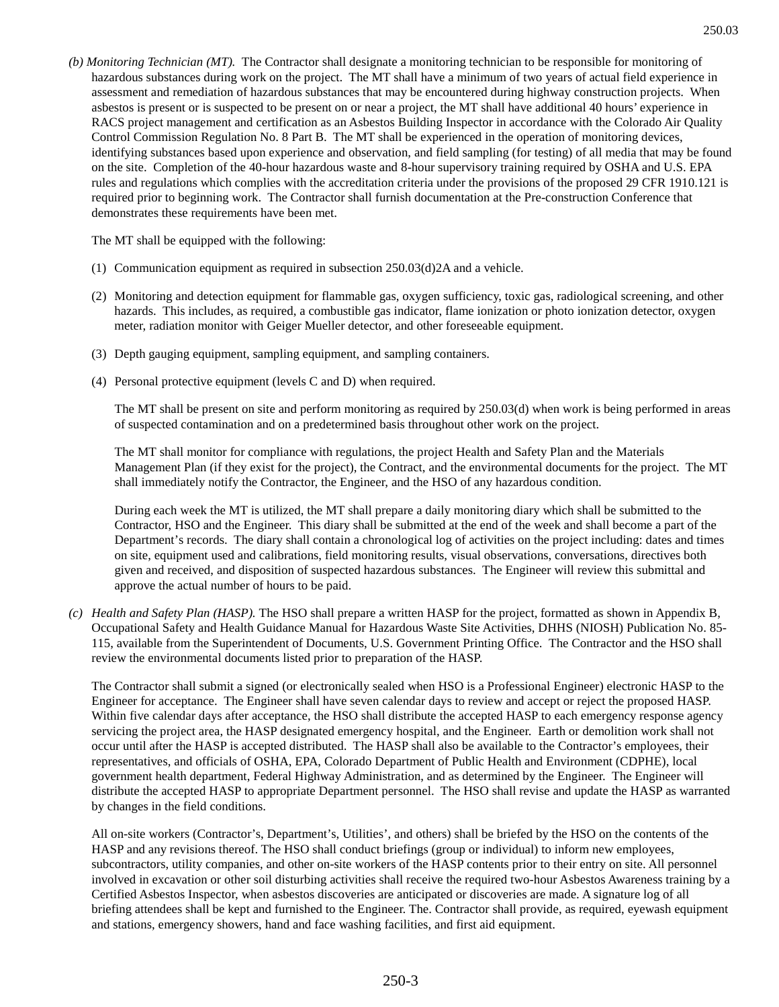*(b) Monitoring Technician (MT).* The Contractor shall designate a monitoring technician to be responsible for monitoring of hazardous substances during work on the project. The MT shall have a minimum of two years of actual field experience in assessment and remediation of hazardous substances that may be encountered during highway construction projects. When asbestos is present or is suspected to be present on or near a project, the MT shall have additional 40 hours' experience in RACS project management and certification as an Asbestos Building Inspector in accordance with the Colorado Air Quality Control Commission Regulation No. 8 Part B. The MT shall be experienced in the operation of monitoring devices, identifying substances based upon experience and observation, and field sampling (for testing) of all media that may be found on the site. Completion of the 40-hour hazardous waste and 8-hour supervisory training required by OSHA and U.S. EPA rules and regulations which complies with the accreditation criteria under the provisions of the proposed 29 CFR 1910.121 is required prior to beginning work. The Contractor shall furnish documentation at the Pre-construction Conference that demonstrates these requirements have been met.

The MT shall be equipped with the following:

- (1) Communication equipment as required in subsection  $250.03(d)2A$  and a vehicle.
- (2) Monitoring and detection equipment for flammable gas, oxygen sufficiency, toxic gas, radiological screening, and other hazards. This includes, as required, a combustible gas indicator, flame ionization or photo ionization detector, oxygen meter, radiation monitor with Geiger Mueller detector, and other foreseeable equipment.
- (3) Depth gauging equipment, sampling equipment, and sampling containers.
- (4) Personal protective equipment (levels C and D) when required.

The MT shall be present on site and perform monitoring as required by 250.03(d) when work is being performed in areas of suspected contamination and on a predetermined basis throughout other work on the project.

The MT shall monitor for compliance with regulations, the project Health and Safety Plan and the Materials Management Plan (if they exist for the project), the Contract, and the environmental documents for the project. The MT shall immediately notify the Contractor, the Engineer, and the HSO of any hazardous condition.

During each week the MT is utilized, the MT shall prepare a daily monitoring diary which shall be submitted to the Contractor, HSO and the Engineer. This diary shall be submitted at the end of the week and shall become a part of the Department's records. The diary shall contain a chronological log of activities on the project including: dates and times on site, equipment used and calibrations, field monitoring results, visual observations, conversations, directives both given and received, and disposition of suspected hazardous substances. The Engineer will review this submittal and approve the actual number of hours to be paid.

*(c) Health and Safety Plan (HASP).* The HSO shall prepare a written HASP for the project, formatted as shown in Appendix B, Occupational Safety and Health Guidance Manual for Hazardous Waste Site Activities, DHHS (NIOSH) Publication No. 85- 115, available from the Superintendent of Documents, U.S. Government Printing Office. The Contractor and the HSO shall review the environmental documents listed prior to preparation of the HASP.

The Contractor shall submit a signed (or electronically sealed when HSO is a Professional Engineer) electronic HASP to the Engineer for acceptance. The Engineer shall have seven calendar days to review and accept or reject the proposed HASP. Within five calendar days after acceptance, the HSO shall distribute the accepted HASP to each emergency response agency servicing the project area, the HASP designated emergency hospital, and the Engineer. Earth or demolition work shall not occur until after the HASP is accepted distributed. The HASP shall also be available to the Contractor's employees, their representatives, and officials of OSHA, EPA, Colorado Department of Public Health and Environment (CDPHE), local government health department, Federal Highway Administration, and as determined by the Engineer. The Engineer will distribute the accepted HASP to appropriate Department personnel. The HSO shall revise and update the HASP as warranted by changes in the field conditions.

All on-site workers (Contractor's, Department's, Utilities', and others) shall be briefed by the HSO on the contents of the HASP and any revisions thereof. The HSO shall conduct briefings (group or individual) to inform new employees, subcontractors, utility companies, and other on-site workers of the HASP contents prior to their entry on site. All personnel involved in excavation or other soil disturbing activities shall receive the required two-hour Asbestos Awareness training by a Certified Asbestos Inspector, when asbestos discoveries are anticipated or discoveries are made. A signature log of all briefing attendees shall be kept and furnished to the Engineer. The. Contractor shall provide, as required, eyewash equipment and stations, emergency showers, hand and face washing facilities, and first aid equipment.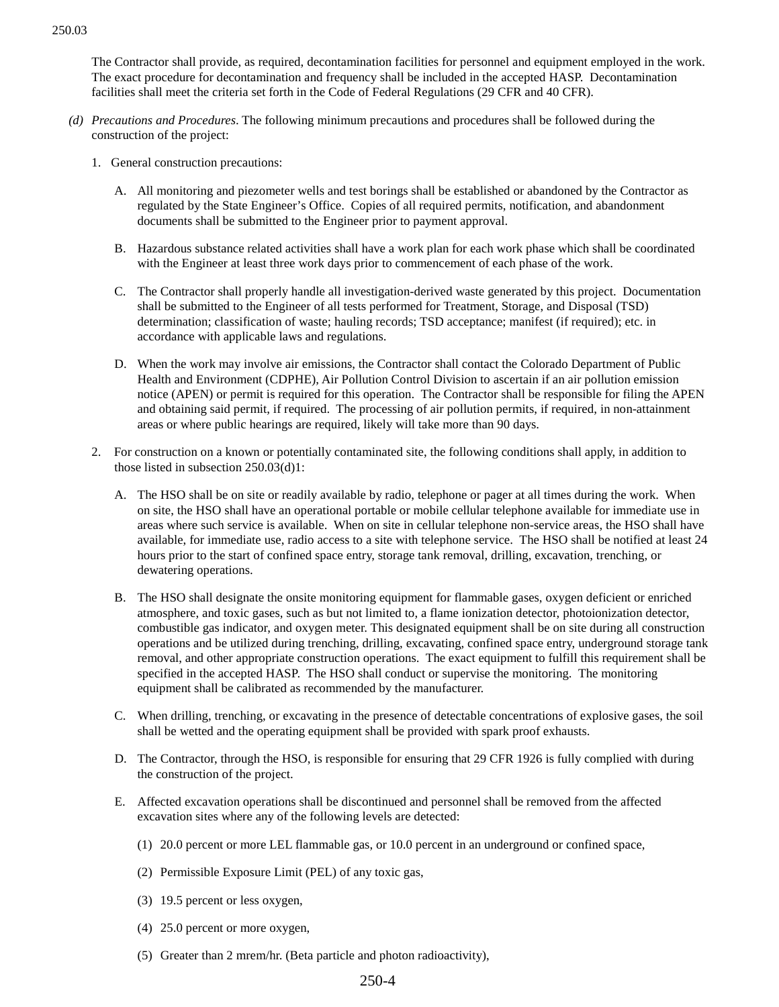The Contractor shall provide, as required, decontamination facilities for personnel and equipment employed in the work. The exact procedure for decontamination and frequency shall be included in the accepted HASP. Decontamination facilities shall meet the criteria set forth in the Code of Federal Regulations (29 CFR and 40 CFR).

- *(d) Precautions and Procedures*. The following minimum precautions and procedures shall be followed during the construction of the project:
	- 1. General construction precautions:
		- A. All monitoring and piezometer wells and test borings shall be established or abandoned by the Contractor as regulated by the State Engineer's Office. Copies of all required permits, notification, and abandonment documents shall be submitted to the Engineer prior to payment approval.
		- B. Hazardous substance related activities shall have a work plan for each work phase which shall be coordinated with the Engineer at least three work days prior to commencement of each phase of the work.
		- C. The Contractor shall properly handle all investigation-derived waste generated by this project. Documentation shall be submitted to the Engineer of all tests performed for Treatment, Storage, and Disposal (TSD) determination; classification of waste; hauling records; TSD acceptance; manifest (if required); etc. in accordance with applicable laws and regulations.
		- D. When the work may involve air emissions, the Contractor shall contact the Colorado Department of Public Health and Environment (CDPHE), Air Pollution Control Division to ascertain if an air pollution emission notice (APEN) or permit is required for this operation. The Contractor shall be responsible for filing the APEN and obtaining said permit, if required. The processing of air pollution permits, if required, in non-attainment areas or where public hearings are required, likely will take more than 90 days.
	- 2. For construction on a known or potentially contaminated site, the following conditions shall apply, in addition to those listed in subsection 250.03(d)1:
		- A. The HSO shall be on site or readily available by radio, telephone or pager at all times during the work. When on site, the HSO shall have an operational portable or mobile cellular telephone available for immediate use in areas where such service is available. When on site in cellular telephone non-service areas, the HSO shall have available, for immediate use, radio access to a site with telephone service. The HSO shall be notified at least 24 hours prior to the start of confined space entry, storage tank removal, drilling, excavation, trenching, or dewatering operations.
		- B. The HSO shall designate the onsite monitoring equipment for flammable gases, oxygen deficient or enriched atmosphere, and toxic gases, such as but not limited to, a flame ionization detector, photoionization detector, combustible gas indicator, and oxygen meter. This designated equipment shall be on site during all construction operations and be utilized during trenching, drilling, excavating, confined space entry, underground storage tank removal, and other appropriate construction operations. The exact equipment to fulfill this requirement shall be specified in the accepted HASP. The HSO shall conduct or supervise the monitoring. The monitoring equipment shall be calibrated as recommended by the manufacturer.
		- C. When drilling, trenching, or excavating in the presence of detectable concentrations of explosive gases, the soil shall be wetted and the operating equipment shall be provided with spark proof exhausts.
		- D. The Contractor, through the HSO, is responsible for ensuring that 29 CFR 1926 is fully complied with during the construction of the project.
		- E. Affected excavation operations shall be discontinued and personnel shall be removed from the affected excavation sites where any of the following levels are detected:
			- (1) 20.0 percent or more LEL flammable gas, or 10.0 percent in an underground or confined space,
			- (2) Permissible Exposure Limit (PEL) of any toxic gas,
			- (3) 19.5 percent or less oxygen,
			- (4) 25.0 percent or more oxygen,
			- (5) Greater than 2 mrem/hr. (Beta particle and photon radioactivity),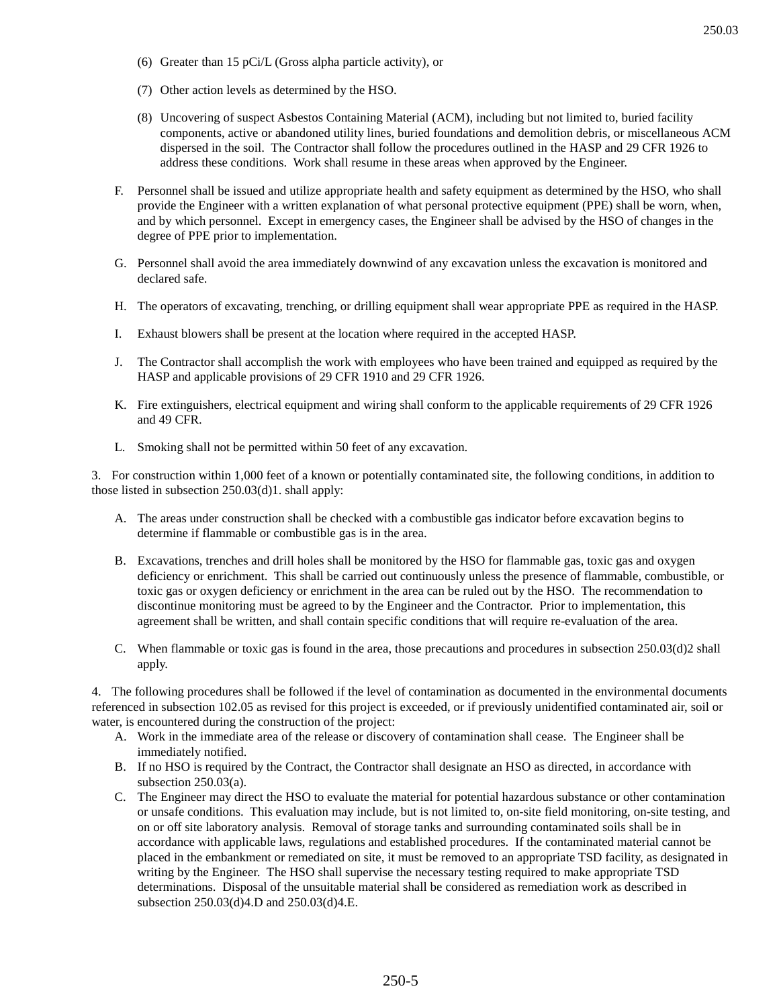- (6) Greater than 15 pCi/L (Gross alpha particle activity), or
- (7) Other action levels as determined by the HSO.
- (8) Uncovering of suspect Asbestos Containing Material (ACM), including but not limited to, buried facility components, active or abandoned utility lines, buried foundations and demolition debris, or miscellaneous ACM dispersed in the soil. The Contractor shall follow the procedures outlined in the HASP and 29 CFR 1926 to address these conditions. Work shall resume in these areas when approved by the Engineer.
- F. Personnel shall be issued and utilize appropriate health and safety equipment as determined by the HSO, who shall provide the Engineer with a written explanation of what personal protective equipment (PPE) shall be worn, when, and by which personnel. Except in emergency cases, the Engineer shall be advised by the HSO of changes in the degree of PPE prior to implementation.
- G. Personnel shall avoid the area immediately downwind of any excavation unless the excavation is monitored and declared safe.
- H. The operators of excavating, trenching, or drilling equipment shall wear appropriate PPE as required in the HASP.
- I. Exhaust blowers shall be present at the location where required in the accepted HASP.
- J. The Contractor shall accomplish the work with employees who have been trained and equipped as required by the HASP and applicable provisions of 29 CFR 1910 and 29 CFR 1926.
- K. Fire extinguishers, electrical equipment and wiring shall conform to the applicable requirements of 29 CFR 1926 and 49 CFR.
- L. Smoking shall not be permitted within 50 feet of any excavation.

3. For construction within 1,000 feet of a known or potentially contaminated site, the following conditions, in addition to those listed in subsection 250.03(d)1. shall apply:

- A. The areas under construction shall be checked with a combustible gas indicator before excavation begins to determine if flammable or combustible gas is in the area.
- B. Excavations, trenches and drill holes shall be monitored by the HSO for flammable gas, toxic gas and oxygen deficiency or enrichment. This shall be carried out continuously unless the presence of flammable, combustible, or toxic gas or oxygen deficiency or enrichment in the area can be ruled out by the HSO. The recommendation to discontinue monitoring must be agreed to by the Engineer and the Contractor. Prior to implementation, this agreement shall be written, and shall contain specific conditions that will require re-evaluation of the area.
- C. When flammable or toxic gas is found in the area, those precautions and procedures in subsection 250.03(d)2 shall apply.

4. The following procedures shall be followed if the level of contamination as documented in the environmental documents referenced in subsection 102.05 as revised for this project is exceeded, or if previously unidentified contaminated air, soil or water, is encountered during the construction of the project:

- A. Work in the immediate area of the release or discovery of contamination shall cease. The Engineer shall be immediately notified.
- B. If no HSO is required by the Contract, the Contractor shall designate an HSO as directed, in accordance with subsection 250.03(a).
- C. The Engineer may direct the HSO to evaluate the material for potential hazardous substance or other contamination or unsafe conditions. This evaluation may include, but is not limited to, on-site field monitoring, on-site testing, and on or off site laboratory analysis. Removal of storage tanks and surrounding contaminated soils shall be in accordance with applicable laws, regulations and established procedures. If the contaminated material cannot be placed in the embankment or remediated on site, it must be removed to an appropriate TSD facility, as designated in writing by the Engineer. The HSO shall supervise the necessary testing required to make appropriate TSD determinations. Disposal of the unsuitable material shall be considered as remediation work as described in subsection 250.03(d)4.D and 250.03(d)4.E.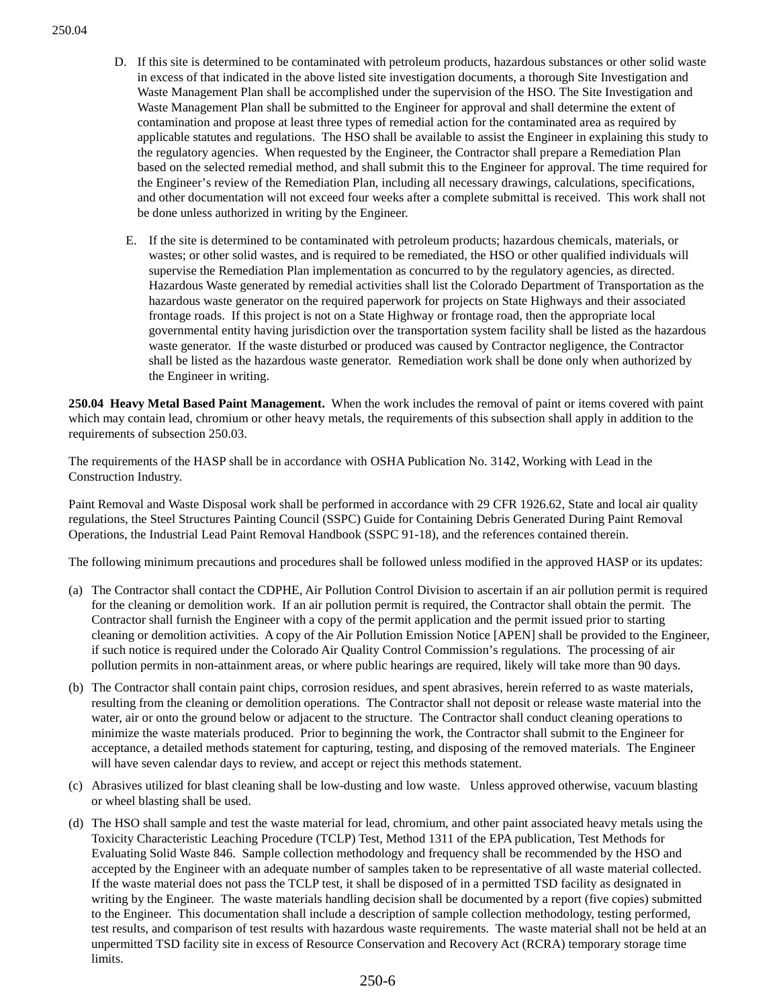- D. If this site is determined to be contaminated with petroleum products, hazardous substances or other solid waste in excess of that indicated in the above listed site investigation documents, a thorough Site Investigation and Waste Management Plan shall be accomplished under the supervision of the HSO. The Site Investigation and Waste Management Plan shall be submitted to the Engineer for approval and shall determine the extent of contamination and propose at least three types of remedial action for the contaminated area as required by applicable statutes and regulations. The HSO shall be available to assist the Engineer in explaining this study to the regulatory agencies. When requested by the Engineer, the Contractor shall prepare a Remediation Plan based on the selected remedial method, and shall submit this to the Engineer for approval. The time required for the Engineer's review of the Remediation Plan, including all necessary drawings, calculations, specifications, and other documentation will not exceed four weeks after a complete submittal is received. This work shall not be done unless authorized in writing by the Engineer.
	- E. If the site is determined to be contaminated with petroleum products; hazardous chemicals, materials, or wastes; or other solid wastes, and is required to be remediated, the HSO or other qualified individuals will supervise the Remediation Plan implementation as concurred to by the regulatory agencies, as directed. Hazardous Waste generated by remedial activities shall list the Colorado Department of Transportation as the hazardous waste generator on the required paperwork for projects on State Highways and their associated frontage roads. If this project is not on a State Highway or frontage road, then the appropriate local governmental entity having jurisdiction over the transportation system facility shall be listed as the hazardous waste generator. If the waste disturbed or produced was caused by Contractor negligence, the Contractor shall be listed as the hazardous waste generator. Remediation work shall be done only when authorized by the Engineer in writing.

**250.04 Heavy Metal Based Paint Management.** When the work includes the removal of paint or items covered with paint which may contain lead, chromium or other heavy metals, the requirements of this subsection shall apply in addition to the requirements of subsection 250.03.

The requirements of the HASP shall be in accordance with OSHA Publication No. 3142, Working with Lead in the Construction Industry.

Paint Removal and Waste Disposal work shall be performed in accordance with 29 CFR 1926.62, State and local air quality regulations, the Steel Structures Painting Council (SSPC) Guide for Containing Debris Generated During Paint Removal Operations, the Industrial Lead Paint Removal Handbook (SSPC 91-18), and the references contained therein.

The following minimum precautions and procedures shall be followed unless modified in the approved HASP or its updates:

- (a) The Contractor shall contact the CDPHE, Air Pollution Control Division to ascertain if an air pollution permit is required for the cleaning or demolition work. If an air pollution permit is required, the Contractor shall obtain the permit. The Contractor shall furnish the Engineer with a copy of the permit application and the permit issued prior to starting cleaning or demolition activities. A copy of the Air Pollution Emission Notice [APEN] shall be provided to the Engineer, if such notice is required under the Colorado Air Quality Control Commission's regulations. The processing of air pollution permits in non-attainment areas, or where public hearings are required, likely will take more than 90 days.
- (b) The Contractor shall contain paint chips, corrosion residues, and spent abrasives, herein referred to as waste materials, resulting from the cleaning or demolition operations. The Contractor shall not deposit or release waste material into the water, air or onto the ground below or adjacent to the structure. The Contractor shall conduct cleaning operations to minimize the waste materials produced. Prior to beginning the work, the Contractor shall submit to the Engineer for acceptance, a detailed methods statement for capturing, testing, and disposing of the removed materials. The Engineer will have seven calendar days to review, and accept or reject this methods statement.
- (c) Abrasives utilized for blast cleaning shall be low-dusting and low waste. Unless approved otherwise, vacuum blasting or wheel blasting shall be used.
- (d) The HSO shall sample and test the waste material for lead, chromium, and other paint associated heavy metals using the Toxicity Characteristic Leaching Procedure (TCLP) Test, Method 1311 of the EPA publication, Test Methods for Evaluating Solid Waste 846. Sample collection methodology and frequency shall be recommended by the HSO and accepted by the Engineer with an adequate number of samples taken to be representative of all waste material collected. If the waste material does not pass the TCLP test, it shall be disposed of in a permitted TSD facility as designated in writing by the Engineer. The waste materials handling decision shall be documented by a report (five copies) submitted to the Engineer. This documentation shall include a description of sample collection methodology, testing performed, test results, and comparison of test results with hazardous waste requirements. The waste material shall not be held at an unpermitted TSD facility site in excess of Resource Conservation and Recovery Act (RCRA) temporary storage time limits.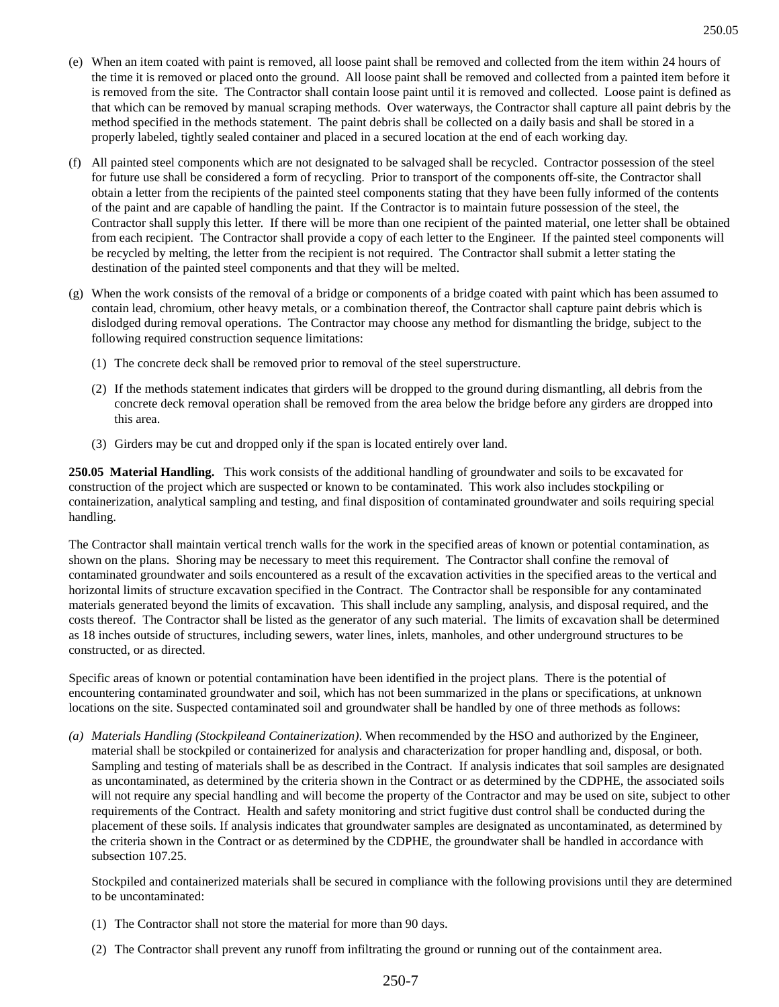- (e) When an item coated with paint is removed, all loose paint shall be removed and collected from the item within 24 hours of the time it is removed or placed onto the ground. All loose paint shall be removed and collected from a painted item before it is removed from the site. The Contractor shall contain loose paint until it is removed and collected. Loose paint is defined as that which can be removed by manual scraping methods. Over waterways, the Contractor shall capture all paint debris by the method specified in the methods statement. The paint debris shall be collected on a daily basis and shall be stored in a properly labeled, tightly sealed container and placed in a secured location at the end of each working day.
- (f) All painted steel components which are not designated to be salvaged shall be recycled. Contractor possession of the steel for future use shall be considered a form of recycling. Prior to transport of the components off-site, the Contractor shall obtain a letter from the recipients of the painted steel components stating that they have been fully informed of the contents of the paint and are capable of handling the paint. If the Contractor is to maintain future possession of the steel, the Contractor shall supply this letter. If there will be more than one recipient of the painted material, one letter shall be obtained from each recipient. The Contractor shall provide a copy of each letter to the Engineer. If the painted steel components will be recycled by melting, the letter from the recipient is not required. The Contractor shall submit a letter stating the destination of the painted steel components and that they will be melted.
- (g) When the work consists of the removal of a bridge or components of a bridge coated with paint which has been assumed to contain lead, chromium, other heavy metals, or a combination thereof, the Contractor shall capture paint debris which is dislodged during removal operations. The Contractor may choose any method for dismantling the bridge, subject to the following required construction sequence limitations:
	- (1) The concrete deck shall be removed prior to removal of the steel superstructure.
	- (2) If the methods statement indicates that girders will be dropped to the ground during dismantling, all debris from the concrete deck removal operation shall be removed from the area below the bridge before any girders are dropped into this area.
	- (3) Girders may be cut and dropped only if the span is located entirely over land.

**250.05 Material Handling.** This work consists of the additional handling of groundwater and soils to be excavated for construction of the project which are suspected or known to be contaminated. This work also includes stockpiling or containerization, analytical sampling and testing, and final disposition of contaminated groundwater and soils requiring special handling.

The Contractor shall maintain vertical trench walls for the work in the specified areas of known or potential contamination, as shown on the plans. Shoring may be necessary to meet this requirement. The Contractor shall confine the removal of contaminated groundwater and soils encountered as a result of the excavation activities in the specified areas to the vertical and horizontal limits of structure excavation specified in the Contract. The Contractor shall be responsible for any contaminated materials generated beyond the limits of excavation. This shall include any sampling, analysis, and disposal required, and the costs thereof. The Contractor shall be listed as the generator of any such material. The limits of excavation shall be determined as 18 inches outside of structures, including sewers, water lines, inlets, manholes, and other underground structures to be constructed, or as directed.

Specific areas of known or potential contamination have been identified in the project plans. There is the potential of encountering contaminated groundwater and soil, which has not been summarized in the plans or specifications, at unknown locations on the site. Suspected contaminated soil and groundwater shall be handled by one of three methods as follows:

*(a) Materials Handling (Stockpileand Containerization)*. When recommended by the HSO and authorized by the Engineer, material shall be stockpiled or containerized for analysis and characterization for proper handling and, disposal, or both. Sampling and testing of materials shall be as described in the Contract. If analysis indicates that soil samples are designated as uncontaminated, as determined by the criteria shown in the Contract or as determined by the CDPHE, the associated soils will not require any special handling and will become the property of the Contractor and may be used on site, subject to other requirements of the Contract. Health and safety monitoring and strict fugitive dust control shall be conducted during the placement of these soils. If analysis indicates that groundwater samples are designated as uncontaminated, as determined by the criteria shown in the Contract or as determined by the CDPHE, the groundwater shall be handled in accordance with subsection 107.25.

Stockpiled and containerized materials shall be secured in compliance with the following provisions until they are determined to be uncontaminated:

- (1) The Contractor shall not store the material for more than 90 days.
- (2) The Contractor shall prevent any runoff from infiltrating the ground or running out of the containment area.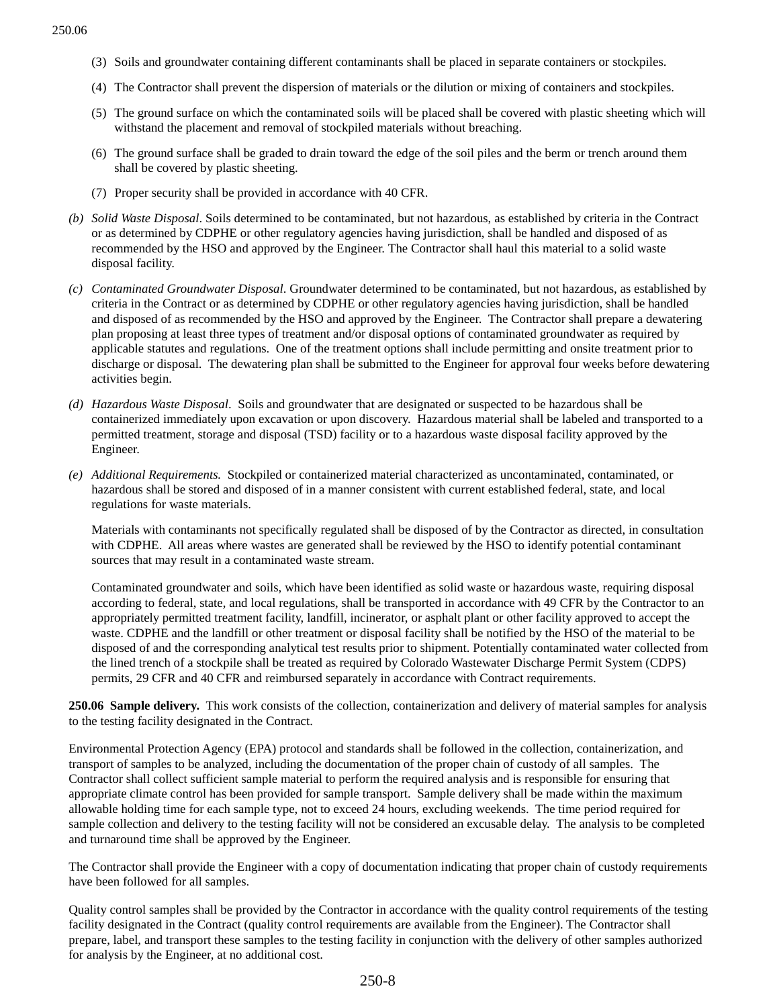- (3) Soils and groundwater containing different contaminants shall be placed in separate containers or stockpiles.
- (4) The Contractor shall prevent the dispersion of materials or the dilution or mixing of containers and stockpiles.
- (5) The ground surface on which the contaminated soils will be placed shall be covered with plastic sheeting which will withstand the placement and removal of stockpiled materials without breaching.
- (6) The ground surface shall be graded to drain toward the edge of the soil piles and the berm or trench around them shall be covered by plastic sheeting.
- (7) Proper security shall be provided in accordance with 40 CFR.
- *(b) Solid Waste Disposal*. Soils determined to be contaminated, but not hazardous, as established by criteria in the Contract or as determined by CDPHE or other regulatory agencies having jurisdiction, shall be handled and disposed of as recommended by the HSO and approved by the Engineer. The Contractor shall haul this material to a solid waste disposal facility.
- *(c) Contaminated Groundwater Disposal*. Groundwater determined to be contaminated, but not hazardous, as established by criteria in the Contract or as determined by CDPHE or other regulatory agencies having jurisdiction, shall be handled and disposed of as recommended by the HSO and approved by the Engineer. The Contractor shall prepare a dewatering plan proposing at least three types of treatment and/or disposal options of contaminated groundwater as required by applicable statutes and regulations. One of the treatment options shall include permitting and onsite treatment prior to discharge or disposal. The dewatering plan shall be submitted to the Engineer for approval four weeks before dewatering activities begin.
- *(d) Hazardous Waste Disposal*. Soils and groundwater that are designated or suspected to be hazardous shall be containerized immediately upon excavation or upon discovery. Hazardous material shall be labeled and transported to a permitted treatment, storage and disposal (TSD) facility or to a hazardous waste disposal facility approved by the Engineer.
- *(e) Additional Requirements.* Stockpiled or containerized material characterized as uncontaminated, contaminated, or hazardous shall be stored and disposed of in a manner consistent with current established federal, state, and local regulations for waste materials.

Materials with contaminants not specifically regulated shall be disposed of by the Contractor as directed, in consultation with CDPHE. All areas where wastes are generated shall be reviewed by the HSO to identify potential contaminant sources that may result in a contaminated waste stream.

Contaminated groundwater and soils, which have been identified as solid waste or hazardous waste, requiring disposal according to federal, state, and local regulations, shall be transported in accordance with 49 CFR by the Contractor to an appropriately permitted treatment facility, landfill, incinerator, or asphalt plant or other facility approved to accept the waste. CDPHE and the landfill or other treatment or disposal facility shall be notified by the HSO of the material to be disposed of and the corresponding analytical test results prior to shipment. Potentially contaminated water collected from the lined trench of a stockpile shall be treated as required by Colorado Wastewater Discharge Permit System (CDPS) permits, 29 CFR and 40 CFR and reimbursed separately in accordance with Contract requirements.

**250.06 Sample delivery.** This work consists of the collection, containerization and delivery of material samples for analysis to the testing facility designated in the Contract.

Environmental Protection Agency (EPA) protocol and standards shall be followed in the collection, containerization, and transport of samples to be analyzed, including the documentation of the proper chain of custody of all samples. The Contractor shall collect sufficient sample material to perform the required analysis and is responsible for ensuring that appropriate climate control has been provided for sample transport. Sample delivery shall be made within the maximum allowable holding time for each sample type, not to exceed 24 hours, excluding weekends. The time period required for sample collection and delivery to the testing facility will not be considered an excusable delay. The analysis to be completed and turnaround time shall be approved by the Engineer.

The Contractor shall provide the Engineer with a copy of documentation indicating that proper chain of custody requirements have been followed for all samples.

Quality control samples shall be provided by the Contractor in accordance with the quality control requirements of the testing facility designated in the Contract (quality control requirements are available from the Engineer). The Contractor shall prepare, label, and transport these samples to the testing facility in conjunction with the delivery of other samples authorized for analysis by the Engineer, at no additional cost.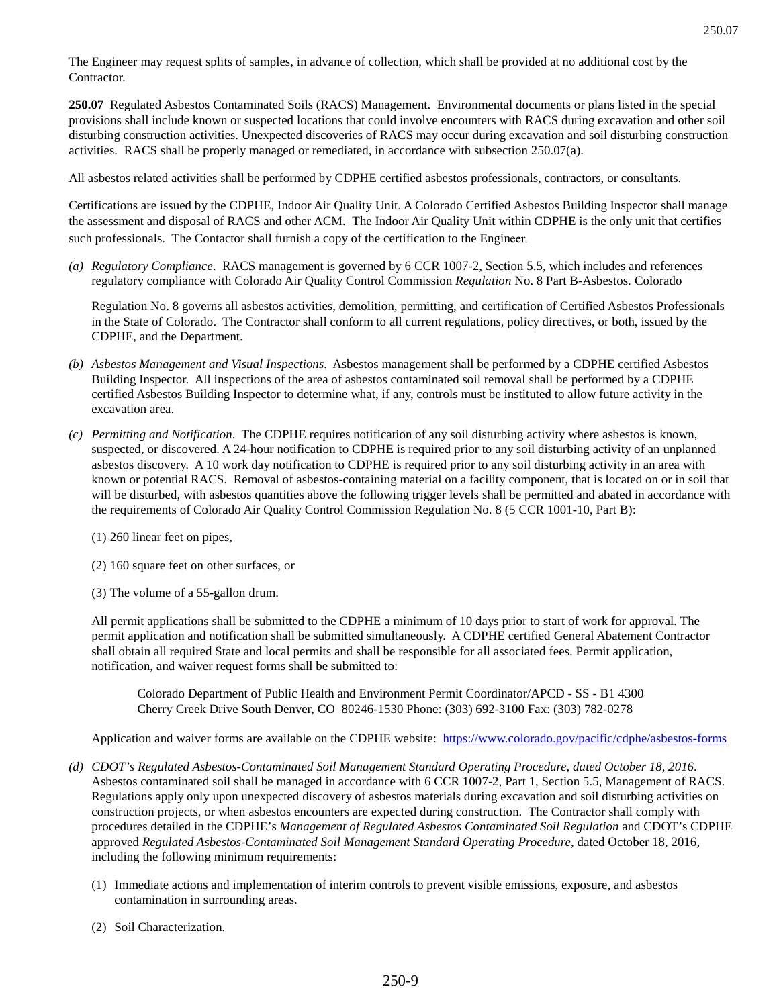The Engineer may request splits of samples, in advance of collection, which shall be provided at no additional cost by the Contractor.

**250.07** Regulated Asbestos Contaminated Soils (RACS) Management. Environmental documents or plans listed in the special provisions shall include known or suspected locations that could involve encounters with RACS during excavation and other soil disturbing construction activities. Unexpected discoveries of RACS may occur during excavation and soil disturbing construction activities. RACS shall be properly managed or remediated, in accordance with subsection 250.07(a).

All asbestos related activities shall be performed by CDPHE certified asbestos professionals, contractors, or consultants.

Certifications are issued by the CDPHE, Indoor Air Quality Unit. A Colorado Certified Asbestos Building Inspector shall manage the assessment and disposal of RACS and other ACM. The Indoor Air Quality Unit within CDPHE is the only unit that certifies such professionals. The Contactor shall furnish a copy of the certification to the Engineer.

*(a) Regulatory Compliance*. RACS management is governed by 6 CCR 1007-2, Section 5.5, which includes and references regulatory compliance with Colorado Air Quality Control Commission *Regulation* No. 8 Part B-Asbestos. Colorado

Regulation No. 8 governs all asbestos activities, demolition, permitting, and certification of Certified Asbestos Professionals in the State of Colorado. The Contractor shall conform to all current regulations, policy directives, or both, issued by the CDPHE, and the Department.

- *(b) Asbestos Management and Visual Inspections*. Asbestos management shall be performed by a CDPHE certified Asbestos Building Inspector. All inspections of the area of asbestos contaminated soil removal shall be performed by a CDPHE certified Asbestos Building Inspector to determine what, if any, controls must be instituted to allow future activity in the excavation area.
- *(c) Permitting and Notification*. The CDPHE requires notification of any soil disturbing activity where asbestos is known, suspected, or discovered. A 24-hour notification to CDPHE is required prior to any soil disturbing activity of an unplanned asbestos discovery. A 10 work day notification to CDPHE is required prior to any soil disturbing activity in an area with known or potential RACS. Removal of asbestos-containing material on a facility component, that is located on or in soil that will be disturbed, with asbestos quantities above the following trigger levels shall be permitted and abated in accordance with the requirements of Colorado Air Quality Control Commission Regulation No. 8 (5 CCR 1001-10, Part B):
	- (1) 260 linear feet on pipes,
	- (2) 160 square feet on other surfaces, or
	- (3) The volume of a 55-gallon drum.

All permit applications shall be submitted to the CDPHE a minimum of 10 days prior to start of work for approval. The permit application and notification shall be submitted simultaneously. A CDPHE certified General Abatement Contractor shall obtain all required State and local permits and shall be responsible for all associated fees. Permit application, notification, and waiver request forms shall be submitted to:

Colorado Department of Public Health and Environment Permit Coordinator/APCD - SS - B1 4300 Cherry Creek Drive South Denver, CO 80246-1530 Phone: (303) 692-3100 Fax: (303) 782-0278

Application and waiver forms are available on the CDPHE website: https://www.colorado.gov/pacific/cdphe/asbestos-forms

- *(d) CDOT's Regulated Asbestos-Contaminated Soil Management Standard Operating Procedure, dated October 18, 2016*. Asbestos contaminated soil shall be managed in accordance with 6 CCR 1007-2, Part 1, Section 5.5, Management of RACS. Regulations apply only upon unexpected discovery of asbestos materials during excavation and soil disturbing activities on construction projects, or when asbestos encounters are expected during construction. The Contractor shall comply with procedures detailed in the CDPHE's *Management of Regulated Asbestos Contaminated Soil Regulation* and CDOT's CDPHE approved *Regulated Asbestos-Contaminated Soil Management Standard Operating Procedure*, dated October 18, 2016, including the following minimum requirements:
	- (1) Immediate actions and implementation of interim controls to prevent visible emissions, exposure, and asbestos contamination in surrounding areas.
	- (2) Soil Characterization.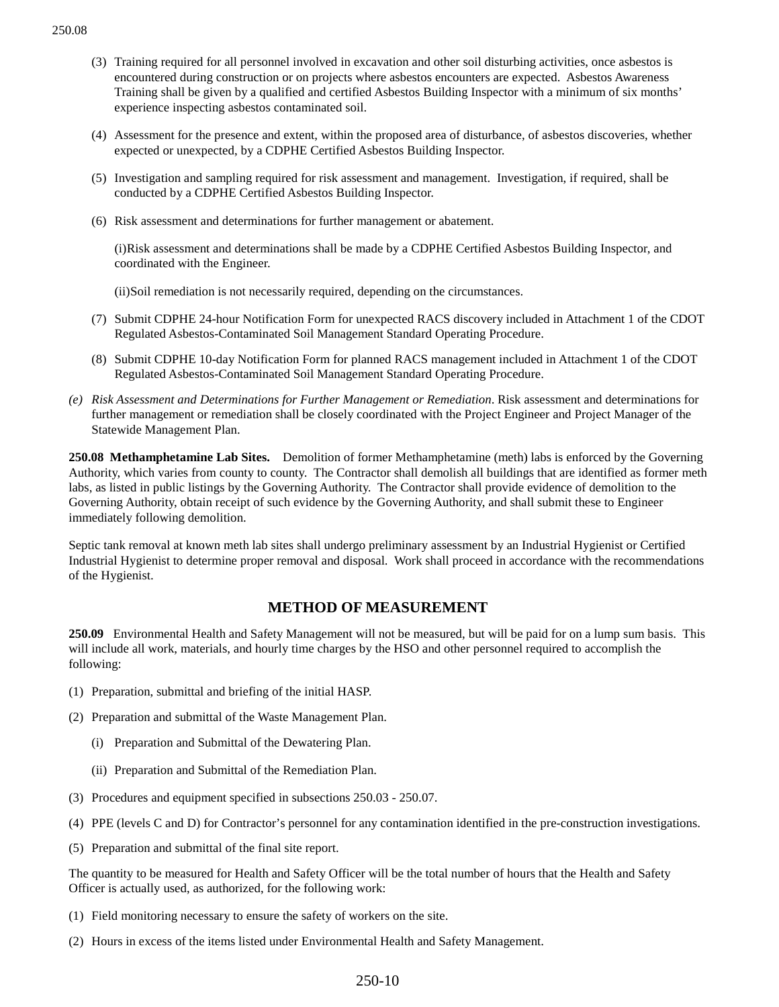- (3) Training required for all personnel involved in excavation and other soil disturbing activities, once asbestos is encountered during construction or on projects where asbestos encounters are expected. Asbestos Awareness Training shall be given by a qualified and certified Asbestos Building Inspector with a minimum of six months' experience inspecting asbestos contaminated soil.
- (4) Assessment for the presence and extent, within the proposed area of disturbance, of asbestos discoveries, whether expected or unexpected, by a CDPHE Certified Asbestos Building Inspector.
- (5) Investigation and sampling required for risk assessment and management. Investigation, if required, shall be conducted by a CDPHE Certified Asbestos Building Inspector.
- (6) Risk assessment and determinations for further management or abatement.

(i)Risk assessment and determinations shall be made by a CDPHE Certified Asbestos Building Inspector, and coordinated with the Engineer.

(ii)Soil remediation is not necessarily required, depending on the circumstances.

- (7) Submit CDPHE 24-hour Notification Form for unexpected RACS discovery included in Attachment 1 of the CDOT Regulated Asbestos-Contaminated Soil Management Standard Operating Procedure.
- (8) Submit CDPHE 10-day Notification Form for planned RACS management included in Attachment 1 of the CDOT Regulated Asbestos-Contaminated Soil Management Standard Operating Procedure.
- *(e) Risk Assessment and Determinations for Further Management or Remediation*. Risk assessment and determinations for further management or remediation shall be closely coordinated with the Project Engineer and Project Manager of the Statewide Management Plan.

**250.08 Methamphetamine Lab Sites.** Demolition of former Methamphetamine (meth) labs is enforced by the Governing Authority, which varies from county to county. The Contractor shall demolish all buildings that are identified as former meth labs, as listed in public listings by the Governing Authority. The Contractor shall provide evidence of demolition to the Governing Authority, obtain receipt of such evidence by the Governing Authority, and shall submit these to Engineer immediately following demolition.

Septic tank removal at known meth lab sites shall undergo preliminary assessment by an Industrial Hygienist or Certified Industrial Hygienist to determine proper removal and disposal. Work shall proceed in accordance with the recommendations of the Hygienist.

# **METHOD OF MEASUREMENT**

**250.09** Environmental Health and Safety Management will not be measured, but will be paid for on a lump sum basis. This will include all work, materials, and hourly time charges by the HSO and other personnel required to accomplish the following:

- (1) Preparation, submittal and briefing of the initial HASP.
- (2) Preparation and submittal of the Waste Management Plan.
	- (i) Preparation and Submittal of the Dewatering Plan.
	- (ii) Preparation and Submittal of the Remediation Plan.
- (3) Procedures and equipment specified in subsections 250.03 250.07.
- (4) PPE (levels C and D) for Contractor's personnel for any contamination identified in the pre-construction investigations.
- (5) Preparation and submittal of the final site report.

The quantity to be measured for Health and Safety Officer will be the total number of hours that the Health and Safety Officer is actually used, as authorized, for the following work:

- (1) Field monitoring necessary to ensure the safety of workers on the site.
- (2) Hours in excess of the items listed under Environmental Health and Safety Management.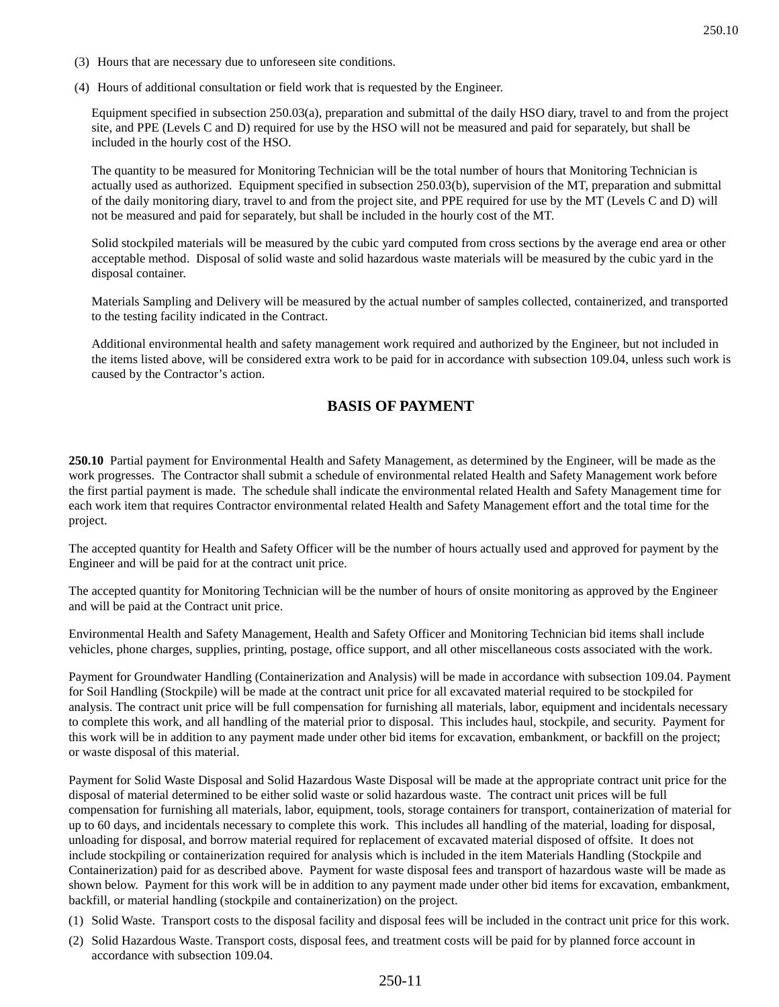- (3) Hours that are necessary due to unforeseen site conditions.
- (4) Hours of additional consultation or field work that is requested by the Engineer.

Equipment specified in subsection 250.03(a), preparation and submittal of the daily HSO diary, travel to and from the project site, and PPE (Levels C and D) required for use by the HSO will not be measured and paid for separately, but shall be included in the hourly cost of the HSO.

The quantity to be measured for Monitoring Technician will be the total number of hours that Monitoring Technician is actually used as authorized. Equipment specified in subsection 250.03(b), supervision of the MT, preparation and submittal of the daily monitoring diary, travel to and from the project site, and PPE required for use by the MT (Levels C and D) will not be measured and paid for separately, but shall be included in the hourly cost of the MT.

Solid stockpiled materials will be measured by the cubic yard computed from cross sections by the average end area or other acceptable method. Disposal of solid waste and solid hazardous waste materials will be measured by the cubic yard in the disposal container.

Materials Sampling and Delivery will be measured by the actual number of samples collected, containerized, and transported to the testing facility indicated in the Contract.

Additional environmental health and safety management work required and authorized by the Engineer, but not included in the items listed above, will be considered extra work to be paid for in accordance with subsection 109.04, unless such work is caused by the Contractor's action.

# **BASIS OF PAYMENT**

**250.10** Partial payment for Environmental Health and Safety Management, as determined by the Engineer, will be made as the work progresses. The Contractor shall submit a schedule of environmental related Health and Safety Management work before the first partial payment is made. The schedule shall indicate the environmental related Health and Safety Management time for each work item that requires Contractor environmental related Health and Safety Management effort and the total time for the project.

The accepted quantity for Health and Safety Officer will be the number of hours actually used and approved for payment by the Engineer and will be paid for at the contract unit price.

The accepted quantity for Monitoring Technician will be the number of hours of onsite monitoring as approved by the Engineer and will be paid at the Contract unit price.

Environmental Health and Safety Management, Health and Safety Officer and Monitoring Technician bid items shall include vehicles, phone charges, supplies, printing, postage, office support, and all other miscellaneous costs associated with the work.

Payment for Groundwater Handling (Containerization and Analysis) will be made in accordance with subsection 109.04. Payment for Soil Handling (Stockpile) will be made at the contract unit price for all excavated material required to be stockpiled for analysis. The contract unit price will be full compensation for furnishing all materials, labor, equipment and incidentals necessary to complete this work, and all handling of the material prior to disposal. This includes haul, stockpile, and security. Payment for this work will be in addition to any payment made under other bid items for excavation, embankment, or backfill on the project; or waste disposal of this material.

Payment for Solid Waste Disposal and Solid Hazardous Waste Disposal will be made at the appropriate contract unit price for the disposal of material determined to be either solid waste or solid hazardous waste. The contract unit prices will be full compensation for furnishing all materials, labor, equipment, tools, storage containers for transport, containerization of material for up to 60 days, and incidentals necessary to complete this work. This includes all handling of the material, loading for disposal, unloading for disposal, and borrow material required for replacement of excavated material disposed of offsite. It does not include stockpiling or containerization required for analysis which is included in the item Materials Handling (Stockpile and Containerization) paid for as described above. Payment for waste disposal fees and transport of hazardous waste will be made as shown below. Payment for this work will be in addition to any payment made under other bid items for excavation, embankment, backfill, or material handling (stockpile and containerization) on the project.

- (1) Solid Waste. Transport costs to the disposal facility and disposal fees will be included in the contract unit price for this work.
- (2) Solid Hazardous Waste. Transport costs, disposal fees, and treatment costs will be paid for by planned force account in accordance with subsection 109.04.